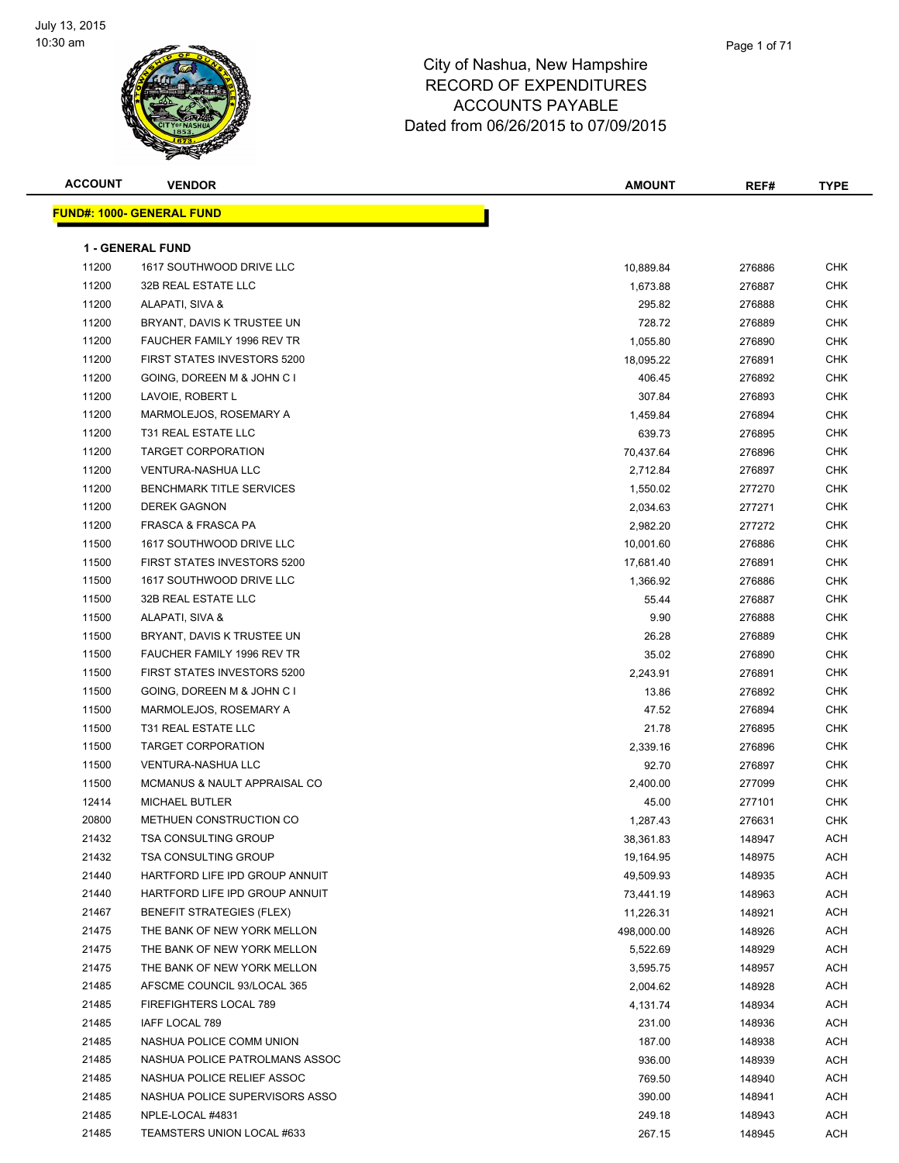

| <b>ACCOUNT</b> | <b>VENDOR</b>                                              | <b>AMOUNT</b>           | REF#   | <b>TYPE</b> |
|----------------|------------------------------------------------------------|-------------------------|--------|-------------|
|                | <b>FUND#: 1000- GENERAL FUND</b>                           |                         |        |             |
|                |                                                            |                         |        |             |
|                | 1 - GENERAL FUND                                           |                         |        |             |
| 11200          | 1617 SOUTHWOOD DRIVE LLC                                   | 10,889.84               | 276886 | CHK         |
| 11200          | 32B REAL ESTATE LLC                                        | 1,673.88                | 276887 | <b>CHK</b>  |
| 11200          | ALAPATI, SIVA &                                            | 295.82                  | 276888 | <b>CHK</b>  |
| 11200          | BRYANT, DAVIS K TRUSTEE UN                                 | 728.72                  | 276889 | <b>CHK</b>  |
| 11200          | <b>FAUCHER FAMILY 1996 REV TR</b>                          | 1,055.80                | 276890 | <b>CHK</b>  |
| 11200          | <b>FIRST STATES INVESTORS 5200</b>                         | 18,095.22               | 276891 | <b>CHK</b>  |
| 11200          | GOING, DOREEN M & JOHN C I                                 | 406.45                  | 276892 | <b>CHK</b>  |
| 11200          | LAVOIE, ROBERT L                                           | 307.84                  | 276893 | CHK         |
| 11200          | MARMOLEJOS, ROSEMARY A                                     | 1,459.84                | 276894 | <b>CHK</b>  |
| 11200          | T31 REAL ESTATE LLC                                        | 639.73                  | 276895 | <b>CHK</b>  |
| 11200          | TARGET CORPORATION                                         | 70,437.64               | 276896 | <b>CHK</b>  |
| 11200          | <b>VENTURA-NASHUA LLC</b>                                  | 2,712.84                | 276897 | <b>CHK</b>  |
| 11200          | <b>BENCHMARK TITLE SERVICES</b>                            | 1,550.02                | 277270 | <b>CHK</b>  |
| 11200          | <b>DEREK GAGNON</b>                                        | 2,034.63                | 277271 | <b>CHK</b>  |
| 11200          | FRASCA & FRASCA PA                                         | 2,982.20                | 277272 | <b>CHK</b>  |
| 11500          | 1617 SOUTHWOOD DRIVE LLC                                   | 10,001.60               | 276886 | <b>CHK</b>  |
| 11500          | FIRST STATES INVESTORS 5200                                | 17,681.40               | 276891 | <b>CHK</b>  |
| 11500          | 1617 SOUTHWOOD DRIVE LLC                                   | 1,366.92                | 276886 | <b>CHK</b>  |
| 11500          | 32B REAL ESTATE LLC                                        | 55.44                   | 276887 | <b>CHK</b>  |
| 11500          | ALAPATI, SIVA &                                            | 9.90                    | 276888 | <b>CHK</b>  |
| 11500          | BRYANT, DAVIS K TRUSTEE UN                                 | 26.28                   | 276889 | <b>CHK</b>  |
| 11500          | FAUCHER FAMILY 1996 REV TR                                 | 35.02                   | 276890 | <b>CHK</b>  |
| 11500          | FIRST STATES INVESTORS 5200                                | 2,243.91                | 276891 | <b>CHK</b>  |
| 11500          | GOING, DOREEN M & JOHN C I                                 | 13.86                   | 276892 | <b>CHK</b>  |
| 11500          | MARMOLEJOS, ROSEMARY A                                     | 47.52                   | 276894 | <b>CHK</b>  |
| 11500          | T31 REAL ESTATE LLC                                        | 21.78                   | 276895 | <b>CHK</b>  |
| 11500          | <b>TARGET CORPORATION</b>                                  | 2,339.16                | 276896 | <b>CHK</b>  |
| 11500          | <b>VENTURA-NASHUA LLC</b>                                  | 92.70                   | 276897 | <b>CHK</b>  |
| 11500          | MCMANUS & NAULT APPRAISAL CO                               | 2,400.00                | 277099 | <b>CHK</b>  |
| 12414          | <b>MICHAEL BUTLER</b>                                      | 45.00                   | 277101 | CHK         |
| 20800          | METHUEN CONSTRUCTION CO                                    | 1,287.43                | 276631 | CHK         |
| 21432          | TSA CONSULTING GROUP                                       | 38,361.83               | 148947 | ACH         |
| 21432          | <b>TSA CONSULTING GROUP</b>                                | 19,164.95               | 148975 | ACH         |
| 21440          | HARTFORD LIFE IPD GROUP ANNUIT                             | 49,509.93               | 148935 | ACH         |
| 21440          | HARTFORD LIFE IPD GROUP ANNUIT                             | 73,441.19               | 148963 | ACH         |
| 21467          | BENEFIT STRATEGIES (FLEX)                                  |                         | 148921 | ACH         |
| 21475          | THE BANK OF NEW YORK MELLON                                | 11,226.31<br>498,000.00 |        |             |
|                |                                                            |                         | 148926 | ACH         |
| 21475          | THE BANK OF NEW YORK MELLON<br>THE BANK OF NEW YORK MELLON | 5,522.69                | 148929 | ACH         |
| 21475          |                                                            | 3,595.75                | 148957 | ACH         |
| 21485          | AFSCME COUNCIL 93/LOCAL 365                                | 2,004.62                | 148928 | ACH         |
| 21485          | FIREFIGHTERS LOCAL 789                                     | 4,131.74                | 148934 | ACH         |
| 21485          | IAFF LOCAL 789                                             | 231.00                  | 148936 | ACH         |
| 21485          | NASHUA POLICE COMM UNION                                   | 187.00                  | 148938 | ACH         |
| 21485          | NASHUA POLICE PATROLMANS ASSOC                             | 936.00                  | 148939 | ACH         |
| 21485          | NASHUA POLICE RELIEF ASSOC                                 | 769.50                  | 148940 | ACH         |
| 21485          | NASHUA POLICE SUPERVISORS ASSO                             | 390.00                  | 148941 | ACH         |
| 21485          | NPLE-LOCAL #4831                                           | 249.18                  | 148943 | ACH         |
| 21485          | TEAMSTERS UNION LOCAL #633                                 | 267.15                  | 148945 | ACH         |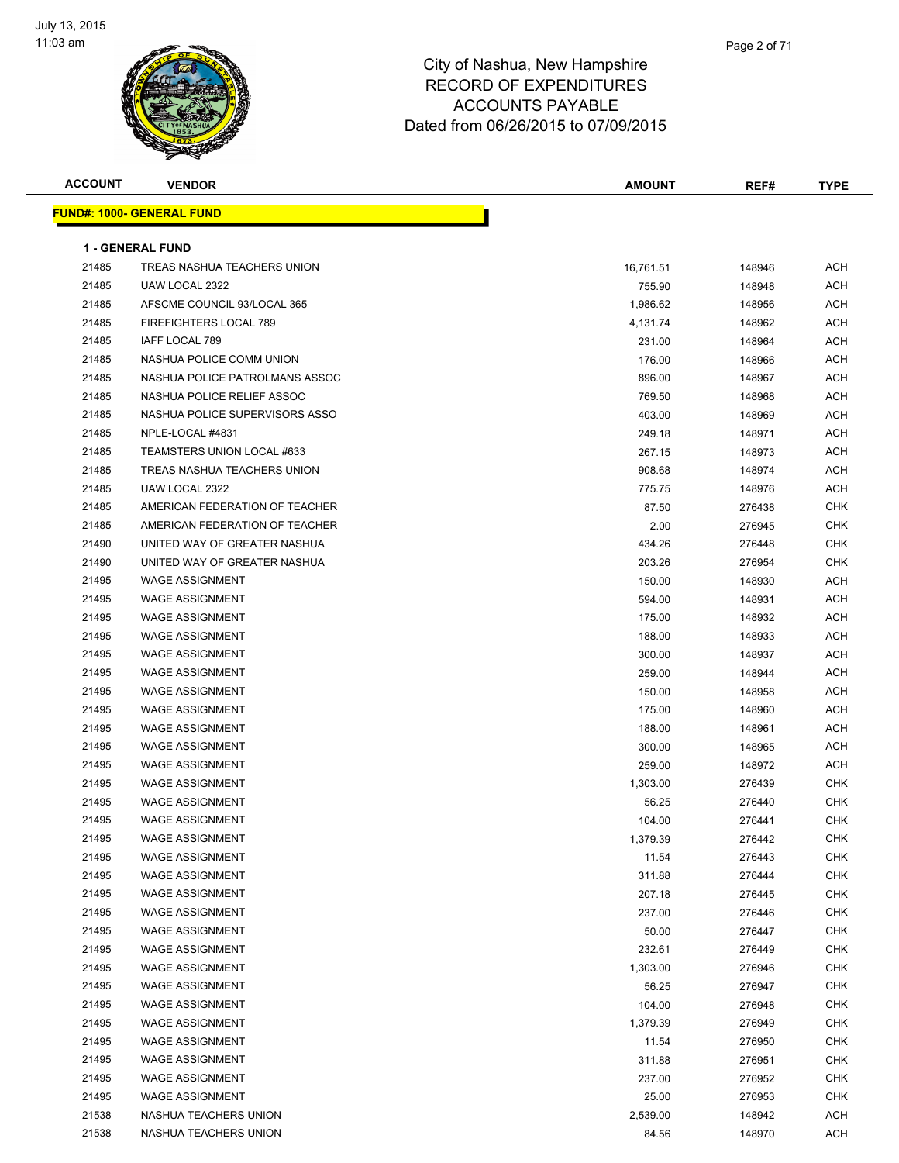

| <b>ACCOUNT</b> | <b>VENDOR</b>                    | <b>AMOUNT</b> | REF#   | <b>TYPE</b> |
|----------------|----------------------------------|---------------|--------|-------------|
|                | <b>FUND#: 1000- GENERAL FUND</b> |               |        |             |
|                |                                  |               |        |             |
|                | <b>1 - GENERAL FUND</b>          |               |        |             |
| 21485          | TREAS NASHUA TEACHERS UNION      | 16,761.51     | 148946 | <b>ACH</b>  |
| 21485          | UAW LOCAL 2322                   | 755.90        | 148948 | <b>ACH</b>  |
| 21485          | AFSCME COUNCIL 93/LOCAL 365      | 1,986.62      | 148956 | <b>ACH</b>  |
| 21485          | FIREFIGHTERS LOCAL 789           | 4,131.74      | 148962 | <b>ACH</b>  |
| 21485          | IAFF LOCAL 789                   | 231.00        | 148964 | <b>ACH</b>  |
| 21485          | NASHUA POLICE COMM UNION         | 176.00        | 148966 | <b>ACH</b>  |
| 21485          | NASHUA POLICE PATROLMANS ASSOC   | 896.00        | 148967 | <b>ACH</b>  |
| 21485          | NASHUA POLICE RELIEF ASSOC       | 769.50        | 148968 | <b>ACH</b>  |
| 21485          | NASHUA POLICE SUPERVISORS ASSO   | 403.00        | 148969 | ACH         |
| 21485          | NPLE-LOCAL #4831                 | 249.18        | 148971 | <b>ACH</b>  |
| 21485          | TEAMSTERS UNION LOCAL #633       | 267.15        | 148973 | <b>ACH</b>  |
| 21485          | TREAS NASHUA TEACHERS UNION      | 908.68        | 148974 | <b>ACH</b>  |
| 21485          | UAW LOCAL 2322                   | 775.75        | 148976 | <b>ACH</b>  |
| 21485          | AMERICAN FEDERATION OF TEACHER   | 87.50         | 276438 | <b>CHK</b>  |
| 21485          | AMERICAN FEDERATION OF TEACHER   | 2.00          | 276945 | <b>CHK</b>  |
| 21490          | UNITED WAY OF GREATER NASHUA     | 434.26        | 276448 | <b>CHK</b>  |
| 21490          | UNITED WAY OF GREATER NASHUA     | 203.26        | 276954 | CHK         |
| 21495          | <b>WAGE ASSIGNMENT</b>           | 150.00        | 148930 | <b>ACH</b>  |
| 21495          | WAGE ASSIGNMENT                  | 594.00        | 148931 | <b>ACH</b>  |
| 21495          | <b>WAGE ASSIGNMENT</b>           | 175.00        | 148932 | <b>ACH</b>  |
| 21495          | <b>WAGE ASSIGNMENT</b>           | 188.00        | 148933 | <b>ACH</b>  |
| 21495          | <b>WAGE ASSIGNMENT</b>           | 300.00        | 148937 | <b>ACH</b>  |
| 21495          | <b>WAGE ASSIGNMENT</b>           | 259.00        | 148944 | <b>ACH</b>  |
| 21495          | <b>WAGE ASSIGNMENT</b>           | 150.00        | 148958 | <b>ACH</b>  |
| 21495          | <b>WAGE ASSIGNMENT</b>           | 175.00        | 148960 | <b>ACH</b>  |
| 21495          | <b>WAGE ASSIGNMENT</b>           | 188.00        | 148961 | ACH         |
| 21495          | <b>WAGE ASSIGNMENT</b>           | 300.00        | 148965 | <b>ACH</b>  |
| 21495          | <b>WAGE ASSIGNMENT</b>           | 259.00        | 148972 | <b>ACH</b>  |
| 21495          | <b>WAGE ASSIGNMENT</b>           | 1,303.00      | 276439 | CHK         |
| 21495          | <b>WAGE ASSIGNMENT</b>           | 56.25         | 276440 | <b>CHK</b>  |
| 21495          | <b>WAGE ASSIGNMENT</b>           | 104.00        | 276441 | <b>CHK</b>  |
| 21495          | WAGE ASSIGNMENT                  | 1,379.39      | 276442 | CHK         |
| 21495          | <b>WAGE ASSIGNMENT</b>           | 11.54         | 276443 | <b>CHK</b>  |
| 21495          | <b>WAGE ASSIGNMENT</b>           | 311.88        | 276444 | <b>CHK</b>  |
| 21495          | <b>WAGE ASSIGNMENT</b>           | 207.18        | 276445 | <b>CHK</b>  |
| 21495          | <b>WAGE ASSIGNMENT</b>           | 237.00        | 276446 | <b>CHK</b>  |
| 21495          | <b>WAGE ASSIGNMENT</b>           | 50.00         | 276447 | <b>CHK</b>  |
| 21495          | <b>WAGE ASSIGNMENT</b>           | 232.61        | 276449 | <b>CHK</b>  |
| 21495          | <b>WAGE ASSIGNMENT</b>           | 1,303.00      | 276946 | <b>CHK</b>  |
| 21495          | <b>WAGE ASSIGNMENT</b>           | 56.25         | 276947 | CHK         |
| 21495          | <b>WAGE ASSIGNMENT</b>           | 104.00        | 276948 | CHK         |
| 21495          | <b>WAGE ASSIGNMENT</b>           | 1,379.39      | 276949 | <b>CHK</b>  |
| 21495          | <b>WAGE ASSIGNMENT</b>           | 11.54         | 276950 | <b>CHK</b>  |
| 21495          | <b>WAGE ASSIGNMENT</b>           | 311.88        | 276951 | <b>CHK</b>  |
| 21495          | <b>WAGE ASSIGNMENT</b>           | 237.00        | 276952 | <b>CHK</b>  |
| 21495          | <b>WAGE ASSIGNMENT</b>           | 25.00         | 276953 | CHK         |
| 21538          | NASHUA TEACHERS UNION            | 2,539.00      | 148942 | <b>ACH</b>  |
| 21538          | NASHUA TEACHERS UNION            | 84.56         | 148970 | <b>ACH</b>  |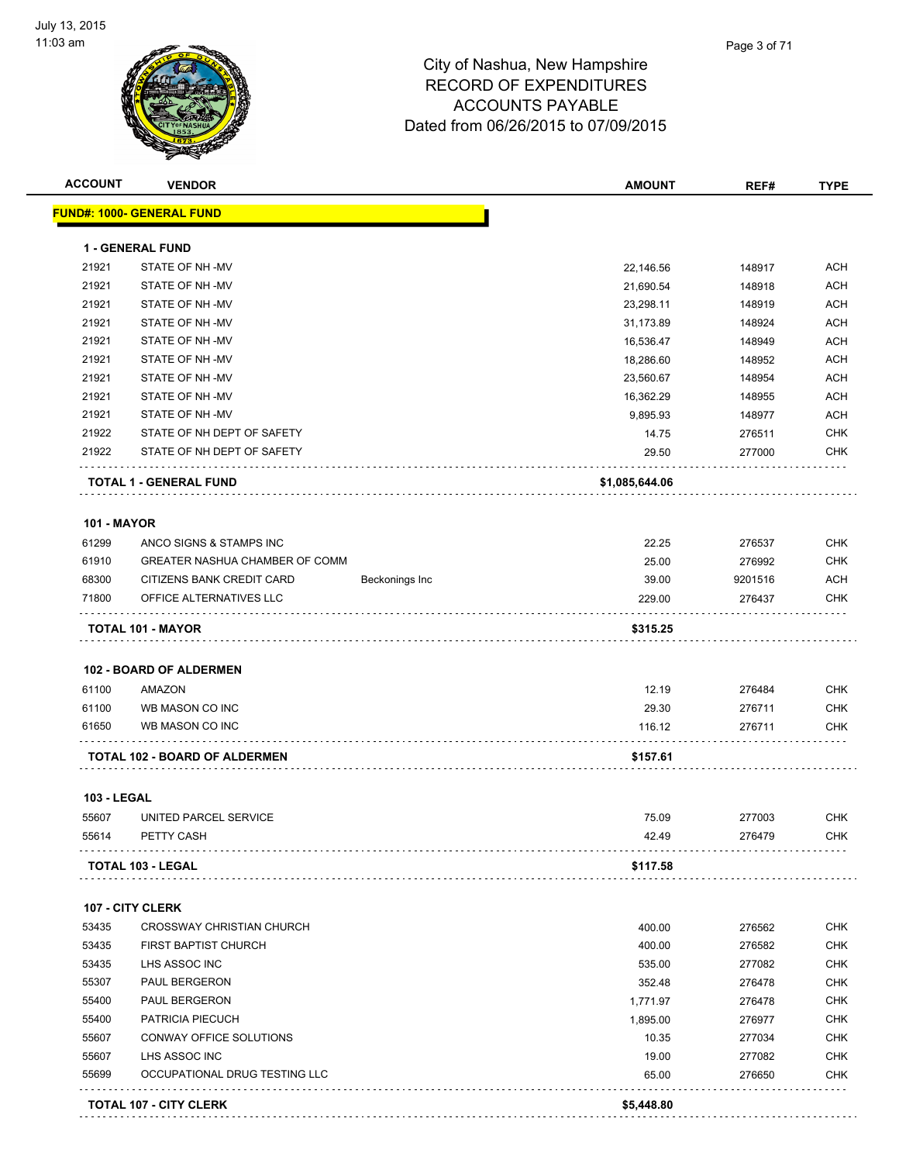

| <b>ACCOUNT</b>     | <b>VENDOR</b>                            |                | <b>AMOUNT</b>  | REF#    | <b>TYPE</b> |
|--------------------|------------------------------------------|----------------|----------------|---------|-------------|
|                    | <b>FUND#: 1000- GENERAL FUND</b>         |                |                |         |             |
|                    | <b>1 - GENERAL FUND</b>                  |                |                |         |             |
| 21921              | STATE OF NH-MV                           |                | 22,146.56      | 148917  | <b>ACH</b>  |
| 21921              | STATE OF NH-MV                           |                | 21,690.54      | 148918  | <b>ACH</b>  |
| 21921              | STATE OF NH-MV                           |                | 23,298.11      | 148919  | <b>ACH</b>  |
| 21921              | STATE OF NH-MV                           |                | 31,173.89      | 148924  | <b>ACH</b>  |
| 21921              | STATE OF NH-MV                           |                | 16,536.47      | 148949  | <b>ACH</b>  |
| 21921              | STATE OF NH-MV                           |                | 18,286.60      | 148952  | ACH         |
| 21921              | STATE OF NH-MV                           |                | 23,560.67      | 148954  | <b>ACH</b>  |
| 21921              | STATE OF NH-MV                           |                | 16,362.29      | 148955  | <b>ACH</b>  |
| 21921              | STATE OF NH-MV                           |                | 9,895.93       | 148977  | ACH         |
| 21922              | STATE OF NH DEPT OF SAFETY               |                | 14.75          | 276511  | <b>CHK</b>  |
| 21922              | STATE OF NH DEPT OF SAFETY               |                | 29.50          | 277000  | <b>CHK</b>  |
|                    | <b>TOTAL 1 - GENERAL FUND</b>            |                | \$1,085,644.06 |         |             |
| <b>101 - MAYOR</b> |                                          |                |                |         |             |
| 61299              | ANCO SIGNS & STAMPS INC                  |                | 22.25          | 276537  | <b>CHK</b>  |
| 61910              | GREATER NASHUA CHAMBER OF COMM           |                | 25.00          | 276992  | <b>CHK</b>  |
| 68300              | CITIZENS BANK CREDIT CARD                | Beckonings Inc | 39.00          | 9201516 | ACH         |
| 71800              | OFFICE ALTERNATIVES LLC                  |                | 229.00         | 276437  | <b>CHK</b>  |
| 61100              | <b>102 - BOARD OF ALDERMEN</b><br>AMAZON |                | 12.19          | 276484  | <b>CHK</b>  |
| 61100              | WB MASON CO INC                          |                | 29.30          | 276711  | <b>CHK</b>  |
| 61650              | WB MASON CO INC                          |                | 116.12         | 276711  | <b>CHK</b>  |
|                    | TOTAL 102 - BOARD OF ALDERMEN            |                | \$157.61       |         |             |
| <b>103 - LEGAL</b> |                                          |                |                |         |             |
| 55607              | UNITED PARCEL SERVICE                    |                | 75.09          | 277003  | <b>CHK</b>  |
| 55614              | PETTY CASH                               |                | 42.49          | 276479  | <b>CHK</b>  |
|                    | <b>TOTAL 103 - LEGAL</b>                 |                | \$117.58       |         |             |
|                    | 107 - CITY CLERK                         |                |                |         |             |
| 53435              | CROSSWAY CHRISTIAN CHURCH                |                | 400.00         | 276562  | <b>CHK</b>  |
| 53435              | FIRST BAPTIST CHURCH                     |                | 400.00         | 276582  | <b>CHK</b>  |
| 53435              | LHS ASSOC INC                            |                | 535.00         | 277082  | <b>CHK</b>  |
| 55307              | PAUL BERGERON                            |                | 352.48         | 276478  | <b>CHK</b>  |
| 55400              | PAUL BERGERON                            |                | 1,771.97       | 276478  | <b>CHK</b>  |
| 55400              | PATRICIA PIECUCH                         |                | 1,895.00       | 276977  | <b>CHK</b>  |
| 55607              | CONWAY OFFICE SOLUTIONS                  |                | 10.35          | 277034  | <b>CHK</b>  |
| 55607              | LHS ASSOC INC                            |                | 19.00          | 277082  | <b>CHK</b>  |
| 55699              | OCCUPATIONAL DRUG TESTING LLC            |                | 65.00          | 276650  | <b>CHK</b>  |
|                    | <b>TOTAL 107 - CITY CLERK</b>            |                | \$5,448.80     |         |             |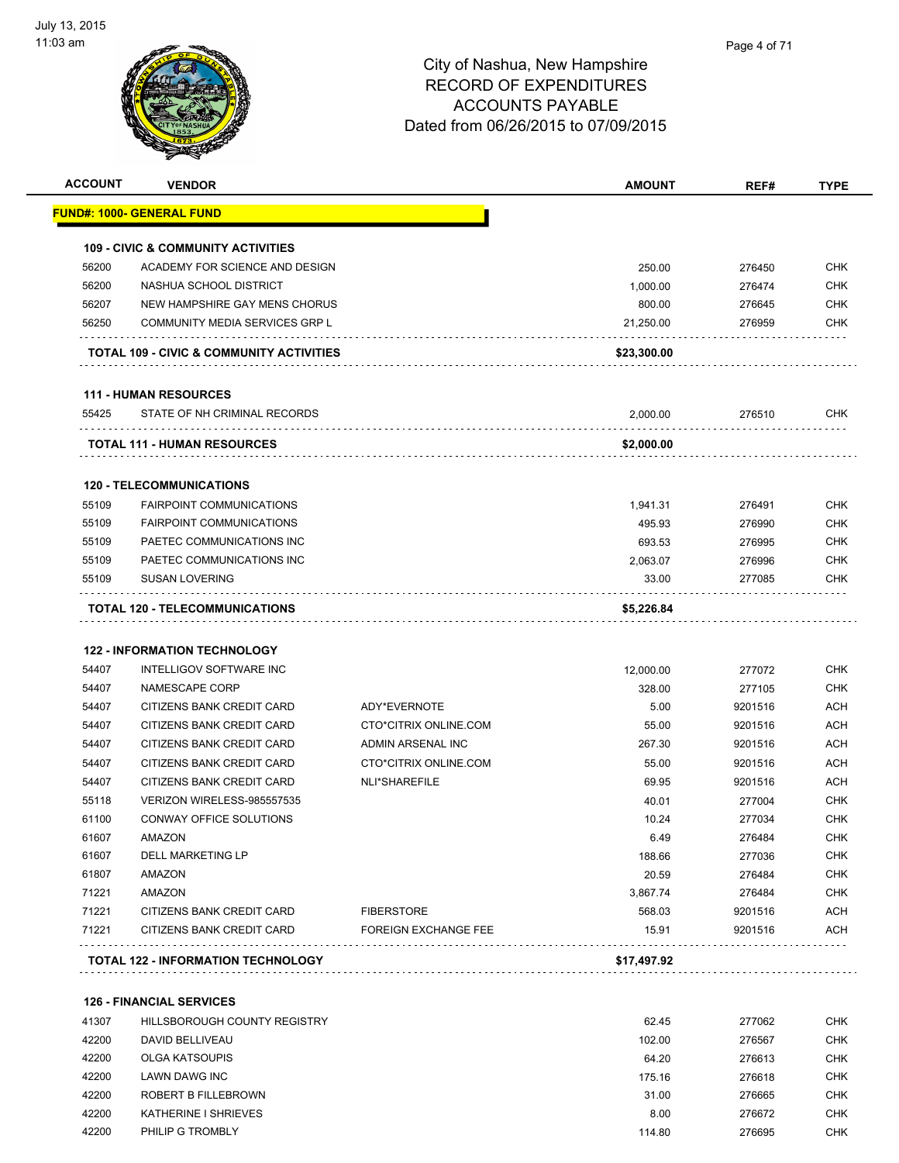

| <b>ACCOUNT</b> | <b>VENDOR</b>                                                  |                             | <b>AMOUNT</b> | REF#    | <b>TYPE</b> |
|----------------|----------------------------------------------------------------|-----------------------------|---------------|---------|-------------|
|                | <u> FUND#: 1000- GENERAL FUND</u>                              |                             |               |         |             |
|                | <b>109 - CIVIC &amp; COMMUNITY ACTIVITIES</b>                  |                             |               |         |             |
| 56200          | ACADEMY FOR SCIENCE AND DESIGN                                 |                             | 250.00        | 276450  | CHK         |
| 56200          | NASHUA SCHOOL DISTRICT                                         |                             | 1,000.00      | 276474  | CHK         |
| 56207          | NEW HAMPSHIRE GAY MENS CHORUS                                  |                             | 800.00        | 276645  | CHK         |
| 56250          | COMMUNITY MEDIA SERVICES GRP L                                 |                             | 21,250.00     | 276959  | CHK         |
|                |                                                                |                             |               |         |             |
|                | <b>TOTAL 109 - CIVIC &amp; COMMUNITY ACTIVITIES</b>            |                             | \$23,300.00   |         |             |
|                | <b>111 - HUMAN RESOURCES</b>                                   |                             |               |         |             |
| 55425          | STATE OF NH CRIMINAL RECORDS                                   |                             | 2,000.00      | 276510  | CHK         |
|                | <b>TOTAL 111 - HUMAN RESOURCES</b>                             |                             | \$2,000.00    |         |             |
|                | <b>120 - TELECOMMUNICATIONS</b>                                |                             |               |         |             |
| 55109          | <b>FAIRPOINT COMMUNICATIONS</b>                                |                             | 1,941.31      | 276491  | CHK         |
| 55109          | <b>FAIRPOINT COMMUNICATIONS</b>                                |                             | 495.93        | 276990  | <b>CHK</b>  |
| 55109          | PAETEC COMMUNICATIONS INC                                      |                             | 693.53        | 276995  | <b>CHK</b>  |
| 55109          | PAETEC COMMUNICATIONS INC                                      |                             | 2,063.07      | 276996  | <b>CHK</b>  |
| 55109          | <b>SUSAN LOVERING</b>                                          |                             | 33.00         | 277085  | CHK         |
|                | .<br><b>TOTAL 120 - TELECOMMUNICATIONS</b>                     |                             | \$5,226.84    |         |             |
|                |                                                                |                             |               |         |             |
| 54407          | <b>122 - INFORMATION TECHNOLOGY</b><br>INTELLIGOV SOFTWARE INC |                             | 12,000.00     | 277072  | <b>CHK</b>  |
| 54407          | NAMESCAPE CORP                                                 |                             | 328.00        | 277105  | <b>CHK</b>  |
| 54407          | CITIZENS BANK CREDIT CARD                                      | ADY*EVERNOTE                | 5.00          | 9201516 | <b>ACH</b>  |
| 54407          | CITIZENS BANK CREDIT CARD                                      | CTO*CITRIX ONLINE.COM       | 55.00         | 9201516 | <b>ACH</b>  |
| 54407          | CITIZENS BANK CREDIT CARD                                      | ADMIN ARSENAL INC           | 267.30        | 9201516 | <b>ACH</b>  |
| 54407          | CITIZENS BANK CREDIT CARD                                      | CTO*CITRIX ONLINE.COM       | 55.00         | 9201516 | ACH         |
| 54407          | CITIZENS BANK CREDIT CARD                                      | NLI*SHAREFILE               | 69.95         | 9201516 | <b>ACH</b>  |
| 55118          | VERIZON WIRELESS-985557535                                     |                             | 40.01         | 277004  | CHK         |
| 61100          | <b>CONWAY OFFICE SOLUTIONS</b>                                 |                             | 10.24         | 277034  | CHK         |
| 61607          | AMAZON                                                         |                             | 6.49          | 276484  | <b>CHK</b>  |
| 61607          | <b>DELL MARKETING LP</b>                                       |                             | 188.66        | 277036  | CHK         |
| 61807          | AMAZON                                                         |                             | 20.59         | 276484  | <b>CHK</b>  |
| 71221          | AMAZON                                                         |                             | 3,867.74      | 276484  | CHK         |
| 71221          | CITIZENS BANK CREDIT CARD                                      | <b>FIBERSTORE</b>           | 568.03        | 9201516 | <b>ACH</b>  |
| 71221          | CITIZENS BANK CREDIT CARD                                      | <b>FOREIGN EXCHANGE FEE</b> | 15.91         | 9201516 | ACH         |
|                | <b>TOTAL 122 - INFORMATION TECHNOLOGY</b>                      |                             | \$17,497.92   |         |             |
|                |                                                                |                             |               |         |             |
|                | <b>126 - FINANCIAL SERVICES</b>                                |                             |               |         |             |
| 41307          | HILLSBOROUGH COUNTY REGISTRY                                   |                             | 62.45         | 277062  | <b>CHK</b>  |
| 42200          | DAVID BELLIVEAU                                                |                             | 102.00        | 276567  | CHK         |
| 42200          | <b>OLGA KATSOUPIS</b>                                          |                             | 64.20         | 276613  | <b>CHK</b>  |
| 42200          | LAWN DAWG INC                                                  |                             | 175.16        | 276618  | <b>CHK</b>  |
| 42200          | ROBERT B FILLEBROWN                                            |                             | 31.00         | 276665  | <b>CHK</b>  |
| 42200          | KATHERINE I SHRIEVES                                           |                             | 8.00          | 276672  | CHK         |
| 42200          | PHILIP G TROMBLY                                               |                             | 114.80        | 276695  | <b>CHK</b>  |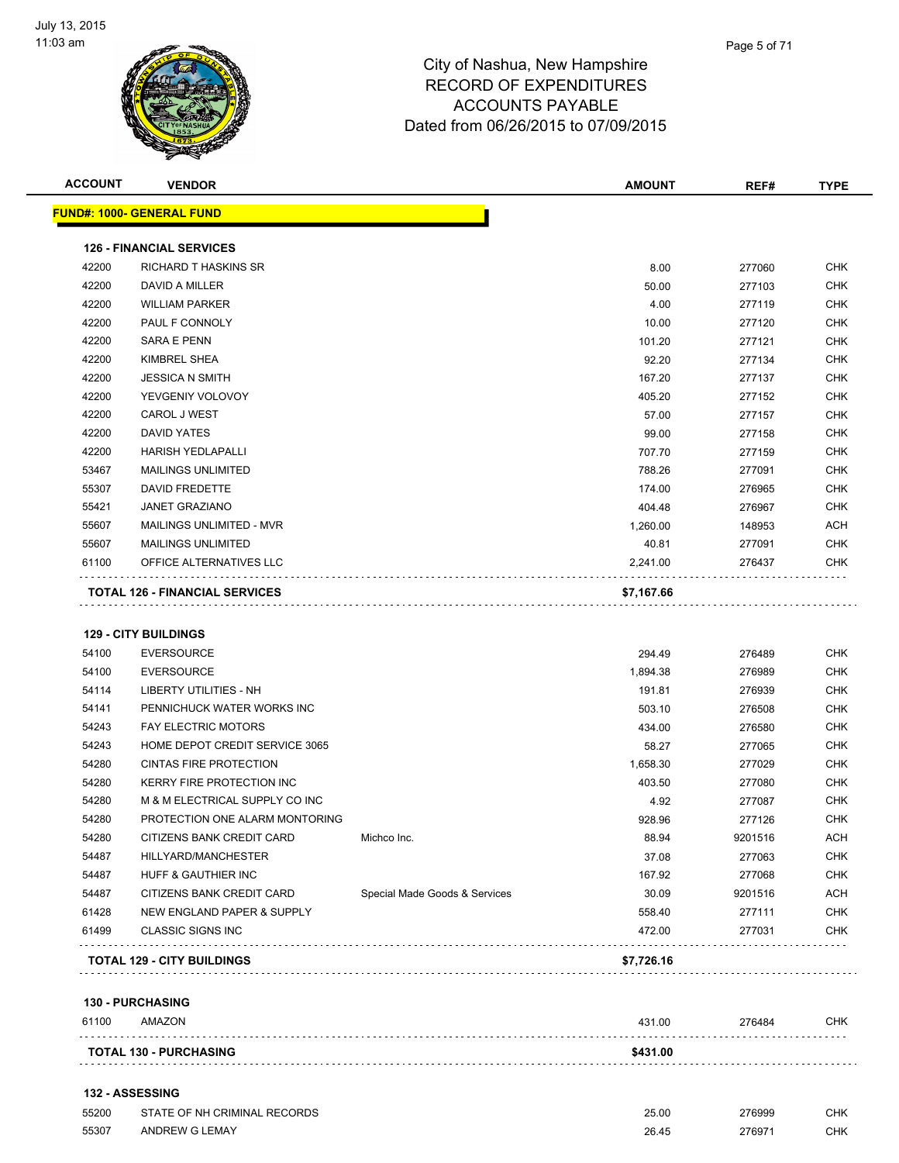

| <b>ACCOUNT</b> | <b>VENDOR</b>                         | <b>AMOUNT</b> | REF#   | <b>TYPE</b> |
|----------------|---------------------------------------|---------------|--------|-------------|
|                | <b>FUND#: 1000- GENERAL FUND</b>      |               |        |             |
|                | <b>126 - FINANCIAL SERVICES</b>       |               |        |             |
| 42200          | <b>RICHARD T HASKINS SR</b>           | 8.00          | 277060 | <b>CHK</b>  |
| 42200          | DAVID A MILLER                        | 50.00         | 277103 | <b>CHK</b>  |
| 42200          | <b>WILLIAM PARKER</b>                 | 4.00          | 277119 | <b>CHK</b>  |
| 42200          | PAUL F CONNOLY                        | 10.00         | 277120 | <b>CHK</b>  |
| 42200          | <b>SARA E PENN</b>                    | 101.20        | 277121 | <b>CHK</b>  |
| 42200          | <b>KIMBREL SHEA</b>                   | 92.20         | 277134 | <b>CHK</b>  |
| 42200          | <b>JESSICA N SMITH</b>                | 167.20        | 277137 | <b>CHK</b>  |
| 42200          | YEVGENIY VOLOVOY                      | 405.20        | 277152 | <b>CHK</b>  |
| 42200          | CAROL J WEST                          | 57.00         | 277157 | <b>CHK</b>  |
| 42200          | <b>DAVID YATES</b>                    | 99.00         | 277158 | <b>CHK</b>  |
| 42200          | <b>HARISH YEDLAPALLI</b>              | 707.70        | 277159 | <b>CHK</b>  |
| 53467          | <b>MAILINGS UNLIMITED</b>             | 788.26        | 277091 | <b>CHK</b>  |
| 55307          | <b>DAVID FREDETTE</b>                 | 174.00        | 276965 | <b>CHK</b>  |
| 55421          | <b>JANET GRAZIANO</b>                 | 404.48        | 276967 | <b>CHK</b>  |
| 55607          | MAILINGS UNLIMITED - MVR              | 1,260.00      | 148953 | <b>ACH</b>  |
| 55607          | <b>MAILINGS UNLIMITED</b>             | 40.81         | 277091 | <b>CHK</b>  |
| 61100          | OFFICE ALTERNATIVES LLC               | 2,241.00      | 276437 | <b>CHK</b>  |
|                | <b>TOTAL 126 - FINANCIAL SERVICES</b> | \$7,167.66    |        |             |
|                |                                       |               |        |             |
|                | <b>129 - CITY BUILDINGS</b>           |               |        |             |

| 54100 | <b>EVERSOURCE</b>                 |                               | 294.49     | 276489  | <b>CHK</b> |
|-------|-----------------------------------|-------------------------------|------------|---------|------------|
| 54100 | <b>EVERSOURCE</b>                 |                               | 1,894.38   | 276989  | <b>CHK</b> |
| 54114 | <b>LIBERTY UTILITIES - NH</b>     |                               | 191.81     | 276939  | <b>CHK</b> |
| 54141 | PENNICHUCK WATER WORKS INC        |                               | 503.10     | 276508  | <b>CHK</b> |
| 54243 | <b>FAY ELECTRIC MOTORS</b>        |                               | 434.00     | 276580  | <b>CHK</b> |
| 54243 | HOME DEPOT CREDIT SERVICE 3065    |                               | 58.27      | 277065  | <b>CHK</b> |
| 54280 | <b>CINTAS FIRE PROTECTION</b>     |                               | 1,658.30   | 277029  | <b>CHK</b> |
| 54280 | <b>KERRY FIRE PROTECTION INC</b>  |                               | 403.50     | 277080  | <b>CHK</b> |
| 54280 | M & M ELECTRICAL SUPPLY CO INC    |                               | 4.92       | 277087  | <b>CHK</b> |
| 54280 | PROTECTION ONE ALARM MONTORING    |                               | 928.96     | 277126  | <b>CHK</b> |
| 54280 | CITIZENS BANK CREDIT CARD         | Michco Inc.                   | 88.94      | 9201516 | <b>ACH</b> |
| 54487 | HILLYARD/MANCHESTER               |                               | 37.08      | 277063  | <b>CHK</b> |
| 54487 | <b>HUFF &amp; GAUTHIER INC</b>    |                               | 167.92     | 277068  | <b>CHK</b> |
| 54487 | CITIZENS BANK CREDIT CARD         | Special Made Goods & Services | 30.09      | 9201516 | ACH        |
| 61428 | NEW ENGLAND PAPER & SUPPLY        |                               | 558.40     | 277111  | <b>CHK</b> |
| 61499 | <b>CLASSIC SIGNS INC</b>          |                               | 472.00     | 277031  | <b>CHK</b> |
|       | <b>TOTAL 129 - CITY BUILDINGS</b> |                               | \$7,726.16 |         |            |

**130 - PURCHASING**

| 130 - PURUNASING              |                              |          |        |     |  |
|-------------------------------|------------------------------|----------|--------|-----|--|
| 61100                         | AMAZON                       | 431.00   | 276484 | CHK |  |
| <b>TOTAL 130 - PURCHASING</b> |                              | \$431.00 |        |     |  |
|                               | <b>132 - ASSESSING</b>       |          |        |     |  |
| 55200                         | STATE OF NH CRIMINAL RECORDS | 25.00    | 276999 | снк |  |

ANDREW G LEMAY 26.45 276971 CHK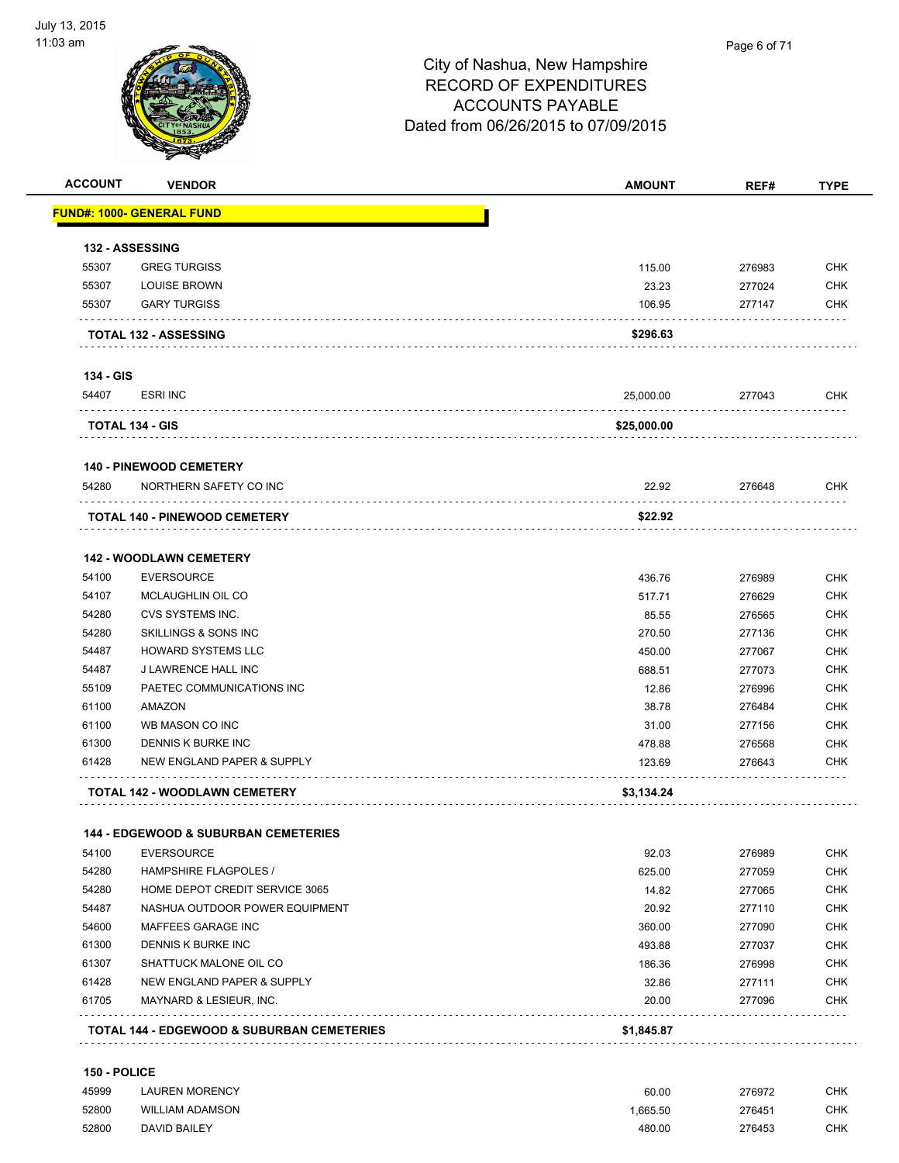

| <b>ACCOUNT</b> | <b>VENDOR</b>                                   | <b>AMOUNT</b> | REF#   | <b>TYPE</b> |
|----------------|-------------------------------------------------|---------------|--------|-------------|
|                | <u> FUND#: 1000- GENERAL FUND</u>               |               |        |             |
|                | 132 - ASSESSING                                 |               |        |             |
| 55307          | <b>GREG TURGISS</b>                             | 115.00        | 276983 | <b>CHK</b>  |
| 55307          | <b>LOUISE BROWN</b>                             | 23.23         | 277024 | <b>CHK</b>  |
| 55307          | <b>GARY TURGISS</b>                             | 106.95        | 277147 | <b>CHK</b>  |
|                | <b>TOTAL 132 - ASSESSING</b>                    | \$296.63      |        |             |
| 134 - GIS      |                                                 |               |        |             |
| 54407          | <b>ESRI INC</b>                                 | 25,000.00     | 277043 | CHK         |
|                | TOTAL 134 - GIS                                 | \$25,000.00   |        |             |
|                | <b>140 - PINEWOOD CEMETERY</b>                  |               |        |             |
| 54280          | NORTHERN SAFETY CO INC                          | 22.92         | 276648 | <b>CHK</b>  |
|                | <b>TOTAL 140 - PINEWOOD CEMETERY</b>            | \$22.92       |        |             |
|                | <b>142 - WOODLAWN CEMETERY</b>                  |               |        |             |
| 54100          | <b>EVERSOURCE</b>                               | 436.76        | 276989 | <b>CHK</b>  |
| 54107          | MCLAUGHLIN OIL CO                               | 517.71        | 276629 | <b>CHK</b>  |
| 54280          | CVS SYSTEMS INC.                                | 85.55         | 276565 | <b>CHK</b>  |
| 54280          | SKILLINGS & SONS INC                            | 270.50        | 277136 | <b>CHK</b>  |
| 54487          | <b>HOWARD SYSTEMS LLC</b>                       | 450.00        | 277067 | <b>CHK</b>  |
| 54487          | J LAWRENCE HALL INC                             | 688.51        | 277073 | <b>CHK</b>  |
| 55109          | PAETEC COMMUNICATIONS INC                       | 12.86         | 276996 | <b>CHK</b>  |
| 61100          | AMAZON                                          | 38.78         | 276484 | <b>CHK</b>  |
| 61100          | WB MASON CO INC                                 | 31.00         | 277156 | <b>CHK</b>  |
| 61300          | DENNIS K BURKE INC                              | 478.88        | 276568 | <b>CHK</b>  |
| 61428          | NEW ENGLAND PAPER & SUPPLY                      | 123.69        | 276643 | <b>CHK</b>  |
|                | <b>TOTAL 142 - WOODLAWN CEMETERY</b>            | \$3,134.24    |        |             |
|                | <b>144 - EDGEWOOD &amp; SUBURBAN CEMETERIES</b> |               |        |             |
| 54100          | <b>EVERSOURCE</b>                               | 92.03         | 276989 | <b>CHK</b>  |
| 54280          | <b>HAMPSHIRE FLAGPOLES /</b>                    | 625.00        | 277059 | <b>CHK</b>  |
| 54280          | HOME DEPOT CREDIT SERVICE 3065                  | 14.82         | 277065 | <b>CHK</b>  |
| 54487          | NASHUA OUTDOOR POWER EQUIPMENT                  | 20.92         | 277110 | <b>CHK</b>  |
| 54600          | MAFFEES GARAGE INC                              | 360.00        | 277090 | <b>CHK</b>  |
| 61300          | DENNIS K BURKE INC                              | 493.88        | 277037 | <b>CHK</b>  |
| 61307          | SHATTUCK MALONE OIL CO                          | 186.36        | 276998 | <b>CHK</b>  |
| 61428          | NEW ENGLAND PAPER & SUPPLY                      | 32.86         | 277111 | <b>CHK</b>  |
| 61705          | MAYNARD & LESIEUR, INC.                         | 20.00         | 277096 | <b>CHK</b>  |
|                | TOTAL 144 - EDGEWOOD & SUBURBAN CEMETERIES      | \$1,845.87    |        |             |

#### **150 - POLICE**

| 45999 | <b>LAUREN MORENCY</b>  | 60.00    | 276972 | CHK |
|-------|------------------------|----------|--------|-----|
| 52800 | <b>WILLIAM ADAMSON</b> | 1.665.50 | 276451 | CHK |
| 52800 | <b>DAVID BAILEY</b>    | 480.00   | 276453 | CHK |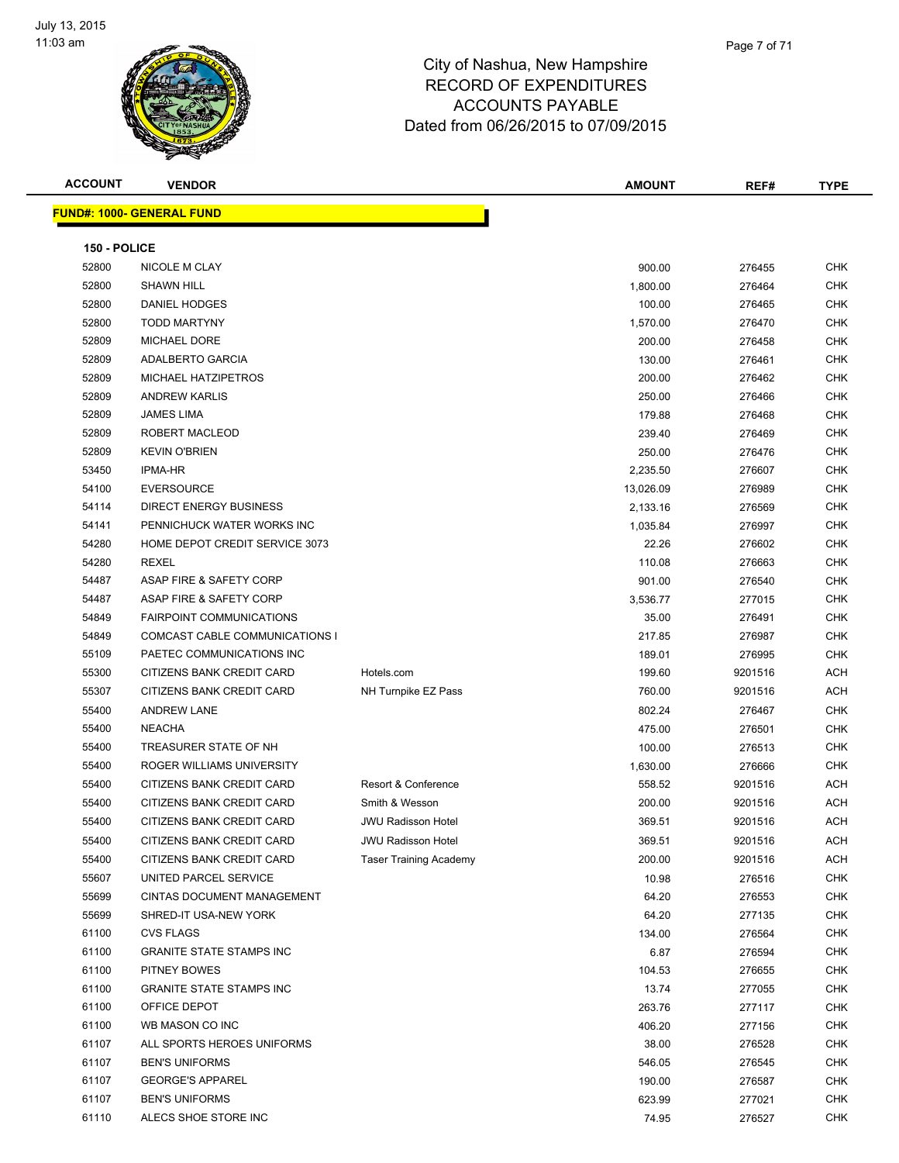

| <b>ACCOUNT</b> | <b>VENDOR</b>                       |                               | <b>AMOUNT</b>      | REF#             | <b>TYPE</b>              |
|----------------|-------------------------------------|-------------------------------|--------------------|------------------|--------------------------|
|                | <b>FUND#: 1000- GENERAL FUND</b>    |                               |                    |                  |                          |
|                |                                     |                               |                    |                  |                          |
| 150 - POLICE   |                                     |                               |                    |                  |                          |
| 52800          | NICOLE M CLAY                       |                               | 900.00             | 276455           | CHK                      |
| 52800          | <b>SHAWN HILL</b>                   |                               | 1,800.00           | 276464           | <b>CHK</b>               |
| 52800          | DANIEL HODGES                       |                               | 100.00             | 276465           | <b>CHK</b>               |
| 52800          | <b>TODD MARTYNY</b>                 |                               | 1,570.00           | 276470           | <b>CHK</b>               |
| 52809          | <b>MICHAEL DORE</b>                 |                               | 200.00             | 276458           | <b>CHK</b>               |
| 52809          | ADALBERTO GARCIA                    |                               | 130.00             | 276461           | CHK                      |
| 52809          | MICHAEL HATZIPETROS                 |                               | 200.00             | 276462           | CHK                      |
| 52809          | <b>ANDREW KARLIS</b>                |                               | 250.00             | 276466           | <b>CHK</b>               |
| 52809          | <b>JAMES LIMA</b>                   |                               | 179.88             | 276468           | <b>CHK</b>               |
| 52809          | ROBERT MACLEOD                      |                               | 239.40             | 276469           | <b>CHK</b>               |
| 52809          | <b>KEVIN O'BRIEN</b>                |                               | 250.00             | 276476           | <b>CHK</b>               |
| 53450          | <b>IPMA-HR</b>                      |                               | 2,235.50           | 276607           | <b>CHK</b>               |
| 54100          | <b>EVERSOURCE</b>                   |                               | 13,026.09          | 276989           | <b>CHK</b>               |
| 54114          | <b>DIRECT ENERGY BUSINESS</b>       |                               | 2,133.16           | 276569           | <b>CHK</b>               |
| 54141          | PENNICHUCK WATER WORKS INC          |                               | 1,035.84           | 276997           | <b>CHK</b>               |
| 54280          | HOME DEPOT CREDIT SERVICE 3073      |                               | 22.26              | 276602           | <b>CHK</b>               |
| 54280          | <b>REXEL</b>                        |                               | 110.08             | 276663           | CHK                      |
| 54487          | ASAP FIRE & SAFETY CORP             |                               | 901.00             | 276540           | CHK                      |
| 54487          | ASAP FIRE & SAFETY CORP             |                               | 3,536.77           | 277015           | <b>CHK</b>               |
| 54849          | <b>FAIRPOINT COMMUNICATIONS</b>     |                               | 35.00              | 276491           | <b>CHK</b>               |
| 54849          | COMCAST CABLE COMMUNICATIONS I      |                               | 217.85             | 276987           | <b>CHK</b>               |
| 55109          | PAETEC COMMUNICATIONS INC           |                               | 189.01             | 276995           | <b>CHK</b>               |
| 55300          | CITIZENS BANK CREDIT CARD           | Hotels.com                    | 199.60             | 9201516          | <b>ACH</b><br><b>ACH</b> |
| 55307          | CITIZENS BANK CREDIT CARD           | NH Turnpike EZ Pass           | 760.00             | 9201516          |                          |
| 55400          | <b>ANDREW LANE</b><br><b>NEACHA</b> |                               | 802.24             | 276467           | <b>CHK</b><br><b>CHK</b> |
| 55400<br>55400 | TREASURER STATE OF NH               |                               | 475.00             | 276501           | CHK                      |
| 55400          | ROGER WILLIAMS UNIVERSITY           |                               | 100.00             | 276513<br>276666 | CHK                      |
| 55400          | CITIZENS BANK CREDIT CARD           | Resort & Conference           | 1,630.00<br>558.52 | 9201516          | <b>ACH</b>               |
| 55400          | CITIZENS BANK CREDIT CARD           | Smith & Wesson                | 200.00             | 9201516          | ACH                      |
| 55400          | CITIZENS BANK CREDIT CARD           | <b>JWU Radisson Hotel</b>     | 369.51             | 9201516          | <b>ACH</b>               |
| 55400          | CITIZENS BANK CREDIT CARD           | <b>JWU Radisson Hotel</b>     | 369.51             | 9201516          | <b>ACH</b>               |
| 55400          | CITIZENS BANK CREDIT CARD           | <b>Taser Training Academy</b> | 200.00             | 9201516          | <b>ACH</b>               |
| 55607          | UNITED PARCEL SERVICE               |                               | 10.98              | 276516           | <b>CHK</b>               |
| 55699          | CINTAS DOCUMENT MANAGEMENT          |                               | 64.20              |                  | <b>CHK</b>               |
| 55699          | SHRED-IT USA-NEW YORK               |                               | 64.20              | 276553<br>277135 | CHK                      |
| 61100          | <b>CVS FLAGS</b>                    |                               | 134.00             | 276564           | <b>CHK</b>               |
| 61100          | <b>GRANITE STATE STAMPS INC</b>     |                               | 6.87               | 276594           | <b>CHK</b>               |
| 61100          | PITNEY BOWES                        |                               | 104.53             | 276655           | <b>CHK</b>               |
| 61100          | <b>GRANITE STATE STAMPS INC</b>     |                               | 13.74              | 277055           | <b>CHK</b>               |
| 61100          | OFFICE DEPOT                        |                               | 263.76             | 277117           | <b>CHK</b>               |
| 61100          | WB MASON CO INC                     |                               | 406.20             | 277156           | <b>CHK</b>               |
| 61107          | ALL SPORTS HEROES UNIFORMS          |                               | 38.00              | 276528           | <b>CHK</b>               |
| 61107          | <b>BEN'S UNIFORMS</b>               |                               | 546.05             | 276545           | <b>CHK</b>               |
| 61107          | <b>GEORGE'S APPAREL</b>             |                               | 190.00             | 276587           | <b>CHK</b>               |
| 61107          | <b>BEN'S UNIFORMS</b>               |                               | 623.99             | 277021           | <b>CHK</b>               |
| 61110          | ALECS SHOE STORE INC                |                               | 74.95              | 276527           | CHK                      |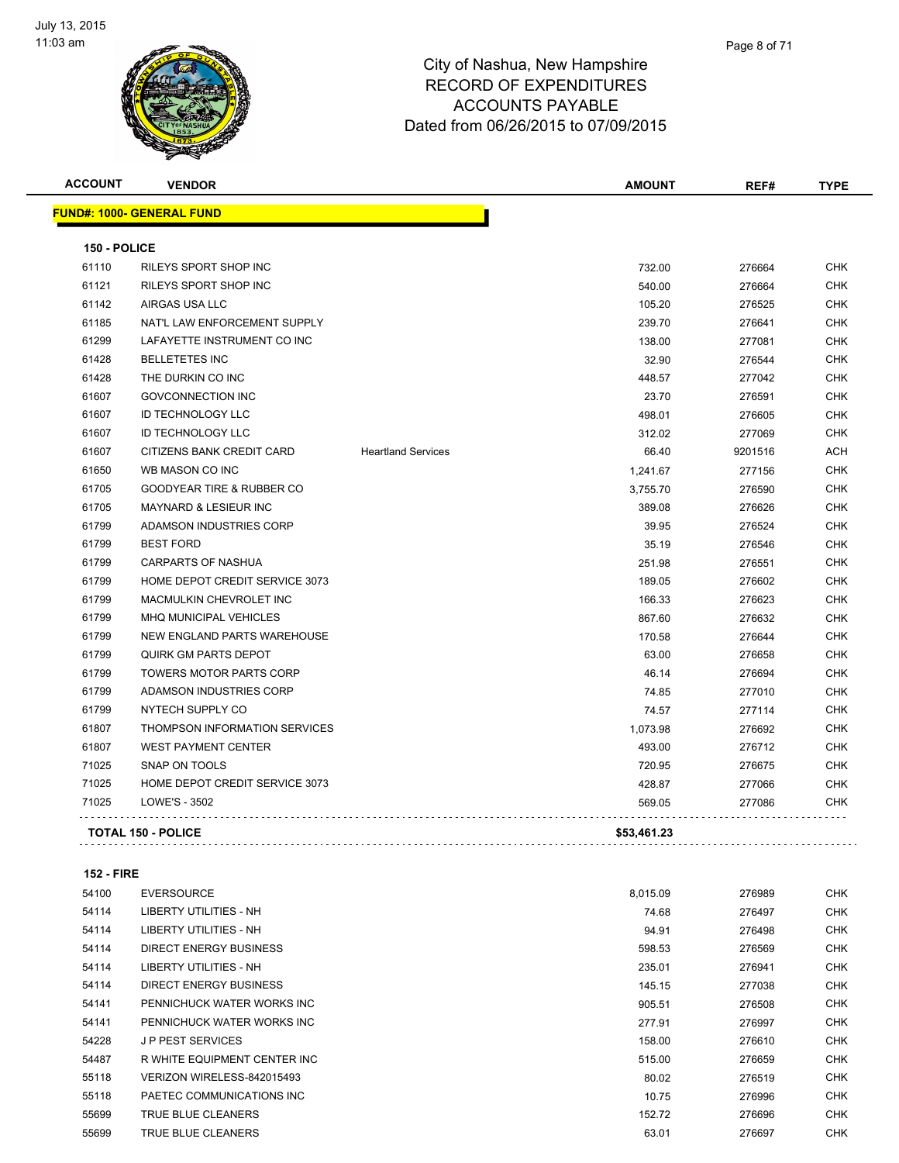

| <b>ACCOUNT</b> | <b>VENDOR</b>                        |                           | <b>AMOUNT</b> | REF#    | <b>TYPE</b> |
|----------------|--------------------------------------|---------------------------|---------------|---------|-------------|
|                | <u> FUND#: 1000- GENERAL FUND</u>    |                           |               |         |             |
| 150 - POLICE   |                                      |                           |               |         |             |
| 61110          | RILEYS SPORT SHOP INC                |                           | 732.00        | 276664  | <b>CHK</b>  |
| 61121          | RILEYS SPORT SHOP INC                |                           | 540.00        | 276664  | CHK         |
| 61142          | AIRGAS USA LLC                       |                           | 105.20        | 276525  | <b>CHK</b>  |
| 61185          | NAT'L LAW ENFORCEMENT SUPPLY         |                           | 239.70        | 276641  | <b>CHK</b>  |
| 61299          | LAFAYETTE INSTRUMENT CO INC          |                           | 138.00        | 277081  | <b>CHK</b>  |
| 61428          | <b>BELLETETES INC</b>                |                           | 32.90         | 276544  | <b>CHK</b>  |
| 61428          | THE DURKIN CO INC                    |                           | 448.57        | 277042  | <b>CHK</b>  |
| 61607          | <b>GOVCONNECTION INC</b>             |                           | 23.70         | 276591  | <b>CHK</b>  |
| 61607          | <b>ID TECHNOLOGY LLC</b>             |                           | 498.01        | 276605  | <b>CHK</b>  |
| 61607          | <b>ID TECHNOLOGY LLC</b>             |                           | 312.02        | 277069  | <b>CHK</b>  |
| 61607          | CITIZENS BANK CREDIT CARD            | <b>Heartland Services</b> | 66.40         | 9201516 | <b>ACH</b>  |
| 61650          | WB MASON CO INC                      |                           | 1,241.67      | 277156  | <b>CHK</b>  |
| 61705          | GOODYEAR TIRE & RUBBER CO            |                           | 3,755.70      | 276590  | <b>CHK</b>  |
| 61705          | <b>MAYNARD &amp; LESIEUR INC</b>     |                           | 389.08        | 276626  | <b>CHK</b>  |
| 61799          | ADAMSON INDUSTRIES CORP              |                           | 39.95         | 276524  | <b>CHK</b>  |
| 61799          | <b>BEST FORD</b>                     |                           | 35.19         | 276546  | CHK         |
| 61799          | <b>CARPARTS OF NASHUA</b>            |                           | 251.98        | 276551  | <b>CHK</b>  |
| 61799          | HOME DEPOT CREDIT SERVICE 3073       |                           | 189.05        | 276602  | <b>CHK</b>  |
| 61799          | <b>MACMULKIN CHEVROLET INC</b>       |                           | 166.33        | 276623  | <b>CHK</b>  |
| 61799          | <b>MHQ MUNICIPAL VEHICLES</b>        |                           | 867.60        | 276632  | <b>CHK</b>  |
| 61799          | <b>NEW ENGLAND PARTS WAREHOUSE</b>   |                           | 170.58        | 276644  | <b>CHK</b>  |
| 61799          | <b>QUIRK GM PARTS DEPOT</b>          |                           | 63.00         | 276658  | <b>CHK</b>  |
| 61799          | TOWERS MOTOR PARTS CORP              |                           | 46.14         | 276694  | CHK         |
| 61799          | ADAMSON INDUSTRIES CORP              |                           | 74.85         | 277010  | <b>CHK</b>  |
| 61799          | NYTECH SUPPLY CO                     |                           | 74.57         | 277114  | <b>CHK</b>  |
| 61807          | <b>THOMPSON INFORMATION SERVICES</b> |                           | 1,073.98      | 276692  | <b>CHK</b>  |
| 61807          | <b>WEST PAYMENT CENTER</b>           |                           | 493.00        | 276712  | <b>CHK</b>  |
| 71025          | SNAP ON TOOLS                        |                           | 720.95        | 276675  | CHK         |
| 71025          | HOME DEPOT CREDIT SERVICE 3073       |                           | 428.87        | 277066  | <b>CHK</b>  |
| 71025          | LOWE'S - 3502                        |                           | 569.05        | 277086  | <b>CHK</b>  |
|                | <b>TOTAL 150 - POLICE</b>            |                           | \$53,461.23   |         |             |

**152 - FIRE**

| 54100 | <b>EVERSOURCE</b>            | 8,015.09 | 276989 | <b>CHK</b> |
|-------|------------------------------|----------|--------|------------|
| 54114 | LIBERTY UTILITIES - NH       | 74.68    | 276497 | <b>CHK</b> |
| 54114 | LIBERTY UTILITIES - NH       | 94.91    | 276498 | <b>CHK</b> |
| 54114 | DIRECT ENERGY BUSINESS       | 598.53   | 276569 | <b>CHK</b> |
| 54114 | LIBERTY UTILITIES - NH       | 235.01   | 276941 | <b>CHK</b> |
| 54114 | DIRECT ENERGY BUSINESS       | 145.15   | 277038 | <b>CHK</b> |
| 54141 | PENNICHUCK WATER WORKS INC   | 905.51   | 276508 | <b>CHK</b> |
| 54141 | PENNICHUCK WATER WORKS INC   | 277.91   | 276997 | <b>CHK</b> |
| 54228 | <b>JP PEST SERVICES</b>      | 158.00   | 276610 | <b>CHK</b> |
| 54487 | R WHITE EQUIPMENT CENTER INC | 515.00   | 276659 | <b>CHK</b> |
| 55118 | VERIZON WIRELESS-842015493   | 80.02    | 276519 | <b>CHK</b> |
| 55118 | PAETEC COMMUNICATIONS INC    | 10.75    | 276996 | <b>CHK</b> |
| 55699 | TRUE BLUE CLEANERS           | 152.72   | 276696 | <b>CHK</b> |
| 55699 | TRUE BLUE CLEANERS           | 63.01    | 276697 | <b>CHK</b> |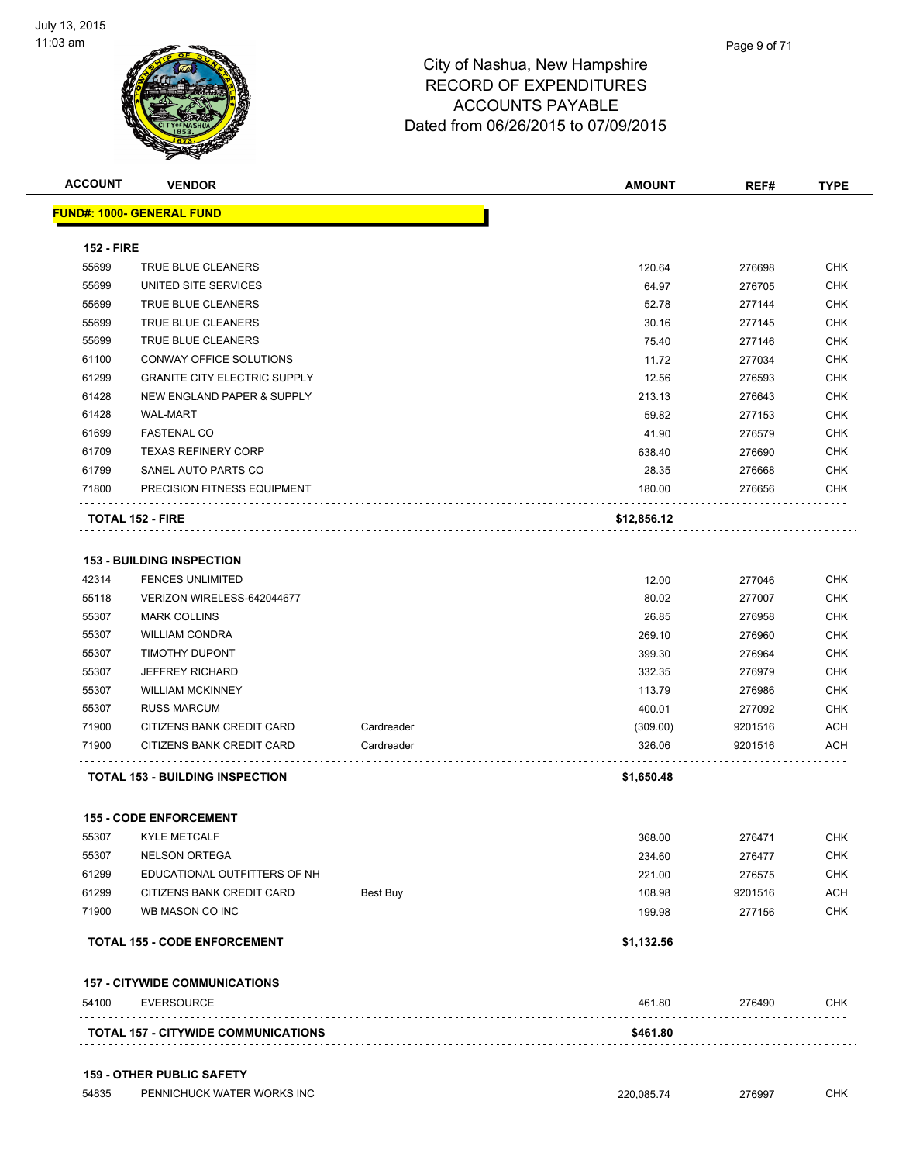

| <b>ACCOUNT</b>    | <b>VENDOR</b>                          |            | <b>AMOUNT</b> | REF#    | <b>TYPE</b> |
|-------------------|----------------------------------------|------------|---------------|---------|-------------|
|                   | <u> FUND#: 1000- GENERAL FUND</u>      |            |               |         |             |
| <b>152 - FIRE</b> |                                        |            |               |         |             |
| 55699             | <b>TRUE BLUE CLEANERS</b>              |            | 120.64        | 276698  | <b>CHK</b>  |
| 55699             | UNITED SITE SERVICES                   |            | 64.97         | 276705  | <b>CHK</b>  |
| 55699             | TRUE BLUE CLEANERS                     |            | 52.78         | 277144  | <b>CHK</b>  |
| 55699             | TRUE BLUE CLEANERS                     |            | 30.16         | 277145  | <b>CHK</b>  |
| 55699             | TRUE BLUE CLEANERS                     |            | 75.40         | 277146  | <b>CHK</b>  |
| 61100             | CONWAY OFFICE SOLUTIONS                |            | 11.72         | 277034  | <b>CHK</b>  |
| 61299             | <b>GRANITE CITY ELECTRIC SUPPLY</b>    |            | 12.56         | 276593  | <b>CHK</b>  |
| 61428             | NEW ENGLAND PAPER & SUPPLY             |            | 213.13        | 276643  | <b>CHK</b>  |
| 61428             | <b>WAL-MART</b>                        |            | 59.82         | 277153  | CHK         |
| 61699             | <b>FASTENAL CO</b>                     |            | 41.90         | 276579  | CHK         |
| 61709             | <b>TEXAS REFINERY CORP</b>             |            | 638.40        | 276690  | CHK         |
| 61799             | SANEL AUTO PARTS CO                    |            | 28.35         | 276668  | CHK         |
| 71800             | PRECISION FITNESS EQUIPMENT            |            | 180.00        | 276656  | CHK         |
|                   | <b>TOTAL 152 - FIRE</b>                |            | \$12,856.12   |         |             |
|                   |                                        |            |               |         |             |
|                   | <b>153 - BUILDING INSPECTION</b>       |            |               |         |             |
| 42314             | <b>FENCES UNLIMITED</b>                |            | 12.00         | 277046  | <b>CHK</b>  |
| 55118             | VERIZON WIRELESS-642044677             |            | 80.02         | 277007  | <b>CHK</b>  |
| 55307             | <b>MARK COLLINS</b>                    |            | 26.85         | 276958  | <b>CHK</b>  |
| 55307             | <b>WILLIAM CONDRA</b>                  |            | 269.10        | 276960  | <b>CHK</b>  |
| 55307             | <b>TIMOTHY DUPONT</b>                  |            | 399.30        | 276964  | <b>CHK</b>  |
| 55307             | <b>JEFFREY RICHARD</b>                 |            | 332.35        | 276979  | <b>CHK</b>  |
| 55307             | <b>WILLIAM MCKINNEY</b>                |            | 113.79        | 276986  | <b>CHK</b>  |
| 55307             | <b>RUSS MARCUM</b>                     |            | 400.01        | 277092  | <b>CHK</b>  |
| 71900             | CITIZENS BANK CREDIT CARD              | Cardreader | (309.00)      | 9201516 | <b>ACH</b>  |
| 71900             | CITIZENS BANK CREDIT CARD              | Cardreader | 326.06        | 9201516 | ACH         |
|                   | <b>TOTAL 153 - BUILDING INSPECTION</b> |            | \$1,650.48    |         |             |
|                   | <b>155 - CODE ENFORCEMENT</b>          |            |               |         |             |
|                   | 55307 KYLE METCALF                     |            | 368.00        | 276471  | <b>CHK</b>  |
| 55307             | <b>NELSON ORTEGA</b>                   |            | 234.60        | 276477  | <b>CHK</b>  |
| 61299             | EDUCATIONAL OUTFITTERS OF NH           |            | 221.00        | 276575  | <b>CHK</b>  |
| 61299             | CITIZENS BANK CREDIT CARD              | Best Buy   | 108.98        | 9201516 | <b>ACH</b>  |
| 71900             | WB MASON CO INC                        |            | 199.98        | 277156  | <b>CHK</b>  |
|                   | <b>TOTAL 155 - CODE ENFORCEMENT</b>    |            | \$1,132.56    |         |             |
|                   | <b>157 - CITYWIDE COMMUNICATIONS</b>   |            |               |         |             |
| 54100             | <b>EVERSOURCE</b>                      |            | 461.80        | 276490  | <b>CHK</b>  |
|                   |                                        |            |               |         |             |

#### 54835 PENNICHUCK WATER WORKS INC 220,085.74 276997 CHK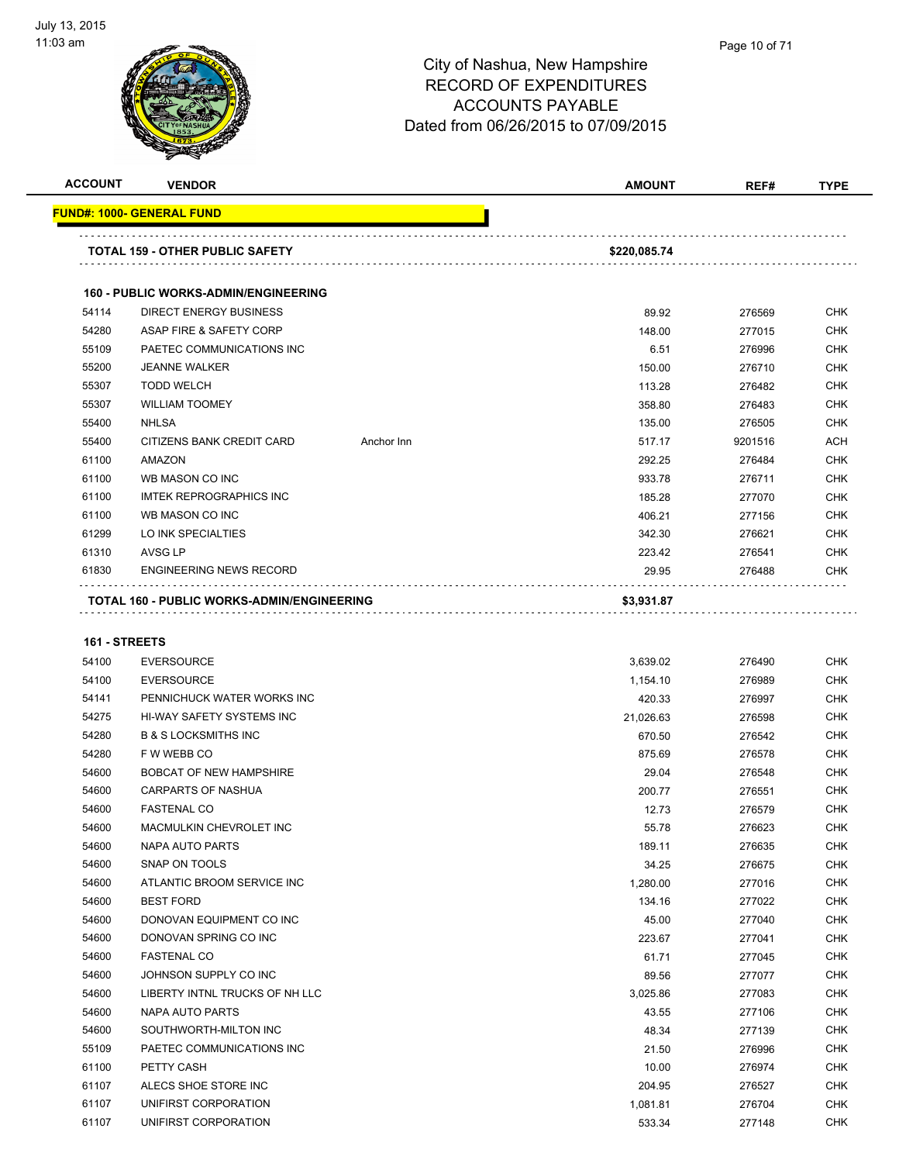

|   | Page 10 of 71 |
|---|---------------|
| ∽ |               |

| <b>ACCOUNT</b> | <b>VENDOR</b>                                     |            | <b>AMOUNT</b> | REF#    | <b>TYPE</b> |
|----------------|---------------------------------------------------|------------|---------------|---------|-------------|
|                | <b>FUND#: 1000- GENERAL FUND</b>                  |            |               |         |             |
|                | <b>TOTAL 159 - OTHER PUBLIC SAFETY</b>            |            | \$220,085.74  |         |             |
|                | <b>160 - PUBLIC WORKS-ADMIN/ENGINEERING</b>       |            |               |         |             |
| 54114          | <b>DIRECT ENERGY BUSINESS</b>                     |            | 89.92         | 276569  | <b>CHK</b>  |
| 54280          | ASAP FIRE & SAFETY CORP                           |            | 148.00        | 277015  | <b>CHK</b>  |
| 55109          | PAETEC COMMUNICATIONS INC                         |            | 6.51          | 276996  | <b>CHK</b>  |
| 55200          | <b>JEANNE WALKER</b>                              |            | 150.00        | 276710  | <b>CHK</b>  |
| 55307          | <b>TODD WELCH</b>                                 |            | 113.28        | 276482  | <b>CHK</b>  |
| 55307          | <b>WILLIAM TOOMEY</b>                             |            | 358.80        | 276483  | <b>CHK</b>  |
| 55400          | <b>NHLSA</b>                                      |            | 135.00        | 276505  | <b>CHK</b>  |
| 55400          | CITIZENS BANK CREDIT CARD                         | Anchor Inn | 517.17        | 9201516 | <b>ACH</b>  |
| 61100          | <b>AMAZON</b>                                     |            | 292.25        | 276484  | <b>CHK</b>  |
| 61100          | WB MASON CO INC                                   |            | 933.78        | 276711  | <b>CHK</b>  |
| 61100          | <b>IMTEK REPROGRAPHICS INC</b>                    |            | 185.28        | 277070  | <b>CHK</b>  |
| 61100          | WB MASON CO INC                                   |            | 406.21        | 277156  | <b>CHK</b>  |
| 61299          | LO INK SPECIALTIES                                |            | 342.30        | 276621  | <b>CHK</b>  |
| 61310          | <b>AVSG LP</b>                                    |            | 223.42        | 276541  | <b>CHK</b>  |
| 61830          | <b>ENGINEERING NEWS RECORD</b>                    |            | 29.95         | 276488  | <b>CHK</b>  |
|                | <b>TOTAL 160 - PUBLIC WORKS-ADMIN/ENGINEERING</b> |            | \$3,931.87    |         |             |

#### **161 - STREETS**

| 54100 | <b>EVERSOURCE</b>                | 3,639.02  | 276490 | <b>CHK</b> |
|-------|----------------------------------|-----------|--------|------------|
| 54100 | <b>EVERSOURCE</b>                | 1,154.10  | 276989 | <b>CHK</b> |
| 54141 | PENNICHUCK WATER WORKS INC       | 420.33    | 276997 | <b>CHK</b> |
| 54275 | <b>HI-WAY SAFETY SYSTEMS INC</b> | 21,026.63 | 276598 | <b>CHK</b> |
| 54280 | <b>B &amp; S LOCKSMITHS INC</b>  | 670.50    | 276542 | <b>CHK</b> |
| 54280 | F W WEBB CO                      | 875.69    | 276578 | <b>CHK</b> |
| 54600 | <b>BOBCAT OF NEW HAMPSHIRE</b>   | 29.04     | 276548 | <b>CHK</b> |
| 54600 | <b>CARPARTS OF NASHUA</b>        | 200.77    | 276551 | <b>CHK</b> |
| 54600 | <b>FASTENAL CO</b>               | 12.73     | 276579 | <b>CHK</b> |
| 54600 | MACMULKIN CHEVROLET INC          | 55.78     | 276623 | <b>CHK</b> |
| 54600 | NAPA AUTO PARTS                  | 189.11    | 276635 | <b>CHK</b> |
| 54600 | SNAP ON TOOLS                    | 34.25     | 276675 | <b>CHK</b> |
| 54600 | ATLANTIC BROOM SERVICE INC       | 1,280.00  | 277016 | <b>CHK</b> |
| 54600 | <b>BEST FORD</b>                 | 134.16    | 277022 | <b>CHK</b> |
| 54600 | DONOVAN EQUIPMENT CO INC         | 45.00     | 277040 | <b>CHK</b> |
| 54600 | DONOVAN SPRING CO INC            | 223.67    | 277041 | <b>CHK</b> |
| 54600 | <b>FASTENAL CO</b>               | 61.71     | 277045 | <b>CHK</b> |
| 54600 | JOHNSON SUPPLY CO INC            | 89.56     | 277077 | <b>CHK</b> |
| 54600 | LIBERTY INTNL TRUCKS OF NH LLC   | 3,025.86  | 277083 | <b>CHK</b> |
| 54600 | NAPA AUTO PARTS                  | 43.55     | 277106 | <b>CHK</b> |
| 54600 | SOUTHWORTH-MILTON INC            | 48.34     | 277139 | <b>CHK</b> |
| 55109 | PAETEC COMMUNICATIONS INC        | 21.50     | 276996 | <b>CHK</b> |
| 61100 | PETTY CASH                       | 10.00     | 276974 | <b>CHK</b> |
| 61107 | ALECS SHOE STORE INC             | 204.95    | 276527 | <b>CHK</b> |
| 61107 | UNIFIRST CORPORATION             | 1,081.81  | 276704 | <b>CHK</b> |
| 61107 | UNIFIRST CORPORATION             | 533.34    | 277148 | <b>CHK</b> |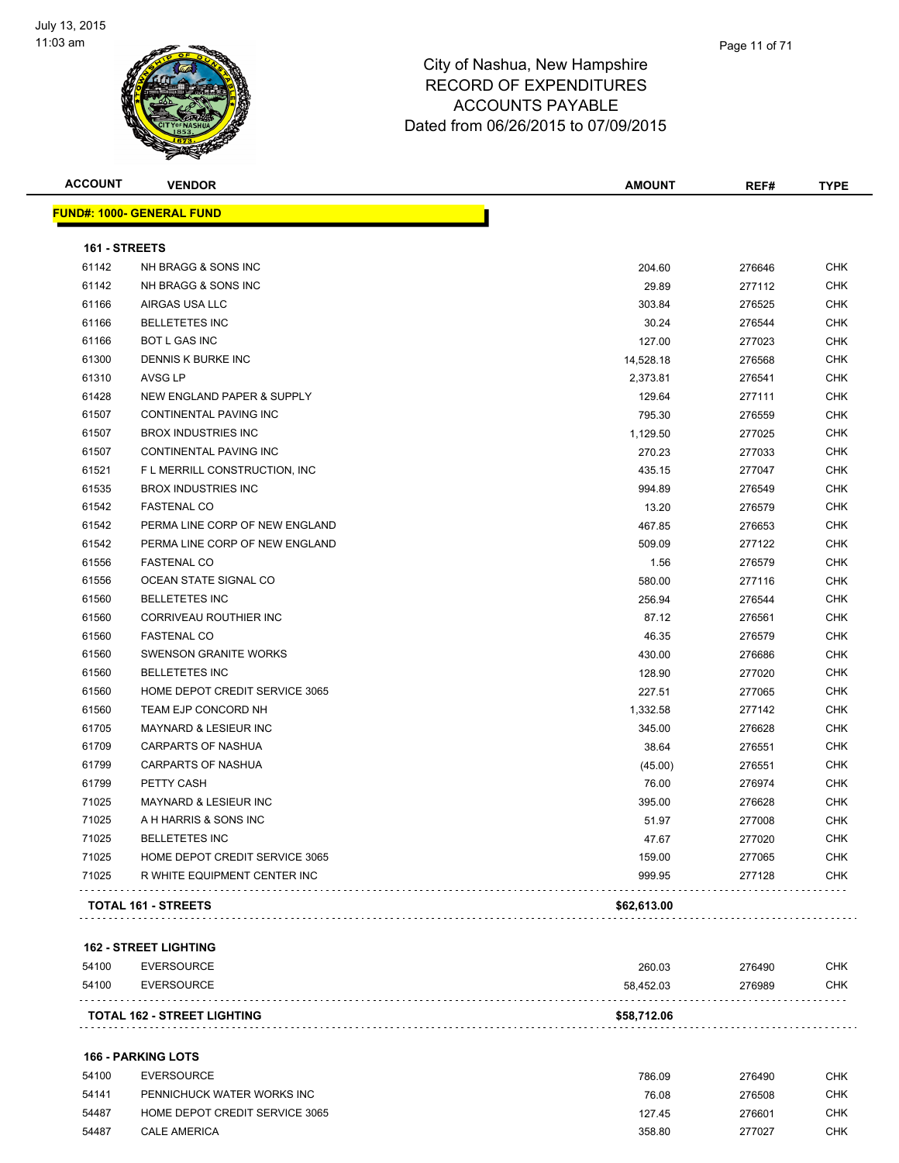

| <b>ACCOUNT</b> | <b>VENDOR</b>                    | <b>AMOUNT</b> | REF#   | <b>TYPE</b> |
|----------------|----------------------------------|---------------|--------|-------------|
|                | <b>FUND#: 1000- GENERAL FUND</b> |               |        |             |
| 161 - STREETS  |                                  |               |        |             |
| 61142          | NH BRAGG & SONS INC              | 204.60        | 276646 | <b>CHK</b>  |
| 61142          | NH BRAGG & SONS INC              | 29.89         | 277112 | <b>CHK</b>  |
| 61166          | AIRGAS USA LLC                   | 303.84        | 276525 | <b>CHK</b>  |
| 61166          | <b>BELLETETES INC</b>            | 30.24         | 276544 | <b>CHK</b>  |
| 61166          | <b>BOT L GAS INC</b>             | 127.00        | 277023 | <b>CHK</b>  |
| 61300          | DENNIS K BURKE INC               | 14,528.18     | 276568 | <b>CHK</b>  |
| 61310          | <b>AVSG LP</b>                   | 2,373.81      | 276541 | <b>CHK</b>  |
| 61428          | NEW ENGLAND PAPER & SUPPLY       | 129.64        | 277111 | <b>CHK</b>  |
| 61507          | CONTINENTAL PAVING INC           | 795.30        | 276559 | <b>CHK</b>  |
| 61507          | <b>BROX INDUSTRIES INC</b>       | 1,129.50      | 277025 | CHK         |
| 61507          | CONTINENTAL PAVING INC           | 270.23        | 277033 | <b>CHK</b>  |
| 61521          | F L MERRILL CONSTRUCTION, INC.   | 435.15        | 277047 | <b>CHK</b>  |
| 61535          | <b>BROX INDUSTRIES INC</b>       | 994.89        | 276549 | <b>CHK</b>  |
| 61542          | <b>FASTENAL CO</b>               | 13.20         | 276579 | <b>CHK</b>  |
| 61542          | PERMA LINE CORP OF NEW ENGLAND   | 467.85        | 276653 | <b>CHK</b>  |
| 61542          | PERMA LINE CORP OF NEW ENGLAND   | 509.09        | 277122 | <b>CHK</b>  |
| 61556          | <b>FASTENAL CO</b>               | 1.56          | 276579 | <b>CHK</b>  |
| 61556          | OCEAN STATE SIGNAL CO            | 580.00        | 277116 | <b>CHK</b>  |
| 61560          | <b>BELLETETES INC</b>            | 256.94        | 276544 | <b>CHK</b>  |
| 61560          | CORRIVEAU ROUTHIER INC           | 87.12         | 276561 | <b>CHK</b>  |
| 61560          | <b>FASTENAL CO</b>               | 46.35         | 276579 | <b>CHK</b>  |
| 61560          | <b>SWENSON GRANITE WORKS</b>     | 430.00        | 276686 | <b>CHK</b>  |
| 61560          | <b>BELLETETES INC</b>            | 128.90        | 277020 | <b>CHK</b>  |
| 61560          | HOME DEPOT CREDIT SERVICE 3065   | 227.51        | 277065 | <b>CHK</b>  |
| 61560          | <b>TEAM EJP CONCORD NH</b>       | 1,332.58      | 277142 | <b>CHK</b>  |
| 61705          | <b>MAYNARD &amp; LESIEUR INC</b> | 345.00        | 276628 | <b>CHK</b>  |
| 61709          | <b>CARPARTS OF NASHUA</b>        | 38.64         | 276551 | <b>CHK</b>  |
| 61799          | <b>CARPARTS OF NASHUA</b>        | (45.00)       | 276551 | <b>CHK</b>  |
| 61799          | PETTY CASH                       | 76.00         | 276974 | <b>CHK</b>  |
| 71025          | MAYNARD & LESIEUR INC            | 395.00        | 276628 | <b>CHK</b>  |
| 71025          | A H HARRIS & SONS INC            | 51.97         | 277008 | <b>CHK</b>  |
| 71025          | <b>BELLETETES INC</b>            | 47.67         | 277020 | <b>CHK</b>  |
| 71025          | HOME DEPOT CREDIT SERVICE 3065   | 159.00        | 277065 | <b>CHK</b>  |
| 71025          | R WHITE EQUIPMENT CENTER INC     | 999.95        | 277128 | <b>CHK</b>  |
|                | <b>TOTAL 161 - STREETS</b>       | \$62,613.00   |        |             |
|                |                                  |               |        |             |

#### **162 - STREET LIGHTING**

|       | <b>TOTAL 162 - STREET LIGHTING</b> | \$58,712.06 |        |            |
|-------|------------------------------------|-------------|--------|------------|
| 54100 | EVERSOURCE                         | 58.452.03   | 276989 | <b>CHK</b> |
| 54100 | EVERSOURCE                         | 260.03      | 276490 | CHK        |

#### **166 - PARKING LOTS**

| 54100 | EVERSOURCE                     | 786.09 | 276490 | СНК        |
|-------|--------------------------------|--------|--------|------------|
| 54141 | PENNICHUCK WATER WORKS INC     | 76.08  | 276508 | снк        |
| 54487 | HOME DEPOT CREDIT SERVICE 3065 | 127.45 | 276601 | <b>CHK</b> |
| 54487 | <b>CALE AMERICA</b>            | 358.80 | 277027 | <b>CHK</b> |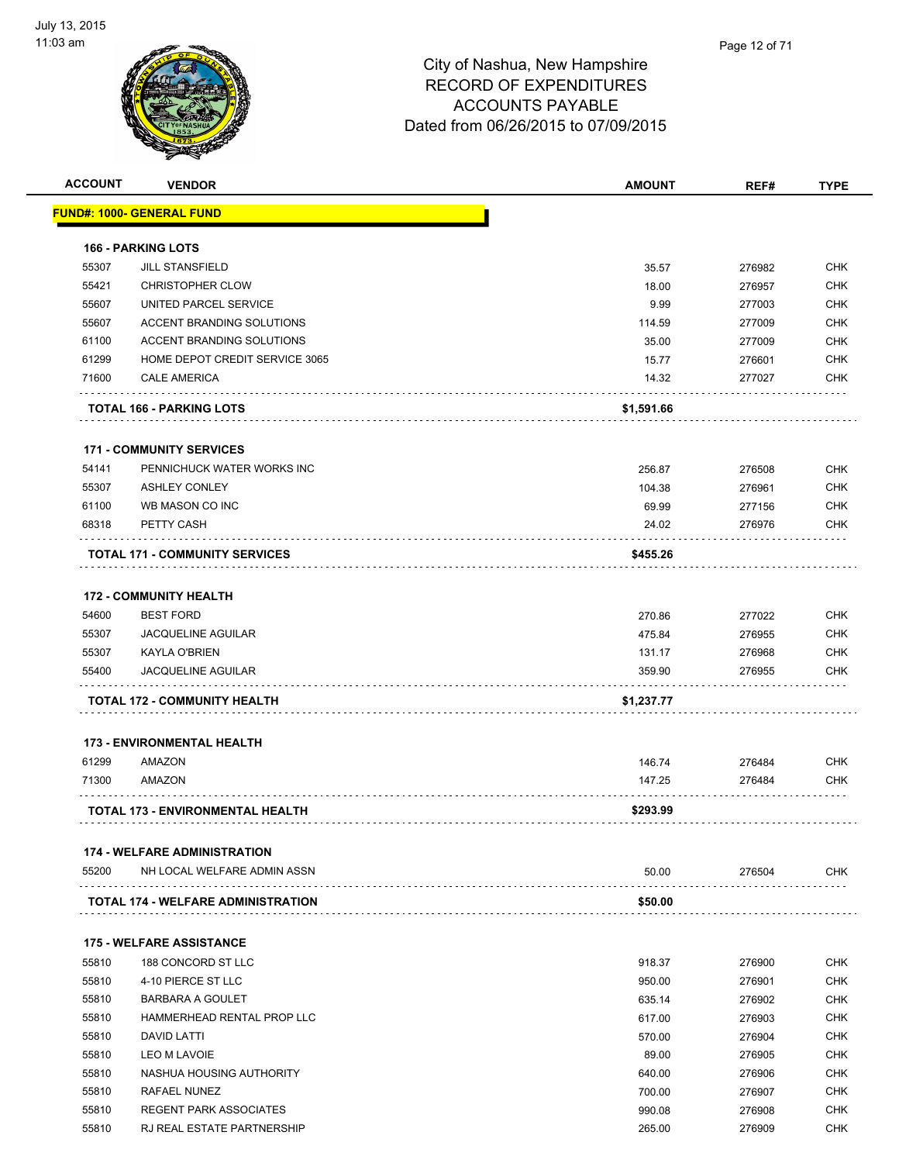

| <b>ACCOUNT</b> | <b>VENDOR</b>                             | <b>AMOUNT</b> | REF#   | <b>TYPE</b> |
|----------------|-------------------------------------------|---------------|--------|-------------|
|                | <b>FUND#: 1000- GENERAL FUND</b>          |               |        |             |
|                | <b>166 - PARKING LOTS</b>                 |               |        |             |
| 55307          | <b>JILL STANSFIELD</b>                    | 35.57         | 276982 | <b>CHK</b>  |
| 55421          | <b>CHRISTOPHER CLOW</b>                   | 18.00         | 276957 | <b>CHK</b>  |
| 55607          | UNITED PARCEL SERVICE                     | 9.99          | 277003 | <b>CHK</b>  |
| 55607          | <b>ACCENT BRANDING SOLUTIONS</b>          | 114.59        | 277009 | <b>CHK</b>  |
| 61100          | <b>ACCENT BRANDING SOLUTIONS</b>          | 35.00         | 277009 | <b>CHK</b>  |
| 61299          | HOME DEPOT CREDIT SERVICE 3065            | 15.77         | 276601 | CHK         |
| 71600          | <b>CALE AMERICA</b>                       | 14.32         | 277027 | <b>CHK</b>  |
|                | <b>TOTAL 166 - PARKING LOTS</b>           | \$1,591.66    |        |             |
|                | <b>171 - COMMUNITY SERVICES</b>           |               |        |             |
| 54141          | PENNICHUCK WATER WORKS INC                | 256.87        | 276508 | <b>CHK</b>  |
| 55307          | <b>ASHLEY CONLEY</b>                      | 104.38        | 276961 | <b>CHK</b>  |
| 61100          | WB MASON CO INC                           | 69.99         | 277156 | <b>CHK</b>  |
| 68318          | PETTY CASH                                | 24.02         | 276976 | <b>CHK</b>  |
|                |                                           |               |        |             |
|                | <b>TOTAL 171 - COMMUNITY SERVICES</b>     | \$455.26      |        |             |
|                | <b>172 - COMMUNITY HEALTH</b>             |               |        |             |
| 54600          | <b>BEST FORD</b>                          | 270.86        | 277022 | <b>CHK</b>  |
| 55307          | <b>JACQUELINE AGUILAR</b>                 | 475.84        | 276955 | <b>CHK</b>  |
| 55307          | <b>KAYLA O'BRIEN</b>                      | 131.17        | 276968 | CHK         |
| 55400          | <b>JACQUELINE AGUILAR</b>                 | 359.90        | 276955 | CHK         |
|                | TOTAL 172 - COMMUNITY HEALTH              | \$1,237.77    |        |             |
|                | <b>173 - ENVIRONMENTAL HEALTH</b>         |               |        |             |
|                |                                           |               |        |             |
| 61299          | <b>AMAZON</b>                             | 146.74        | 276484 | <b>CHK</b>  |
| 71300          | AMAZON                                    | 147.25        | 276484 | CHK         |
|                | <b>TOTAL 173 - ENVIRONMENTAL HEALTH</b>   | \$293.99      |        |             |
|                | <b>174 - WELFARE ADMINISTRATION</b>       |               |        |             |
| 55200          | NH LOCAL WELFARE ADMIN ASSN               | 50.00         | 276504 | <b>CHK</b>  |
|                | <b>TOTAL 174 - WELFARE ADMINISTRATION</b> | \$50.00       |        |             |
|                | <b>175 - WELFARE ASSISTANCE</b>           |               |        |             |
| 55810          | 188 CONCORD ST LLC                        | 918.37        | 276900 | <b>CHK</b>  |
| 55810          | 4-10 PIERCE ST LLC                        | 950.00        | 276901 | <b>CHK</b>  |
| 55810          | BARBARA A GOULET                          | 635.14        | 276902 | <b>CHK</b>  |
| 55810          | HAMMERHEAD RENTAL PROP LLC                | 617.00        | 276903 | <b>CHK</b>  |
| 55810          | DAVID LATTI                               | 570.00        | 276904 | CHK         |
| 55810          | LEO M LAVOIE                              | 89.00         | 276905 | <b>CHK</b>  |
| 55810          | NASHUA HOUSING AUTHORITY                  | 640.00        | 276906 | <b>CHK</b>  |
| 55810          | RAFAEL NUNEZ                              | 700.00        | 276907 | <b>CHK</b>  |
| 55810          | <b>REGENT PARK ASSOCIATES</b>             | 990.08        | 276908 | <b>CHK</b>  |
| 55810          | RJ REAL ESTATE PARTNERSHIP                | 265.00        | 276909 | <b>CHK</b>  |
|                |                                           |               |        |             |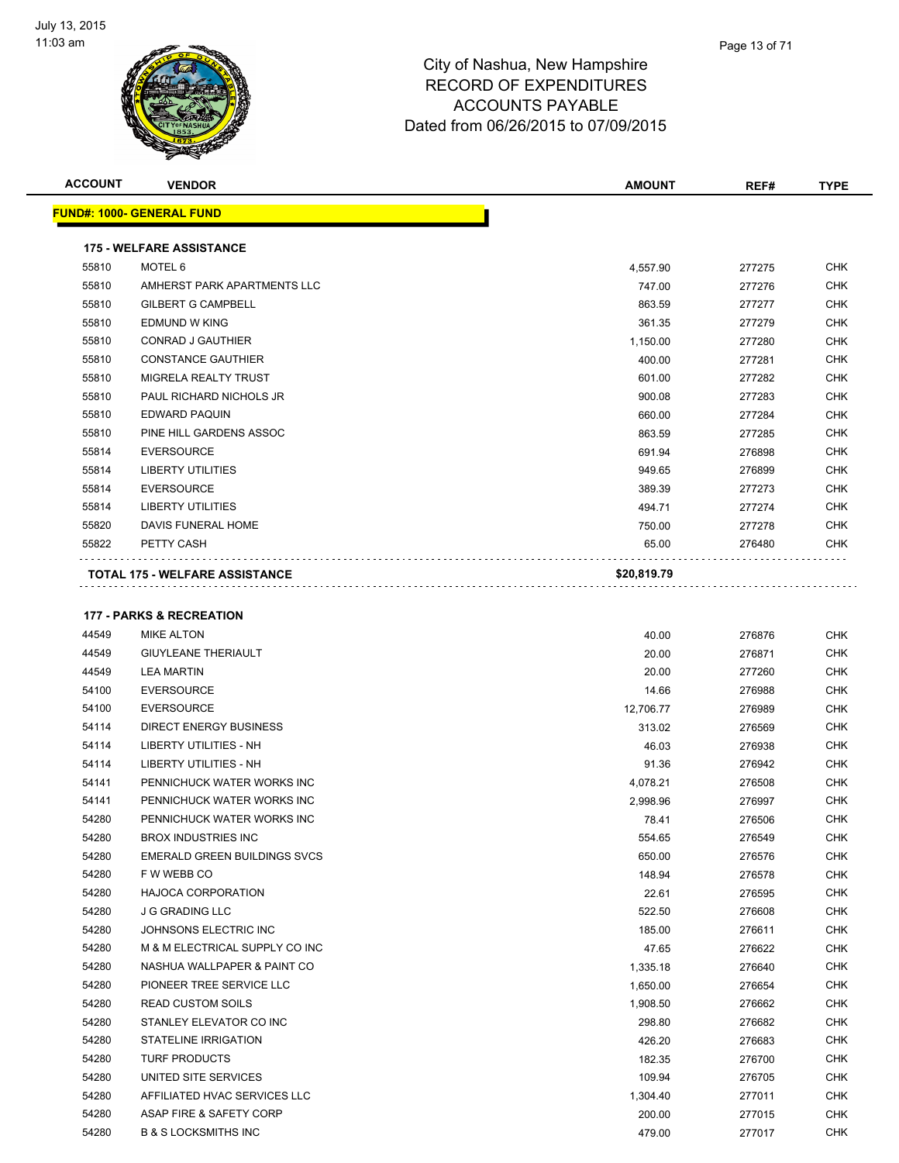

| <b>ACCOUNT</b> | <b>VENDOR</b>                                   | <b>AMOUNT</b> | REF#   | <b>TYPE</b> |
|----------------|-------------------------------------------------|---------------|--------|-------------|
|                | <u> FUND#: 1000- GENERAL FUND</u>               |               |        |             |
|                |                                                 |               |        |             |
|                | <b>175 - WELFARE ASSISTANCE</b>                 |               |        |             |
| 55810          | MOTEL 6                                         | 4,557.90      | 277275 | CHK         |
| 55810          | AMHERST PARK APARTMENTS LLC                     | 747.00        | 277276 | <b>CHK</b>  |
| 55810          | <b>GILBERT G CAMPBELL</b>                       | 863.59        | 277277 | CHK         |
| 55810          | <b>EDMUND W KING</b>                            | 361.35        | 277279 | <b>CHK</b>  |
| 55810          | <b>CONRAD J GAUTHIER</b>                        | 1,150.00      | 277280 | <b>CHK</b>  |
| 55810          | <b>CONSTANCE GAUTHIER</b>                       | 400.00        | 277281 | CHK         |
| 55810          | MIGRELA REALTY TRUST                            | 601.00        | 277282 | <b>CHK</b>  |
| 55810          | PAUL RICHARD NICHOLS JR                         | 900.08        | 277283 | CHK         |
| 55810          | EDWARD PAQUIN                                   | 660.00        | 277284 | CHK         |
| 55810          | PINE HILL GARDENS ASSOC                         | 863.59        | 277285 | <b>CHK</b>  |
| 55814          | <b>EVERSOURCE</b>                               | 691.94        | 276898 | CHK         |
| 55814          | <b>LIBERTY UTILITIES</b>                        | 949.65        | 276899 | CHK         |
| 55814          | <b>EVERSOURCE</b>                               | 389.39        | 277273 | <b>CHK</b>  |
| 55814          | LIBERTY UTILITIES                               | 494.71        | 277274 | CHK         |
| 55820          | DAVIS FUNERAL HOME                              | 750.00        | 277278 | CHK         |
| 55822          | PETTY CASH                                      | 65.00         | 276480 | CHK         |
|                | <b>TOTAL 175 - WELFARE ASSISTANCE</b>           | \$20,819.79   |        |             |
|                |                                                 |               |        |             |
|                | <b>177 - PARKS &amp; RECREATION</b>             |               |        |             |
| 44549          | <b>MIKE ALTON</b>                               | 40.00         | 276876 | CHK         |
| 44549          | <b>GIUYLEANE THERIAULT</b>                      | 20.00         | 276871 | <b>CHK</b>  |
| 44549          | <b>LEA MARTIN</b>                               | 20.00         | 277260 | CHK         |
| 54100          | <b>EVERSOURCE</b>                               | 14.66         | 276988 | CHK         |
| 54100          | <b>EVERSOURCE</b>                               | 12,706.77     | 276989 | <b>CHK</b>  |
| 54114          | DIRECT ENERGY BUSINESS                          | 313.02        | 276569 | CHK         |
| 54114          | LIBERTY UTILITIES - NH                          | 46.03         | 276938 | CHK         |
| 54114          | LIBERTY UTILITIES - NH                          | 91.36         | 276942 | CHK         |
| 54141          | PENNICHUCK WATER WORKS INC                      | 4,078.21      | 276508 | CHK         |
| 54141          | PENNICHUCK WATER WORKS INC                      | 2,998.96      | 276997 | CHK         |
| 54280          | PENNICHUCK WATER WORKS INC                      | 78.41         | 276506 | <b>CHK</b>  |
| 54280          | BROX INDUSTRIES INC                             | 554.65        | 276549 | <b>CHK</b>  |
| 54280          | EMERALD GREEN BUILDINGS SVCS                    | 650.00        | 276576 | CHK         |
| 54280          | F W WEBB CO                                     | 148.94        |        | CHK         |
| 54280          | <b>HAJOCA CORPORATION</b>                       | 22.61         | 276578 | CHK         |
|                |                                                 |               | 276595 | <b>CHK</b>  |
| 54280<br>54280 | <b>J G GRADING LLC</b><br>JOHNSONS ELECTRIC INC | 522.50        | 276608 |             |
|                |                                                 | 185.00        | 276611 | CHK         |
| 54280          | M & M ELECTRICAL SUPPLY CO INC                  | 47.65         | 276622 | <b>CHK</b>  |
| 54280          | NASHUA WALLPAPER & PAINT CO                     | 1,335.18      | 276640 | <b>CHK</b>  |
| 54280          | PIONEER TREE SERVICE LLC                        | 1,650.00      | 276654 | CHK         |
| 54280          | <b>READ CUSTOM SOILS</b>                        | 1,908.50      | 276662 | <b>CHK</b>  |
| 54280          | STANLEY ELEVATOR CO INC                         | 298.80        | 276682 | CHK         |
| 54280          | STATELINE IRRIGATION                            | 426.20        | 276683 | <b>CHK</b>  |
| 54280          | <b>TURF PRODUCTS</b>                            | 182.35        | 276700 | CHK         |
| 54280          | UNITED SITE SERVICES                            | 109.94        | 276705 | CHK         |
| 54280          | AFFILIATED HVAC SERVICES LLC                    | 1,304.40      | 277011 | <b>CHK</b>  |

 ASAP FIRE & SAFETY CORP 200.00 277015 CHK B & S LOCKSMITHS INC 479.00 277017 CHK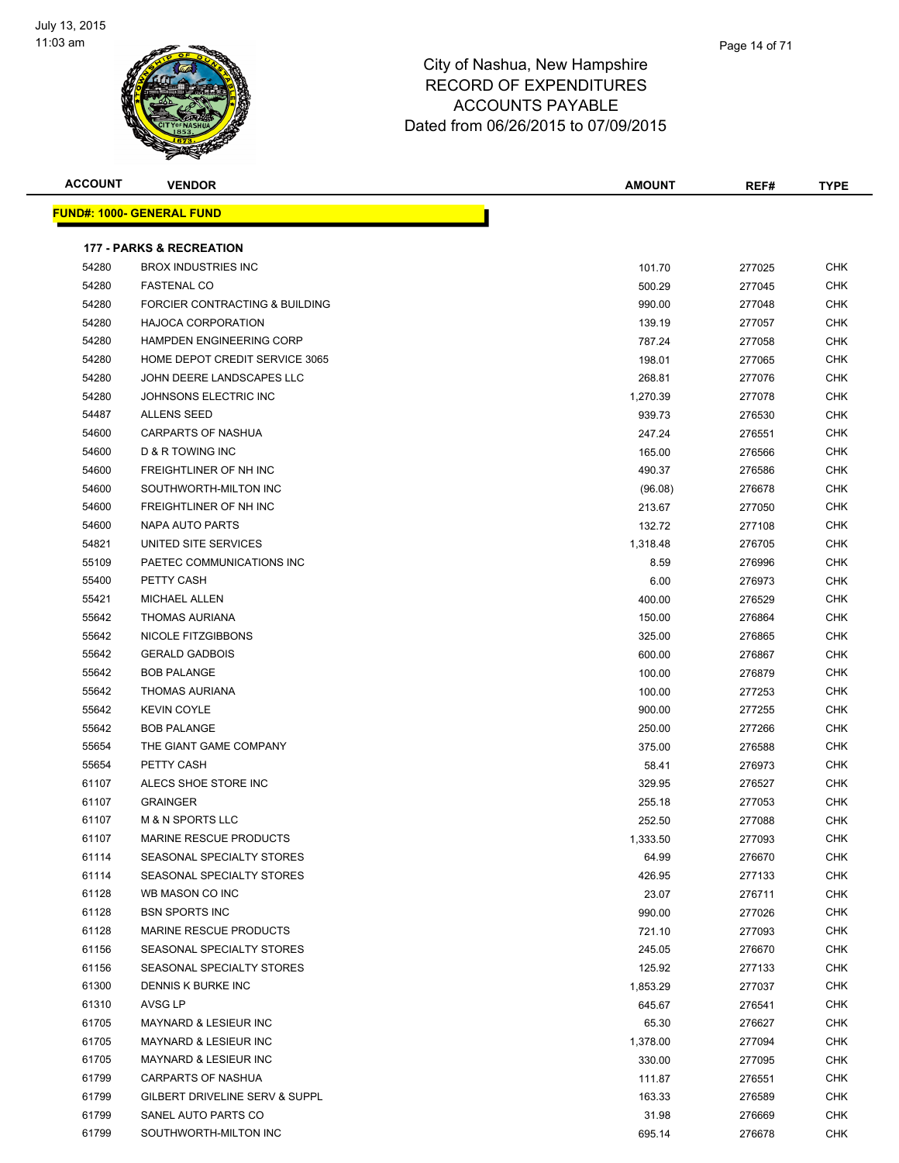

| <b>ACCOUNT</b> | <b>VENDOR</b>                       | <b>AMOUNT</b> | REF#   | <b>TYPE</b> |
|----------------|-------------------------------------|---------------|--------|-------------|
|                | <u> FUND#: 1000- GENERAL FUND</u>   |               |        |             |
|                | <b>177 - PARKS &amp; RECREATION</b> |               |        |             |
| 54280          | <b>BROX INDUSTRIES INC</b>          | 101.70        | 277025 | <b>CHK</b>  |
| 54280          | <b>FASTENAL CO</b>                  | 500.29        | 277045 | CHK         |
| 54280          | FORCIER CONTRACTING & BUILDING      | 990.00        | 277048 | <b>CHK</b>  |
| 54280          | <b>HAJOCA CORPORATION</b>           | 139.19        | 277057 | <b>CHK</b>  |
| 54280          | <b>HAMPDEN ENGINEERING CORP</b>     | 787.24        | 277058 | <b>CHK</b>  |
| 54280          | HOME DEPOT CREDIT SERVICE 3065      | 198.01        | 277065 | <b>CHK</b>  |
| 54280          | JOHN DEERE LANDSCAPES LLC           | 268.81        | 277076 | <b>CHK</b>  |
| 54280          | JOHNSONS ELECTRIC INC               | 1,270.39      | 277078 | <b>CHK</b>  |
| 54487          | <b>ALLENS SEED</b>                  | 939.73        | 276530 | <b>CHK</b>  |
| 54600          | <b>CARPARTS OF NASHUA</b>           | 247.24        | 276551 | <b>CHK</b>  |
| 54600          | D & R TOWING INC                    | 165.00        | 276566 | CHK         |
| 54600          | FREIGHTLINER OF NH INC              | 490.37        | 276586 | CHK         |
| 54600          | SOUTHWORTH-MILTON INC               | (96.08)       | 276678 | CHK         |
| 54600          | FREIGHTLINER OF NH INC              | 213.67        | 277050 | <b>CHK</b>  |
| 54600          | <b>NAPA AUTO PARTS</b>              | 132.72        | 277108 | CHK         |
| 54821          | UNITED SITE SERVICES                | 1,318.48      | 276705 | <b>CHK</b>  |
| 55109          | PAETEC COMMUNICATIONS INC           | 8.59          | 276996 | CHK         |
| 55400          | PETTY CASH                          | 6.00          | 276973 | <b>CHK</b>  |
| 55421          | <b>MICHAEL ALLEN</b>                | 400.00        | 276529 | CHK         |
| 55642          | <b>THOMAS AURIANA</b>               | 150.00        | 276864 | <b>CHK</b>  |
| 55642          | NICOLE FITZGIBBONS                  | 325.00        | 276865 | <b>CHK</b>  |
| 55642          | <b>GERALD GADBOIS</b>               | 600.00        | 276867 | <b>CHK</b>  |
| 55642          | <b>BOB PALANGE</b>                  | 100.00        | 276879 | <b>CHK</b>  |
| 55642          | <b>THOMAS AURIANA</b>               | 100.00        | 277253 | <b>CHK</b>  |
| 55642          | <b>KEVIN COYLE</b>                  | 900.00        | 277255 | <b>CHK</b>  |
| 55642          | <b>BOB PALANGE</b>                  | 250.00        | 277266 | <b>CHK</b>  |
| 55654          | THE GIANT GAME COMPANY              | 375.00        | 276588 | <b>CHK</b>  |
| 55654          | PETTY CASH                          | 58.41         | 276973 | <b>CHK</b>  |
| 61107          | ALECS SHOE STORE INC                | 329.95        | 276527 | CHK         |
| 61107          | <b>GRAINGER</b>                     | 255.18        | 277053 | <b>CHK</b>  |
| 61107          | <b>M &amp; N SPORTS LLC</b>         | 252.50        | 277088 | <b>CHK</b>  |
| 61107          | MARINE RESCUE PRODUCTS              | 1,333.50      | 277093 | CHK         |
| 61114          | SEASONAL SPECIALTY STORES           | 64.99         | 276670 | <b>CHK</b>  |
| 61114          | SEASONAL SPECIALTY STORES           | 426.95        | 277133 | <b>CHK</b>  |
| 61128          | WB MASON CO INC                     | 23.07         | 276711 | <b>CHK</b>  |
| 61128          | <b>BSN SPORTS INC</b>               | 990.00        | 277026 | <b>CHK</b>  |
| 61128          | MARINE RESCUE PRODUCTS              | 721.10        | 277093 | <b>CHK</b>  |
| 61156          | SEASONAL SPECIALTY STORES           | 245.05        | 276670 | <b>CHK</b>  |
| 61156          | SEASONAL SPECIALTY STORES           | 125.92        | 277133 | <b>CHK</b>  |
| 61300          | DENNIS K BURKE INC                  | 1,853.29      | 277037 | <b>CHK</b>  |
| 61310          | AVSG LP                             | 645.67        | 276541 | <b>CHK</b>  |
| 61705          | <b>MAYNARD &amp; LESIEUR INC</b>    | 65.30         | 276627 | <b>CHK</b>  |
| 61705          | <b>MAYNARD &amp; LESIEUR INC</b>    | 1,378.00      | 277094 | <b>CHK</b>  |
| 61705          | <b>MAYNARD &amp; LESIEUR INC</b>    | 330.00        | 277095 | <b>CHK</b>  |
| 61799          | CARPARTS OF NASHUA                  | 111.87        | 276551 | CHK         |
| 61799          | GILBERT DRIVELINE SERV & SUPPL      | 163.33        | 276589 | CHK         |
| 61799          | SANEL AUTO PARTS CO                 | 31.98         | 276669 | CHK         |
| 61799          | SOUTHWORTH-MILTON INC               | 695.14        | 276678 | <b>CHK</b>  |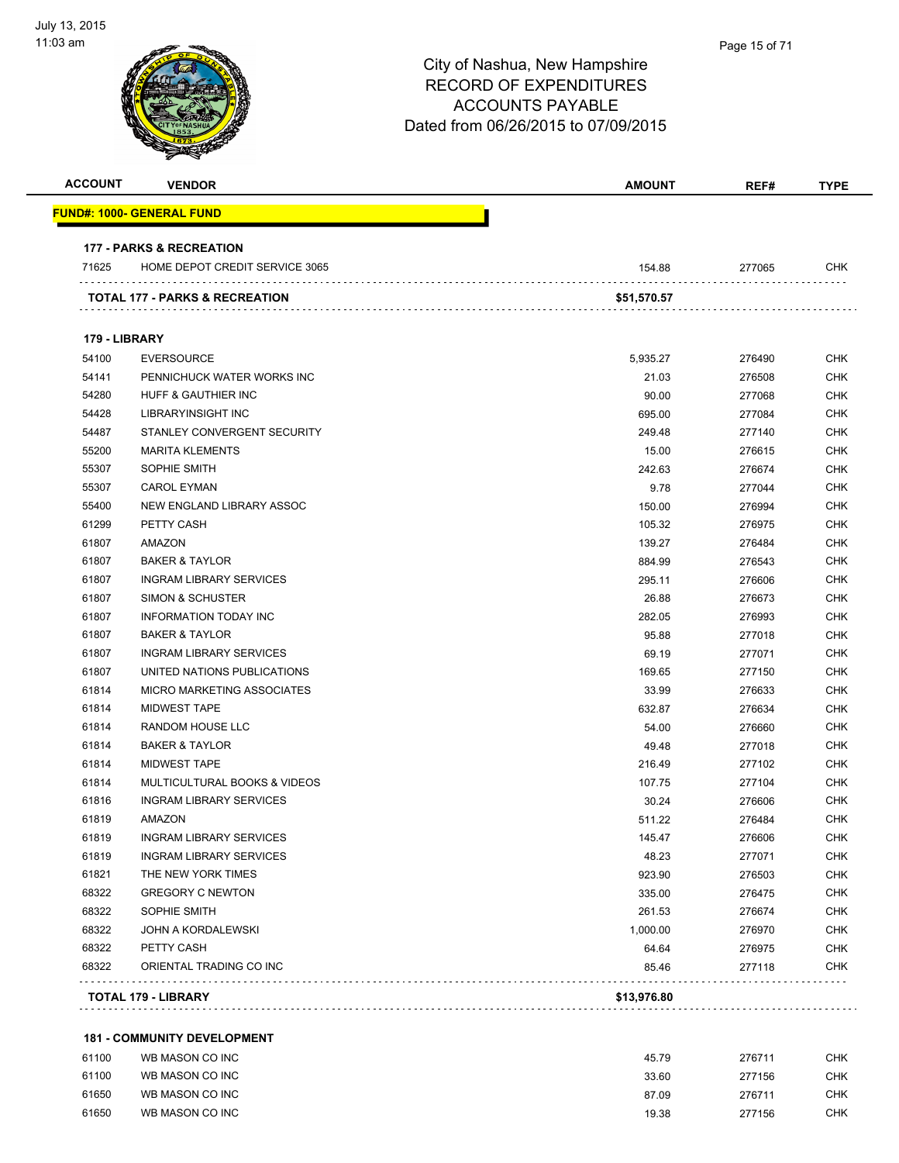

| <b>ACCOUNT</b> | <b>VENDOR</b>                             | AMOUNT      | REF#   | <b>TYPE</b> |
|----------------|-------------------------------------------|-------------|--------|-------------|
|                | <u> FUND#: 1000- GENERAL FUND</u>         |             |        |             |
|                | <b>177 - PARKS &amp; RECREATION</b>       |             |        |             |
| 71625          | HOME DEPOT CREDIT SERVICE 3065            | 154.88      | 277065 | <b>CHK</b>  |
|                | <b>TOTAL 177 - PARKS &amp; RECREATION</b> | \$51,570.57 |        |             |
| 179 - LIBRARY  |                                           |             |        |             |
| 54100          | <b>EVERSOURCE</b>                         | 5,935.27    | 276490 | <b>CHK</b>  |
| 54141          | PENNICHUCK WATER WORKS INC                | 21.03       | 276508 | <b>CHK</b>  |
| 54280          | HUFF & GAUTHIER INC                       | 90.00       | 277068 | <b>CHK</b>  |
| 54428          | LIBRARYINSIGHT INC                        | 695.00      | 277084 | <b>CHK</b>  |
| 54487          | STANLEY CONVERGENT SECURITY               | 249.48      | 277140 | <b>CHK</b>  |
| 55200          | <b>MARITA KLEMENTS</b>                    | 15.00       | 276615 | <b>CHK</b>  |
| 55307          | SOPHIE SMITH                              | 242.63      | 276674 | <b>CHK</b>  |
| 55307          | <b>CAROL EYMAN</b>                        | 9.78        | 277044 | <b>CHK</b>  |
| 55400          | NEW ENGLAND LIBRARY ASSOC                 | 150.00      | 276994 | <b>CHK</b>  |
| 61299          | PETTY CASH                                | 105.32      | 276975 | <b>CHK</b>  |
| 61807          | AMAZON                                    | 139.27      | 276484 | <b>CHK</b>  |
| 61807          | <b>BAKER &amp; TAYLOR</b>                 | 884.99      | 276543 | <b>CHK</b>  |
| 61807          | <b>INGRAM LIBRARY SERVICES</b>            | 295.11      | 276606 | <b>CHK</b>  |
| 61807          | SIMON & SCHUSTER                          | 26.88       | 276673 | <b>CHK</b>  |
| 61807          | <b>INFORMATION TODAY INC</b>              | 282.05      | 276993 | <b>CHK</b>  |
| 61807          | <b>BAKER &amp; TAYLOR</b>                 | 95.88       | 277018 | <b>CHK</b>  |
| 61807          | <b>INGRAM LIBRARY SERVICES</b>            | 69.19       | 277071 | <b>CHK</b>  |
| 61807          | UNITED NATIONS PUBLICATIONS               | 169.65      | 277150 | <b>CHK</b>  |
| 61814          | MICRO MARKETING ASSOCIATES                | 33.99       | 276633 | <b>CHK</b>  |
| 61814          | <b>MIDWEST TAPE</b>                       | 632.87      | 276634 | <b>CHK</b>  |
| 61814          | RANDOM HOUSE LLC                          | 54.00       | 276660 | <b>CHK</b>  |
| 61814          | <b>BAKER &amp; TAYLOR</b>                 | 49.48       | 277018 | <b>CHK</b>  |
| 61814          | <b>MIDWEST TAPE</b>                       | 216.49      | 277102 | <b>CHK</b>  |
| 61814          | MULTICULTURAL BOOKS & VIDEOS              | 107.75      | 277104 | <b>CHK</b>  |
| 61816          | <b>INGRAM LIBRARY SERVICES</b>            | 30.24       | 276606 | <b>CHK</b>  |
| 61819          | AMAZON                                    | 511.22      | 276484 | <b>CHK</b>  |
| 61819          | <b>INGRAM LIBRARY SERVICES</b>            | 145.47      | 276606 | <b>CHK</b>  |
| 61819          | <b>INGRAM LIBRARY SERVICES</b>            | 48.23       | 277071 | <b>CHK</b>  |
| 61821          | THE NEW YORK TIMES                        | 923.90      | 276503 | <b>CHK</b>  |
| 68322          | <b>GREGORY C NEWTON</b>                   | 335.00      | 276475 | <b>CHK</b>  |
| 68322          | SOPHIE SMITH                              | 261.53      | 276674 | <b>CHK</b>  |
| 68322          | JOHN A KORDALEWSKI                        | 1,000.00    | 276970 | <b>CHK</b>  |
| 68322          | PETTY CASH                                | 64.64       | 276975 | <b>CHK</b>  |
| 68322          | ORIENTAL TRADING CO INC                   | 85.46       | 277118 | <b>CHK</b>  |
|                | <b>TOTAL 179 - LIBRARY</b>                | \$13,976.80 |        |             |

| 61100 | WB MASON CO INC | 45.79 | 276711 | снк  |
|-------|-----------------|-------|--------|------|
| 61100 | WB MASON CO INC | 33.60 | 277156 | CHK. |
| 61650 | WB MASON CO INC | 87.09 | 276711 | CHK. |
| 61650 | WB MASON CO INC | 19.38 | 277156 | CHK. |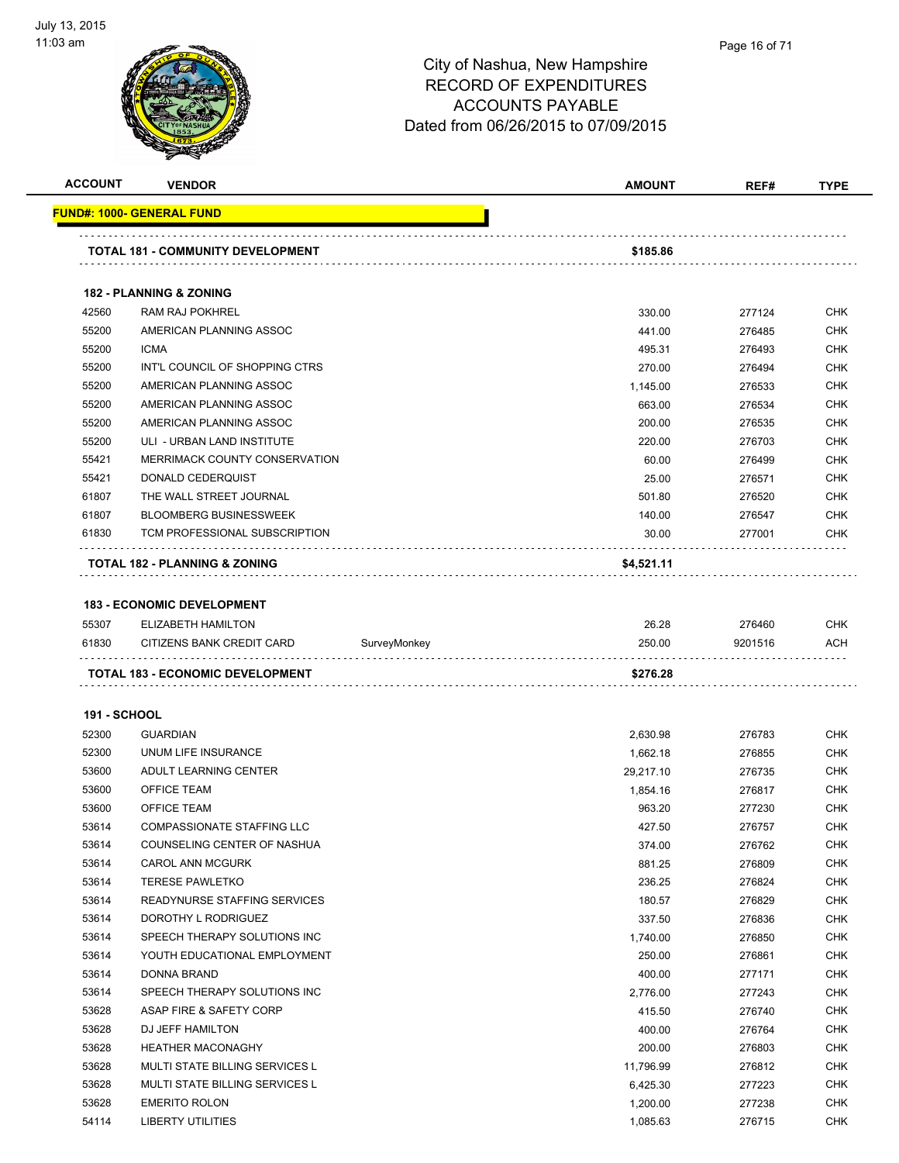

| <b>ACCOUNT</b>      | <b>VENDOR</b>                            |              | <b>AMOUNT</b> | REF#    | <b>TYPE</b> |
|---------------------|------------------------------------------|--------------|---------------|---------|-------------|
|                     | FUND#: 1000- GENERAL FUND                |              |               |         |             |
|                     | <b>TOTAL 181 - COMMUNITY DEVELOPMENT</b> |              | \$185.86      |         |             |
|                     | <b>182 - PLANNING &amp; ZONING</b>       |              |               |         |             |
| 42560               | <b>RAM RAJ POKHREL</b>                   |              | 330.00        | 277124  | <b>CHK</b>  |
| 55200               | AMERICAN PLANNING ASSOC                  |              | 441.00        | 276485  | <b>CHK</b>  |
| 55200               | <b>ICMA</b>                              |              | 495.31        | 276493  | <b>CHK</b>  |
| 55200               | INT'L COUNCIL OF SHOPPING CTRS           |              | 270.00        | 276494  | <b>CHK</b>  |
| 55200               | AMERICAN PLANNING ASSOC                  |              | 1,145.00      | 276533  | <b>CHK</b>  |
| 55200               | AMERICAN PLANNING ASSOC                  |              | 663.00        | 276534  | <b>CHK</b>  |
| 55200               | AMERICAN PLANNING ASSOC                  |              | 200.00        | 276535  | <b>CHK</b>  |
| 55200               | ULI - URBAN LAND INSTITUTE               |              | 220.00        | 276703  | <b>CHK</b>  |
| 55421               | MERRIMACK COUNTY CONSERVATION            |              | 60.00         | 276499  | <b>CHK</b>  |
| 55421               | DONALD CEDERQUIST                        |              | 25.00         | 276571  | <b>CHK</b>  |
| 61807               | THE WALL STREET JOURNAL                  |              | 501.80        | 276520  | <b>CHK</b>  |
| 61807               | <b>BLOOMBERG BUSINESSWEEK</b>            |              | 140.00        | 276547  | <b>CHK</b>  |
| 61830               | TCM PROFESSIONAL SUBSCRIPTION            |              | 30.00         | 277001  | <b>CHK</b>  |
|                     | TOTAL 182 - PLANNING & ZONING            |              | \$4,521.11    |         |             |
|                     |                                          |              |               |         |             |
|                     | <b>183 - ECONOMIC DEVELOPMENT</b>        |              |               |         |             |
| 55307               | <b>ELIZABETH HAMILTON</b>                |              | 26.28         | 276460  | <b>CHK</b>  |
| 61830               | CITIZENS BANK CREDIT CARD                | SurveyMonkey | 250.00        | 9201516 | ACH         |
|                     | TOTAL 183 - ECONOMIC DEVELOPMENT         |              | \$276.28      |         |             |
| <b>191 - SCHOOL</b> |                                          |              |               |         |             |
| 52300               | <b>GUARDIAN</b>                          |              | 2,630.98      | 276783  | <b>CHK</b>  |
| 52300               | UNUM LIFE INSURANCE                      |              | 1,662.18      | 276855  | <b>CHK</b>  |
| 53600               | ADULT LEARNING CENTER                    |              | 29,217.10     | 276735  | <b>CHK</b>  |
| 53600               | <b>OFFICE TEAM</b>                       |              | 1,854.16      | 276817  | <b>CHK</b>  |
| 53600               | <b>OFFICE TEAM</b>                       |              | 963.20        | 277230  | <b>CHK</b>  |
| 53614               | <b>COMPASSIONATE STAFFING LLC</b>        |              | 427.50        | 276757  | <b>CHK</b>  |
| 53614               | COUNSELING CENTER OF NASHUA              |              | 374.00        | 276762  | <b>CHK</b>  |
| 53614               | <b>CAROL ANN MCGURK</b>                  |              | 881.25        | 276809  | <b>CHK</b>  |
| 53614               | <b>TERESE PAWLETKO</b>                   |              | 236.25        | 276824  | CHK         |
| 53614               | READYNURSE STAFFING SERVICES             |              | 180.57        | 276829  | CHK         |
| 53614               | DOROTHY L RODRIGUEZ                      |              | 337.50        | 276836  | <b>CHK</b>  |
| 53614               | SPEECH THERAPY SOLUTIONS INC             |              | 1,740.00      | 276850  | <b>CHK</b>  |
| 53614               | YOUTH EDUCATIONAL EMPLOYMENT             |              | 250.00        | 276861  | <b>CHK</b>  |
| 53614               | DONNA BRAND                              |              | 400.00        | 277171  | <b>CHK</b>  |
| 53614               | SPEECH THERAPY SOLUTIONS INC             |              | 2,776.00      | 277243  | <b>CHK</b>  |
| 53628               | ASAP FIRE & SAFETY CORP                  |              | 415.50        | 276740  | <b>CHK</b>  |
| 53628               | DJ JEFF HAMILTON                         |              | 400.00        | 276764  | <b>CHK</b>  |
| 53628               | <b>HEATHER MACONAGHY</b>                 |              | 200.00        | 276803  | <b>CHK</b>  |
| 53628               | MULTI STATE BILLING SERVICES L           |              | 11,796.99     | 276812  | CHK         |
| 53628               | MULTI STATE BILLING SERVICES L           |              | 6,425.30      | 277223  | <b>CHK</b>  |
| 53628               | <b>EMERITO ROLON</b>                     |              | 1,200.00      | 277238  | CHK         |
| 54114               | LIBERTY UTILITIES                        |              | 1,085.63      | 276715  | CHK         |
|                     |                                          |              |               |         |             |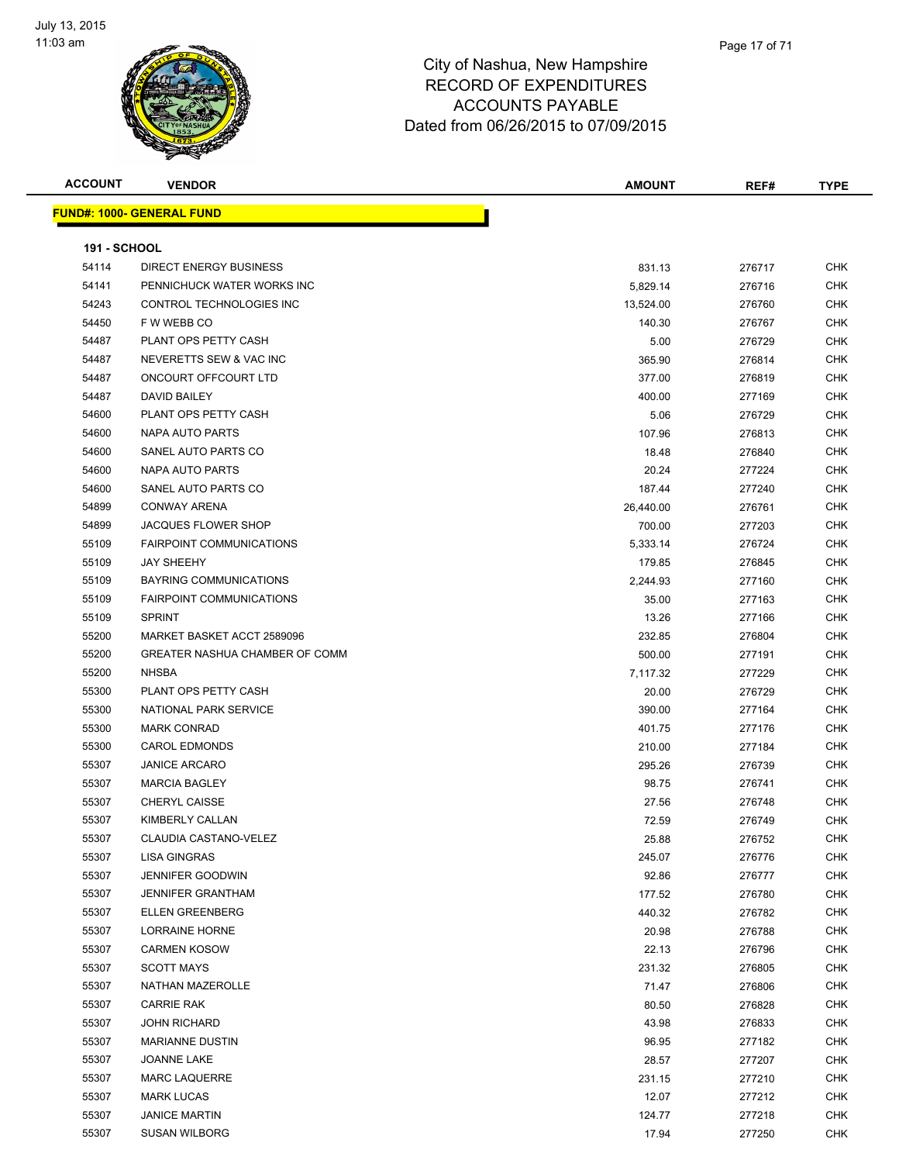

| <b>ACCOUNT</b>      | <b>VENDOR</b>                    | <b>AMOUNT</b> | REF#   | <b>TYPE</b> |
|---------------------|----------------------------------|---------------|--------|-------------|
|                     | <b>FUND#: 1000- GENERAL FUND</b> |               |        |             |
|                     |                                  |               |        |             |
| <b>191 - SCHOOL</b> |                                  |               |        |             |
| 54114               | <b>DIRECT ENERGY BUSINESS</b>    | 831.13        | 276717 | <b>CHK</b>  |
| 54141               | PENNICHUCK WATER WORKS INC       | 5,829.14      | 276716 | <b>CHK</b>  |
| 54243               | CONTROL TECHNOLOGIES INC         | 13,524.00     | 276760 | <b>CHK</b>  |
| 54450               | F W WEBB CO                      | 140.30        | 276767 | <b>CHK</b>  |
| 54487               | PLANT OPS PETTY CASH             | 5.00          | 276729 | <b>CHK</b>  |
| 54487               | NEVERETTS SEW & VAC INC          | 365.90        | 276814 | <b>CHK</b>  |
| 54487               | ONCOURT OFFCOURT LTD             | 377.00        | 276819 | <b>CHK</b>  |
| 54487               | DAVID BAILEY                     | 400.00        | 277169 | <b>CHK</b>  |
| 54600               | PLANT OPS PETTY CASH             | 5.06          | 276729 | <b>CHK</b>  |
| 54600               | NAPA AUTO PARTS                  | 107.96        | 276813 | <b>CHK</b>  |
| 54600               | SANEL AUTO PARTS CO              | 18.48         | 276840 | <b>CHK</b>  |
| 54600               | NAPA AUTO PARTS                  | 20.24         | 277224 | <b>CHK</b>  |
| 54600               | SANEL AUTO PARTS CO              | 187.44        | 277240 | <b>CHK</b>  |
| 54899               | <b>CONWAY ARENA</b>              | 26,440.00     | 276761 | <b>CHK</b>  |
| 54899               | <b>JACQUES FLOWER SHOP</b>       | 700.00        | 277203 | <b>CHK</b>  |
| 55109               | <b>FAIRPOINT COMMUNICATIONS</b>  | 5,333.14      | 276724 | <b>CHK</b>  |
| 55109               | <b>JAY SHEEHY</b>                | 179.85        | 276845 | <b>CHK</b>  |
| 55109               | <b>BAYRING COMMUNICATIONS</b>    | 2,244.93      | 277160 | <b>CHK</b>  |
| 55109               | <b>FAIRPOINT COMMUNICATIONS</b>  | 35.00         | 277163 | <b>CHK</b>  |
| 55109               | <b>SPRINT</b>                    | 13.26         | 277166 | <b>CHK</b>  |
| 55200               | MARKET BASKET ACCT 2589096       | 232.85        | 276804 | <b>CHK</b>  |
| 55200               | GREATER NASHUA CHAMBER OF COMM   | 500.00        | 277191 | <b>CHK</b>  |
| 55200               | <b>NHSBA</b>                     | 7,117.32      | 277229 | <b>CHK</b>  |
| 55300               | PLANT OPS PETTY CASH             | 20.00         | 276729 | <b>CHK</b>  |
| 55300               | NATIONAL PARK SERVICE            | 390.00        | 277164 | <b>CHK</b>  |
| 55300               | <b>MARK CONRAD</b>               | 401.75        | 277176 | <b>CHK</b>  |
| 55300               | <b>CAROL EDMONDS</b>             | 210.00        | 277184 | <b>CHK</b>  |
| 55307               | <b>JANICE ARCARO</b>             | 295.26        | 276739 | <b>CHK</b>  |
| 55307               | <b>MARCIA BAGLEY</b>             | 98.75         | 276741 | <b>CHK</b>  |
| 55307               | <b>CHERYL CAISSE</b>             | 27.56         | 276748 | <b>CHK</b>  |
| 55307               | KIMBERLY CALLAN                  | 72.59         | 276749 | <b>CHK</b>  |
| 55307               | CLAUDIA CASTANO-VELEZ            | 25.88         | 276752 | CHK         |
| 55307               | <b>LISA GINGRAS</b>              | 245.07        | 276776 | <b>CHK</b>  |
| 55307               | <b>JENNIFER GOODWIN</b>          | 92.86         | 276777 | <b>CHK</b>  |
| 55307               | <b>JENNIFER GRANTHAM</b>         | 177.52        | 276780 | <b>CHK</b>  |
| 55307               | <b>ELLEN GREENBERG</b>           | 440.32        | 276782 | <b>CHK</b>  |
| 55307               | LORRAINE HORNE                   | 20.98         | 276788 | <b>CHK</b>  |
| 55307               | <b>CARMEN KOSOW</b>              | 22.13         | 276796 | <b>CHK</b>  |
| 55307               | <b>SCOTT MAYS</b>                | 231.32        | 276805 | <b>CHK</b>  |
| 55307               | <b>NATHAN MAZEROLLE</b>          | 71.47         | 276806 | <b>CHK</b>  |
| 55307               | <b>CARRIE RAK</b>                | 80.50         | 276828 | <b>CHK</b>  |
| 55307               | <b>JOHN RICHARD</b>              | 43.98         | 276833 | <b>CHK</b>  |
| 55307               | <b>MARIANNE DUSTIN</b>           | 96.95         | 277182 | <b>CHK</b>  |
| 55307               | JOANNE LAKE                      | 28.57         | 277207 | <b>CHK</b>  |
| 55307               | <b>MARC LAQUERRE</b>             | 231.15        | 277210 | <b>CHK</b>  |
| 55307               | <b>MARK LUCAS</b>                | 12.07         | 277212 | CHK         |
| 55307               | <b>JANICE MARTIN</b>             | 124.77        | 277218 | <b>CHK</b>  |
| 55307               | <b>SUSAN WILBORG</b>             | 17.94         | 277250 | <b>CHK</b>  |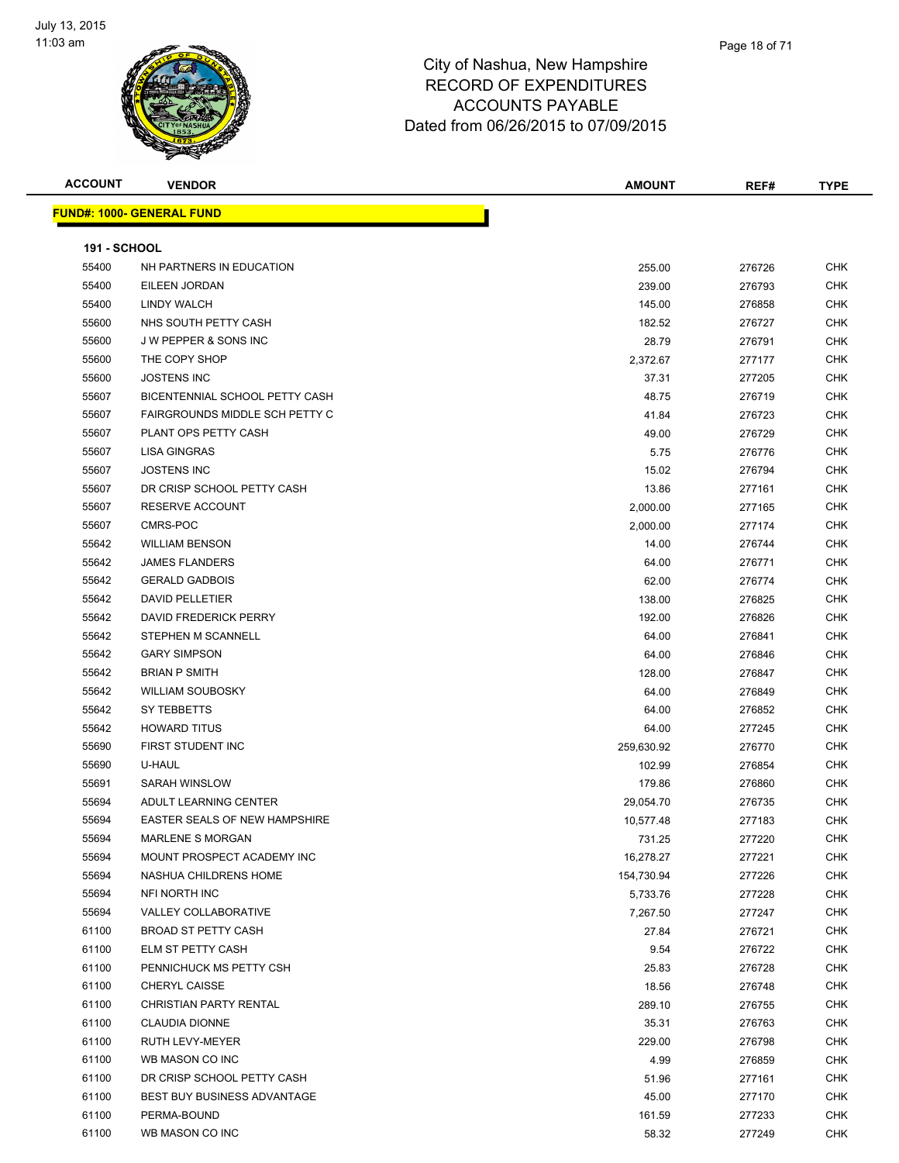

| <b>ACCOUNT</b>      | <b>VENDOR</b>                        | <b>AMOUNT</b> | REF#   | <b>TYPE</b> |
|---------------------|--------------------------------------|---------------|--------|-------------|
|                     | <u> FUND#: 1000- GENERAL FUND</u>    |               |        |             |
|                     |                                      |               |        |             |
| <b>191 - SCHOOL</b> |                                      |               |        |             |
| 55400               | NH PARTNERS IN EDUCATION             | 255.00        | 276726 | <b>CHK</b>  |
| 55400               | EILEEN JORDAN                        | 239.00        | 276793 | <b>CHK</b>  |
| 55400               | LINDY WALCH                          | 145.00        | 276858 | <b>CHK</b>  |
| 55600               | NHS SOUTH PETTY CASH                 | 182.52        | 276727 | <b>CHK</b>  |
| 55600               | <b>JW PEPPER &amp; SONS INC</b>      | 28.79         | 276791 | <b>CHK</b>  |
| 55600               | THE COPY SHOP                        | 2,372.67      | 277177 | <b>CHK</b>  |
| 55600               | <b>JOSTENS INC</b>                   | 37.31         | 277205 | <b>CHK</b>  |
| 55607               | BICENTENNIAL SCHOOL PETTY CASH       | 48.75         | 276719 | <b>CHK</b>  |
| 55607               | FAIRGROUNDS MIDDLE SCH PETTY C       | 41.84         | 276723 | <b>CHK</b>  |
| 55607               | PLANT OPS PETTY CASH                 | 49.00         | 276729 | <b>CHK</b>  |
| 55607               | <b>LISA GINGRAS</b>                  | 5.75          | 276776 | <b>CHK</b>  |
| 55607               | <b>JOSTENS INC</b>                   | 15.02         | 276794 | <b>CHK</b>  |
| 55607               | DR CRISP SCHOOL PETTY CASH           | 13.86         | 277161 | <b>CHK</b>  |
| 55607               | <b>RESERVE ACCOUNT</b>               | 2,000.00      | 277165 | <b>CHK</b>  |
| 55607               | CMRS-POC                             | 2,000.00      | 277174 | <b>CHK</b>  |
| 55642               | <b>WILLIAM BENSON</b>                | 14.00         | 276744 | <b>CHK</b>  |
| 55642               | <b>JAMES FLANDERS</b>                | 64.00         | 276771 | <b>CHK</b>  |
| 55642               | <b>GERALD GADBOIS</b>                | 62.00         | 276774 | <b>CHK</b>  |
| 55642               | <b>DAVID PELLETIER</b>               | 138.00        | 276825 | <b>CHK</b>  |
| 55642               | DAVID FREDERICK PERRY                | 192.00        | 276826 | <b>CHK</b>  |
| 55642               | STEPHEN M SCANNELL                   | 64.00         | 276841 | <b>CHK</b>  |
| 55642               | <b>GARY SIMPSON</b>                  | 64.00         | 276846 | <b>CHK</b>  |
| 55642               | <b>BRIAN P SMITH</b>                 | 128.00        | 276847 | <b>CHK</b>  |
| 55642               | <b>WILLIAM SOUBOSKY</b>              | 64.00         | 276849 | <b>CHK</b>  |
| 55642               | SY TEBBETTS                          | 64.00         | 276852 | <b>CHK</b>  |
| 55642               | <b>HOWARD TITUS</b>                  | 64.00         | 277245 | <b>CHK</b>  |
| 55690               | FIRST STUDENT INC                    | 259,630.92    | 276770 | <b>CHK</b>  |
| 55690               | U-HAUL                               | 102.99        | 276854 | <b>CHK</b>  |
| 55691               | <b>SARAH WINSLOW</b>                 | 179.86        | 276860 | <b>CHK</b>  |
| 55694               | ADULT LEARNING CENTER                | 29,054.70     | 276735 | <b>CHK</b>  |
| 55694               | <b>EASTER SEALS OF NEW HAMPSHIRE</b> | 10,577.48     | 277183 | <b>CHK</b>  |
| 55694               | MARLENE S MORGAN                     | 731.25        | 277220 | <b>CHK</b>  |
| 55694               | MOUNT PROSPECT ACADEMY INC           | 16,278.27     | 277221 | <b>CHK</b>  |
| 55694               | NASHUA CHILDRENS HOME                | 154,730.94    | 277226 | <b>CHK</b>  |
| 55694               | NFI NORTH INC                        | 5,733.76      | 277228 | <b>CHK</b>  |
| 55694               | VALLEY COLLABORATIVE                 | 7,267.50      | 277247 | <b>CHK</b>  |
| 61100               | <b>BROAD ST PETTY CASH</b>           | 27.84         | 276721 | <b>CHK</b>  |
| 61100               | ELM ST PETTY CASH                    | 9.54          | 276722 | <b>CHK</b>  |
| 61100               | PENNICHUCK MS PETTY CSH              | 25.83         | 276728 | <b>CHK</b>  |
| 61100               | CHERYL CAISSE                        | 18.56         | 276748 | <b>CHK</b>  |
| 61100               | <b>CHRISTIAN PARTY RENTAL</b>        | 289.10        | 276755 | <b>CHK</b>  |
| 61100               | <b>CLAUDIA DIONNE</b>                | 35.31         | 276763 | <b>CHK</b>  |
| 61100               | RUTH LEVY-MEYER                      | 229.00        | 276798 | <b>CHK</b>  |
| 61100               | WB MASON CO INC                      | 4.99          | 276859 | <b>CHK</b>  |
| 61100               | DR CRISP SCHOOL PETTY CASH           | 51.96         | 277161 | <b>CHK</b>  |
| 61100               | BEST BUY BUSINESS ADVANTAGE          | 45.00         | 277170 | <b>CHK</b>  |
| 61100               | PERMA-BOUND                          | 161.59        | 277233 | <b>CHK</b>  |
| 61100               | WB MASON CO INC                      | 58.32         | 277249 | <b>CHK</b>  |
|                     |                                      |               |        |             |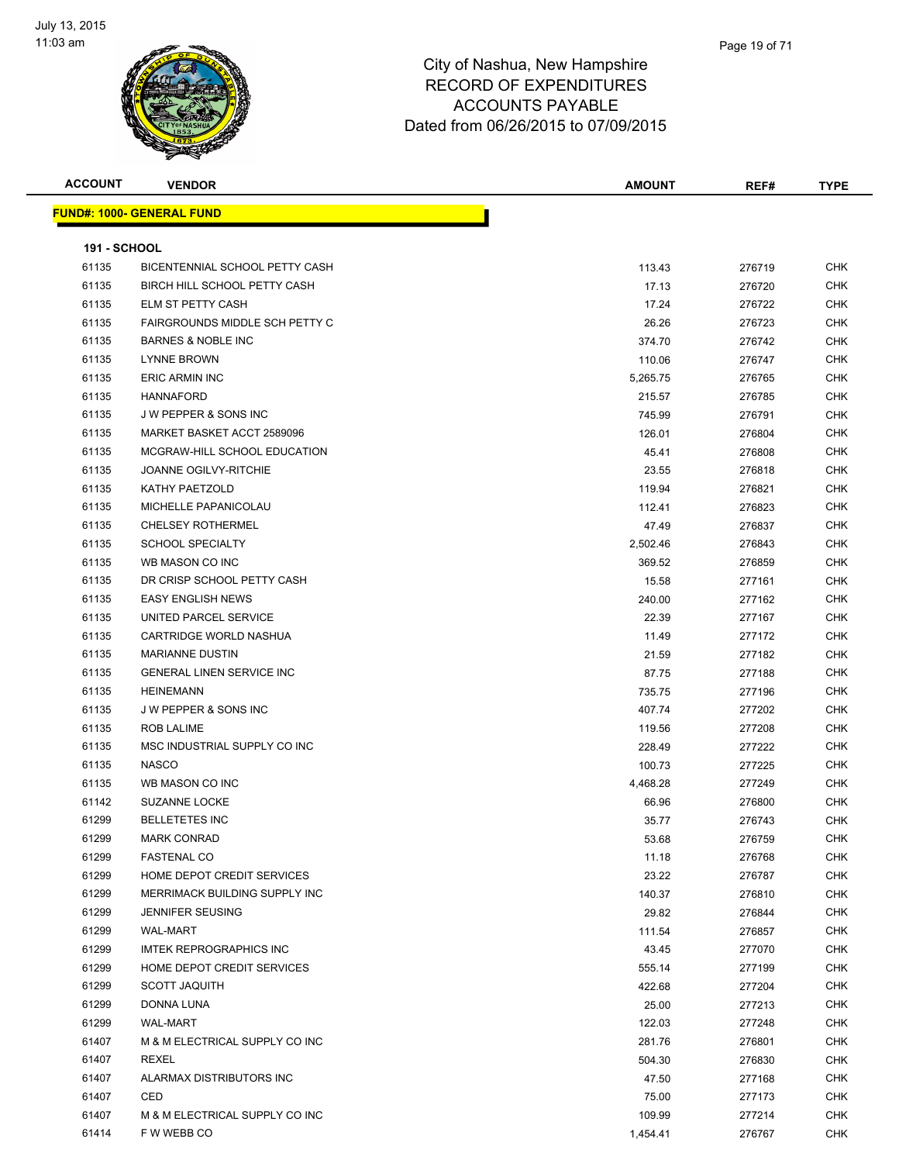

| <b>ACCOUNT</b>      | <b>VENDOR</b>                         | <b>AMOUNT</b> | REF#   | <b>TYPE</b> |
|---------------------|---------------------------------------|---------------|--------|-------------|
|                     | <u> FUND#: 1000- GENERAL FUND</u>     |               |        |             |
|                     |                                       |               |        |             |
| <b>191 - SCHOOL</b> |                                       |               |        |             |
| 61135               | BICENTENNIAL SCHOOL PETTY CASH        | 113.43        | 276719 | <b>CHK</b>  |
| 61135               | BIRCH HILL SCHOOL PETTY CASH          | 17.13         | 276720 | <b>CHK</b>  |
| 61135               | ELM ST PETTY CASH                     | 17.24         | 276722 | CHK         |
| 61135               | <b>FAIRGROUNDS MIDDLE SCH PETTY C</b> | 26.26         | 276723 | CHK         |
| 61135               | <b>BARNES &amp; NOBLE INC</b>         | 374.70        | 276742 | CHK         |
| 61135               | <b>LYNNE BROWN</b>                    | 110.06        | 276747 | CHK         |
| 61135               | <b>ERIC ARMIN INC</b>                 | 5,265.75      | 276765 | CHK         |
| 61135               | <b>HANNAFORD</b>                      | 215.57        | 276785 | CHK         |
| 61135               | J W PEPPER & SONS INC                 | 745.99        | 276791 | CHK         |
| 61135               | MARKET BASKET ACCT 2589096            | 126.01        | 276804 | <b>CHK</b>  |
| 61135               | MCGRAW-HILL SCHOOL EDUCATION          | 45.41         | 276808 | CHK         |
| 61135               | <b>JOANNE OGILVY-RITCHIE</b>          | 23.55         | 276818 | CHK         |
| 61135               | KATHY PAETZOLD                        | 119.94        | 276821 | CHK         |
| 61135               | MICHELLE PAPANICOLAU                  | 112.41        | 276823 | CHK         |
| 61135               | <b>CHELSEY ROTHERMEL</b>              | 47.49         | 276837 | CHK         |
| 61135               | <b>SCHOOL SPECIALTY</b>               | 2,502.46      | 276843 | CHK         |
| 61135               | WB MASON CO INC                       | 369.52        | 276859 | CHK         |
| 61135               | DR CRISP SCHOOL PETTY CASH            | 15.58         | 277161 | CHK         |
| 61135               | <b>EASY ENGLISH NEWS</b>              | 240.00        | 277162 | CHK         |
| 61135               | UNITED PARCEL SERVICE                 | 22.39         | 277167 | CHK         |
| 61135               | CARTRIDGE WORLD NASHUA                | 11.49         | 277172 | CHK         |
| 61135               | <b>MARIANNE DUSTIN</b>                | 21.59         | 277182 | CHK         |
| 61135               | <b>GENERAL LINEN SERVICE INC</b>      | 87.75         | 277188 | CHK         |
| 61135               | <b>HEINEMANN</b>                      | 735.75        | 277196 | CHK         |
| 61135               | <b>JW PEPPER &amp; SONS INC</b>       | 407.74        | 277202 | CHK         |
| 61135               | <b>ROB LALIME</b>                     | 119.56        | 277208 | CHK         |
| 61135               | MSC INDUSTRIAL SUPPLY CO INC          | 228.49        | 277222 | CHK         |
| 61135               | <b>NASCO</b>                          | 100.73        | 277225 | CHK         |
| 61135               | WB MASON CO INC                       | 4,468.28      | 277249 | CHK         |
| 61142               | <b>SUZANNE LOCKE</b>                  | 66.96         | 276800 | CHK         |
| 61299               | <b>BELLETETES INC</b>                 | 35.77         | 276743 | CHK         |
| 61299               | <b>MARK CONRAD</b>                    | 53.68         | 276759 | CHK         |
| 61299               | <b>FASTENAL CO</b>                    | 11.18         | 276768 | CHK         |
| 61299               | HOME DEPOT CREDIT SERVICES            | 23.22         | 276787 | <b>CHK</b>  |
| 61299               | MERRIMACK BUILDING SUPPLY INC         | 140.37        | 276810 | <b>CHK</b>  |
| 61299               | <b>JENNIFER SEUSING</b>               | 29.82         | 276844 | CHK         |
| 61299               | <b>WAL-MART</b>                       | 111.54        | 276857 | <b>CHK</b>  |
| 61299               | <b>IMTEK REPROGRAPHICS INC</b>        | 43.45         | 277070 | <b>CHK</b>  |
| 61299               | HOME DEPOT CREDIT SERVICES            | 555.14        | 277199 | <b>CHK</b>  |
| 61299               | <b>SCOTT JAQUITH</b>                  | 422.68        | 277204 | <b>CHK</b>  |
| 61299               | DONNA LUNA                            | 25.00         | 277213 | CHK         |
| 61299               | <b>WAL-MART</b>                       | 122.03        | 277248 | CHK         |
| 61407               | M & M ELECTRICAL SUPPLY CO INC        | 281.76        | 276801 | CHK         |
| 61407               | <b>REXEL</b>                          | 504.30        | 276830 | CHK         |
| 61407               | ALARMAX DISTRIBUTORS INC              | 47.50         | 277168 | CHK         |
| 61407               | CED                                   | 75.00         | 277173 | CHK         |
| 61407               | M & M ELECTRICAL SUPPLY CO INC        | 109.99        | 277214 | CHK         |
| 61414               | F W WEBB CO                           | 1,454.41      | 276767 | <b>CHK</b>  |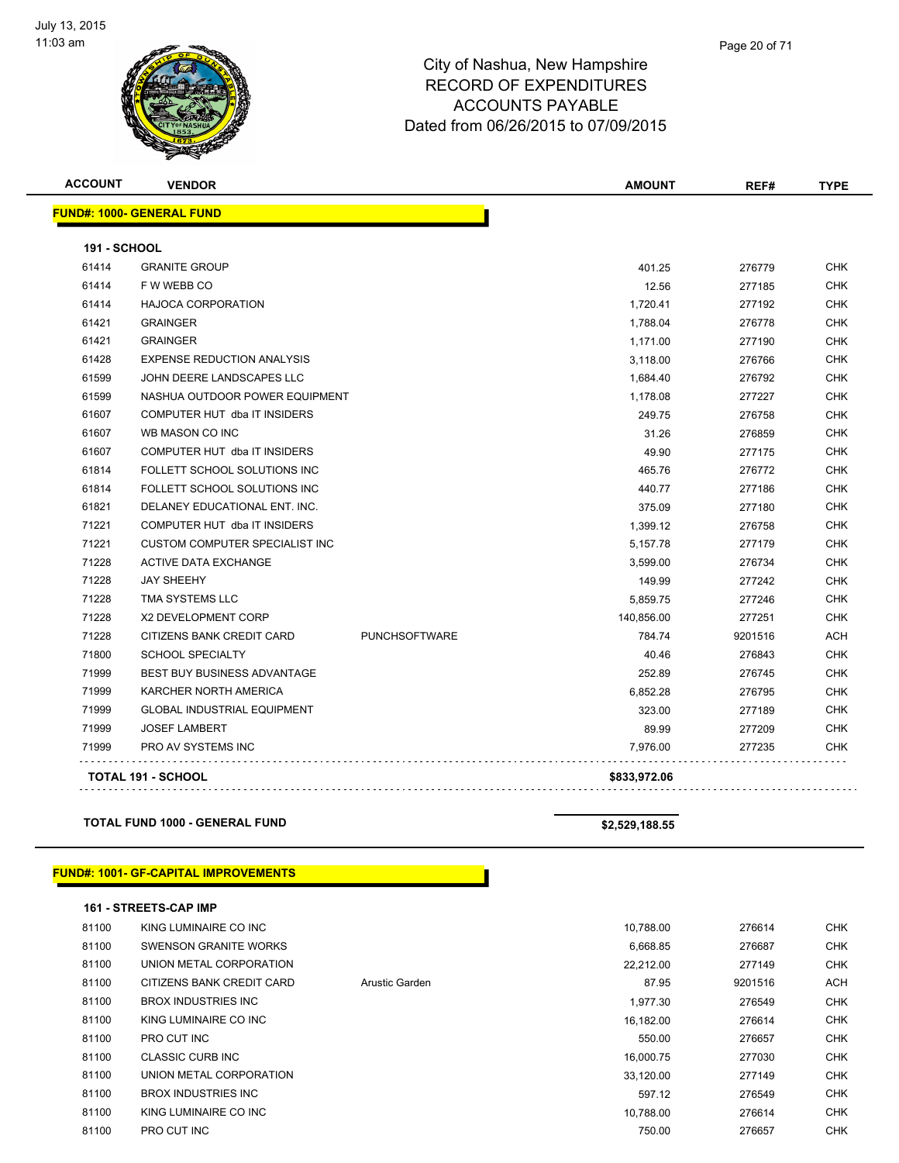

| <b>ACCOUNT</b>      | <b>VENDOR</b>                         |                      | <b>AMOUNT</b> | REF#    | <b>TYPE</b> |
|---------------------|---------------------------------------|----------------------|---------------|---------|-------------|
|                     | <b>FUND#: 1000- GENERAL FUND</b>      |                      |               |         |             |
| <b>191 - SCHOOL</b> |                                       |                      |               |         |             |
| 61414               | <b>GRANITE GROUP</b>                  |                      | 401.25        | 276779  | <b>CHK</b>  |
| 61414               | F W WEBB CO                           |                      | 12.56         | 277185  | <b>CHK</b>  |
| 61414               | <b>HAJOCA CORPORATION</b>             |                      | 1,720.41      | 277192  | <b>CHK</b>  |
| 61421               | <b>GRAINGER</b>                       |                      | 1,788.04      | 276778  | <b>CHK</b>  |
| 61421               | <b>GRAINGER</b>                       |                      | 1,171.00      | 277190  | <b>CHK</b>  |
| 61428               | <b>EXPENSE REDUCTION ANALYSIS</b>     |                      | 3,118.00      | 276766  | CHK         |
| 61599               | JOHN DEERE LANDSCAPES LLC             |                      | 1,684.40      | 276792  | <b>CHK</b>  |
| 61599               | NASHUA OUTDOOR POWER EQUIPMENT        |                      | 1,178.08      | 277227  | <b>CHK</b>  |
| 61607               | COMPUTER HUT dba IT INSIDERS          |                      | 249.75        | 276758  | <b>CHK</b>  |
| 61607               | WB MASON CO INC                       |                      | 31.26         | 276859  | <b>CHK</b>  |
| 61607               | COMPUTER HUT dba IT INSIDERS          |                      | 49.90         | 277175  | <b>CHK</b>  |
| 61814               | FOLLETT SCHOOL SOLUTIONS INC          |                      | 465.76        | 276772  | <b>CHK</b>  |
| 61814               | FOLLETT SCHOOL SOLUTIONS INC          |                      | 440.77        | 277186  | CHK         |
| 61821               | DELANEY EDUCATIONAL ENT. INC.         |                      | 375.09        | 277180  | <b>CHK</b>  |
| 71221               | COMPUTER HUT dba IT INSIDERS          |                      | 1,399.12      | 276758  | CHK         |
| 71221               | <b>CUSTOM COMPUTER SPECIALIST INC</b> |                      | 5,157.78      | 277179  | <b>CHK</b>  |
| 71228               | <b>ACTIVE DATA EXCHANGE</b>           |                      | 3,599.00      | 276734  | <b>CHK</b>  |
| 71228               | <b>JAY SHEEHY</b>                     |                      | 149.99        | 277242  | <b>CHK</b>  |
| 71228               | TMA SYSTEMS LLC                       |                      | 5,859.75      | 277246  | <b>CHK</b>  |
| 71228               | X2 DEVELOPMENT CORP                   |                      | 140,856.00    | 277251  | <b>CHK</b>  |
| 71228               | CITIZENS BANK CREDIT CARD             | <b>PUNCHSOFTWARE</b> | 784.74        | 9201516 | ACH         |
| 71800               | <b>SCHOOL SPECIALTY</b>               |                      | 40.46         | 276843  | CHK         |
| 71999               | BEST BUY BUSINESS ADVANTAGE           |                      | 252.89        | 276745  | CHK         |
| 71999               | KARCHER NORTH AMERICA                 |                      | 6,852.28      | 276795  | CHK         |
| 71999               | <b>GLOBAL INDUSTRIAL EQUIPMENT</b>    |                      | 323.00        | 277189  | CHK         |
| 71999               | <b>JOSEF LAMBERT</b>                  |                      | 89.99         | 277209  | <b>CHK</b>  |
| 71999               | <b>PRO AV SYSTEMS INC</b>             |                      | 7,976.00      | 277235  | CHK         |
|                     | <b>TOTAL 191 - SCHOOL</b>             |                      | \$833,972.06  |         |             |
|                     |                                       |                      |               |         |             |

#### **TOTAL FUND 1000 - GENERAL FUND \$2,529,188.55**

#### **FUND#: 1001- GF-CAPITAL IMPROVEMENTS**

|       | <b>161 - STREETS-CAP IMP</b> |                |           |         |            |
|-------|------------------------------|----------------|-----------|---------|------------|
| 81100 | KING LUMINAIRE CO INC        |                | 10.788.00 | 276614  | <b>CHK</b> |
| 81100 | SWENSON GRANITE WORKS        |                | 6,668.85  | 276687  | <b>CHK</b> |
| 81100 | UNION METAL CORPORATION      |                | 22.212.00 | 277149  | <b>CHK</b> |
| 81100 | CITIZENS BANK CREDIT CARD    | Arustic Garden | 87.95     | 9201516 | <b>ACH</b> |
| 81100 | BROX INDUSTRIES INC          |                | 1,977.30  | 276549  | <b>CHK</b> |
| 81100 | KING LUMINAIRE CO INC        |                | 16.182.00 | 276614  | <b>CHK</b> |
| 81100 | PRO CUT INC                  |                | 550.00    | 276657  | <b>CHK</b> |
| 81100 | <b>CLASSIC CURB INC</b>      |                | 16.000.75 | 277030  | <b>CHK</b> |
| 81100 | UNION METAL CORPORATION      |                | 33.120.00 | 277149  | <b>CHK</b> |
| 81100 | <b>BROX INDUSTRIES INC</b>   |                | 597.12    | 276549  | <b>CHK</b> |
| 81100 | KING LUMINAIRE CO INC        |                | 10.788.00 | 276614  | <b>CHK</b> |
| 81100 | PRO CUT INC                  |                | 750.00    | 276657  | <b>CHK</b> |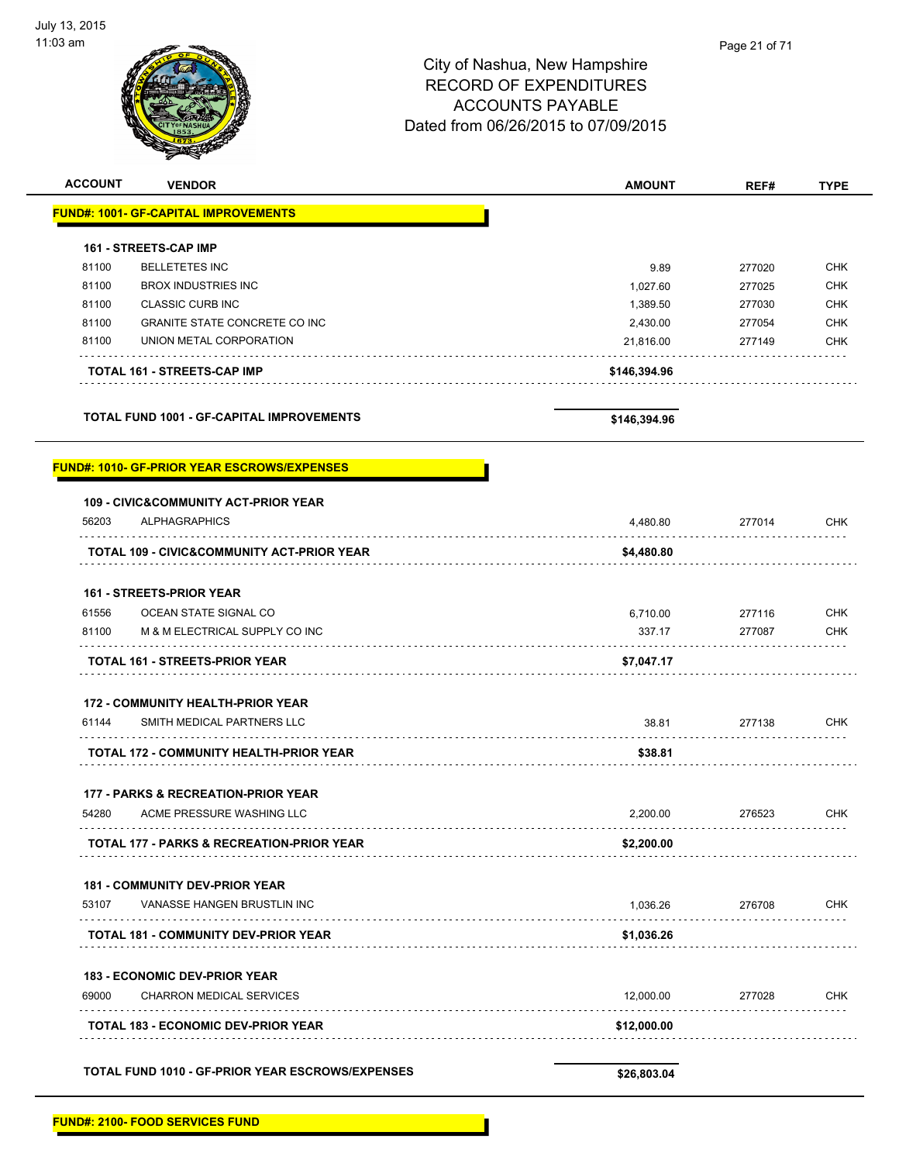| <b>ACCOUNT</b> | <b>VENDOR</b>                                         | <b>AMOUNT</b> | REF#   | <b>TYPE</b> |
|----------------|-------------------------------------------------------|---------------|--------|-------------|
|                | <b>FUND#: 1001- GF-CAPITAL IMPROVEMENTS</b>           |               |        |             |
|                | 161 - STREETS-CAP IMP                                 |               |        |             |
| 81100          | <b>BELLETETES INC</b>                                 | 9.89          | 277020 | <b>CHK</b>  |
| 81100          | <b>BROX INDUSTRIES INC</b>                            | 1,027.60      | 277025 | <b>CHK</b>  |
| 81100          | <b>CLASSIC CURB INC</b>                               | 1,389.50      | 277030 | <b>CHK</b>  |
| 81100          | <b>GRANITE STATE CONCRETE CO INC</b>                  | 2,430.00      | 277054 | <b>CHK</b>  |
| 81100          | UNION METAL CORPORATION                               | 21,816.00     | 277149 | <b>CHK</b>  |
|                |                                                       |               |        |             |
|                | TOTAL 161 - STREETS-CAP IMP                           | \$146,394.96  |        |             |
|                | <b>TOTAL FUND 1001 - GF-CAPITAL IMPROVEMENTS</b>      | \$146,394.96  |        |             |
|                | <b>FUND#: 1010- GF-PRIOR YEAR ESCROWS/EXPENSES</b>    |               |        |             |
|                | 109 - CIVIC&COMMUNITY ACT-PRIOR YEAR                  |               |        |             |
| 56203          | <b>ALPHAGRAPHICS</b>                                  | 4,480.80      | 277014 | <b>CHK</b>  |
|                | <b>TOTAL 109 - CIVIC&amp;COMMUNITY ACT-PRIOR YEAR</b> | \$4,480.80    |        |             |
|                | <b>161 - STREETS-PRIOR YEAR</b>                       |               |        |             |
| 61556          | OCEAN STATE SIGNAL CO                                 | 6,710.00      | 277116 | <b>CHK</b>  |
| 81100          | M & M ELECTRICAL SUPPLY CO INC                        | 337.17        | 277087 | <b>CHK</b>  |
|                | <b>TOTAL 161 - STREETS-PRIOR YEAR</b>                 | \$7,047.17    |        |             |
|                | <b>172 - COMMUNITY HEALTH-PRIOR YEAR</b>              |               |        |             |
| 61144          | SMITH MEDICAL PARTNERS LLC                            | 38.81         | 277138 | <b>CHK</b>  |
|                | <b>TOTAL 172 - COMMUNITY HEALTH-PRIOR YEAR</b>        | \$38.81       |        |             |
|                | 177 - PARKS & RECREATION-PRIOR YEAR                   |               |        |             |
| 54280          | ACME PRESSURE WASHING LLC                             | 2,200.00      | 276523 | <b>CHK</b>  |
|                | <b>TOTAL 177 - PARKS &amp; RECREATION-PRIOR YEAR</b>  | \$2,200.00    |        |             |
|                |                                                       |               |        |             |
|                | <b>181 - COMMUNITY DEV-PRIOR YEAR</b>                 |               |        |             |
| 53107          | VANASSE HANGEN BRUSTLIN INC                           | 1,036.26      | 276708 | CHK         |
|                | TOTAL 181 - COMMUNITY DEV-PRIOR YEAR                  | \$1,036.26    |        |             |
|                | <b>183 - ECONOMIC DEV-PRIOR YEAR</b>                  |               |        |             |
| 69000          | <b>CHARRON MEDICAL SERVICES</b>                       | 12,000.00     | 277028 | CHK         |
|                | <b>TOTAL 183 - ECONOMIC DEV-PRIOR YEAR</b>            | \$12,000.00   |        |             |
|                |                                                       |               |        |             |
|                | TOTAL FUND 1010 - GF-PRIOR YEAR ESCROWS/EXPENSES      | \$26,803.04   |        |             |
|                |                                                       |               |        |             |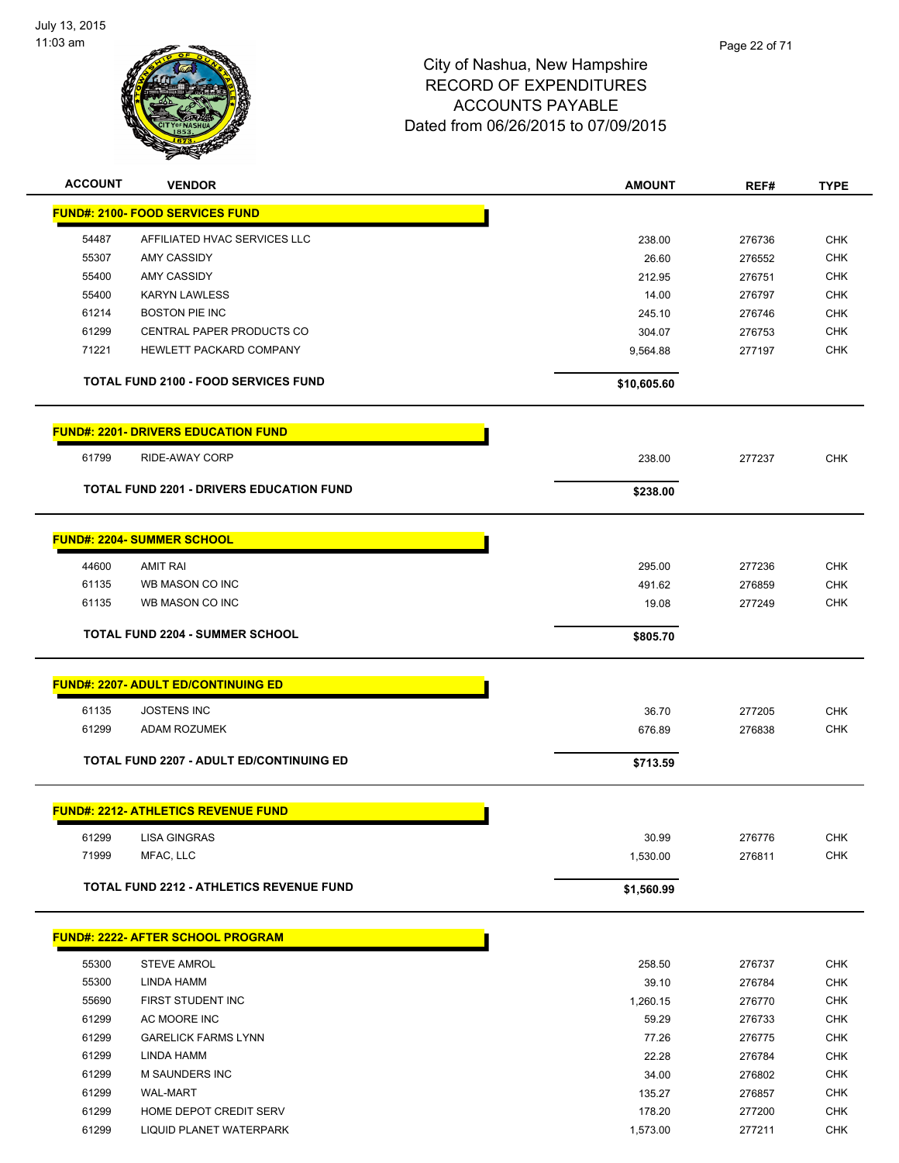

| <b>ACCOUNT</b> | <b>VENDOR</b>                                   | <b>AMOUNT</b> | REF#   | <b>TYPE</b> |
|----------------|-------------------------------------------------|---------------|--------|-------------|
|                | <b>FUND#: 2100- FOOD SERVICES FUND</b>          |               |        |             |
| 54487          | AFFILIATED HVAC SERVICES LLC                    | 238.00        | 276736 | <b>CHK</b>  |
| 55307          | <b>AMY CASSIDY</b>                              | 26.60         | 276552 | <b>CHK</b>  |
| 55400          | AMY CASSIDY                                     | 212.95        | 276751 | <b>CHK</b>  |
| 55400          | <b>KARYN LAWLESS</b>                            | 14.00         | 276797 | <b>CHK</b>  |
| 61214          | <b>BOSTON PIE INC</b>                           | 245.10        | 276746 | <b>CHK</b>  |
| 61299          | <b>CENTRAL PAPER PRODUCTS CO</b>                | 304.07        | 276753 | <b>CHK</b>  |
| 71221          | HEWLETT PACKARD COMPANY                         | 9,564.88      | 277197 | <b>CHK</b>  |
|                | <b>TOTAL FUND 2100 - FOOD SERVICES FUND</b>     | \$10,605.60   |        |             |
|                | <b>FUND#: 2201- DRIVERS EDUCATION FUND</b>      |               |        |             |
| 61799          | RIDE-AWAY CORP                                  | 238.00        | 277237 | <b>CHK</b>  |
|                | <b>TOTAL FUND 2201 - DRIVERS EDUCATION FUND</b> | \$238.00      |        |             |
|                | <b>FUND#: 2204- SUMMER SCHOOL</b>               |               |        |             |
| 44600          | <b>AMIT RAI</b>                                 | 295.00        | 277236 | <b>CHK</b>  |
| 61135          | WB MASON CO INC                                 | 491.62        | 276859 | <b>CHK</b>  |
| 61135          | WB MASON CO INC                                 | 19.08         | 277249 | <b>CHK</b>  |
|                | <b>TOTAL FUND 2204 - SUMMER SCHOOL</b>          | \$805.70      |        |             |
|                | <b>FUND#: 2207- ADULT ED/CONTINUING ED</b>      |               |        |             |
| 61135          | <b>JOSTENS INC</b>                              | 36.70         | 277205 | <b>CHK</b>  |
| 61299          | ADAM ROZUMEK                                    | 676.89        | 276838 | <b>CHK</b>  |
|                |                                                 |               |        |             |
|                | <b>TOTAL FUND 2207 - ADULT ED/CONTINUING ED</b> | \$713.59      |        |             |
|                | <b>FUND#: 2212- ATHLETICS REVENUE FUND</b>      |               |        |             |
| 61299          | <b>LISA GINGRAS</b>                             | 30.99         | 276776 | CHK         |
| 71999          | MFAC, LLC                                       | 1,530.00      | 276811 | <b>CHK</b>  |
|                | <b>TOTAL FUND 2212 - ATHLETICS REVENUE FUND</b> | \$1,560.99    |        |             |
|                | <b>FUND#: 2222- AFTER SCHOOL PROGRAM</b>        |               |        |             |
| 55300          | <b>STEVE AMROL</b>                              | 258.50        | 276737 | CHK         |
| 55300          | <b>LINDA HAMM</b>                               | 39.10         | 276784 | <b>CHK</b>  |
| 55690          | FIRST STUDENT INC                               | 1,260.15      | 276770 | <b>CHK</b>  |
| 61299          | AC MOORE INC                                    | 59.29         | 276733 | <b>CHK</b>  |
| 61299          | <b>GARELICK FARMS LYNN</b>                      | 77.26         | 276775 | <b>CHK</b>  |
| 61299          | <b>LINDA HAMM</b>                               | 22.28         | 276784 | <b>CHK</b>  |
| 61299          | M SAUNDERS INC                                  | 34.00         | 276802 | <b>CHK</b>  |
| 61299          | <b>WAL-MART</b>                                 | 135.27        | 276857 | <b>CHK</b>  |
| 61299          | HOME DEPOT CREDIT SERV                          | 178.20        | 277200 | <b>CHK</b>  |

61299 LIQUID PLANET WATERPARK **1,573.00** 277211 CHK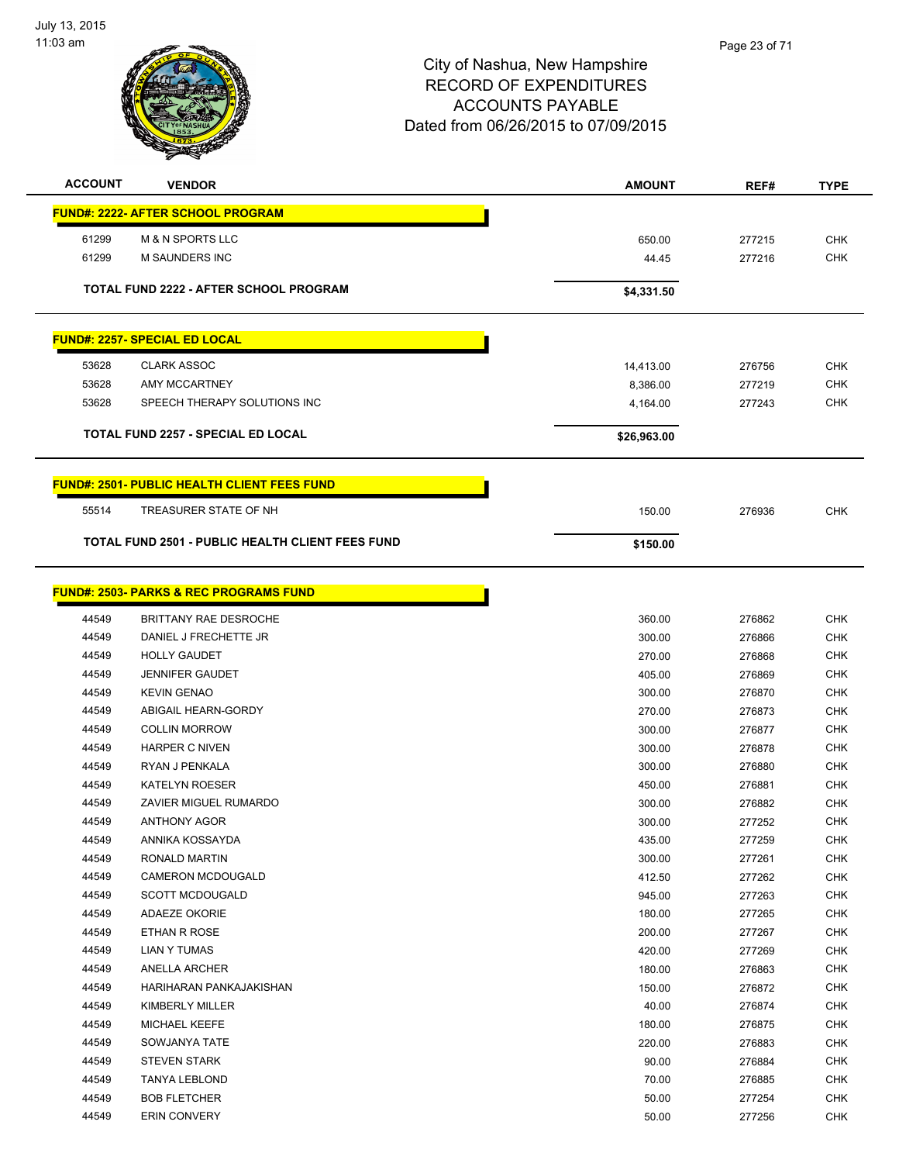

**ACCOUNT VENDOR AMOUNT REF# TYPE**

|       | <b>FUND#: 2222- AFTER SCHOOL PROGRAM</b>           |             |        |            |
|-------|----------------------------------------------------|-------------|--------|------------|
| 61299 | <b>M &amp; N SPORTS LLC</b>                        | 650.00      | 277215 | <b>CHK</b> |
| 61299 | M SAUNDERS INC                                     | 44.45       | 277216 | <b>CHK</b> |
|       |                                                    |             |        |            |
|       | <b>TOTAL FUND 2222 - AFTER SCHOOL PROGRAM</b>      | \$4,331.50  |        |            |
|       | <b>FUND#: 2257- SPECIAL ED LOCAL</b>               |             |        |            |
| 53628 | <b>CLARK ASSOC</b>                                 | 14,413.00   | 276756 | <b>CHK</b> |
| 53628 | <b>AMY MCCARTNEY</b>                               | 8,386.00    | 277219 | <b>CHK</b> |
| 53628 | SPEECH THERAPY SOLUTIONS INC                       | 4,164.00    | 277243 | <b>CHK</b> |
|       | <b>TOTAL FUND 2257 - SPECIAL ED LOCAL</b>          | \$26,963.00 |        |            |
|       | <b>FUND#: 2501- PUBLIC HEALTH CLIENT FEES FUND</b> |             |        |            |
| 55514 | TREASURER STATE OF NH                              | 150.00      | 276936 | <b>CHK</b> |
|       | TOTAL FUND 2501 - PUBLIC HEALTH CLIENT FEES FUND   | \$150.00    |        |            |
|       | <b>FUND#: 2503- PARKS &amp; REC PROGRAMS FUND</b>  |             |        |            |
|       |                                                    |             |        |            |
| 44549 | BRITTANY RAE DESROCHE                              | 360.00      | 276862 | <b>CHK</b> |
| 44549 | DANIEL J FRECHETTE JR                              | 300.00      | 276866 | <b>CHK</b> |
| 44549 | <b>HOLLY GAUDET</b>                                | 270.00      | 276868 | <b>CHK</b> |
| 44549 | <b>JENNIFER GAUDET</b>                             | 405.00      | 276869 | <b>CHK</b> |
| 44549 | <b>KEVIN GENAO</b>                                 | 300.00      | 276870 | <b>CHK</b> |
| 44549 | ABIGAIL HEARN-GORDY                                | 270.00      | 276873 | <b>CHK</b> |
| 44549 | <b>COLLIN MORROW</b>                               | 300.00      | 276877 | <b>CHK</b> |
| 44549 | <b>HARPER C NIVEN</b>                              | 300.00      | 276878 | <b>CHK</b> |
| 44549 | RYAN J PENKALA                                     | 300.00      | 276880 | <b>CHK</b> |
| 44549 | <b>KATELYN ROESER</b>                              | 450.00      | 276881 | <b>CHK</b> |
| 44549 | ZAVIER MIGUEL RUMARDO                              | 300.00      | 276882 | <b>CHK</b> |
| 44549 | <b>ANTHONY AGOR</b>                                | 300.00      | 277252 | <b>CHK</b> |
| 44549 | ANNIKA KOSSAYDA                                    | 435.00      | 277259 | <b>CHK</b> |
| 44549 | RONALD MARTIN                                      | 300.00      | 277261 | <b>CHK</b> |
| 44549 | CAMERON MCDOUGALD                                  | 412.50      | 277262 | <b>CHK</b> |
| 44549 | <b>SCOTT MCDOUGALD</b>                             | 945.00      | 277263 | <b>CHK</b> |
| 44549 | <b>ADAEZE OKORIE</b>                               | 180.00      | 277265 | <b>CHK</b> |
| 44549 | ETHAN R ROSE                                       | 200.00      | 277267 | <b>CHK</b> |
| 44549 | LIAN Y TUMAS                                       | 420.00      | 277269 | <b>CHK</b> |
| 44549 | ANELLA ARCHER                                      | 180.00      | 276863 | <b>CHK</b> |
| 44549 | HARIHARAN PANKAJAKISHAN                            | 150.00      | 276872 | <b>CHK</b> |
| 44549 | KIMBERLY MILLER                                    | 40.00       | 276874 | <b>CHK</b> |
| 44549 | MICHAEL KEEFE                                      | 180.00      | 276875 | <b>CHK</b> |
| 44549 | SOWJANYA TATE                                      | 220.00      | 276883 | <b>CHK</b> |
| 44549 | <b>STEVEN STARK</b>                                | 90.00       | 276884 | <b>CHK</b> |
| 44549 | <b>TANYA LEBLOND</b>                               | 70.00       | 276885 | <b>CHK</b> |
| 44549 | <b>BOB FLETCHER</b>                                | 50.00       | 277254 | <b>CHK</b> |
| 44549 | <b>ERIN CONVERY</b>                                | 50.00       | 277256 | <b>CHK</b> |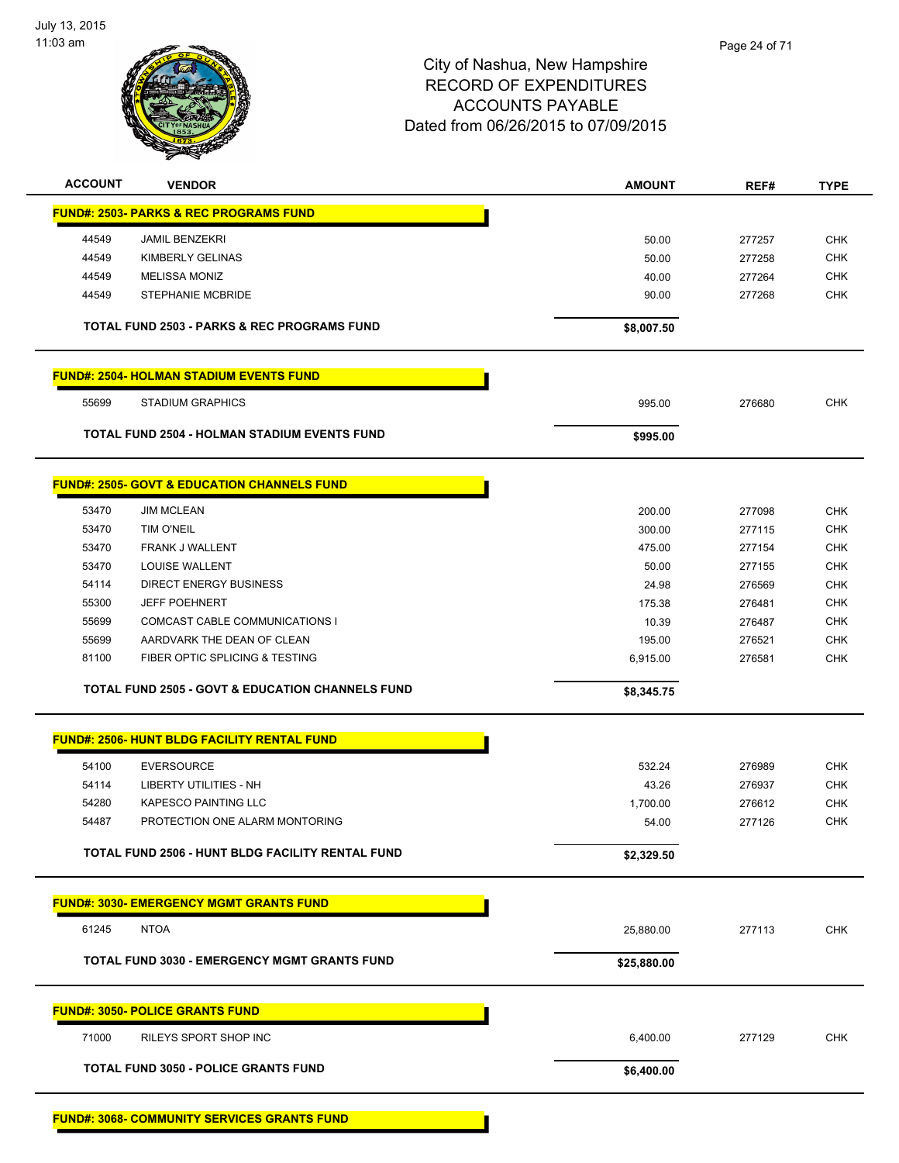

| <b>ACCOUNT</b> | <b>VENDOR</b>                                               | <b>AMOUNT</b>   | REF#             | TYPE                     |
|----------------|-------------------------------------------------------------|-----------------|------------------|--------------------------|
|                | <b>FUND#: 2503- PARKS &amp; REC PROGRAMS FUND</b>           |                 |                  |                          |
| 44549          | <b>JAMIL BENZEKRI</b>                                       | 50.00           | 277257           | <b>CHK</b>               |
| 44549          | KIMBERLY GELINAS                                            | 50.00           | 277258           | <b>CHK</b>               |
| 44549          | <b>MELISSA MONIZ</b>                                        | 40.00           | 277264           | CHK                      |
| 44549          | <b>STEPHANIE MCBRIDE</b>                                    | 90.00           | 277268           | <b>CHK</b>               |
|                |                                                             |                 |                  |                          |
|                | <b>TOTAL FUND 2503 - PARKS &amp; REC PROGRAMS FUND</b>      | \$8,007.50      |                  |                          |
|                | <b>FUND#: 2504- HOLMAN STADIUM EVENTS FUND</b>              |                 |                  |                          |
| 55699          | <b>STADIUM GRAPHICS</b>                                     | 995.00          | 276680           | <b>CHK</b>               |
|                | TOTAL FUND 2504 - HOLMAN STADIUM EVENTS FUND                | \$995.00        |                  |                          |
|                | <b>FUND#: 2505- GOVT &amp; EDUCATION CHANNELS FUND</b>      |                 |                  |                          |
|                |                                                             |                 |                  |                          |
| 53470          | <b>JIM MCLEAN</b>                                           | 200.00          | 277098           | <b>CHK</b>               |
| 53470          | <b>TIM O'NEIL</b>                                           | 300.00          | 277115           | CHK                      |
| 53470<br>53470 | <b>FRANK J WALLENT</b><br>LOUISE WALLENT                    | 475.00<br>50.00 | 277154<br>277155 | <b>CHK</b><br><b>CHK</b> |
| 54114          | <b>DIRECT ENERGY BUSINESS</b>                               | 24.98           | 276569           | <b>CHK</b>               |
| 55300          | <b>JEFF POEHNERT</b>                                        | 175.38          | 276481           | <b>CHK</b>               |
| 55699          | COMCAST CABLE COMMUNICATIONS I                              | 10.39           | 276487           | <b>CHK</b>               |
| 55699          | AARDVARK THE DEAN OF CLEAN                                  | 195.00          | 276521           | <b>CHK</b>               |
| 81100          | FIBER OPTIC SPLICING & TESTING                              | 6,915.00        | 276581           | <b>CHK</b>               |
|                | <b>TOTAL FUND 2505 - GOVT &amp; EDUCATION CHANNELS FUND</b> | \$8,345.75      |                  |                          |
|                |                                                             |                 |                  |                          |
|                | <b>FUND#: 2506- HUNT BLDG FACILITY RENTAL FUND</b>          |                 |                  |                          |
| 54100          | <b>EVERSOURCE</b>                                           | 532.24          | 276989           | <b>CHK</b>               |
| 54114          | <b>LIBERTY UTILITIES - NH</b>                               | 43.26           | 276937           | <b>CHK</b>               |
| 54280          | <b>KAPESCO PAINTING LLC</b>                                 | 1,700.00        | 276612           | <b>CHK</b>               |
| 54487          | PROTECTION ONE ALARM MONTORING                              | 54.00           | 277126           | <b>CHK</b>               |
|                | TOTAL FUND 2506 - HUNT BLDG FACILITY RENTAL FUND            | \$2,329.50      |                  |                          |
|                | <b>FUND#: 3030- EMERGENCY MGMT GRANTS FUND</b>              |                 |                  |                          |
| 61245          | <b>NTOA</b>                                                 | 25,880.00       | 277113           | <b>CHK</b>               |
|                | <b>TOTAL FUND 3030 - EMERGENCY MGMT GRANTS FUND</b>         | \$25,880.00     |                  |                          |
|                |                                                             |                 |                  |                          |
|                | <b>FUND#: 3050- POLICE GRANTS FUND</b>                      |                 |                  |                          |
| 71000          | RILEYS SPORT SHOP INC                                       | 6,400.00        | 277129           | <b>CHK</b>               |
|                | <b>TOTAL FUND 3050 - POLICE GRANTS FUND</b>                 | \$6,400.00      |                  |                          |
|                |                                                             |                 |                  |                          |

**FUND#: 3068- COMMUNITY SERVICES GRANTS FUND**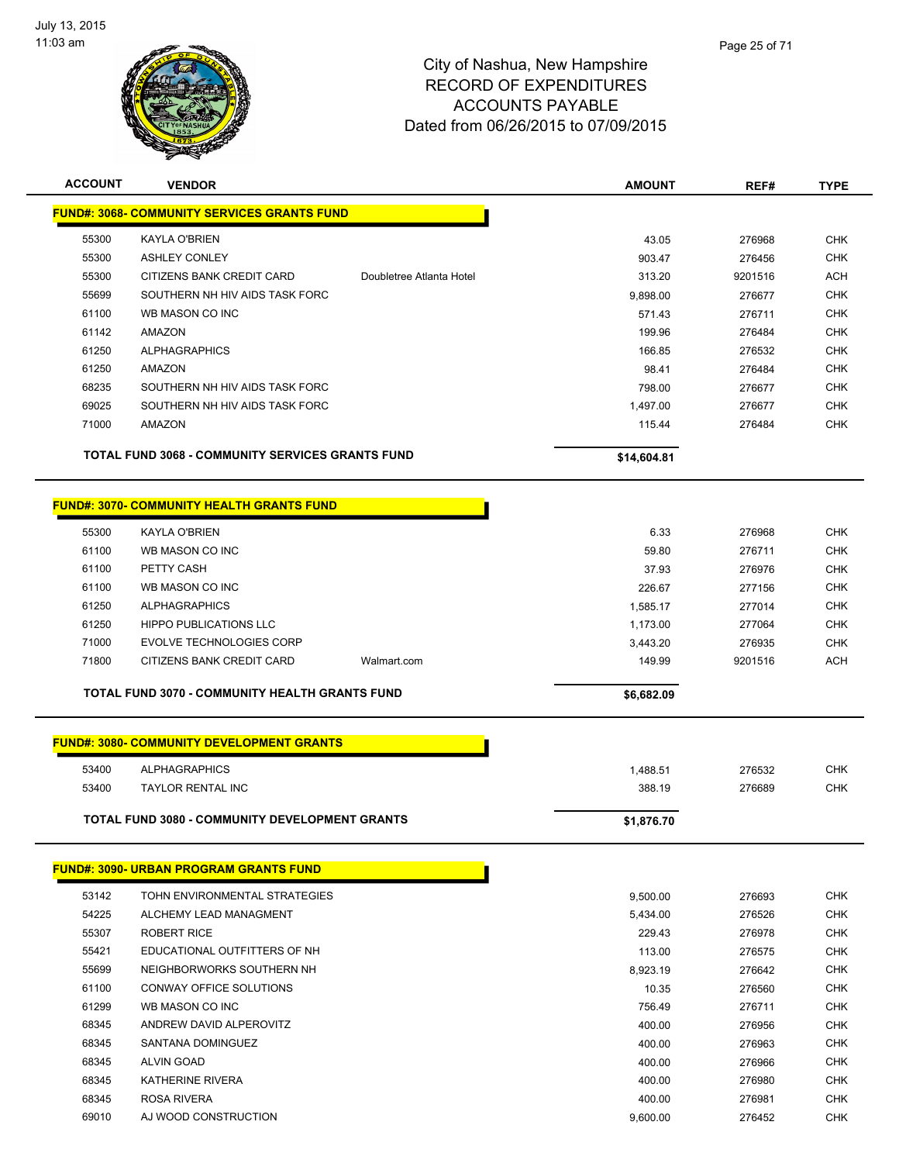

| <b>ACCOUNT</b> | <b>VENDOR</b>                                           |                          | <b>AMOUNT</b>      | REF#             | <b>TYPE</b>              |
|----------------|---------------------------------------------------------|--------------------------|--------------------|------------------|--------------------------|
|                | <b>FUND#: 3068- COMMUNITY SERVICES GRANTS FUND</b>      |                          |                    |                  |                          |
| 55300          | <b>KAYLA O'BRIEN</b>                                    |                          | 43.05              | 276968           | <b>CHK</b>               |
| 55300          | <b>ASHLEY CONLEY</b>                                    |                          | 903.47             | 276456           | <b>CHK</b>               |
| 55300          | CITIZENS BANK CREDIT CARD                               | Doubletree Atlanta Hotel | 313.20             | 9201516          | <b>ACH</b>               |
| 55699          | SOUTHERN NH HIV AIDS TASK FORC                          |                          | 9,898.00           | 276677           | CHK                      |
| 61100          | WB MASON CO INC                                         |                          | 571.43             | 276711           | <b>CHK</b>               |
| 61142          | AMAZON                                                  |                          | 199.96             | 276484           | <b>CHK</b>               |
| 61250          | <b>ALPHAGRAPHICS</b>                                    |                          | 166.85             | 276532           | <b>CHK</b>               |
| 61250          | <b>AMAZON</b>                                           |                          | 98.41              | 276484           | <b>CHK</b>               |
| 68235          | SOUTHERN NH HIV AIDS TASK FORC                          |                          | 798.00             | 276677           | CHK                      |
| 69025          | SOUTHERN NH HIV AIDS TASK FORC                          |                          | 1,497.00           | 276677           | <b>CHK</b>               |
| 71000          | AMAZON                                                  |                          | 115.44             | 276484           | <b>CHK</b>               |
|                | <b>TOTAL FUND 3068 - COMMUNITY SERVICES GRANTS FUND</b> |                          | \$14,604.81        |                  |                          |
|                |                                                         |                          |                    |                  |                          |
|                | <u>FUND#: 3070- COMMUNITY HEALTH GRANTS FUND</u>        |                          |                    |                  |                          |
| 55300          | <b>KAYLA O'BRIEN</b>                                    |                          | 6.33               | 276968           | <b>CHK</b>               |
| 61100          | WB MASON CO INC                                         |                          | 59.80              | 276711           | <b>CHK</b>               |
| 61100          | PETTY CASH                                              |                          | 37.93              | 276976           | <b>CHK</b>               |
| 61100          | WB MASON CO INC                                         |                          | 226.67             | 277156           | <b>CHK</b>               |
| 61250          | <b>ALPHAGRAPHICS</b>                                    |                          | 1,585.17           | 277014           | <b>CHK</b>               |
| 61250          | <b>HIPPO PUBLICATIONS LLC</b>                           |                          | 1,173.00           | 277064           | <b>CHK</b>               |
| 71000          | <b>EVOLVE TECHNOLOGIES CORP</b>                         |                          | 3,443.20           | 276935           | CHK                      |
| 71800          | CITIZENS BANK CREDIT CARD                               | Walmart.com              | 149.99             | 9201516          | <b>ACH</b>               |
|                | TOTAL FUND 3070 - COMMUNITY HEALTH GRANTS FUND          |                          | \$6,682.09         |                  |                          |
|                |                                                         |                          |                    |                  |                          |
|                | <b>FUND#: 3080- COMMUNITY DEVELOPMENT GRANTS</b>        |                          |                    |                  |                          |
| 53400          | <b>ALPHAGRAPHICS</b>                                    |                          | 1,488.51           | 276532           | <b>CHK</b>               |
| 53400          | <b>TAYLOR RENTAL INC</b>                                |                          | 388.19             | 276689           | <b>CHK</b>               |
|                | <b>TOTAL FUND 3080 - COMMUNITY DEVELOPMENT GRANTS</b>   |                          | \$1,876.70         |                  |                          |
|                |                                                         |                          |                    |                  |                          |
|                | <b>FUND#: 3090- URBAN PROGRAM GRANTS FUND</b>           |                          |                    |                  |                          |
| 53142          | TOHN ENVIRONMENTAL STRATEGIES                           |                          | 9,500.00           | 276693           | <b>CHK</b>               |
| 54225          | ALCHEMY LEAD MANAGMENT                                  |                          | 5,434.00           | 276526           | <b>CHK</b>               |
| 55307          | <b>ROBERT RICE</b>                                      |                          | 229.43             | 276978           | <b>CHK</b>               |
| 55421          | EDUCATIONAL OUTFITTERS OF NH                            |                          | 113.00             | 276575           | CHK                      |
| 55699          | NEIGHBORWORKS SOUTHERN NH                               |                          | 8,923.19           | 276642           | <b>CHK</b>               |
| 61100          | CONWAY OFFICE SOLUTIONS                                 |                          | 10.35              | 276560           | CHK                      |
| 61299          | WB MASON CO INC                                         |                          | 756.49             | 276711           | CHK                      |
| 68345          | ANDREW DAVID ALPEROVITZ                                 |                          | 400.00             | 276956           | CHK                      |
| 68345          | SANTANA DOMINGUEZ                                       |                          | 400.00             | 276963           | CHK                      |
| 68345          | <b>ALVIN GOAD</b>                                       |                          | 400.00             | 276966           | CHK                      |
| 68345          | <b>KATHERINE RIVERA</b>                                 |                          | 400.00             | 276980           | <b>CHK</b>               |
| 68345<br>69010 | ROSA RIVERA<br>AJ WOOD CONSTRUCTION                     |                          | 400.00<br>9.600.00 | 276981<br>276452 | <b>CHK</b><br><b>CHK</b> |
|                |                                                         |                          |                    |                  |                          |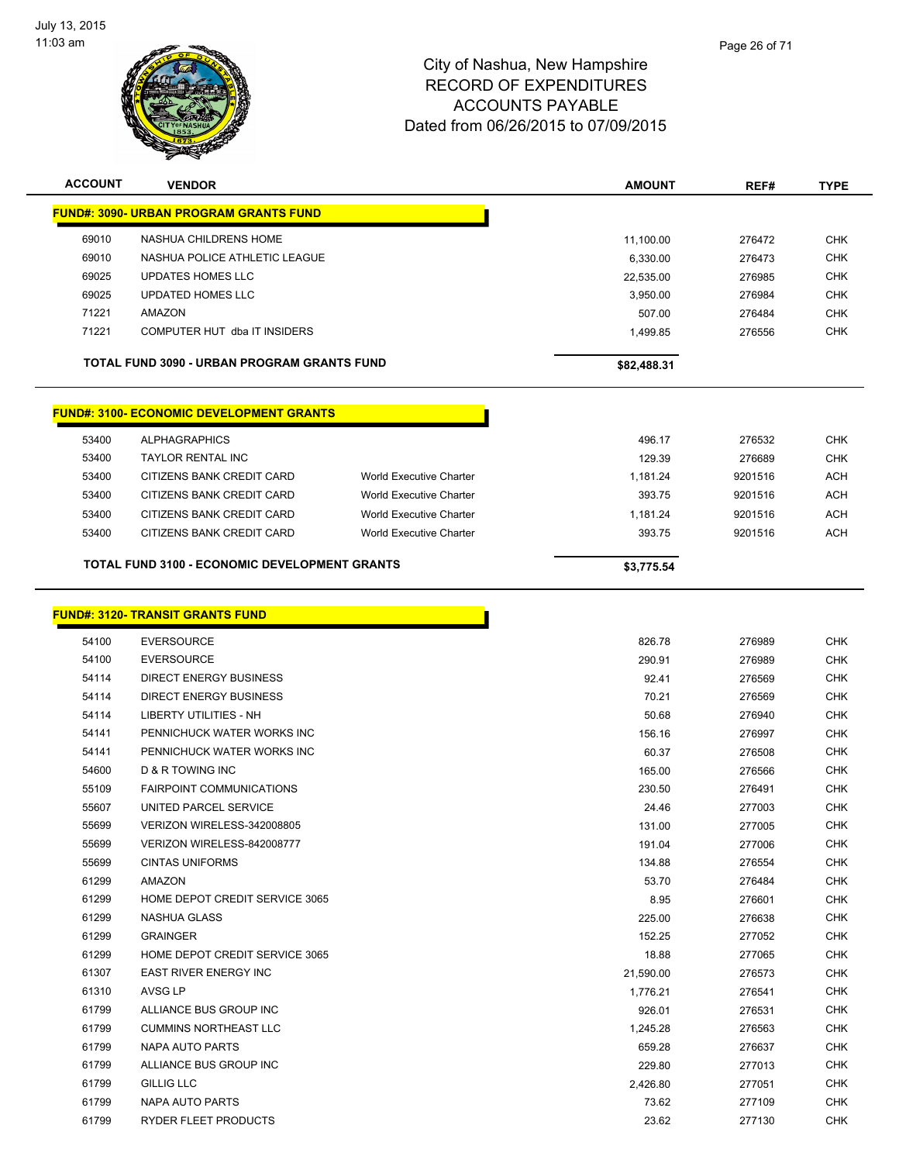

| <b>ACCOUNT</b> | <b>VENDOR</b>                                                           |                                | <b>AMOUNT</b> | REF#    | <b>TYPE</b> |
|----------------|-------------------------------------------------------------------------|--------------------------------|---------------|---------|-------------|
|                | <u>FUND#: 3090- URBAN PROGRAM GRANTS FUND</u>                           |                                |               |         |             |
| 69010          | NASHUA CHILDRENS HOME                                                   |                                | 11,100.00     | 276472  | <b>CHK</b>  |
| 69010          | NASHUA POLICE ATHLETIC LEAGUE                                           |                                | 6,330.00      | 276473  | <b>CHK</b>  |
| 69025          | <b>UPDATES HOMES LLC</b>                                                |                                | 22,535.00     | 276985  | <b>CHK</b>  |
| 69025          | <b>UPDATED HOMES LLC</b>                                                |                                | 3,950.00      | 276984  | <b>CHK</b>  |
| 71221          | <b>AMAZON</b>                                                           |                                | 507.00        | 276484  | <b>CHK</b>  |
| 71221          | COMPUTER HUT dba IT INSIDERS                                            |                                | 1,499.85      | 276556  | <b>CHK</b>  |
|                | <b>TOTAL FUND 3090 - URBAN PROGRAM GRANTS FUND</b>                      |                                | \$82,488.31   |         |             |
| 53400          | <b>FUND#: 3100- ECONOMIC DEVELOPMENT GRANTS</b><br><b>ALPHAGRAPHICS</b> |                                | 496.17        | 276532  | <b>CHK</b>  |
| 53400          | <b>TAYLOR RENTAL INC</b>                                                |                                | 129.39        | 276689  | <b>CHK</b>  |
| 53400          | CITIZENS BANK CREDIT CARD                                               | <b>World Executive Charter</b> | 1,181.24      | 9201516 | <b>ACH</b>  |
| 53400          | CITIZENS BANK CREDIT CARD                                               | <b>World Executive Charter</b> | 393.75        | 9201516 | <b>ACH</b>  |
| 53400          | CITIZENS BANK CREDIT CARD                                               | <b>World Executive Charter</b> | 1,181.24      | 9201516 | <b>ACH</b>  |
| 53400          | CITIZENS BANK CREDIT CARD                                               | <b>World Executive Charter</b> | 393.75        | 9201516 | <b>ACH</b>  |
|                | <b>TOTAL FUND 3100 - ECONOMIC DEVELOPMENT GRANTS</b>                    |                                | \$3,775.54    |         |             |
|                | <b>FUND#: 3120- TRANSIT GRANTS FUND</b>                                 |                                |               |         |             |

| 54100 | <b>EVERSOURCE</b>               | 826.78    | 276989 | <b>CHK</b> |
|-------|---------------------------------|-----------|--------|------------|
| 54100 | <b>EVERSOURCE</b>               | 290.91    | 276989 | <b>CHK</b> |
| 54114 | <b>DIRECT ENERGY BUSINESS</b>   | 92.41     | 276569 | <b>CHK</b> |
| 54114 | <b>DIRECT ENERGY BUSINESS</b>   | 70.21     | 276569 | <b>CHK</b> |
| 54114 | <b>LIBERTY UTILITIES - NH</b>   | 50.68     | 276940 | <b>CHK</b> |
| 54141 | PENNICHUCK WATER WORKS INC      | 156.16    | 276997 | <b>CHK</b> |
| 54141 | PENNICHUCK WATER WORKS INC      | 60.37     | 276508 | <b>CHK</b> |
| 54600 | <b>D &amp; R TOWING INC</b>     | 165.00    | 276566 | <b>CHK</b> |
| 55109 | <b>FAIRPOINT COMMUNICATIONS</b> | 230.50    | 276491 | <b>CHK</b> |
| 55607 | UNITED PARCEL SERVICE           | 24.46     | 277003 | <b>CHK</b> |
| 55699 | VERIZON WIRELESS-342008805      | 131.00    | 277005 | <b>CHK</b> |
| 55699 | VERIZON WIRELESS-842008777      | 191.04    | 277006 | CHK        |
| 55699 | <b>CINTAS UNIFORMS</b>          | 134.88    | 276554 | <b>CHK</b> |
| 61299 | AMAZON                          | 53.70     | 276484 | <b>CHK</b> |
| 61299 | HOME DEPOT CREDIT SERVICE 3065  | 8.95      | 276601 | <b>CHK</b> |
| 61299 | <b>NASHUA GLASS</b>             | 225.00    | 276638 | <b>CHK</b> |
| 61299 | <b>GRAINGER</b>                 | 152.25    | 277052 | <b>CHK</b> |
| 61299 | HOME DEPOT CREDIT SERVICE 3065  | 18.88     | 277065 | <b>CHK</b> |
| 61307 | <b>EAST RIVER ENERGY INC</b>    | 21,590.00 | 276573 | <b>CHK</b> |
| 61310 | AVSG LP                         | 1,776.21  | 276541 | <b>CHK</b> |
| 61799 | ALLIANCE BUS GROUP INC          | 926.01    | 276531 | <b>CHK</b> |
| 61799 | <b>CUMMINS NORTHEAST LLC</b>    | 1,245.28  | 276563 | <b>CHK</b> |
| 61799 | <b>NAPA AUTO PARTS</b>          | 659.28    | 276637 | <b>CHK</b> |
| 61799 | ALLIANCE BUS GROUP INC          | 229.80    | 277013 | <b>CHK</b> |
| 61799 | <b>GILLIG LLC</b>               | 2,426.80  | 277051 | <b>CHK</b> |
| 61799 | <b>NAPA AUTO PARTS</b>          | 73.62     | 277109 | <b>CHK</b> |
| 61799 | RYDER FLEET PRODUCTS            | 23.62     | 277130 | <b>CHK</b> |
|       |                                 |           |        |            |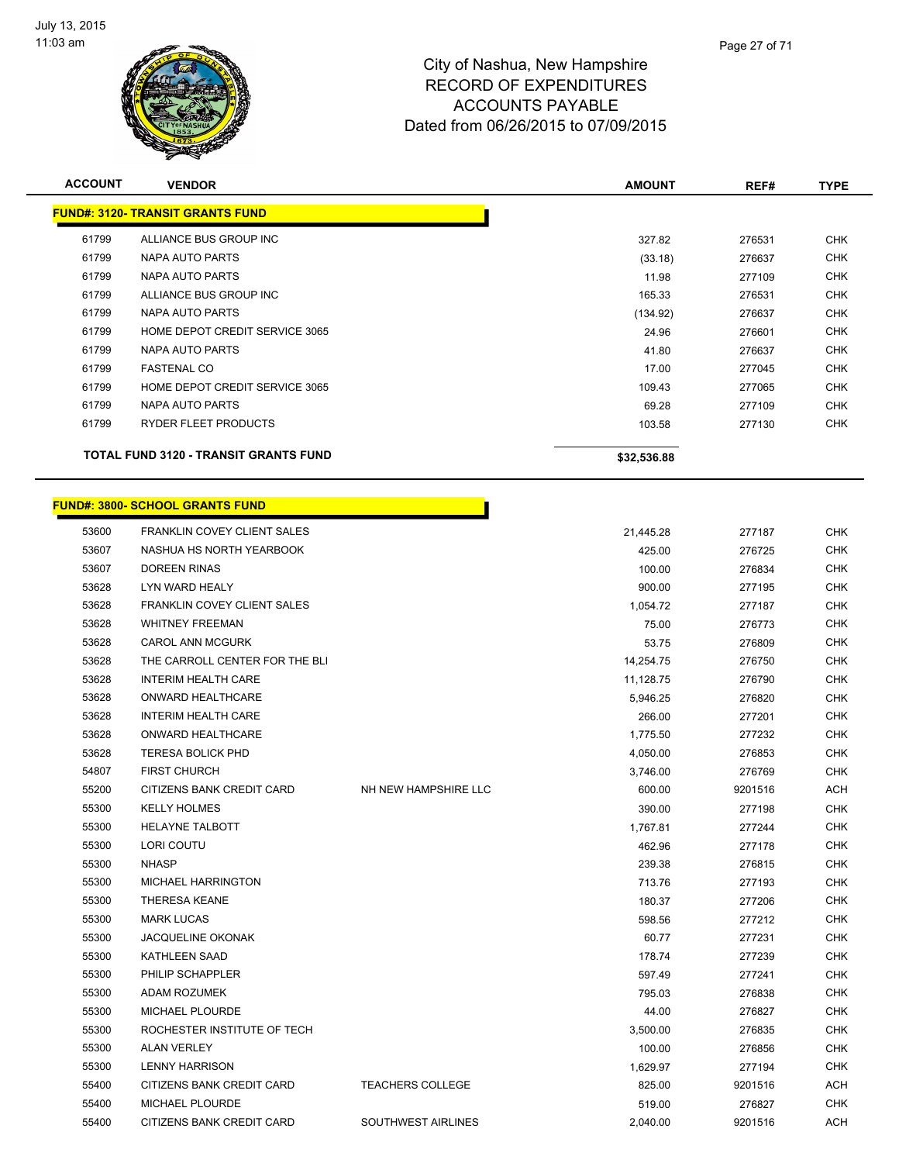

| <b>ACCOUNT</b> | <b>VENDOR</b>                                |                      | <b>AMOUNT</b> | REF#    | <b>TYPE</b> |
|----------------|----------------------------------------------|----------------------|---------------|---------|-------------|
|                | <b>FUND#: 3120- TRANSIT GRANTS FUND</b>      |                      |               |         |             |
| 61799          | ALLIANCE BUS GROUP INC                       |                      | 327.82        | 276531  | <b>CHK</b>  |
| 61799          | NAPA AUTO PARTS                              |                      | (33.18)       | 276637  | <b>CHK</b>  |
| 61799          | NAPA AUTO PARTS                              |                      | 11.98         | 277109  | <b>CHK</b>  |
| 61799          | ALLIANCE BUS GROUP INC                       |                      | 165.33        | 276531  | <b>CHK</b>  |
| 61799          | <b>NAPA AUTO PARTS</b>                       |                      | (134.92)      | 276637  | <b>CHK</b>  |
| 61799          | HOME DEPOT CREDIT SERVICE 3065               |                      | 24.96         | 276601  | <b>CHK</b>  |
| 61799          | <b>NAPA AUTO PARTS</b>                       |                      | 41.80         | 276637  | <b>CHK</b>  |
| 61799          | <b>FASTENAL CO</b>                           |                      | 17.00         | 277045  | <b>CHK</b>  |
| 61799          | HOME DEPOT CREDIT SERVICE 3065               |                      | 109.43        | 277065  | <b>CHK</b>  |
| 61799          | NAPA AUTO PARTS                              |                      | 69.28         | 277109  | <b>CHK</b>  |
| 61799          | RYDER FLEET PRODUCTS                         |                      | 103.58        | 277130  | <b>CHK</b>  |
|                | <b>TOTAL FUND 3120 - TRANSIT GRANTS FUND</b> |                      | \$32,536.88   |         |             |
|                | <b>FUND#: 3800- SCHOOL GRANTS FUND</b>       |                      |               |         |             |
| 53600          | <b>FRANKLIN COVEY CLIENT SALES</b>           |                      | 21,445.28     | 277187  | <b>CHK</b>  |
| 53607          | NASHUA HS NORTH YEARBOOK                     |                      | 425.00        | 276725  | <b>CHK</b>  |
| 53607          | <b>DOREEN RINAS</b>                          |                      | 100.00        | 276834  | <b>CHK</b>  |
| 53628          | LYN WARD HEALY                               |                      | 900.00        | 277195  | <b>CHK</b>  |
| 53628          | <b>FRANKLIN COVEY CLIENT SALES</b>           |                      | 1,054.72      | 277187  | <b>CHK</b>  |
| 53628          | <b>WHITNEY FREEMAN</b>                       |                      | 75.00         | 276773  | <b>CHK</b>  |
| 53628          | <b>CAROL ANN MCGURK</b>                      |                      | 53.75         | 276809  | <b>CHK</b>  |
| 53628          | THE CARROLL CENTER FOR THE BLI               |                      | 14,254.75     | 276750  | <b>CHK</b>  |
| 53628          | <b>INTERIM HEALTH CARE</b>                   |                      | 11,128.75     | 276790  | <b>CHK</b>  |
| 53628          | ONWARD HEALTHCARE                            |                      | 5,946.25      | 276820  | <b>CHK</b>  |
| 53628          | <b>INTERIM HEALTH CARE</b>                   |                      | 266.00        | 277201  | <b>CHK</b>  |
| 53628          | ONWARD HEALTHCARE                            |                      | 1,775.50      | 277232  | <b>CHK</b>  |
| 53628          | <b>TERESA BOLICK PHD</b>                     |                      | 4,050.00      | 276853  | <b>CHK</b>  |
| 54807          | <b>FIRST CHURCH</b>                          |                      | 3,746.00      | 276769  | <b>CHK</b>  |
| 55200          | CITIZENS BANK CREDIT CARD                    | NH NEW HAMPSHIRE LLC | 600.00        | 9201516 | <b>ACH</b>  |
| 55300          | <b>KELLY HOLMES</b>                          |                      | 390.00        | 277198  | <b>CHK</b>  |
| 55300          | HELAYNE TALBOTT                              |                      | 1,767.81      | 277244  | <b>CHK</b>  |
| 55300          | LORI COUTU                                   |                      | 462.96        | 277178  | <b>CHK</b>  |
| 55300          | <b>NHASP</b>                                 |                      | 239.38        | 276815  | <b>CHK</b>  |
| 55300          | MICHAEL HARRINGTON                           |                      | 713.76        | 277193  | <b>CHK</b>  |
| 55300          | <b>THERESA KEANE</b>                         |                      | 180.37        | 277206  | <b>CHK</b>  |
| 55300          | <b>MARK LUCAS</b>                            |                      | 598.56        | 277212  | <b>CHK</b>  |
| 55300          | <b>JACQUELINE OKONAK</b>                     |                      | 60.77         | 277231  | <b>CHK</b>  |
| 55300          | KATHLEEN SAAD                                |                      | 178.74        | 277239  | <b>CHK</b>  |
| 55300          | PHILIP SCHAPPLER                             |                      | 597.49        | 277241  | <b>CHK</b>  |
| 55300          | ADAM ROZUMEK                                 |                      | 795.03        | 276838  | <b>CHK</b>  |
| 55300          | MICHAEL PLOURDE                              |                      | 44.00         | 276827  | CHK         |

 ROCHESTER INSTITUTE OF TECH 3,500.00 276835 CHK ALAN VERLEY 100.00 276856 CHK LENNY HARRISON 1,629.97 277194 CHK 55400 CITIZENS BANK CREDIT CARD TEACHERS COLLEGE 825.00 8201516 ACH MICHAEL PLOURDE 519.00 276827 CHK 55400 CITIZENS BANK CREDIT CARD SOUTHWEST AIRLINES 2,040.00 9201516 ACH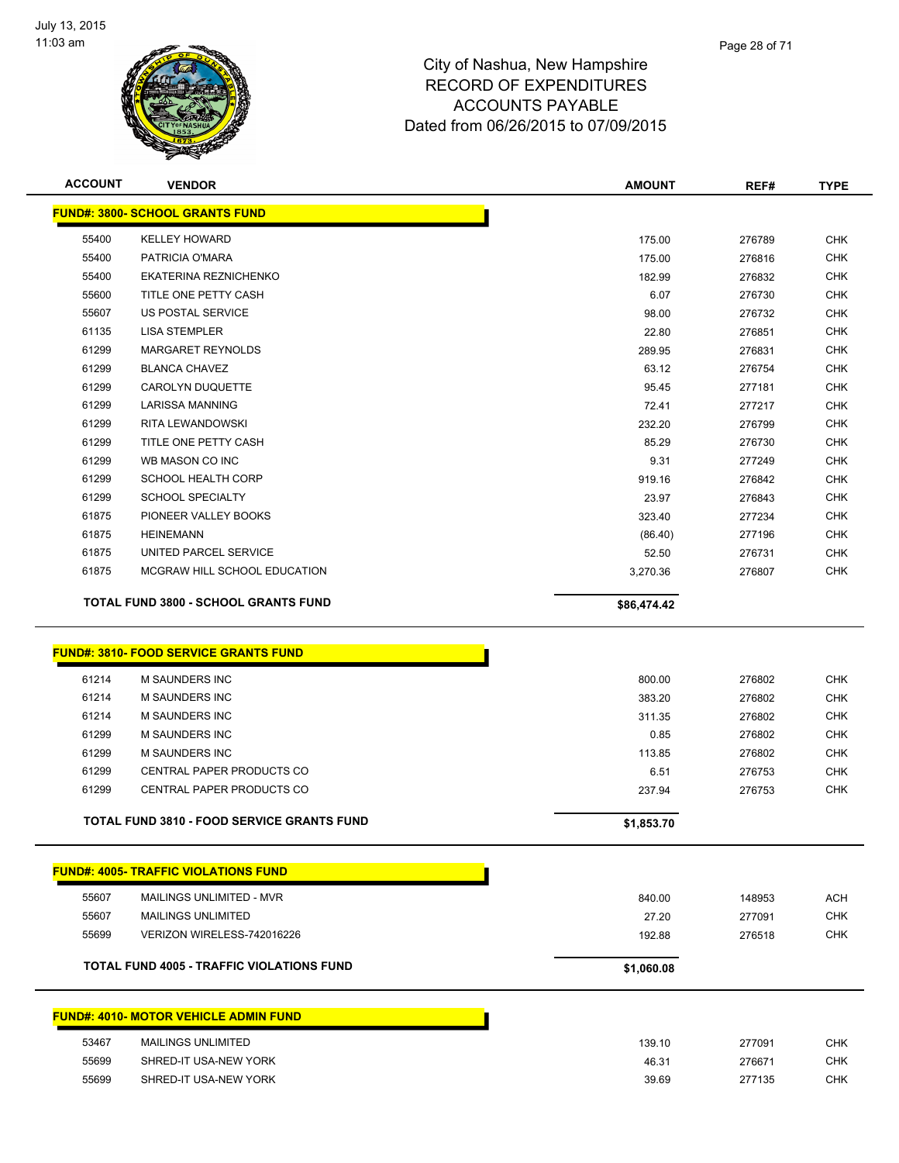

| <b>ACCOUNT</b> | <b>VENDOR</b>                               | <b>AMOUNT</b> | REF#   | <b>TYPE</b> |
|----------------|---------------------------------------------|---------------|--------|-------------|
|                | <b>FUND#: 3800- SCHOOL GRANTS FUND</b>      |               |        |             |
| 55400          | <b>KELLEY HOWARD</b>                        | 175.00        | 276789 | <b>CHK</b>  |
| 55400          | PATRICIA O'MARA                             | 175.00        | 276816 | <b>CHK</b>  |
| 55400          | EKATERINA REZNICHENKO                       | 182.99        | 276832 | <b>CHK</b>  |
| 55600          | TITLE ONE PETTY CASH                        | 6.07          | 276730 | <b>CHK</b>  |
| 55607          | <b>US POSTAL SERVICE</b>                    | 98.00         | 276732 | <b>CHK</b>  |
| 61135          | <b>LISA STEMPLER</b>                        | 22.80         | 276851 | <b>CHK</b>  |
| 61299          | <b>MARGARET REYNOLDS</b>                    | 289.95        | 276831 | <b>CHK</b>  |
| 61299          | <b>BLANCA CHAVEZ</b>                        | 63.12         | 276754 | <b>CHK</b>  |
| 61299          | <b>CAROLYN DUQUETTE</b>                     | 95.45         | 277181 | <b>CHK</b>  |
| 61299          | <b>LARISSA MANNING</b>                      | 72.41         | 277217 | <b>CHK</b>  |
| 61299          | RITA LEWANDOWSKI                            | 232.20        | 276799 | <b>CHK</b>  |
| 61299          | TITLE ONE PETTY CASH                        | 85.29         | 276730 | <b>CHK</b>  |
| 61299          | WB MASON CO INC                             | 9.31          | 277249 | <b>CHK</b>  |
| 61299          | <b>SCHOOL HEALTH CORP</b>                   | 919.16        | 276842 | <b>CHK</b>  |
| 61299          | <b>SCHOOL SPECIALTY</b>                     | 23.97         | 276843 | <b>CHK</b>  |
| 61875          | PIONEER VALLEY BOOKS                        | 323.40        | 277234 | <b>CHK</b>  |
| 61875          | <b>HEINEMANN</b>                            | (86.40)       | 277196 | <b>CHK</b>  |
| 61875          | UNITED PARCEL SERVICE                       | 52.50         | 276731 | <b>CHK</b>  |
| 61875          | MCGRAW HILL SCHOOL EDUCATION                | 3,270.36      | 276807 | <b>CHK</b>  |
|                | <b>TOTAL FUND 3800 - SCHOOL GRANTS FUND</b> | \$86,474.42   |        |             |

#### **FUND#: 3810- FOOD SERVICE GRANTS FUND**

|       | <b>FUND#: 4005- TRAFFIC VIOLATIONS FUND</b>      |            |        |  |
|-------|--------------------------------------------------|------------|--------|--|
| 55607 | MAILINGS UNLIMITED - MVR                         | 840.00     | 148953 |  |
| 55607 | <b>MAILINGS UNLIMITED</b>                        | 27.20      | 277091 |  |
| 55699 | VERIZON WIRELESS-742016226                       | 192.88     | 276518 |  |
|       | <b>TOTAL FUND 4005 - TRAFFIC VIOLATIONS FUND</b> | \$1,060.08 |        |  |

|       | <u> FUND#: 4010- MOTOR VEHICLE ADMIN FUND_</u> |        |        |     |
|-------|------------------------------------------------|--------|--------|-----|
| 53467 | MAILINGS UNLIMITED                             | 139.10 | 277091 | СНК |
| 55699 | SHRED-IT USA-NEW YORK                          | 46.31  | 276671 | СНК |
| 55699 | SHRED-IT USA-NEW YORK                          | 39.69  | 277135 | CHK |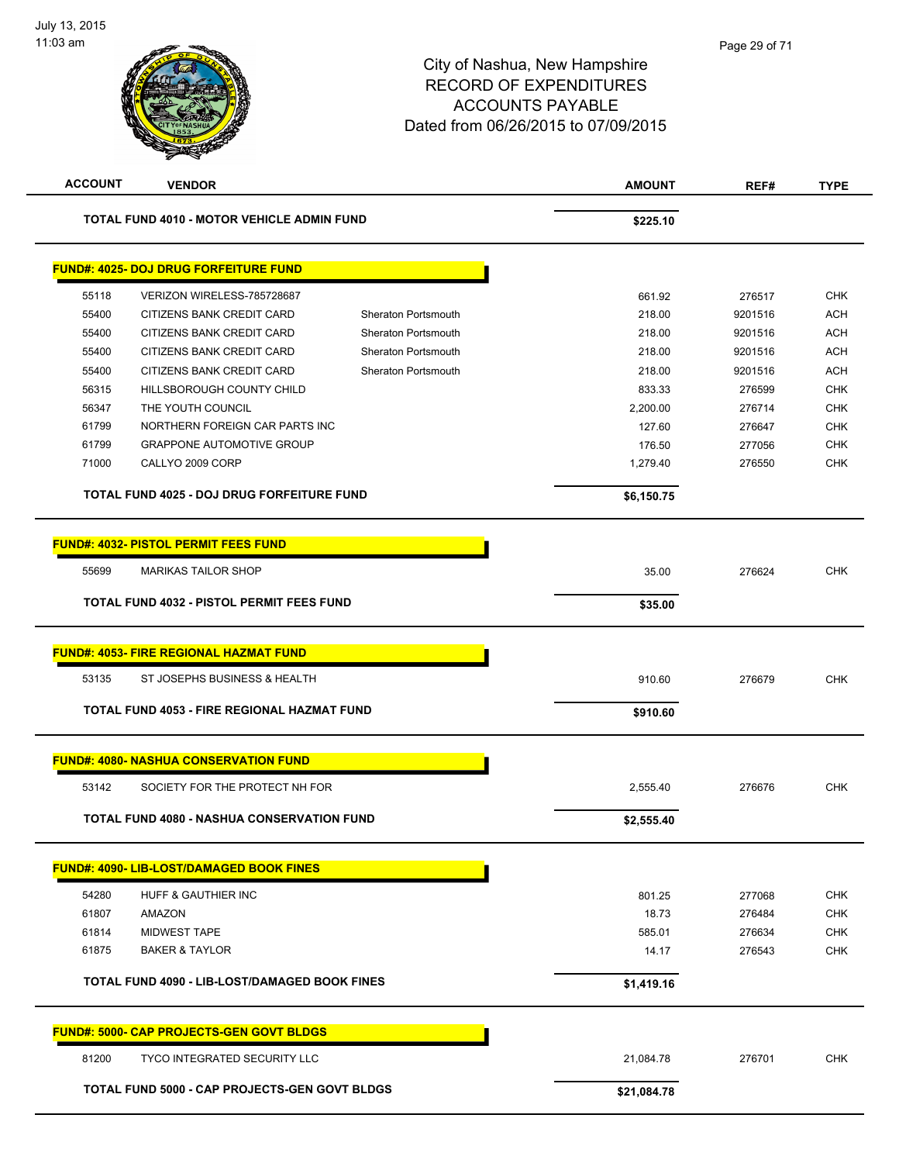| <b>ACCOUNT</b> | <b>VENDOR</b>                                        |                     | <b>AMOUNT</b> | REF#    | <b>TYPE</b> |
|----------------|------------------------------------------------------|---------------------|---------------|---------|-------------|
|                | TOTAL FUND 4010 - MOTOR VEHICLE ADMIN FUND           |                     | \$225.10      |         |             |
|                | <b>FUND#: 4025- DOJ DRUG FORFEITURE FUND</b>         |                     |               |         |             |
| 55118          | VERIZON WIRELESS-785728687                           |                     | 661.92        | 276517  | <b>CHK</b>  |
| 55400          | CITIZENS BANK CREDIT CARD                            | Sheraton Portsmouth | 218.00        | 9201516 | <b>ACH</b>  |
| 55400          | CITIZENS BANK CREDIT CARD                            | Sheraton Portsmouth | 218.00        | 9201516 | <b>ACH</b>  |
| 55400          | CITIZENS BANK CREDIT CARD                            | Sheraton Portsmouth | 218.00        | 9201516 | <b>ACH</b>  |
| 55400          | CITIZENS BANK CREDIT CARD                            | Sheraton Portsmouth | 218.00        | 9201516 | <b>ACH</b>  |
| 56315          | HILLSBOROUGH COUNTY CHILD                            |                     | 833.33        | 276599  | <b>CHK</b>  |
| 56347          | THE YOUTH COUNCIL                                    |                     | 2,200.00      | 276714  | <b>CHK</b>  |
| 61799          | NORTHERN FOREIGN CAR PARTS INC                       |                     | 127.60        | 276647  | <b>CHK</b>  |
| 61799          | <b>GRAPPONE AUTOMOTIVE GROUP</b>                     |                     | 176.50        | 277056  | <b>CHK</b>  |
| 71000          | CALLYO 2009 CORP                                     |                     | 1,279.40      | 276550  | <b>CHK</b>  |
|                | <b>TOTAL FUND 4025 - DOJ DRUG FORFEITURE FUND</b>    |                     | \$6,150.75    |         |             |
|                | <b>FUND#: 4032- PISTOL PERMIT FEES FUND</b>          |                     |               |         |             |
| 55699          | <b>MARIKAS TAILOR SHOP</b>                           |                     | 35.00         | 276624  | <b>CHK</b>  |
|                | TOTAL FUND 4032 - PISTOL PERMIT FEES FUND            |                     | \$35.00       |         |             |
|                |                                                      |                     |               |         |             |
|                | <b>FUND#: 4053- FIRE REGIONAL HAZMAT FUND</b>        |                     |               |         |             |
| 53135          | ST JOSEPHS BUSINESS & HEALTH                         |                     | 910.60        | 276679  | <b>CHK</b>  |
|                | TOTAL FUND 4053 - FIRE REGIONAL HAZMAT FUND          |                     | \$910.60      |         |             |
|                | <b>FUND#: 4080- NASHUA CONSERVATION FUND</b>         |                     |               |         |             |
| 53142          | SOCIETY FOR THE PROTECT NH FOR                       |                     | 2,555.40      | 276676  | <b>CHK</b>  |
|                | <b>TOTAL FUND 4080 - NASHUA CONSERVATION FUND</b>    |                     | \$2,555.40    |         |             |
|                | <b>FUND#: 4090- LIB-LOST/DAMAGED BOOK FINES</b>      |                     |               |         |             |
| 54280          | HUFF & GAUTHIER INC                                  |                     | 801.25        | 277068  | <b>CHK</b>  |
| 61807          | <b>AMAZON</b>                                        |                     | 18.73         | 276484  | <b>CHK</b>  |
| 61814          | <b>MIDWEST TAPE</b>                                  |                     | 585.01        | 276634  | <b>CHK</b>  |
| 61875          | <b>BAKER &amp; TAYLOR</b>                            |                     | 14.17         | 276543  | <b>CHK</b>  |
|                | <b>TOTAL FUND 4090 - LIB-LOST/DAMAGED BOOK FINES</b> |                     | \$1,419.16    |         |             |
|                | FUND#: 5000- CAP PROJECTS-GEN GOVT BLDGS             |                     |               |         |             |
| 81200          | <b>TYCO INTEGRATED SECURITY LLC</b>                  |                     | 21,084.78     | 276701  | <b>CHK</b>  |
|                | <b>TOTAL FUND 5000 - CAP PROJECTS-GEN GOVT BLDGS</b> |                     | \$21,084.78   |         |             |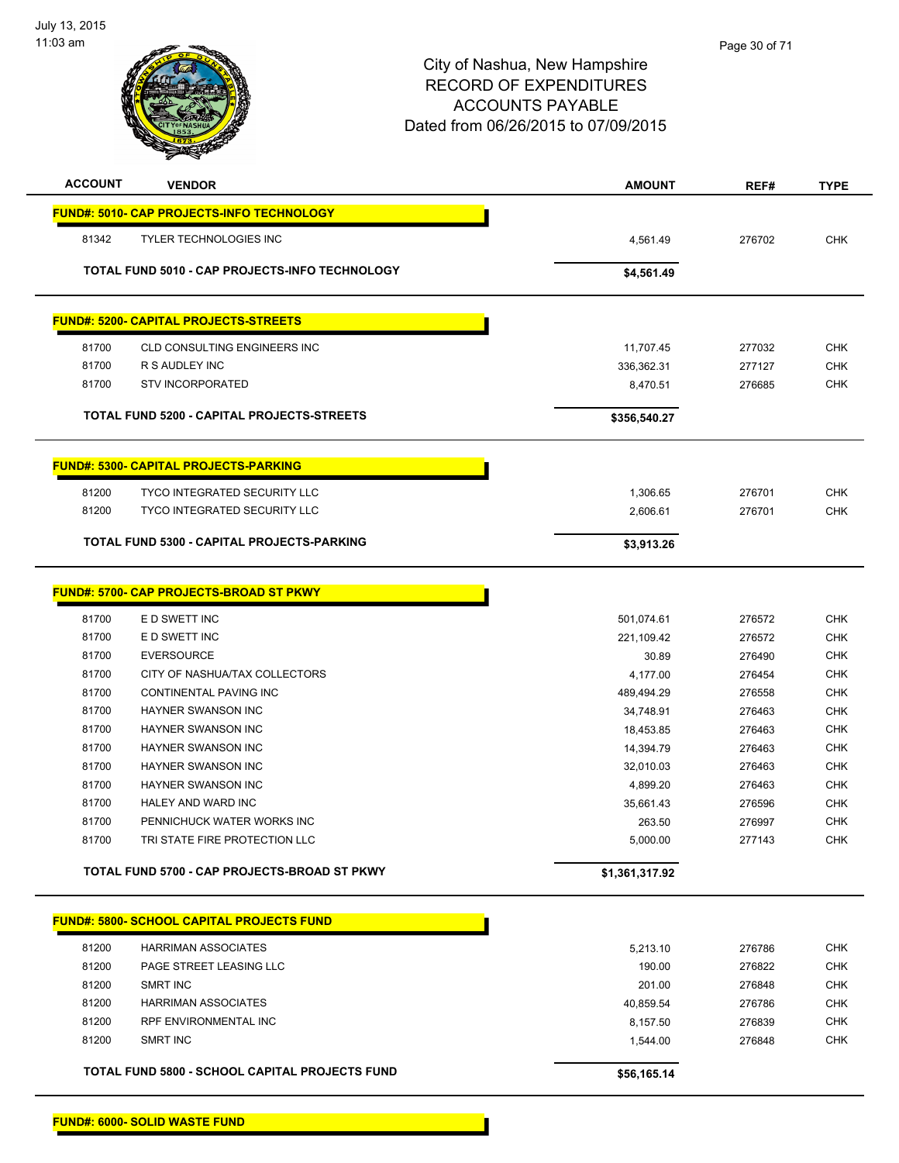

| <b>ACCOUNT</b> | <b>VENDOR</b>                                    | <b>AMOUNT</b>  | REF#   | <b>TYPE</b> |
|----------------|--------------------------------------------------|----------------|--------|-------------|
|                | FUND#: 5010- CAP PROJECTS-INFO TECHNOLOGY        |                |        |             |
| 81342          | <b>TYLER TECHNOLOGIES INC</b>                    | 4,561.49       | 276702 | <b>CHK</b>  |
|                | TOTAL FUND 5010 - CAP PROJECTS-INFO TECHNOLOGY   | \$4,561.49     |        |             |
|                |                                                  |                |        |             |
|                | <b>FUND#: 5200- CAPITAL PROJECTS-STREETS</b>     |                |        |             |
| 81700          | <b>CLD CONSULTING ENGINEERS INC</b>              | 11,707.45      | 277032 | <b>CHK</b>  |
| 81700          | R S AUDLEY INC                                   | 336,362.31     | 277127 | <b>CHK</b>  |
| 81700          | <b>STV INCORPORATED</b>                          | 8,470.51       | 276685 | <b>CHK</b>  |
|                | TOTAL FUND 5200 - CAPITAL PROJECTS-STREETS       | \$356,540.27   |        |             |
|                | <b>FUND#: 5300- CAPITAL PROJECTS-PARKING</b>     |                |        |             |
|                |                                                  |                |        |             |
| 81200          | TYCO INTEGRATED SECURITY LLC                     | 1,306.65       | 276701 | <b>CHK</b>  |
| 81200          | TYCO INTEGRATED SECURITY LLC                     | 2,606.61       | 276701 | <b>CHK</b>  |
|                | TOTAL FUND 5300 - CAPITAL PROJECTS-PARKING       | \$3,913.26     |        |             |
|                |                                                  |                |        |             |
|                | FUND#: 5700- CAP PROJECTS-BROAD ST PKWY          |                |        |             |
| 81700          | E D SWETT INC                                    | 501,074.61     | 276572 | <b>CHK</b>  |
| 81700          | E D SWETT INC                                    | 221,109.42     | 276572 | <b>CHK</b>  |
| 81700          | <b>EVERSOURCE</b>                                | 30.89          | 276490 | <b>CHK</b>  |
| 81700          | CITY OF NASHUA/TAX COLLECTORS                    | 4,177.00       | 276454 | <b>CHK</b>  |
| 81700          | <b>CONTINENTAL PAVING INC</b>                    | 489,494.29     | 276558 | <b>CHK</b>  |
| 81700          | HAYNER SWANSON INC                               | 34,748.91      | 276463 | <b>CHK</b>  |
| 81700          | HAYNER SWANSON INC                               | 18,453.85      | 276463 | <b>CHK</b>  |
| 81700          | HAYNER SWANSON INC                               | 14,394.79      | 276463 | <b>CHK</b>  |
| 81700          | <b>HAYNER SWANSON INC</b>                        | 32,010.03      | 276463 | <b>CHK</b>  |
| 81700          | HAYNER SWANSON INC                               | 4,899.20       | 276463 | <b>CHK</b>  |
| 81700          | HALEY AND WARD INC                               | 35,661.43      | 276596 | <b>CHK</b>  |
| 81700          | PENNICHUCK WATER WORKS INC                       | 263.50         | 276997 | <b>CHK</b>  |
| 81700          | TRI STATE FIRE PROTECTION LLC                    | 5,000.00       | 277143 | <b>CHK</b>  |
|                | TOTAL FUND 5700 - CAP PROJECTS-BROAD ST PKWY     | \$1,361,317.92 |        |             |
|                | <b>FUND#: 5800- SCHOOL CAPITAL PROJECTS FUND</b> |                |        |             |
|                |                                                  |                |        |             |
| 81200          | <b>HARRIMAN ASSOCIATES</b>                       | 5,213.10       | 276786 | <b>CHK</b>  |
| 81200          | PAGE STREET LEASING LLC                          | 190.00         | 276822 | <b>CHK</b>  |
| 81200          | SMRT INC                                         | 201.00         | 276848 | <b>CHK</b>  |
| 81200          | <b>HARRIMAN ASSOCIATES</b>                       | 40,859.54      | 276786 | <b>CHK</b>  |
| 81200          | <b>RPF ENVIRONMENTAL INC</b>                     | 8,157.50       | 276839 | <b>CHK</b>  |
| 81200          | SMRT INC                                         | 1,544.00       | 276848 | <b>CHK</b>  |
|                | TOTAL FUND 5800 - SCHOOL CAPITAL PROJECTS FUND   | \$56,165.14    |        |             |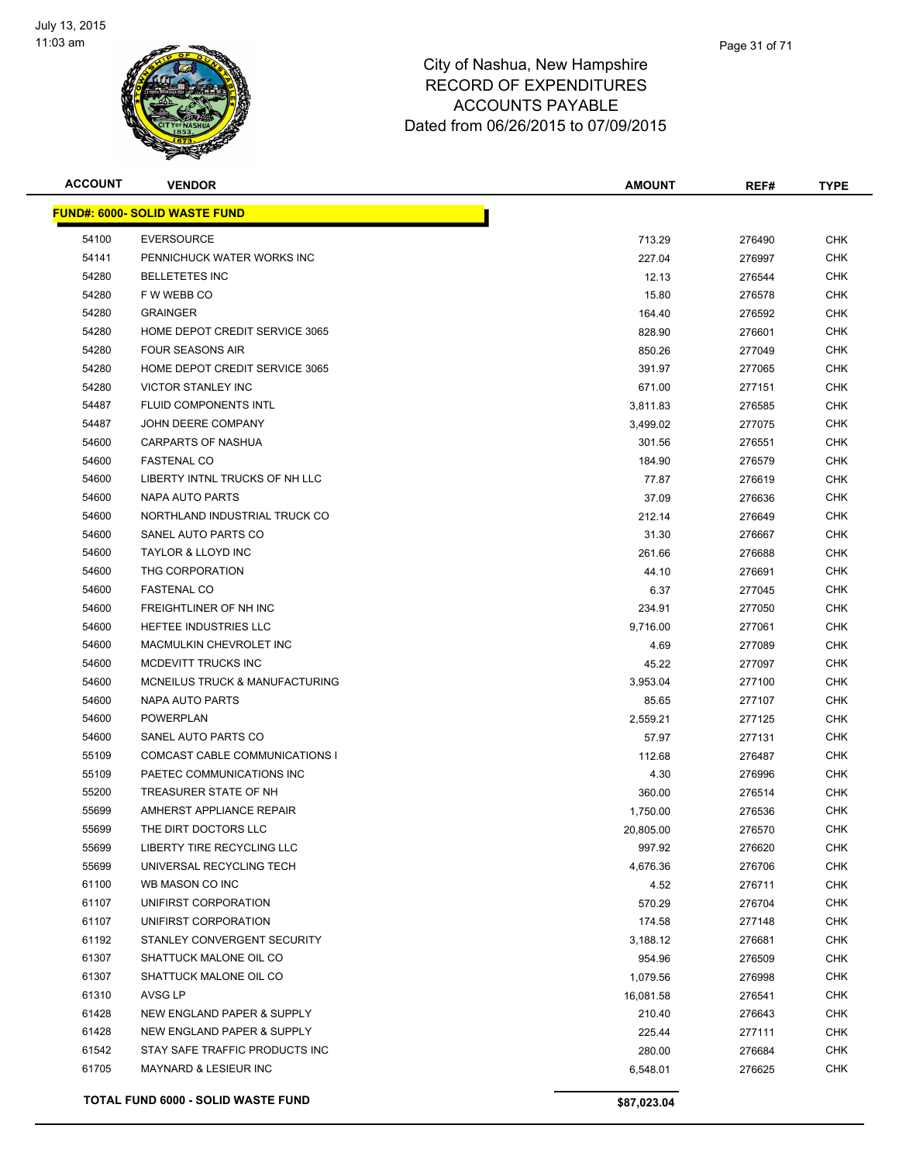

| <b>ACCOUNT</b> | <b>VENDOR</b>                        | <b>AMOUNT</b> | REF#   | <b>TYPE</b> |
|----------------|--------------------------------------|---------------|--------|-------------|
|                | <b>FUND#: 6000- SOLID WASTE FUND</b> |               |        |             |
| 54100          | <b>EVERSOURCE</b>                    | 713.29        | 276490 | <b>CHK</b>  |
| 54141          | PENNICHUCK WATER WORKS INC           | 227.04        | 276997 | <b>CHK</b>  |
| 54280          | <b>BELLETETES INC</b>                | 12.13         | 276544 | CHK         |
| 54280          | F W WEBB CO                          | 15.80         | 276578 | <b>CHK</b>  |
| 54280          | <b>GRAINGER</b>                      | 164.40        | 276592 | CHK         |
| 54280          | HOME DEPOT CREDIT SERVICE 3065       | 828.90        | 276601 | <b>CHK</b>  |
| 54280          | <b>FOUR SEASONS AIR</b>              | 850.26        | 277049 | <b>CHK</b>  |
| 54280          | HOME DEPOT CREDIT SERVICE 3065       | 391.97        | 277065 | <b>CHK</b>  |
| 54280          | <b>VICTOR STANLEY INC</b>            | 671.00        | 277151 | <b>CHK</b>  |
| 54487          | FLUID COMPONENTS INTL                | 3,811.83      | 276585 | CHK         |
| 54487          | JOHN DEERE COMPANY                   | 3,499.02      | 277075 | CHK         |
| 54600          | CARPARTS OF NASHUA                   | 301.56        | 276551 | CHK         |
| 54600          | <b>FASTENAL CO</b>                   | 184.90        | 276579 | CHK         |
| 54600          | LIBERTY INTNL TRUCKS OF NH LLC       | 77.87         | 276619 | CHK         |
| 54600          | NAPA AUTO PARTS                      | 37.09         | 276636 | <b>CHK</b>  |
| 54600          | NORTHLAND INDUSTRIAL TRUCK CO        | 212.14        | 276649 | <b>CHK</b>  |
| 54600          | SANEL AUTO PARTS CO                  | 31.30         | 276667 | <b>CHK</b>  |
| 54600          | <b>TAYLOR &amp; LLOYD INC</b>        | 261.66        | 276688 | <b>CHK</b>  |
| 54600          | THG CORPORATION                      | 44.10         | 276691 | <b>CHK</b>  |
| 54600          | <b>FASTENAL CO</b>                   | 6.37          | 277045 | <b>CHK</b>  |
| 54600          | FREIGHTLINER OF NH INC               | 234.91        | 277050 | <b>CHK</b>  |
| 54600          | HEFTEE INDUSTRIES LLC                | 9,716.00      | 277061 | <b>CHK</b>  |
| 54600          | MACMULKIN CHEVROLET INC              | 4.69          | 277089 | <b>CHK</b>  |
| 54600          | MCDEVITT TRUCKS INC                  | 45.22         | 277097 | <b>CHK</b>  |
| 54600          | MCNEILUS TRUCK & MANUFACTURING       | 3,953.04      | 277100 | CHK         |
| 54600          | NAPA AUTO PARTS                      | 85.65         | 277107 | <b>CHK</b>  |
| 54600          | <b>POWERPLAN</b>                     | 2,559.21      | 277125 | <b>CHK</b>  |
| 54600          | SANEL AUTO PARTS CO                  | 57.97         | 277131 | <b>CHK</b>  |
| 55109          | COMCAST CABLE COMMUNICATIONS I       | 112.68        | 276487 | CHK         |
| 55109          | PAETEC COMMUNICATIONS INC            | 4.30          | 276996 | CHK         |
| 55200          | TREASURER STATE OF NH                | 360.00        | 276514 | CHK         |
| 55699          | AMHERST APPLIANCE REPAIR             | 1,750.00      | 276536 | CHK         |
| 55699          | THE DIRT DOCTORS LLC                 | 20,805.00     | 276570 | <b>CHK</b>  |
| 55699          | LIBERTY TIRE RECYCLING LLC           | 997.92        | 276620 | <b>CHK</b>  |
| 55699          | UNIVERSAL RECYCLING TECH             | 4,676.36      | 276706 | <b>CHK</b>  |
| 61100          | WB MASON CO INC                      | 4.52          | 276711 | <b>CHK</b>  |
| 61107          | UNIFIRST CORPORATION                 | 570.29        | 276704 | <b>CHK</b>  |
| 61107          | UNIFIRST CORPORATION                 | 174.58        | 277148 | <b>CHK</b>  |
| 61192          | STANLEY CONVERGENT SECURITY          | 3,188.12      | 276681 | <b>CHK</b>  |
| 61307          | SHATTUCK MALONE OIL CO               | 954.96        | 276509 | <b>CHK</b>  |
| 61307          | SHATTUCK MALONE OIL CO               | 1,079.56      | 276998 | <b>CHK</b>  |
| 61310          | AVSG LP                              | 16,081.58     | 276541 | <b>CHK</b>  |
| 61428          | NEW ENGLAND PAPER & SUPPLY           | 210.40        | 276643 | <b>CHK</b>  |
| 61428          | NEW ENGLAND PAPER & SUPPLY           | 225.44        | 277111 | <b>CHK</b>  |
| 61542          | STAY SAFE TRAFFIC PRODUCTS INC       | 280.00        | 276684 | <b>CHK</b>  |
| 61705          | MAYNARD & LESIEUR INC                | 6,548.01      | 276625 | CHK         |
|                |                                      |               |        |             |
|                | TOTAL FUND 6000 - SOLID WASTE FUND   | \$87,023.04   |        |             |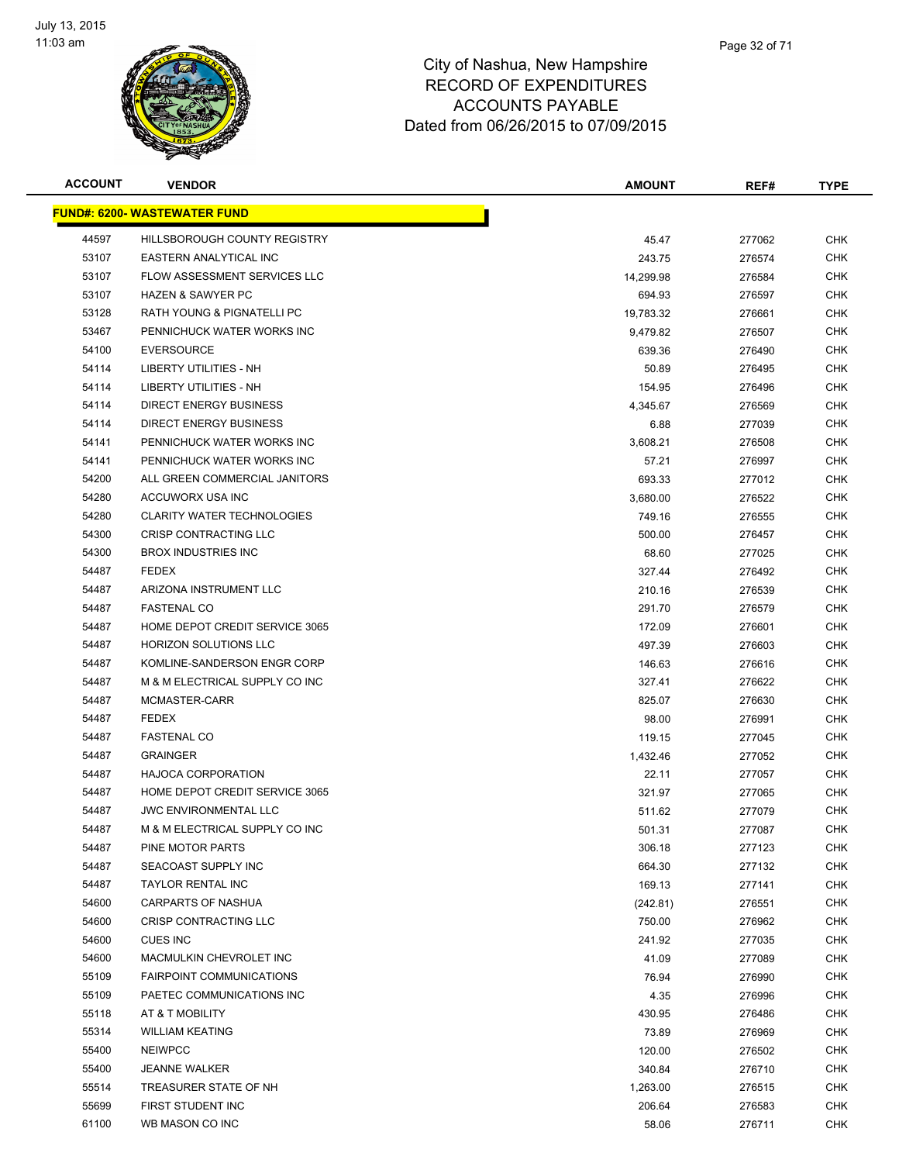

| <b>ACCOUNT</b> | <b>VENDOR</b>                        | <b>AMOUNT</b> | REF#   | <b>TYPE</b> |
|----------------|--------------------------------------|---------------|--------|-------------|
|                | <u> FUND#: 6200- WASTEWATER FUND</u> |               |        |             |
| 44597          | HILLSBOROUGH COUNTY REGISTRY         | 45.47         | 277062 | CHK         |
| 53107          | EASTERN ANALYTICAL INC               | 243.75        | 276574 | <b>CHK</b>  |
| 53107          | FLOW ASSESSMENT SERVICES LLC         | 14,299.98     | 276584 | <b>CHK</b>  |
| 53107          | <b>HAZEN &amp; SAWYER PC</b>         | 694.93        | 276597 | <b>CHK</b>  |
| 53128          | RATH YOUNG & PIGNATELLI PC           | 19,783.32     | 276661 | <b>CHK</b>  |
| 53467          | PENNICHUCK WATER WORKS INC           | 9,479.82      | 276507 | CHK         |
| 54100          | <b>EVERSOURCE</b>                    | 639.36        | 276490 | <b>CHK</b>  |
| 54114          | LIBERTY UTILITIES - NH               | 50.89         | 276495 | CHK         |
| 54114          | LIBERTY UTILITIES - NH               | 154.95        | 276496 | CHK         |
| 54114          | DIRECT ENERGY BUSINESS               | 4,345.67      | 276569 | CHK         |
| 54114          | DIRECT ENERGY BUSINESS               | 6.88          | 277039 | CHK         |
| 54141          | PENNICHUCK WATER WORKS INC           | 3,608.21      | 276508 | CHK         |
| 54141          | PENNICHUCK WATER WORKS INC           | 57.21         | 276997 | <b>CHK</b>  |
| 54200          | ALL GREEN COMMERCIAL JANITORS        | 693.33        | 277012 | <b>CHK</b>  |
| 54280          | ACCUWORX USA INC                     | 3,680.00      | 276522 | <b>CHK</b>  |
| 54280          | <b>CLARITY WATER TECHNOLOGIES</b>    | 749.16        | 276555 | <b>CHK</b>  |
| 54300          | CRISP CONTRACTING LLC                | 500.00        | 276457 | CHK         |
| 54300          | <b>BROX INDUSTRIES INC</b>           | 68.60         | 277025 | <b>CHK</b>  |
| 54487          | <b>FEDEX</b>                         | 327.44        | 276492 | <b>CHK</b>  |
| 54487          | ARIZONA INSTRUMENT LLC               | 210.16        | 276539 | CHK         |
| 54487          | <b>FASTENAL CO</b>                   | 291.70        | 276579 | <b>CHK</b>  |
| 54487          | HOME DEPOT CREDIT SERVICE 3065       | 172.09        | 276601 | CHK         |
| 54487          | <b>HORIZON SOLUTIONS LLC</b>         | 497.39        | 276603 | CHK         |
| 54487          | KOMLINE-SANDERSON ENGR CORP          | 146.63        | 276616 | <b>CHK</b>  |
| 54487          | M & M ELECTRICAL SUPPLY CO INC       | 327.41        | 276622 | <b>CHK</b>  |
| 54487          | MCMASTER-CARR                        | 825.07        | 276630 | <b>CHK</b>  |
| 54487          | <b>FEDEX</b>                         | 98.00         | 276991 | <b>CHK</b>  |
| 54487          | <b>FASTENAL CO</b>                   | 119.15        | 277045 | CHK         |
| 54487          | <b>GRAINGER</b>                      | 1,432.46      | 277052 | CHK         |
| 54487          | <b>HAJOCA CORPORATION</b>            | 22.11         | 277057 | CHK         |
| 54487          | HOME DEPOT CREDIT SERVICE 3065       | 321.97        | 277065 | CHK         |
| 54487          | <b>JWC ENVIRONMENTAL LLC</b>         | 511.62        | 277079 | <b>CHK</b>  |
| 54487          | M & M ELECTRICAL SUPPLY CO INC       | 501.31        | 277087 | <b>CHK</b>  |
| 54487          | PINE MOTOR PARTS                     | 306.18        | 277123 | <b>CHK</b>  |
| 54487          | SEACOAST SUPPLY INC                  | 664.30        | 277132 | <b>CHK</b>  |
| 54487          | <b>TAYLOR RENTAL INC</b>             | 169.13        | 277141 | <b>CHK</b>  |
| 54600          | CARPARTS OF NASHUA                   | (242.81)      | 276551 | <b>CHK</b>  |
| 54600          | CRISP CONTRACTING LLC                | 750.00        | 276962 | <b>CHK</b>  |
| 54600          | CUES INC                             | 241.92        | 277035 | <b>CHK</b>  |
| 54600          | MACMULKIN CHEVROLET INC              | 41.09         | 277089 | <b>CHK</b>  |
| 55109          | <b>FAIRPOINT COMMUNICATIONS</b>      | 76.94         | 276990 | <b>CHK</b>  |
| 55109          | PAETEC COMMUNICATIONS INC            | 4.35          | 276996 | <b>CHK</b>  |
| 55118          | AT & T MOBILITY                      | 430.95        | 276486 | <b>CHK</b>  |
| 55314          | <b>WILLIAM KEATING</b>               | 73.89         | 276969 | <b>CHK</b>  |
| 55400          | <b>NEIWPCC</b>                       | 120.00        | 276502 | CHK         |
| 55400          | <b>JEANNE WALKER</b>                 | 340.84        | 276710 | <b>CHK</b>  |
| 55514          | TREASURER STATE OF NH                | 1,263.00      | 276515 | CHK         |
| 55699          | FIRST STUDENT INC                    | 206.64        | 276583 | <b>CHK</b>  |
| 61100          | WB MASON CO INC                      | 58.06         | 276711 | <b>CHK</b>  |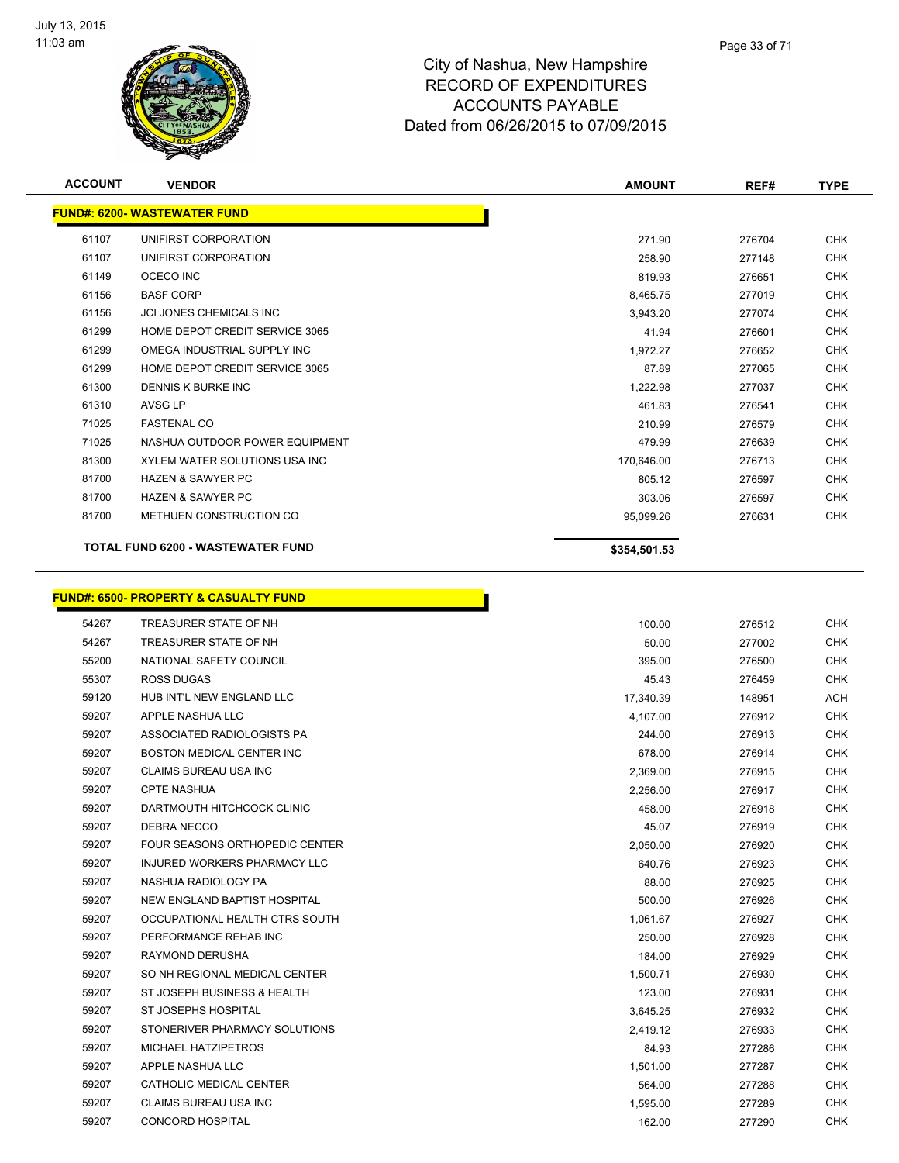

**ACCOUNT VENDOR AMOUNT REF# TYPE**

|       | <b>FUND#: 6200- WASTEWATER FUND</b>              |              |        |            |
|-------|--------------------------------------------------|--------------|--------|------------|
| 61107 | UNIFIRST CORPORATION                             | 271.90       | 276704 | <b>CHK</b> |
| 61107 | UNIFIRST CORPORATION                             | 258.90       | 277148 | <b>CHK</b> |
| 61149 | OCECO INC                                        | 819.93       | 276651 | <b>CHK</b> |
| 61156 | <b>BASF CORP</b>                                 | 8,465.75     | 277019 | <b>CHK</b> |
| 61156 | JCI JONES CHEMICALS INC                          | 3,943.20     | 277074 | <b>CHK</b> |
| 61299 | HOME DEPOT CREDIT SERVICE 3065                   | 41.94        | 276601 | <b>CHK</b> |
| 61299 | OMEGA INDUSTRIAL SUPPLY INC                      | 1,972.27     | 276652 | <b>CHK</b> |
| 61299 | HOME DEPOT CREDIT SERVICE 3065                   | 87.89        | 277065 | <b>CHK</b> |
| 61300 | DENNIS K BURKE INC                               | 1,222.98     | 277037 | <b>CHK</b> |
| 61310 | AVSG LP                                          | 461.83       | 276541 | <b>CHK</b> |
| 71025 | <b>FASTENAL CO</b>                               | 210.99       | 276579 | <b>CHK</b> |
| 71025 | NASHUA OUTDOOR POWER EQUIPMENT                   | 479.99       | 276639 | <b>CHK</b> |
| 81300 | XYLEM WATER SOLUTIONS USA INC                    | 170,646.00   | 276713 | <b>CHK</b> |
| 81700 | <b>HAZEN &amp; SAWYER PC</b>                     | 805.12       | 276597 | <b>CHK</b> |
| 81700 | <b>HAZEN &amp; SAWYER PC</b>                     | 303.06       | 276597 | <b>CHK</b> |
| 81700 | METHUEN CONSTRUCTION CO                          | 95,099.26    | 276631 | <b>CHK</b> |
|       | <b>TOTAL FUND 6200 - WASTEWATER FUND</b>         | \$354,501.53 |        |            |
|       | <b>FUND#: 6500- PROPERTY &amp; CASUALTY FUND</b> |              |        |            |
| 54267 | TREASURER STATE OF NH                            | 100.00       | 276512 | <b>CHK</b> |
| 54267 | TREASURER STATE OF NH                            | 50.00        | 277002 | <b>CHK</b> |
| 55200 | NATIONAL SAFETY COUNCIL                          | 395.00       | 276500 | <b>CHK</b> |
| 55307 | <b>ROSS DUGAS</b>                                | 45.43        | 276459 | <b>CHK</b> |
| 59120 | HUB INT'L NEW ENGLAND LLC                        | 17,340.39    | 148951 | ACH        |
| 59207 | APPLE NASHUA LLC                                 | 4,107.00     | 276912 | <b>CHK</b> |
| 59207 | ASSOCIATED RADIOLOGISTS PA                       | 244.00       | 276913 | <b>CHK</b> |
| 59207 | BOSTON MEDICAL CENTER INC                        | 678.00       | 276914 | <b>CHK</b> |
| 59207 | CLAIMS BUREAU USA INC                            | 2,369.00     | 276915 | <b>CHK</b> |
| 59207 | <b>CPTE NASHUA</b>                               | 2,256.00     | 276917 | <b>CHK</b> |
| 59207 | DARTMOUTH HITCHCOCK CLINIC                       | 458.00       | 276918 | <b>CHK</b> |
| 59207 | DEBRA NECCO                                      | 45.07        | 276919 | <b>CHK</b> |
| 59207 | FOUR SEASONS ORTHOPEDIC CENTER                   | 2,050.00     | 276920 | CHK        |
| 59207 | INJURED WORKERS PHARMACY LLC                     | 640.76       | 276923 | <b>CHK</b> |
| 59207 | NASHUA RADIOLOGY PA                              | 88.00        | 276925 | <b>CHK</b> |
| 59207 | NEW ENGLAND BAPTIST HOSPITAL                     | 500.00       | 276926 | <b>CHK</b> |
| 59207 | OCCUPATIONAL HEALTH CTRS SOUTH                   | 1,061.67     | 276927 | <b>CHK</b> |
| 59207 | PERFORMANCE REHAB INC                            | 250.00       | 276928 | <b>CHK</b> |
| 59207 | <b>RAYMOND DERUSHA</b>                           | 184.00       | 276929 | <b>CHK</b> |
| 59207 | SO NH REGIONAL MEDICAL CENTER                    | 1,500.71     | 276930 | <b>CHK</b> |
| 59207 | ST JOSEPH BUSINESS & HEALTH                      | 123.00       | 276931 | <b>CHK</b> |
| 59207 | ST JOSEPHS HOSPITAL                              | 3,645.25     | 276932 | <b>CHK</b> |
| 59207 | STONERIVER PHARMACY SOLUTIONS                    | 2,419.12     | 276933 | <b>CHK</b> |
| 59207 | MICHAEL HATZIPETROS                              | 84.93        | 277286 | <b>CHK</b> |
| 59207 | APPLE NASHUA LLC                                 | 1,501.00     | 277287 | <b>CHK</b> |
| 59207 | CATHOLIC MEDICAL CENTER                          | 564.00       | 277288 | <b>CHK</b> |
| 59207 | CLAIMS BUREAU USA INC                            | 1,595.00     | 277289 | CHK        |
| 59207 | <b>CONCORD HOSPITAL</b>                          | 162.00       | 277290 | <b>CHK</b> |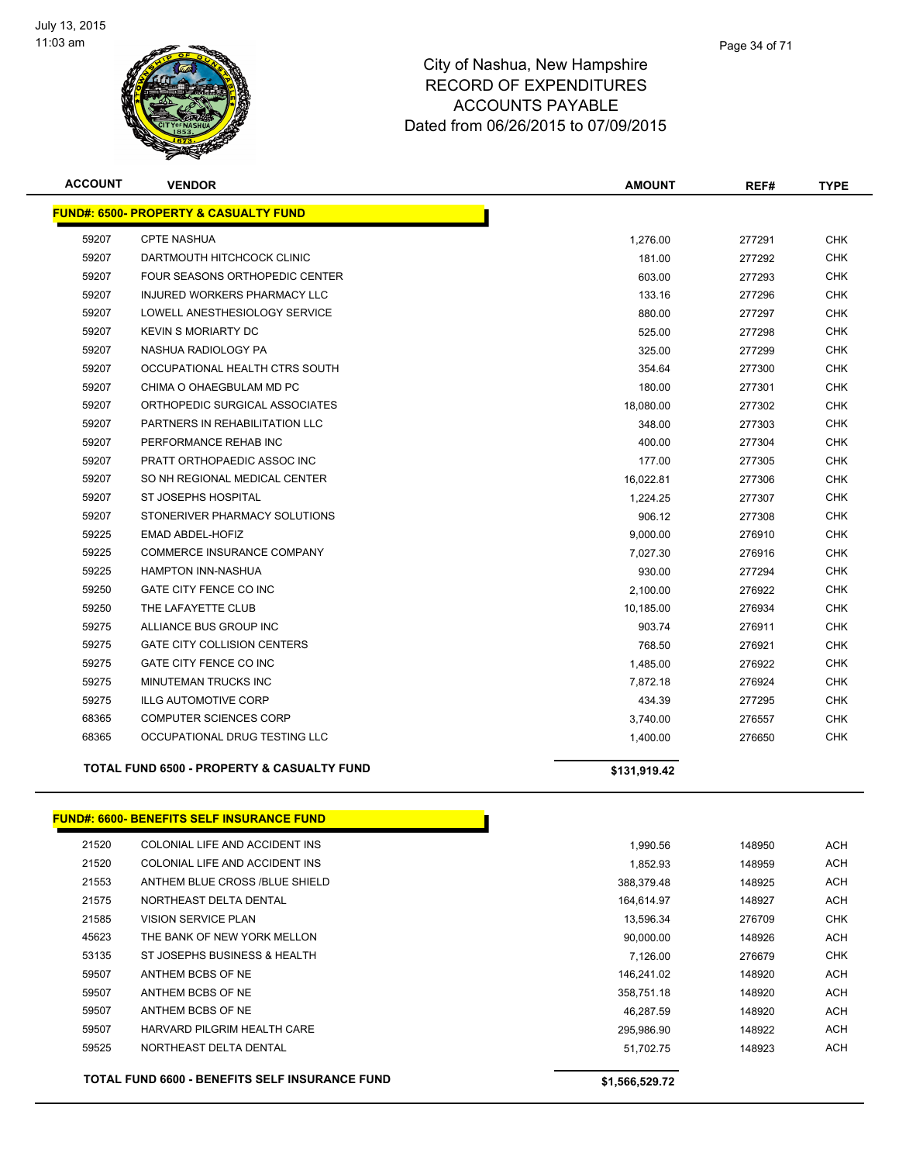

|       | <b>FUND#: 6500- PROPERTY &amp; CASUALTY FUND</b>      |              |        |            |
|-------|-------------------------------------------------------|--------------|--------|------------|
| 59207 | <b>CPTE NASHUA</b>                                    | 1,276.00     | 277291 | <b>CHK</b> |
| 59207 | DARTMOUTH HITCHCOCK CLINIC                            | 181.00       | 277292 | <b>CHK</b> |
| 59207 | <b>FOUR SEASONS ORTHOPEDIC CENTER</b>                 | 603.00       | 277293 | <b>CHK</b> |
| 59207 | INJURED WORKERS PHARMACY LLC                          | 133.16       | 277296 | <b>CHK</b> |
| 59207 | LOWELL ANESTHESIOLOGY SERVICE                         | 880.00       | 277297 | <b>CHK</b> |
| 59207 | <b>KEVIN S MORIARTY DC</b>                            | 525.00       | 277298 | <b>CHK</b> |
| 59207 | NASHUA RADIOLOGY PA                                   | 325.00       | 277299 | <b>CHK</b> |
| 59207 | OCCUPATIONAL HEALTH CTRS SOUTH                        | 354.64       | 277300 | <b>CHK</b> |
| 59207 | CHIMA O OHAEGBULAM MD PC                              | 180.00       | 277301 | <b>CHK</b> |
| 59207 | ORTHOPEDIC SURGICAL ASSOCIATES                        | 18,080.00    | 277302 | <b>CHK</b> |
| 59207 | PARTNERS IN REHABILITATION LLC                        | 348.00       | 277303 | <b>CHK</b> |
| 59207 | PERFORMANCE REHAB INC                                 | 400.00       | 277304 | <b>CHK</b> |
| 59207 | PRATT ORTHOPAEDIC ASSOC INC                           | 177.00       | 277305 | <b>CHK</b> |
| 59207 | SO NH REGIONAL MEDICAL CENTER                         | 16,022.81    | 277306 | <b>CHK</b> |
| 59207 | ST JOSEPHS HOSPITAL                                   | 1,224.25     | 277307 | <b>CHK</b> |
| 59207 | STONERIVER PHARMACY SOLUTIONS                         | 906.12       | 277308 | <b>CHK</b> |
| 59225 | EMAD ABDEL-HOFIZ                                      | 9,000.00     | 276910 | <b>CHK</b> |
| 59225 | COMMERCE INSURANCE COMPANY                            | 7,027.30     | 276916 | <b>CHK</b> |
| 59225 | <b>HAMPTON INN-NASHUA</b>                             | 930.00       | 277294 | <b>CHK</b> |
| 59250 | GATE CITY FENCE CO INC                                | 2,100.00     | 276922 | <b>CHK</b> |
| 59250 | THE LAFAYETTE CLUB                                    | 10,185.00    | 276934 | <b>CHK</b> |
| 59275 | ALLIANCE BUS GROUP INC                                | 903.74       | 276911 | <b>CHK</b> |
| 59275 | <b>GATE CITY COLLISION CENTERS</b>                    | 768.50       | 276921 | <b>CHK</b> |
| 59275 | <b>GATE CITY FENCE CO INC</b>                         | 1,485.00     | 276922 | <b>CHK</b> |
| 59275 | MINUTEMAN TRUCKS INC                                  | 7,872.18     | 276924 | <b>CHK</b> |
| 59275 | <b>ILLG AUTOMOTIVE CORP</b>                           | 434.39       | 277295 | <b>CHK</b> |
| 68365 | COMPUTER SCIENCES CORP                                | 3,740.00     | 276557 | <b>CHK</b> |
| 68365 | OCCUPATIONAL DRUG TESTING LLC                         | 1,400.00     | 276650 | <b>CHK</b> |
|       | <b>TOTAL FUND 6500 - PROPERTY &amp; CASUALTY FUND</b> | \$131,919.42 |        |            |
|       | <b>FUND#: 6600- BENEFITS SELF INSURANCE FUND</b>      |              |        |            |

|       | <b>TOTAL FUND 6600 - BENEFITS SELF INSURANCE FUND</b> | \$1,566,529.72 |        |            |
|-------|-------------------------------------------------------|----------------|--------|------------|
| 59525 | NORTHEAST DELTA DENTAL                                | 51.702.75      | 148923 | <b>ACH</b> |
| 59507 | HARVARD PILGRIM HEALTH CARE                           | 295,986.90     | 148922 | <b>ACH</b> |
| 59507 | ANTHEM BCBS OF NE                                     | 46.287.59      | 148920 | <b>ACH</b> |
| 59507 | ANTHEM BCBS OF NE                                     | 358,751.18     | 148920 | <b>ACH</b> |
| 59507 | ANTHEM BCBS OF NE                                     | 146.241.02     | 148920 | <b>ACH</b> |
| 53135 | ST JOSEPHS BUSINESS & HEALTH                          | 7.126.00       | 276679 | <b>CHK</b> |
| 45623 | THE BANK OF NEW YORK MELLON                           | 90,000.00      | 148926 | <b>ACH</b> |
| 21585 | <b>VISION SERVICE PLAN</b>                            | 13.596.34      | 276709 | <b>CHK</b> |
| 21575 | NORTHEAST DELTA DENTAL                                | 164.614.97     | 148927 | <b>ACH</b> |
| 21553 | ANTHEM BLUE CROSS /BLUE SHIELD                        | 388.379.48     | 148925 | <b>ACH</b> |
| 21520 | COLONIAL LIFE AND ACCIDENT INS                        | 1.852.93       | 148959 | <b>ACH</b> |
| 21520 | COLONIAL LIFE AND ACCIDENT INS                        | 1,990.56       | 148950 | <b>ACH</b> |
|       |                                                       |                |        |            |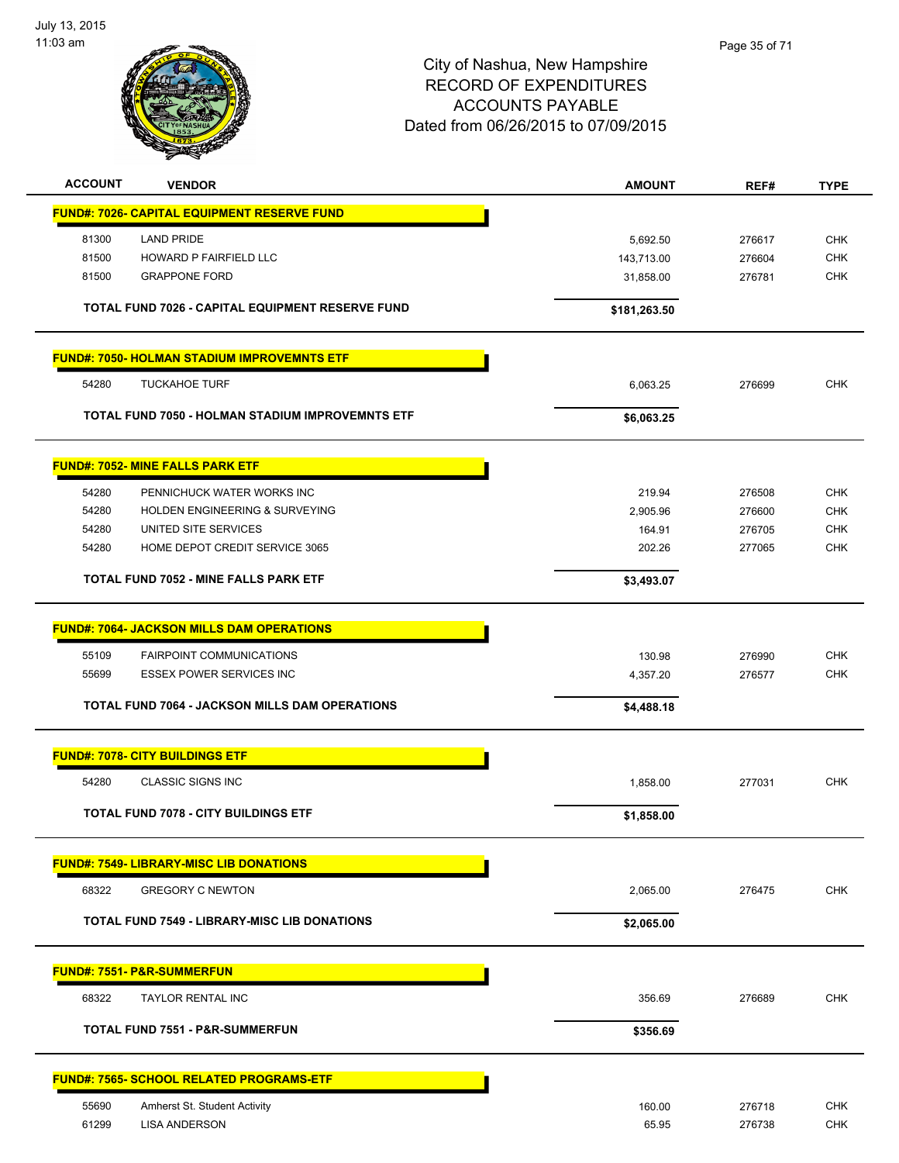

| <b>ACCOUNT</b> | <b>VENDOR</b>                                         | <b>AMOUNT</b> | REF#   | <b>TYPE</b> |
|----------------|-------------------------------------------------------|---------------|--------|-------------|
|                | <b>FUND#: 7026- CAPITAL EQUIPMENT RESERVE FUND</b>    |               |        |             |
| 81300          | <b>LAND PRIDE</b>                                     | 5,692.50      | 276617 | <b>CHK</b>  |
| 81500          | <b>HOWARD P FAIRFIELD LLC</b>                         | 143,713.00    | 276604 | <b>CHK</b>  |
| 81500          | <b>GRAPPONE FORD</b>                                  | 31,858.00     | 276781 | <b>CHK</b>  |
|                | TOTAL FUND 7026 - CAPITAL EQUIPMENT RESERVE FUND      | \$181,263.50  |        |             |
|                | <b>FUND#: 7050- HOLMAN STADIUM IMPROVEMNTS ETF</b>    |               |        |             |
| 54280          | <b>TUCKAHOE TURF</b>                                  | 6,063.25      | 276699 | <b>CHK</b>  |
|                | TOTAL FUND 7050 - HOLMAN STADIUM IMPROVEMNTS ETF      | \$6,063.25    |        |             |
|                | <b>FUND#: 7052- MINE FALLS PARK ETF</b>               |               |        |             |
| 54280          | PENNICHUCK WATER WORKS INC                            | 219.94        | 276508 | <b>CHK</b>  |
| 54280          | <b>HOLDEN ENGINEERING &amp; SURVEYING</b>             | 2,905.96      | 276600 | <b>CHK</b>  |
| 54280          | UNITED SITE SERVICES                                  | 164.91        | 276705 | <b>CHK</b>  |
| 54280          | HOME DEPOT CREDIT SERVICE 3065                        | 202.26        | 277065 | <b>CHK</b>  |
|                | <b>TOTAL FUND 7052 - MINE FALLS PARK ETF</b>          | \$3,493.07    |        |             |
|                | <b>FUND#: 7064- JACKSON MILLS DAM OPERATIONS</b>      |               |        |             |
| 55109          | <b>FAIRPOINT COMMUNICATIONS</b>                       | 130.98        | 276990 | <b>CHK</b>  |
| 55699          | <b>ESSEX POWER SERVICES INC</b>                       | 4,357.20      | 276577 | <b>CHK</b>  |
|                | <b>TOTAL FUND 7064 - JACKSON MILLS DAM OPERATIONS</b> | \$4,488.18    |        |             |
|                | <b>FUND#: 7078- CITY BUILDINGS ETF</b>                |               |        |             |
| 54280          | <b>CLASSIC SIGNS INC</b>                              | 1,858.00      | 277031 | <b>CHK</b>  |
|                | <b>TOTAL FUND 7078 - CITY BUILDINGS ETF</b>           | \$1,858.00    |        |             |
|                | <b>FUND#: 7549- LIBRARY-MISC LIB DONATIONS</b>        |               |        |             |
| 68322          | <b>GREGORY C NEWTON</b>                               | 2,065.00      | 276475 | <b>CHK</b>  |
|                | <b>TOTAL FUND 7549 - LIBRARY-MISC LIB DONATIONS</b>   | \$2,065.00    |        |             |
|                |                                                       |               |        |             |
|                | <b>FUND#: 7551- P&amp;R-SUMMERFUN</b>                 |               |        |             |
| 68322          | TAYLOR RENTAL INC                                     | 356.69        | 276689 | <b>CHK</b>  |
|                | <b>TOTAL FUND 7551 - P&amp;R-SUMMERFUN</b>            | \$356.69      |        |             |
|                | <b>FUND#: 7565- SCHOOL RELATED PROGRAMS-ETF</b>       |               |        |             |
| 55690          | Amherst St. Student Activity                          | 160.00        | 276718 | <b>CHK</b>  |
| 61299          | <b>LISA ANDERSON</b>                                  | 65.95         | 276738 | <b>CHK</b>  |
|                |                                                       |               |        |             |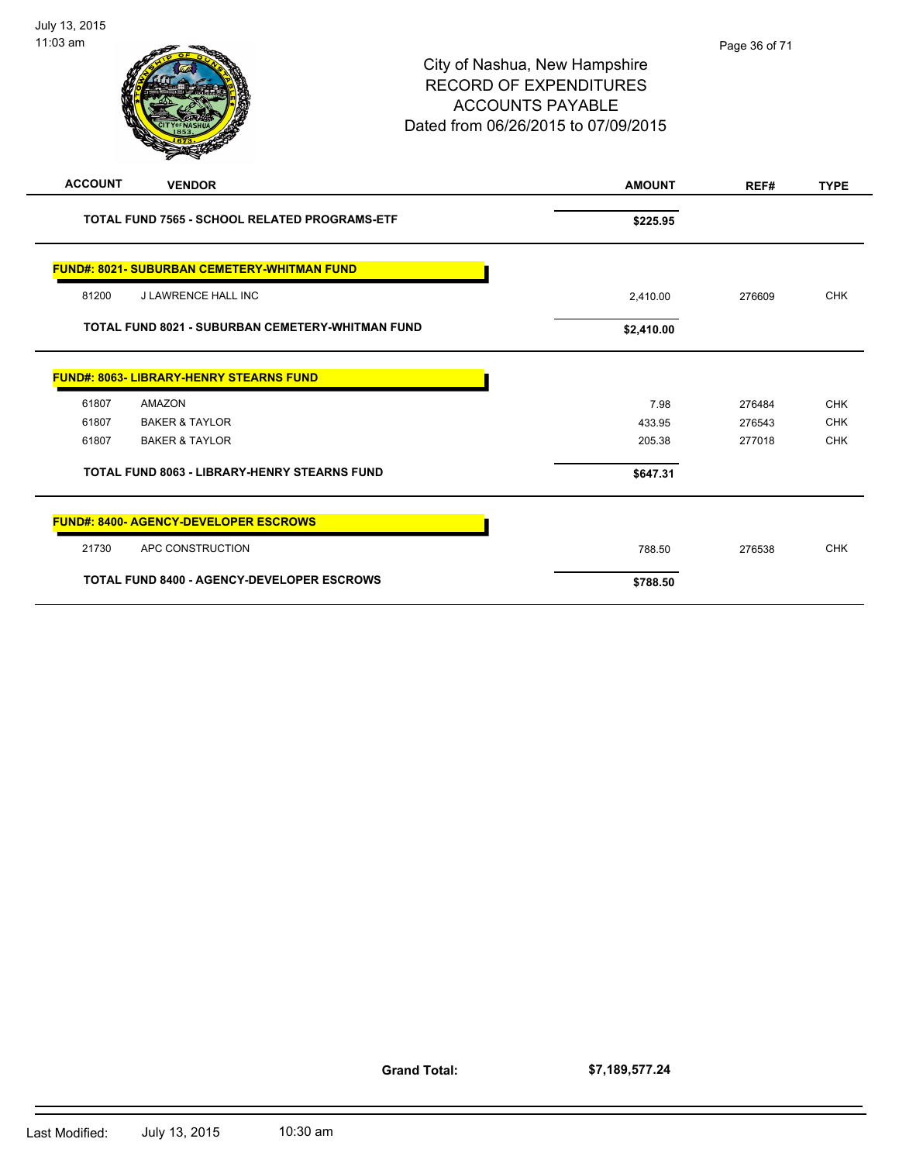|                | $\boldsymbol{z}$                                        |               |        |             |
|----------------|---------------------------------------------------------|---------------|--------|-------------|
| <b>ACCOUNT</b> | <b>VENDOR</b>                                           | <b>AMOUNT</b> | REF#   | <b>TYPE</b> |
|                | <b>TOTAL FUND 7565 - SCHOOL RELATED PROGRAMS-ETF</b>    | \$225.95      |        |             |
|                | <b>FUND#: 8021- SUBURBAN CEMETERY-WHITMAN FUND</b>      |               |        |             |
| 81200          | <b>J LAWRENCE HALL INC</b>                              | 2,410.00      | 276609 | <b>CHK</b>  |
|                | <b>TOTAL FUND 8021 - SUBURBAN CEMETERY-WHITMAN FUND</b> | \$2,410.00    |        |             |
|                | FUND#: 8063- LIBRARY-HENRY STEARNS FUND                 |               |        |             |
| 61807          | AMAZON                                                  | 7.98          | 276484 | <b>CHK</b>  |
| 61807          | <b>BAKER &amp; TAYLOR</b>                               | 433.95        | 276543 | <b>CHK</b>  |
| 61807          | <b>BAKER &amp; TAYLOR</b>                               | 205.38        | 277018 | <b>CHK</b>  |
|                | <b>TOTAL FUND 8063 - LIBRARY-HENRY STEARNS FUND</b>     | \$647.31      |        |             |
|                | <b>FUND#: 8400- AGENCY-DEVELOPER ESCROWS</b>            |               |        |             |
| 21730          | APC CONSTRUCTION                                        | 788.50        | 276538 | <b>CHK</b>  |
|                | TOTAL FUND 8400 - AGENCY-DEVELOPER ESCROWS              | \$788.50      |        |             |

**Grand Total:**

**\$7,189,577.24**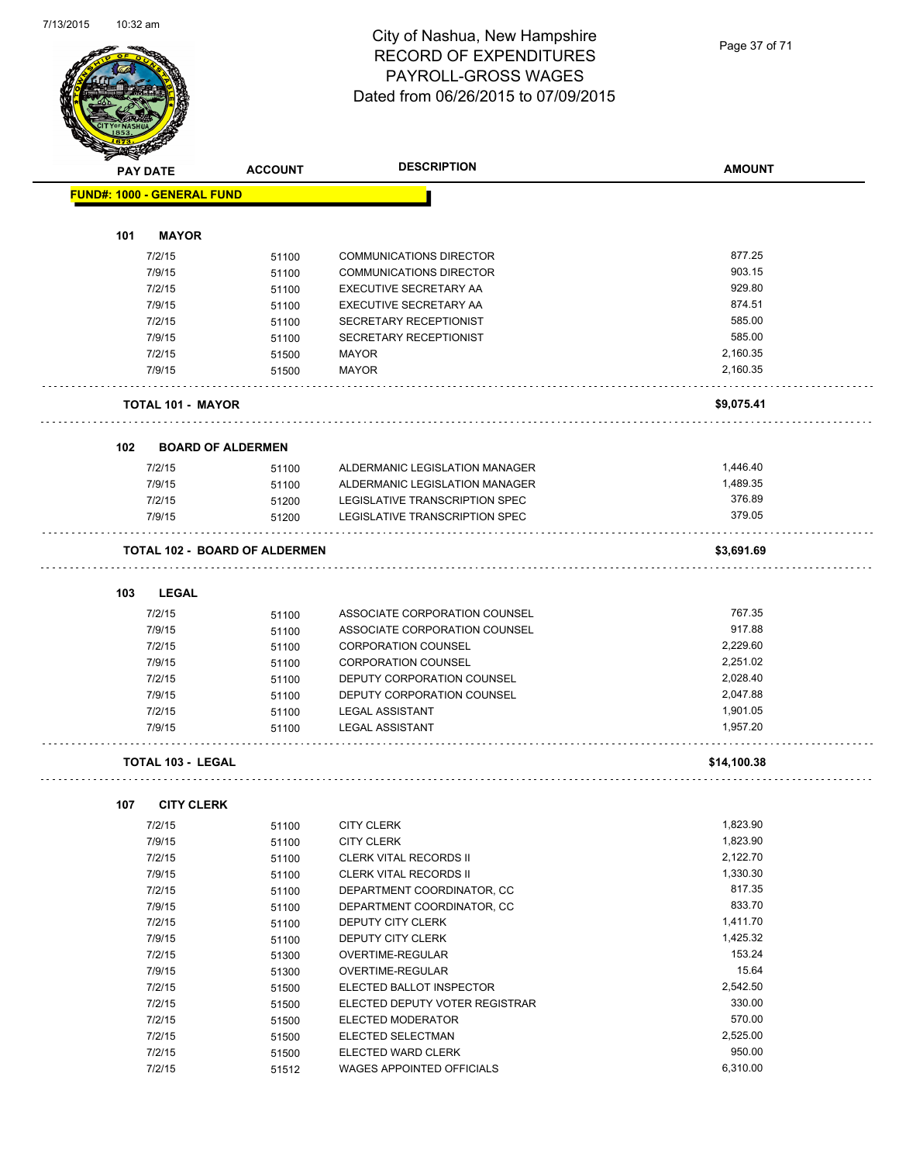Page 37 of 71

|                                   | <b>PAY DATE</b>          | <b>ACCOUNT</b>                       | <b>DESCRIPTION</b>             | <b>AMOUNT</b> |
|-----------------------------------|--------------------------|--------------------------------------|--------------------------------|---------------|
| <b>FUND#: 1000 - GENERAL FUND</b> |                          |                                      |                                |               |
| 101                               | <b>MAYOR</b>             |                                      |                                |               |
|                                   |                          |                                      |                                |               |
|                                   | 7/2/15                   | 51100                                | <b>COMMUNICATIONS DIRECTOR</b> | 877.25        |
|                                   | 7/9/15                   | 51100                                | <b>COMMUNICATIONS DIRECTOR</b> | 903.15        |
|                                   | 7/2/15                   | 51100                                | EXECUTIVE SECRETARY AA         | 929.80        |
|                                   | 7/9/15                   | 51100                                | EXECUTIVE SECRETARY AA         | 874.51        |
|                                   | 7/2/15                   | 51100                                | SECRETARY RECEPTIONIST         | 585.00        |
|                                   | 7/9/15                   | 51100                                | SECRETARY RECEPTIONIST         | 585.00        |
|                                   | 7/2/15                   | 51500                                | <b>MAYOR</b>                   | 2,160.35      |
|                                   | 7/9/15                   | 51500                                | <b>MAYOR</b>                   | 2,160.35      |
|                                   | <b>TOTAL 101 - MAYOR</b> |                                      |                                | \$9,075.41    |
| 102                               |                          | <b>BOARD OF ALDERMEN</b>             |                                |               |
|                                   | 7/2/15                   | 51100                                | ALDERMANIC LEGISLATION MANAGER | 1.446.40      |
|                                   | 7/9/15                   | 51100                                | ALDERMANIC LEGISLATION MANAGER | 1,489.35      |
|                                   | 7/2/15                   | 51200                                | LEGISLATIVE TRANSCRIPTION SPEC | 376.89        |
|                                   | 7/9/15                   | 51200                                | LEGISLATIVE TRANSCRIPTION SPEC | 379.05        |
|                                   |                          | <b>TOTAL 102 - BOARD OF ALDERMEN</b> |                                | \$3,691.69    |
| 103                               | <b>LEGAL</b>             |                                      |                                |               |
|                                   | 7/2/15                   | 51100                                | ASSOCIATE CORPORATION COUNSEL  | 767.35        |
|                                   | 7/9/15                   | 51100                                | ASSOCIATE CORPORATION COUNSEL  | 917.88        |
|                                   | 7/2/15                   | 51100                                | <b>CORPORATION COUNSEL</b>     | 2,229.60      |
|                                   | 7/9/15                   | 51100                                | <b>CORPORATION COUNSEL</b>     | 2,251.02      |
|                                   | 7/2/15                   | 51100                                | DEPUTY CORPORATION COUNSEL     | 2,028.40      |
|                                   | 7/9/15                   | 51100                                | DEPUTY CORPORATION COUNSEL     | 2,047.88      |
|                                   | 7/2/15                   |                                      | <b>LEGAL ASSISTANT</b>         | 1,901.05      |
|                                   | 7/9/15                   | 51100<br>51100                       | <b>LEGAL ASSISTANT</b>         | 1,957.20      |
|                                   | <b>TOTAL 103 - LEGAL</b> |                                      |                                | \$14,100.38   |
|                                   |                          |                                      |                                |               |
| 107                               | <b>CITY CLERK</b>        |                                      |                                |               |
|                                   | 7/2/15                   | 51100                                | <b>CITY CLERK</b>              | 1,823.90      |
|                                   | 7/9/15                   | 51100                                | <b>CITY CLERK</b>              | 1,823.90      |
|                                   | 7/2/15                   | 51100                                | CLERK VITAL RECORDS II         | 2,122.70      |
|                                   | 7/9/15                   | 51100                                | <b>CLERK VITAL RECORDS II</b>  | 1,330.30      |
|                                   | 7/2/15                   | 51100                                | DEPARTMENT COORDINATOR, CC     | 817.35        |
|                                   | 7/9/15                   | 51100                                | DEPARTMENT COORDINATOR, CC     | 833.70        |
|                                   | 7/2/15                   | 51100                                | DEPUTY CITY CLERK              | 1,411.70      |
|                                   | 7/9/15                   | 51100                                | DEPUTY CITY CLERK              | 1,425.32      |
|                                   | 7/2/15                   | 51300                                | OVERTIME-REGULAR               | 153.24        |
|                                   | 7/9/15                   | 51300                                | OVERTIME-REGULAR               | 15.64         |
|                                   | 7/2/15                   | 51500                                | ELECTED BALLOT INSPECTOR       | 2,542.50      |
|                                   | 7/2/15                   | 51500                                | ELECTED DEPUTY VOTER REGISTRAR | 330.00        |
|                                   | 7/2/15                   | 51500                                | ELECTED MODERATOR              | 570.00        |
|                                   | 7/2/15                   | 51500                                | ELECTED SELECTMAN              | 2,525.00      |
|                                   | 7/2/15                   | 51500                                | ELECTED WARD CLERK             | 950.00        |
|                                   | 7/2/15                   | 51512                                | WAGES APPOINTED OFFICIALS      | 6,310.00      |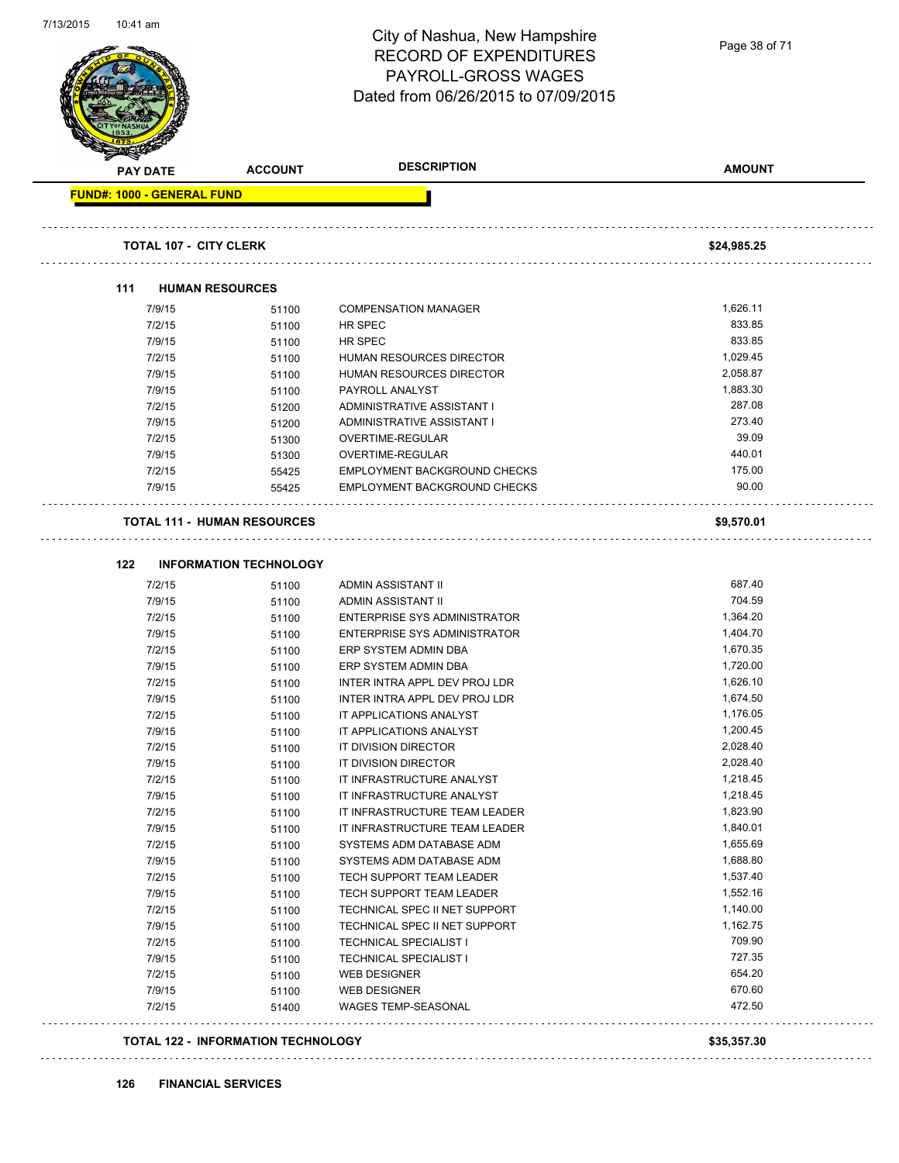|     |                                   |                                        | City of Nashua, New Hampshire<br><b>RECORD OF EXPENDITURES</b><br><b>PAYROLL-GROSS WAGES</b><br>Dated from 06/26/2015 to 07/09/2015 | Page 38 of 71      |
|-----|-----------------------------------|----------------------------------------|-------------------------------------------------------------------------------------------------------------------------------------|--------------------|
|     | <b>PAY DATE</b>                   | <b>ACCOUNT</b>                         | <b>DESCRIPTION</b>                                                                                                                  | <b>AMOUNT</b>      |
|     | <b>FUND#: 1000 - GENERAL FUND</b> |                                        |                                                                                                                                     |                    |
|     | <b>TOTAL 107 - CITY CLERK</b>     |                                        |                                                                                                                                     | \$24,985.25        |
| 111 |                                   | <b>HUMAN RESOURCES</b>                 |                                                                                                                                     |                    |
|     | 7/9/15                            | 51100                                  | <b>COMPENSATION MANAGER</b>                                                                                                         | 1,626.11           |
|     | 7/2/15                            | 51100                                  | HR SPEC                                                                                                                             | 833.85             |
|     | 7/9/15                            | 51100                                  | HR SPEC                                                                                                                             | 833.85             |
|     | 7/2/15                            | 51100                                  | <b>HUMAN RESOURCES DIRECTOR</b>                                                                                                     | 1,029.45           |
|     | 7/9/15                            | 51100                                  | <b>HUMAN RESOURCES DIRECTOR</b>                                                                                                     | 2,058.87           |
|     | 7/9/15                            | 51100                                  | PAYROLL ANALYST                                                                                                                     | 1,883.30           |
|     | 7/2/15                            | 51200                                  | ADMINISTRATIVE ASSISTANT I                                                                                                          | 287.08             |
|     | 7/9/15                            | 51200                                  | ADMINISTRATIVE ASSISTANT I                                                                                                          | 273.40             |
|     | 7/2/15                            | 51300                                  | OVERTIME-REGULAR                                                                                                                    | 39.09              |
|     | 7/9/15                            | 51300                                  | OVERTIME-REGULAR                                                                                                                    | 440.01             |
|     | 7/2/15                            | 55425                                  | EMPLOYMENT BACKGROUND CHECKS                                                                                                        | 175.00             |
|     | 7/9/15                            | 55425                                  | EMPLOYMENT BACKGROUND CHECKS                                                                                                        | 90.00              |
| 122 | 7/2/15                            | <b>INFORMATION TECHNOLOGY</b><br>51100 | <b>ADMIN ASSISTANT II</b>                                                                                                           | 687.40             |
|     | 7/9/15                            | 51100                                  | <b>ADMIN ASSISTANT II</b>                                                                                                           | 704.59             |
|     | 7/2/15                            | 51100                                  | <b>ENTERPRISE SYS ADMINISTRATOR</b>                                                                                                 | 1,364.20           |
|     | 7/9/15                            | 51100                                  | ENTERPRISE SYS ADMINISTRATOR                                                                                                        | 1,404.70           |
|     | 7/2/15                            | 51100                                  | ERP SYSTEM ADMIN DBA                                                                                                                | 1,670.35           |
|     | 7/9/15                            | 51100                                  | ERP SYSTEM ADMIN DBA                                                                                                                | 1,720.00           |
|     | 7/2/15                            | 51100                                  | INTER INTRA APPL DEV PROJ LDR                                                                                                       | 1,626.10           |
|     | 7/9/15                            | 51100                                  | INTER INTRA APPL DEV PROJ LDR                                                                                                       | 1,674.50           |
|     | 7/2/15                            | 51100                                  | IT APPLICATIONS ANALYST                                                                                                             | 1,176.05           |
|     | 7/9/15                            | 51100                                  | IT APPLICATIONS ANALYST                                                                                                             | 1,200.45           |
|     | 7/2/15                            | 51100                                  | IT DIVISION DIRECTOR                                                                                                                | 2,028.40           |
|     | 7/9/15                            | 51100                                  | IT DIVISION DIRECTOR                                                                                                                | 2,028.40           |
|     | 7/2/15                            | 51100                                  | IT INFRASTRUCTURE ANALYST                                                                                                           | 1,218.45           |
|     | 7/9/15                            | 51100                                  | IT INFRASTRUCTURE ANALYST                                                                                                           |                    |
|     |                                   |                                        |                                                                                                                                     | 1,218.45           |
|     | 7/2/15                            | 51100                                  | IT INFRASTRUCTURE TEAM LEADER                                                                                                       | 1,823.90           |
|     | 7/9/15                            | 51100                                  | IT INFRASTRUCTURE TEAM LEADER                                                                                                       | 1,840.01           |
|     | 7/2/15                            | 51100                                  | SYSTEMS ADM DATABASE ADM                                                                                                            | 1,655.69           |
|     | 7/9/15                            | 51100                                  | SYSTEMS ADM DATABASE ADM                                                                                                            | 1,688.80           |
|     | 7/2/15                            | 51100                                  | TECH SUPPORT TEAM LEADER                                                                                                            | 1,537.40           |
|     | 7/9/15                            | 51100                                  | TECH SUPPORT TEAM LEADER                                                                                                            | 1,552.16           |
|     | 7/2/15                            | 51100                                  | TECHNICAL SPEC II NET SUPPORT                                                                                                       | 1,140.00           |
|     | 7/9/15                            | 51100                                  | TECHNICAL SPEC II NET SUPPORT                                                                                                       | 1,162.75<br>709.90 |
|     | 7/2/15                            | 51100                                  | <b>TECHNICAL SPECIALIST I</b>                                                                                                       | 727.35             |
|     | 7/9/15<br>7/2/15                  | 51100                                  | <b>TECHNICAL SPECIALIST I</b><br><b>WEB DESIGNER</b>                                                                                | 654.20             |
|     | 7/9/15                            | 51100<br>51100                         | <b>WEB DESIGNER</b>                                                                                                                 | 670.60             |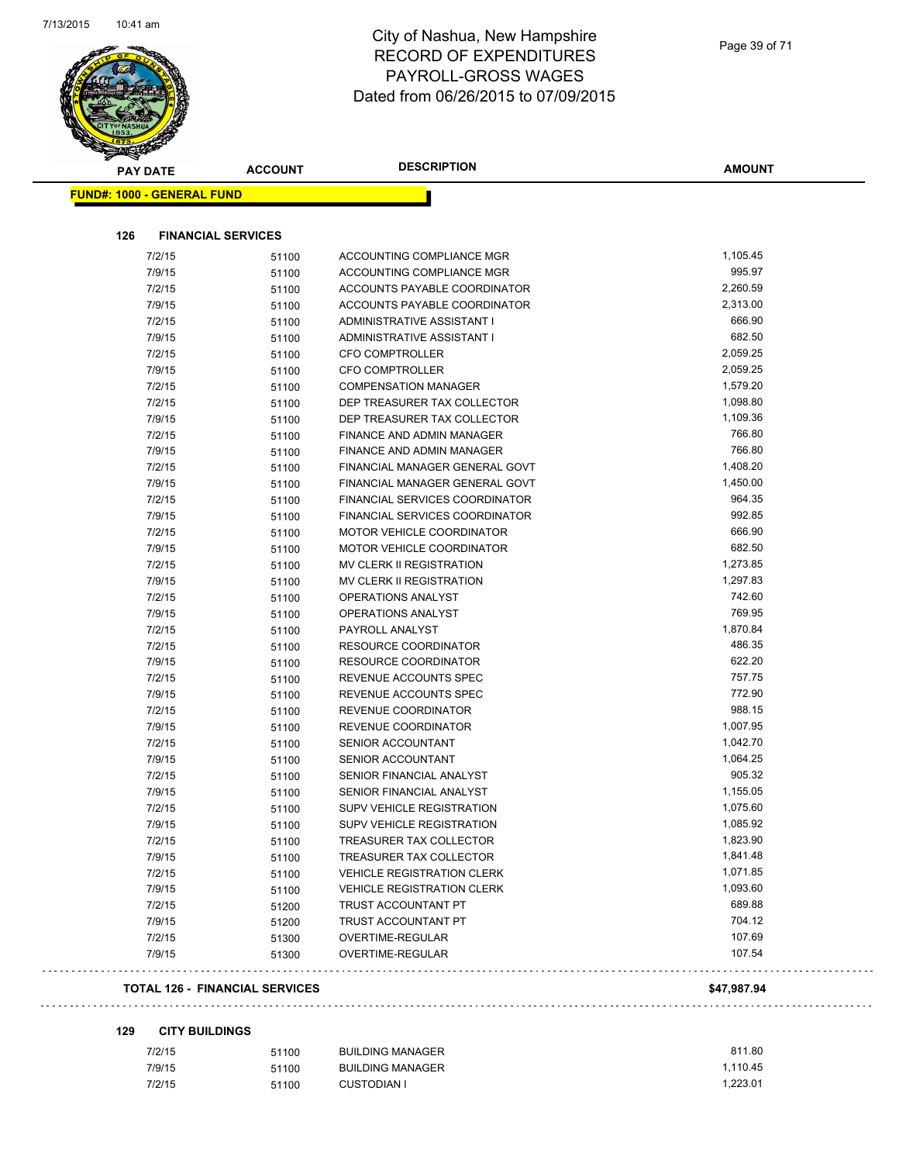

| PAY DATE                          | <b>ACCOUNT</b>            | <b>DESCRIPTION</b>                | <b>AMOUNT</b> |
|-----------------------------------|---------------------------|-----------------------------------|---------------|
| <b>FUND#: 1000 - GENERAL FUND</b> |                           |                                   |               |
|                                   |                           |                                   |               |
| 126                               | <b>FINANCIAL SERVICES</b> |                                   |               |
| 7/2/15                            | 51100                     | ACCOUNTING COMPLIANCE MGR         | 1,105.45      |
| 7/9/15                            | 51100                     | ACCOUNTING COMPLIANCE MGR         | 995.97        |
| 7/2/15                            | 51100                     | ACCOUNTS PAYABLE COORDINATOR      | 2,260.59      |
| 7/9/15                            | 51100                     | ACCOUNTS PAYABLE COORDINATOR      | 2,313.00      |
| 7/2/15                            | 51100                     | ADMINISTRATIVE ASSISTANT I        | 666.90        |
| 7/9/15                            | 51100                     | ADMINISTRATIVE ASSISTANT I        | 682.50        |
| 7/2/15                            | 51100                     | <b>CFO COMPTROLLER</b>            | 2,059.25      |
| 7/9/15                            | 51100                     | <b>CFO COMPTROLLER</b>            | 2,059.25      |
| 7/2/15                            | 51100                     | <b>COMPENSATION MANAGER</b>       | 1,579.20      |
| 7/2/15                            | 51100                     | DEP TREASURER TAX COLLECTOR       | 1,098.80      |
| 7/9/15                            | 51100                     | DEP TREASURER TAX COLLECTOR       | 1,109.36      |
| 7/2/15                            | 51100                     | <b>FINANCE AND ADMIN MANAGER</b>  | 766.80        |
| 7/9/15                            | 51100                     | FINANCE AND ADMIN MANAGER         | 766.80        |
| 7/2/15                            | 51100                     | FINANCIAL MANAGER GENERAL GOVT    | 1,408.20      |
| 7/9/15                            | 51100                     | FINANCIAL MANAGER GENERAL GOVT    | 1,450.00      |
| 7/2/15                            | 51100                     | FINANCIAL SERVICES COORDINATOR    | 964.35        |
| 7/9/15                            | 51100                     | FINANCIAL SERVICES COORDINATOR    | 992.85        |
| 7/2/15                            | 51100                     | MOTOR VEHICLE COORDINATOR         | 666.90        |
| 7/9/15                            | 51100                     | <b>MOTOR VEHICLE COORDINATOR</b>  | 682.50        |
| 7/2/15                            | 51100                     | MV CLERK II REGISTRATION          | 1,273.85      |
| 7/9/15                            | 51100                     | MV CLERK II REGISTRATION          | 1,297.83      |
| 7/2/15                            | 51100                     | <b>OPERATIONS ANALYST</b>         | 742.60        |
| 7/9/15                            | 51100                     | OPERATIONS ANALYST                | 769.95        |
| 7/2/15                            | 51100                     | PAYROLL ANALYST                   | 1,870.84      |
| 7/2/15                            | 51100                     | RESOURCE COORDINATOR              | 486.35        |
| 7/9/15                            | 51100                     | RESOURCE COORDINATOR              | 622.20        |
| 7/2/15                            | 51100                     | REVENUE ACCOUNTS SPEC             | 757.75        |
| 7/9/15                            | 51100                     | REVENUE ACCOUNTS SPEC             | 772.90        |
| 7/2/15                            | 51100                     | REVENUE COORDINATOR               | 988.15        |
| 7/9/15                            | 51100                     | REVENUE COORDINATOR               | 1,007.95      |
| 7/2/15                            | 51100                     | <b>SENIOR ACCOUNTANT</b>          | 1,042.70      |
| 7/9/15                            | 51100                     | <b>SENIOR ACCOUNTANT</b>          | 1,064.25      |
| 7/2/15                            | 51100                     | SENIOR FINANCIAL ANALYST          | 905.32        |
| 7/9/15                            | 51100                     | SENIOR FINANCIAL ANALYST          | 1,155.05      |
| 7/2/15                            | 51100                     | <b>SUPV VEHICLE REGISTRATION</b>  | 1,075.60      |
| 7/9/15                            | 51100                     | SUPV VEHICLE REGISTRATION         | 1,085.92      |
| 7/2/15                            | 51100                     | TREASURER TAX COLLECTOR           | 1,823.90      |
| 7/9/15                            | 51100                     | TREASURER TAX COLLECTOR           | 1,841.48      |
| 7/2/15                            | 51100                     | <b>VEHICLE REGISTRATION CLERK</b> | 1,071.85      |
| 7/9/15                            | 51100                     | <b>VEHICLE REGISTRATION CLERK</b> | 1,093.60      |
| 7/2/15                            | 51200                     | TRUST ACCOUNTANT PT               | 689.88        |
| 7/9/15                            | 51200                     | TRUST ACCOUNTANT PT               | 704.12        |
| 7/2/15                            | 51300                     | OVERTIME-REGULAR                  | 107.69        |
| 7/9/15                            | 51300                     | OVERTIME-REGULAR                  | 107.54        |

#### **129 CITY BUILDINGS**

| 7/2/15 | 51100 | <b>BUILDING MANAGER</b> | 811.80   |
|--------|-------|-------------------------|----------|
| 7/9/15 | 51100 | <b>BUILDING MANAGER</b> | 1.110.45 |
| 7/2/15 | 51100 | <b>CUSTODIAN I</b>      | 1.223.01 |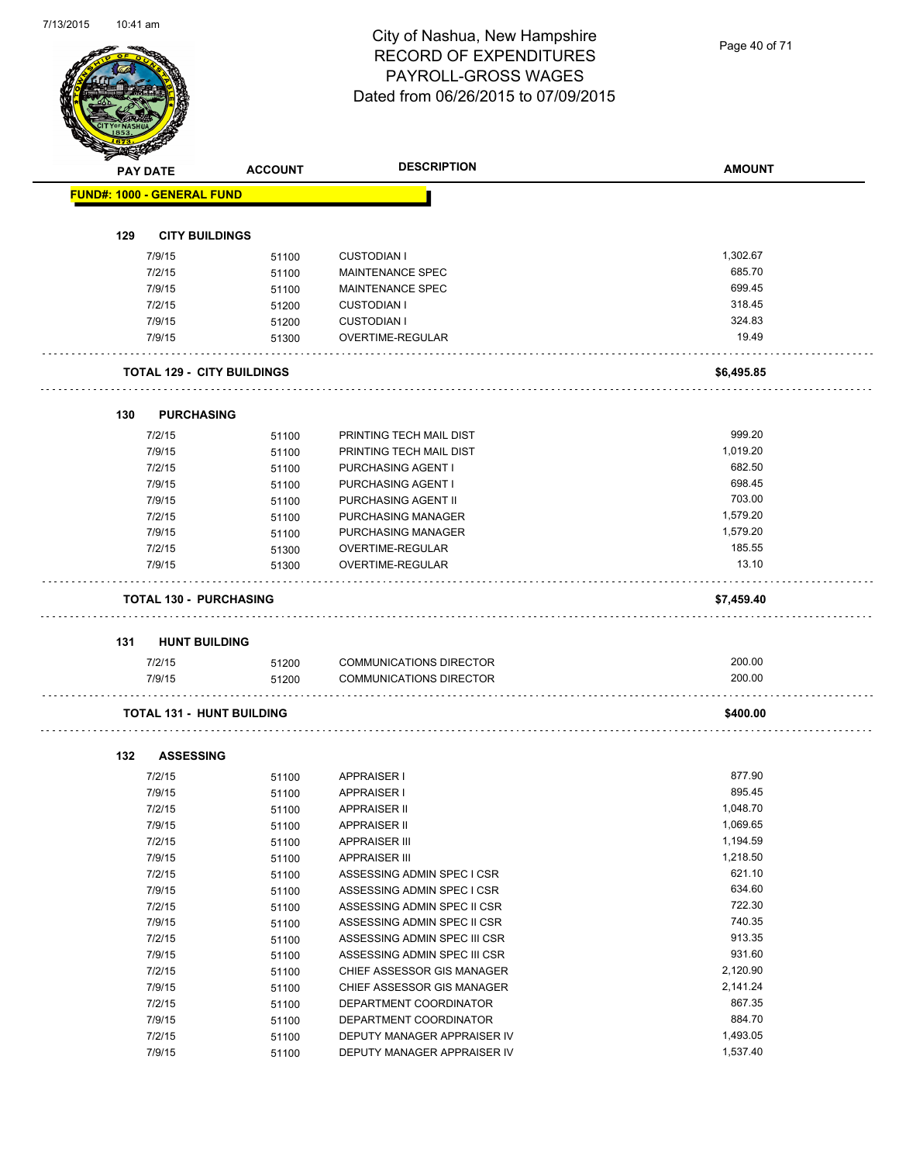Page 40 of 71

|     | <b>PAY DATE</b>                   | <b>ACCOUNT</b> | <b>DESCRIPTION</b>                                               | <b>AMOUNT</b>      |
|-----|-----------------------------------|----------------|------------------------------------------------------------------|--------------------|
|     | <b>FUND#: 1000 - GENERAL FUND</b> |                |                                                                  |                    |
|     |                                   |                |                                                                  |                    |
| 129 | <b>CITY BUILDINGS</b>             |                |                                                                  |                    |
|     | 7/9/15                            | 51100          | <b>CUSTODIAN I</b>                                               | 1,302.67           |
|     | 7/2/15                            | 51100          | <b>MAINTENANCE SPEC</b>                                          | 685.70<br>699.45   |
|     | 7/9/15                            | 51100          | MAINTENANCE SPEC                                                 | 318.45             |
|     | 7/2/15<br>7/9/15                  | 51200<br>51200 | <b>CUSTODIAN I</b><br><b>CUSTODIAN I</b>                         | 324.83             |
|     | 7/9/15                            | 51300          | OVERTIME-REGULAR                                                 | 19.49              |
|     |                                   |                |                                                                  |                    |
|     | <b>TOTAL 129 - CITY BUILDINGS</b> |                |                                                                  | \$6,495.85         |
|     |                                   |                |                                                                  |                    |
| 130 | <b>PURCHASING</b><br>7/2/15       |                | PRINTING TECH MAIL DIST                                          | 999.20             |
|     | 7/9/15                            | 51100          | PRINTING TECH MAIL DIST                                          | 1,019.20           |
|     | 7/2/15                            | 51100<br>51100 | PURCHASING AGENT I                                               | 682.50             |
|     | 7/9/15                            | 51100          | PURCHASING AGENT I                                               | 698.45             |
|     | 7/9/15                            | 51100          | PURCHASING AGENT II                                              | 703.00             |
|     | 7/2/15                            | 51100          | PURCHASING MANAGER                                               | 1,579.20           |
|     | 7/9/15                            | 51100          | PURCHASING MANAGER                                               | 1,579.20           |
|     | 7/2/15                            | 51300          | OVERTIME-REGULAR                                                 | 185.55             |
|     | 7/9/15                            | 51300          | OVERTIME-REGULAR                                                 | 13.10              |
|     | <b>TOTAL 130 - PURCHASING</b>     |                |                                                                  | \$7,459.40         |
|     |                                   |                |                                                                  |                    |
| 131 | <b>HUNT BUILDING</b>              |                |                                                                  | 200.00             |
|     | 7/2/15<br>7/9/15                  | 51200<br>51200 | <b>COMMUNICATIONS DIRECTOR</b><br><b>COMMUNICATIONS DIRECTOR</b> | 200.00             |
|     | <b>TOTAL 131 - HUNT BUILDING</b>  |                |                                                                  | \$400.00           |
|     |                                   |                |                                                                  |                    |
| 132 | <b>ASSESSING</b>                  |                |                                                                  |                    |
|     | 7/2/15                            | 51100          | APPRAISER I                                                      | 877.90             |
|     | 7/9/15                            | 51100          | <b>APPRAISER I</b>                                               | 895.45             |
|     | 7/2/15                            | 51100          | APPRAISER II                                                     | 1,048.70           |
|     | 7/9/15                            | 51100          | <b>APPRAISER II</b>                                              | 1,069.65           |
|     | 7/2/15                            | 51100          | <b>APPRAISER III</b>                                             | 1,194.59           |
|     | 7/9/15                            | 51100          | <b>APPRAISER III</b>                                             | 1,218.50           |
|     | 7/2/15                            | 51100          | ASSESSING ADMIN SPEC I CSR                                       | 621.10             |
|     | 7/9/15                            | 51100          | ASSESSING ADMIN SPEC I CSR                                       | 634.60             |
|     | 7/2/15                            | 51100          | ASSESSING ADMIN SPEC II CSR                                      | 722.30             |
|     | 7/9/15                            | 51100          | ASSESSING ADMIN SPEC II CSR                                      | 740.35<br>913.35   |
|     | 7/2/15<br>7/9/15                  | 51100          | ASSESSING ADMIN SPEC III CSR                                     | 931.60             |
|     |                                   | 51100          | ASSESSING ADMIN SPEC III CSR                                     | 2,120.90           |
|     |                                   |                |                                                                  |                    |
|     | 7/2/15                            | 51100          | CHIEF ASSESSOR GIS MANAGER                                       |                    |
|     | 7/9/15                            | 51100          | CHIEF ASSESSOR GIS MANAGER                                       | 2,141.24           |
|     | 7/2/15                            | 51100          | DEPARTMENT COORDINATOR                                           | 867.35             |
|     | 7/9/15<br>7/2/15                  | 51100<br>51100 | DEPARTMENT COORDINATOR<br>DEPUTY MANAGER APPRAISER IV            | 884.70<br>1,493.05 |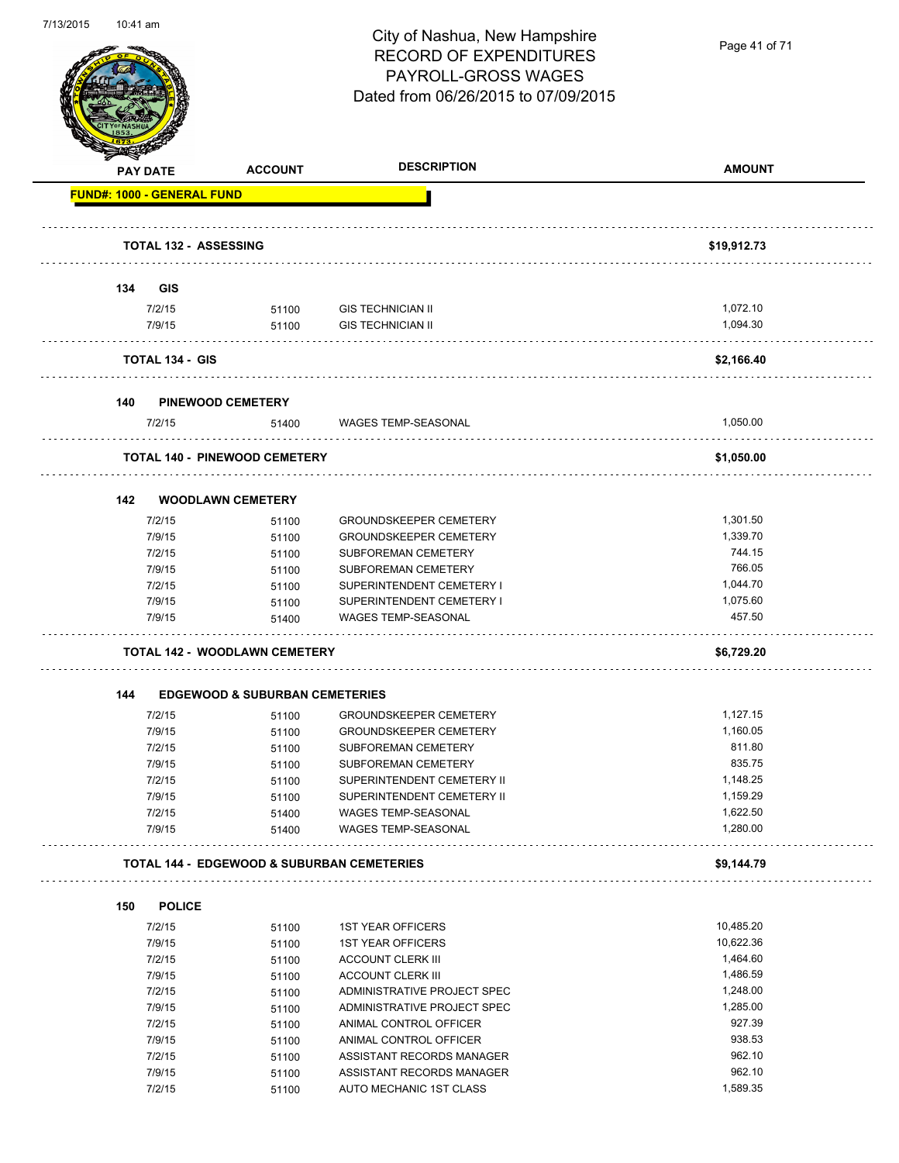

Page 41 of 71

|     | <b>PAY DATE</b>              | <b>ACCOUNT</b>                            | <b>DESCRIPTION</b>                                     | <b>AMOUNT</b>    |
|-----|------------------------------|-------------------------------------------|--------------------------------------------------------|------------------|
|     | FUND#: 1000 - GENERAL FUND   |                                           |                                                        |                  |
|     | <b>TOTAL 132 - ASSESSING</b> |                                           |                                                        | \$19,912.73      |
|     |                              |                                           |                                                        |                  |
| 134 | <b>GIS</b>                   |                                           |                                                        |                  |
|     | 7/2/15                       | 51100                                     | <b>GIS TECHNICIAN II</b>                               | 1,072.10         |
|     | 7/9/15                       | 51100                                     | <b>GIS TECHNICIAN II</b>                               | 1,094.30         |
|     | <b>TOTAL 134 - GIS</b>       |                                           |                                                        | \$2,166.40       |
| 140 |                              | <b>PINEWOOD CEMETERY</b>                  |                                                        |                  |
|     | 7/2/15                       | 51400                                     | <b>WAGES TEMP-SEASONAL</b>                             | 1,050.00         |
|     |                              | <b>TOTAL 140 - PINEWOOD CEMETERY</b>      |                                                        | \$1,050.00       |
| 142 |                              | <b>WOODLAWN CEMETERY</b>                  |                                                        |                  |
|     | 7/2/15                       | 51100                                     | <b>GROUNDSKEEPER CEMETERY</b>                          | 1,301.50         |
|     | 7/9/15                       | 51100                                     | <b>GROUNDSKEEPER CEMETERY</b>                          | 1,339.70         |
|     | 7/2/15                       | 51100                                     | SUBFOREMAN CEMETERY                                    | 744.15           |
|     | 7/9/15                       | 51100                                     | SUBFOREMAN CEMETERY                                    | 766.05           |
|     | 7/2/15                       | 51100                                     | SUPERINTENDENT CEMETERY I                              | 1,044.70         |
|     | 7/9/15                       |                                           | SUPERINTENDENT CEMETERY I                              | 1,075.60         |
|     | 7/9/15                       | 51100<br>51400                            | WAGES TEMP-SEASONAL                                    | 457.50           |
|     |                              |                                           |                                                        |                  |
|     |                              | <b>TOTAL 142 - WOODLAWN CEMETERY</b>      |                                                        | \$6,729.20       |
| 144 |                              | <b>EDGEWOOD &amp; SUBURBAN CEMETERIES</b> |                                                        |                  |
|     |                              |                                           |                                                        |                  |
|     | 7/2/15                       | 51100                                     | <b>GROUNDSKEEPER CEMETERY</b>                          | 1,127.15         |
|     | 7/9/15                       | 51100                                     | <b>GROUNDSKEEPER CEMETERY</b>                          | 1,160.05         |
|     | 7/2/15                       | 51100                                     | SUBFOREMAN CEMETERY                                    | 811.80           |
|     | 7/9/15                       | 51100                                     | <b>SUBFOREMAN CEMETERY</b>                             | 835.75           |
|     | 7/2/15                       | 51100                                     | SUPERINTENDENT CEMETERY II                             | 1,148.25         |
|     | 7/9/15                       | 51100                                     | SUPERINTENDENT CEMETERY II                             | 1,159.29         |
|     | 7/2/15                       | 51400                                     | WAGES TEMP-SEASONAL                                    | 1,622.50         |
|     | 7/9/15                       | 51400                                     | WAGES TEMP-SEASONAL                                    | 1,280.00         |
|     |                              |                                           | <b>TOTAL 144 - EDGEWOOD &amp; SUBURBAN CEMETERIES</b>  | \$9,144.79       |
| 150 | <b>POLICE</b>                |                                           |                                                        |                  |
|     | 7/2/15                       | 51100                                     | <b>1ST YEAR OFFICERS</b>                               | 10,485.20        |
|     | 7/9/15                       | 51100                                     | <b>1ST YEAR OFFICERS</b>                               | 10,622.36        |
|     | 7/2/15                       |                                           | <b>ACCOUNT CLERK III</b>                               | 1,464.60         |
|     | 7/9/15                       | 51100                                     | <b>ACCOUNT CLERK III</b>                               | 1,486.59         |
|     |                              | 51100                                     |                                                        |                  |
|     | 7/2/15                       | 51100                                     | ADMINISTRATIVE PROJECT SPEC                            | 1,248.00         |
|     | 7/9/15                       | 51100                                     | ADMINISTRATIVE PROJECT SPEC                            | 1,285.00         |
|     | 7/2/15                       | 51100                                     | ANIMAL CONTROL OFFICER                                 | 927.39           |
|     | 7/9/15                       | 51100                                     | ANIMAL CONTROL OFFICER                                 | 938.53           |
|     | 7/2/15<br>7/9/15             | 51100<br>51100                            | ASSISTANT RECORDS MANAGER<br>ASSISTANT RECORDS MANAGER | 962.10<br>962.10 |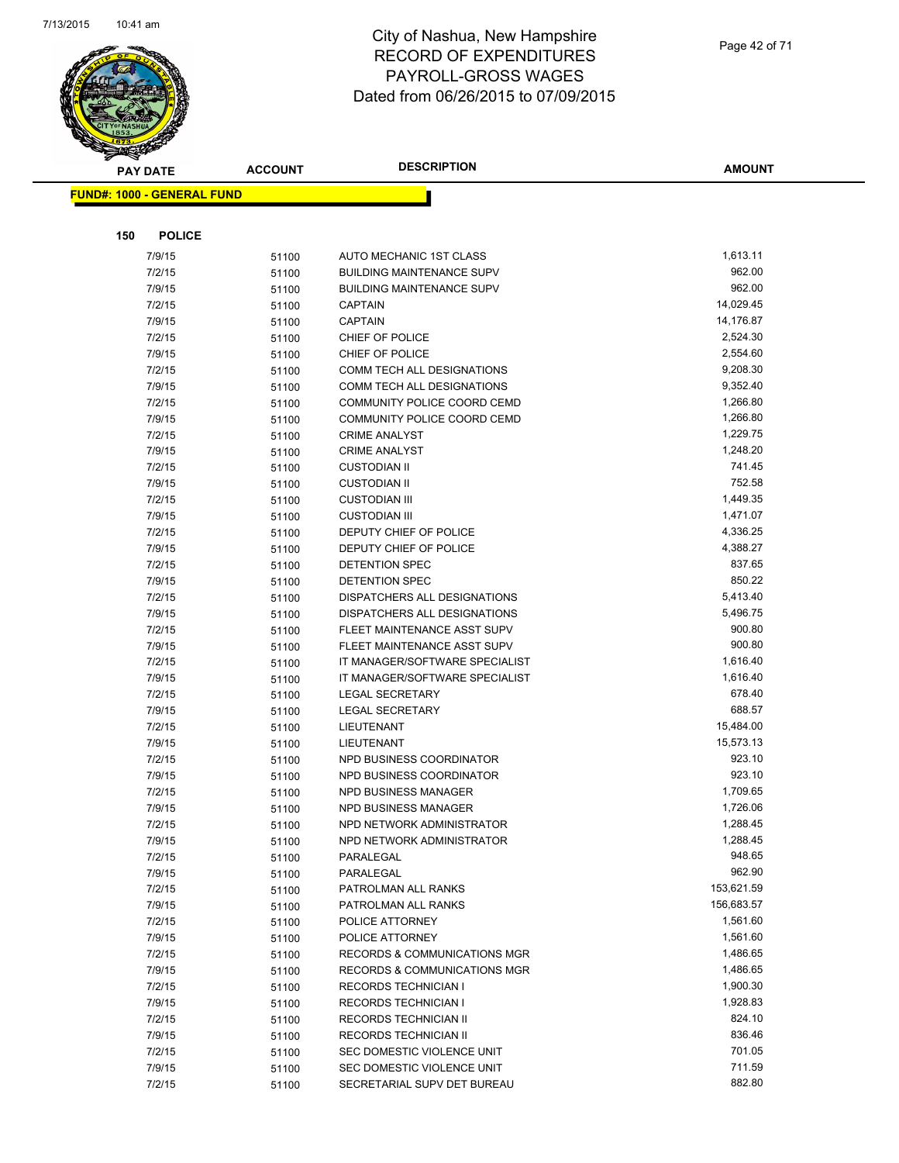

Page 42 of 71

| <b>PAY DATE</b>                   | <b>ACCOUNT</b> | <b>DESCRIPTION</b>                                       | <b>AMOUNT</b>        |
|-----------------------------------|----------------|----------------------------------------------------------|----------------------|
| <b>FUND#: 1000 - GENERAL FUND</b> |                |                                                          |                      |
|                                   |                |                                                          |                      |
|                                   |                |                                                          |                      |
| 150<br><b>POLICE</b>              |                |                                                          |                      |
| 7/9/15                            | 51100          | AUTO MECHANIC 1ST CLASS                                  | 1,613.11             |
| 7/2/15                            | 51100          | <b>BUILDING MAINTENANCE SUPV</b>                         | 962.00               |
| 7/9/15                            | 51100          | <b>BUILDING MAINTENANCE SUPV</b>                         | 962.00               |
| 7/2/15                            | 51100          | <b>CAPTAIN</b>                                           | 14,029.45            |
| 7/9/15                            | 51100          | <b>CAPTAIN</b>                                           | 14,176.87            |
| 7/2/15                            | 51100          | CHIEF OF POLICE                                          | 2,524.30             |
| 7/9/15                            | 51100          | CHIEF OF POLICE                                          | 2,554.60             |
| 7/2/15                            | 51100          | COMM TECH ALL DESIGNATIONS                               | 9,208.30             |
| 7/9/15                            | 51100          | COMM TECH ALL DESIGNATIONS                               | 9,352.40             |
| 7/2/15                            | 51100          | COMMUNITY POLICE COORD CEMD                              | 1,266.80             |
| 7/9/15                            | 51100          | COMMUNITY POLICE COORD CEMD                              | 1,266.80             |
| 7/2/15                            | 51100          | <b>CRIME ANALYST</b>                                     | 1,229.75             |
| 7/9/15                            | 51100          | <b>CRIME ANALYST</b>                                     | 1,248.20             |
| 7/2/15                            | 51100          | <b>CUSTODIAN II</b>                                      | 741.45               |
| 7/9/15                            | 51100          | <b>CUSTODIAN II</b>                                      | 752.58               |
| 7/2/15                            | 51100          | <b>CUSTODIAN III</b>                                     | 1,449.35             |
| 7/9/15                            | 51100          | <b>CUSTODIAN III</b>                                     | 1,471.07             |
| 7/2/15                            | 51100          | DEPUTY CHIEF OF POLICE                                   | 4,336.25             |
| 7/9/15                            | 51100          | DEPUTY CHIEF OF POLICE                                   | 4,388.27             |
| 7/2/15                            | 51100          | <b>DETENTION SPEC</b>                                    | 837.65               |
| 7/9/15                            | 51100          | <b>DETENTION SPEC</b>                                    | 850.22               |
| 7/2/15                            | 51100          | DISPATCHERS ALL DESIGNATIONS                             | 5,413.40             |
| 7/9/15                            | 51100          | DISPATCHERS ALL DESIGNATIONS                             | 5,496.75             |
| 7/2/15                            | 51100          | FLEET MAINTENANCE ASST SUPV                              | 900.80<br>900.80     |
| 7/9/15                            | 51100          | FLEET MAINTENANCE ASST SUPV                              |                      |
| 7/2/15                            | 51100          | IT MANAGER/SOFTWARE SPECIALIST                           | 1,616.40<br>1,616.40 |
| 7/9/15<br>7/2/15                  | 51100          | IT MANAGER/SOFTWARE SPECIALIST<br><b>LEGAL SECRETARY</b> | 678.40               |
|                                   | 51100          | <b>LEGAL SECRETARY</b>                                   | 688.57               |
| 7/9/15<br>7/2/15                  | 51100          | LIEUTENANT                                               | 15,484.00            |
| 7/9/15                            | 51100          | LIEUTENANT                                               | 15,573.13            |
| 7/2/15                            | 51100          | NPD BUSINESS COORDINATOR                                 | 923.10               |
| 7/9/15                            | 51100          | NPD BUSINESS COORDINATOR                                 | 923.10               |
| 7/2/15                            | 51100          | <b>NPD BUSINESS MANAGER</b>                              | 1,709.65             |
| 7/9/15                            | 51100<br>51100 | NPD BUSINESS MANAGER                                     | 1,726.06             |
| 7/2/15                            | 51100          | NPD NETWORK ADMINISTRATOR                                | 1,288.45             |
| 7/9/15                            | 51100          | NPD NETWORK ADMINISTRATOR                                | 1,288.45             |
| 7/2/15                            | 51100          | PARALEGAL                                                | 948.65               |
| 7/9/15                            | 51100          | PARALEGAL                                                | 962.90               |
| 7/2/15                            | 51100          | PATROLMAN ALL RANKS                                      | 153,621.59           |
| 7/9/15                            | 51100          | PATROLMAN ALL RANKS                                      | 156,683.57           |
| 7/2/15                            | 51100          | POLICE ATTORNEY                                          | 1,561.60             |
| 7/9/15                            | 51100          | POLICE ATTORNEY                                          | 1,561.60             |
| 7/2/15                            | 51100          | <b>RECORDS &amp; COMMUNICATIONS MGR</b>                  | 1,486.65             |
| 7/9/15                            | 51100          | <b>RECORDS &amp; COMMUNICATIONS MGR</b>                  | 1,486.65             |
| 7/2/15                            | 51100          | <b>RECORDS TECHNICIAN I</b>                              | 1,900.30             |
| 7/9/15                            | 51100          | <b>RECORDS TECHNICIAN I</b>                              | 1,928.83             |
| 7/2/15                            | 51100          | RECORDS TECHNICIAN II                                    | 824.10               |
| 7/9/15                            | 51100          | RECORDS TECHNICIAN II                                    | 836.46               |
| 7/2/15                            | 51100          | SEC DOMESTIC VIOLENCE UNIT                               | 701.05               |
| 7/9/15                            | 51100          | SEC DOMESTIC VIOLENCE UNIT                               | 711.59               |
| 7/2/15                            | 51100          | SECRETARIAL SUPV DET BUREAU                              | 882.80               |
|                                   |                |                                                          |                      |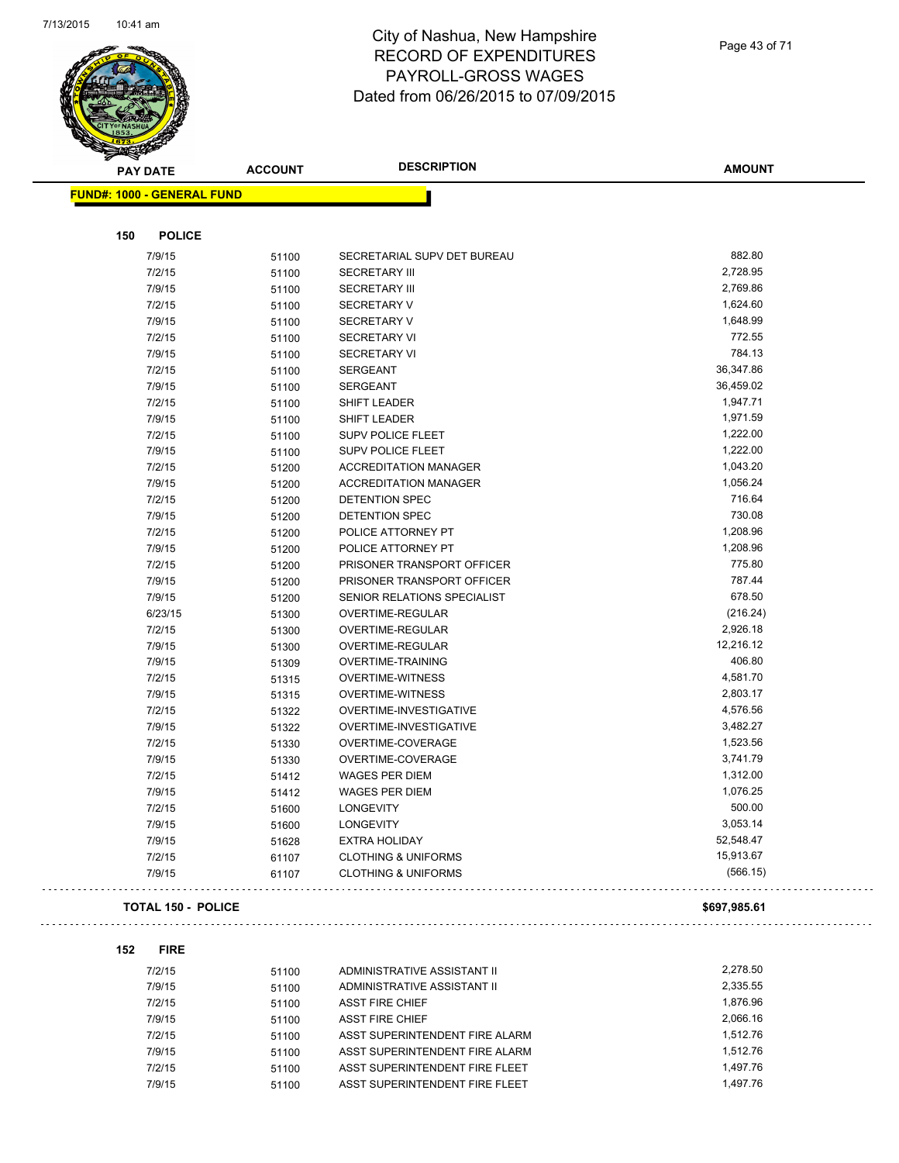

| <b>PAY DATE</b>                   | <b>ACCOUNT</b> | <b>DESCRIPTION</b>             | <b>AMOUNT</b> |
|-----------------------------------|----------------|--------------------------------|---------------|
| <b>FUND#: 1000 - GENERAL FUND</b> |                |                                |               |
| <b>POLICE</b><br>150              |                |                                |               |
| 7/9/15                            | 51100          | SECRETARIAL SUPV DET BUREAU    | 882.80        |
| 7/2/15                            | 51100          | <b>SECRETARY III</b>           | 2,728.95      |
| 7/9/15                            | 51100          | <b>SECRETARY III</b>           | 2,769.86      |
| 7/2/15                            | 51100          | <b>SECRETARY V</b>             | 1,624.60      |
| 7/9/15                            | 51100          | <b>SECRETARY V</b>             | 1,648.99      |
| 7/2/15                            | 51100          | <b>SECRETARY VI</b>            | 772.55        |
| 7/9/15                            | 51100          | <b>SECRETARY VI</b>            | 784.13        |
| 7/2/15                            | 51100          | <b>SERGEANT</b>                | 36,347.86     |
| 7/9/15                            | 51100          | <b>SERGEANT</b>                | 36,459.02     |
| 7/2/15                            | 51100          | <b>SHIFT LEADER</b>            | 1,947.71      |
| 7/9/15                            | 51100          | SHIFT LEADER                   | 1,971.59      |
| 7/2/15                            |                | SUPV POLICE FLEET              | 1,222.00      |
| 7/9/15                            | 51100<br>51100 | SUPV POLICE FLEET              | 1,222.00      |
| 7/2/15                            | 51200          | <b>ACCREDITATION MANAGER</b>   | 1,043.20      |
| 7/9/15                            | 51200          | <b>ACCREDITATION MANAGER</b>   | 1,056.24      |
| 7/2/15                            | 51200          | DETENTION SPEC                 | 716.64        |
| 7/9/15                            | 51200          | DETENTION SPEC                 | 730.08        |
| 7/2/15                            | 51200          | POLICE ATTORNEY PT             | 1,208.96      |
| 7/9/15                            | 51200          | POLICE ATTORNEY PT             | 1,208.96      |
| 7/2/15                            | 51200          | PRISONER TRANSPORT OFFICER     | 775.80        |
| 7/9/15                            |                | PRISONER TRANSPORT OFFICER     | 787.44        |
| 7/9/15                            | 51200<br>51200 | SENIOR RELATIONS SPECIALIST    | 678.50        |
| 6/23/15                           |                | OVERTIME-REGULAR               | (216.24)      |
| 7/2/15                            | 51300<br>51300 | OVERTIME-REGULAR               | 2,926.18      |
| 7/9/15                            | 51300          | OVERTIME-REGULAR               | 12,216.12     |
| 7/9/15                            | 51309          | <b>OVERTIME-TRAINING</b>       | 406.80        |
| 7/2/15                            | 51315          | <b>OVERTIME-WITNESS</b>        | 4,581.70      |
| 7/9/15                            | 51315          | <b>OVERTIME-WITNESS</b>        | 2,803.17      |
| 7/2/15                            | 51322          | OVERTIME-INVESTIGATIVE         | 4,576.56      |
| 7/9/15                            | 51322          | OVERTIME-INVESTIGATIVE         | 3,482.27      |
| 7/2/15                            | 51330          | OVERTIME-COVERAGE              | 1,523.56      |
| 7/9/15                            | 51330          | OVERTIME-COVERAGE              | 3,741.79      |
| 7/2/15                            | 51412          | WAGES PER DIEM                 | 1,312.00      |
| 7/9/15                            | 51412          | WAGES PER DIEM                 | 1,076.25      |
| 7/2/15                            | 51600          | <b>LONGEVITY</b>               | 500.00        |
| 7/9/15                            | 51600          | LONGEVITY                      | 3,053.14      |
| 7/9/15                            | 51628          | <b>EXTRA HOLIDAY</b>           | 52,548.47     |
| 7/2/15                            | 61107          | <b>CLOTHING &amp; UNIFORMS</b> | 15,913.67     |
| 7/9/15                            | 61107          | <b>CLOTHING &amp; UNIFORMS</b> | (566.15)      |
| TOTAL 150 - POLICE                |                |                                | \$697,985.61  |

| 7/2/15 | 51100 | ADMINISTRATIVE ASSISTANT II    | 2.278.50 |
|--------|-------|--------------------------------|----------|
| 7/9/15 | 51100 | ADMINISTRATIVE ASSISTANT II    | 2.335.55 |
| 7/2/15 | 51100 | <b>ASST FIRE CHIEF</b>         | 1.876.96 |
| 7/9/15 | 51100 | ASST FIRE CHIEF                | 2.066.16 |
| 7/2/15 | 51100 | ASST SUPERINTENDENT FIRE ALARM | 1.512.76 |
| 7/9/15 | 51100 | ASST SUPERINTENDENT FIRE ALARM | 1.512.76 |
| 7/2/15 | 51100 | ASST SUPERINTENDENT FIRE FLEET | 1.497.76 |
| 7/9/15 | 51100 | ASST SUPERINTENDENT FIRE FLEET | 1.497.76 |

Page 43 of 71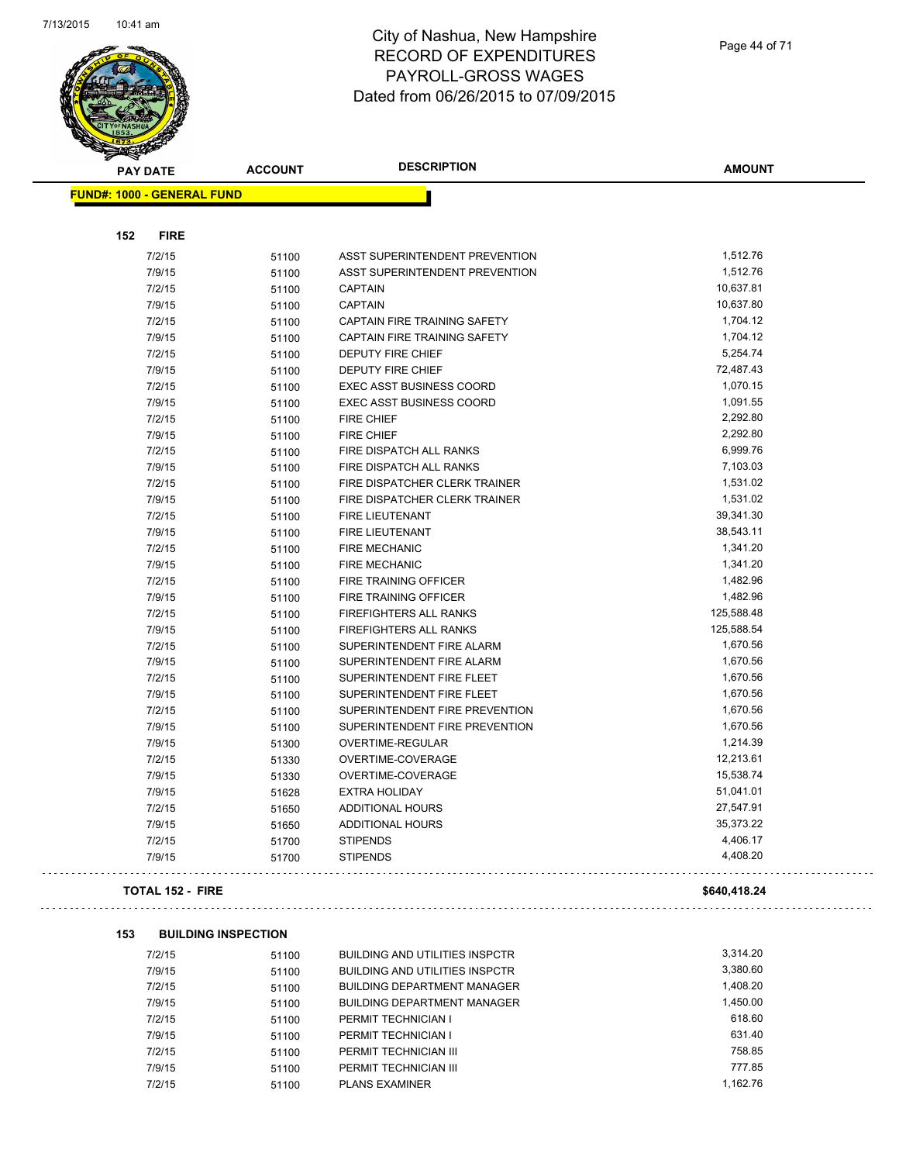

| <b>PAY DATE</b>                   | <b>ACCOUNT</b> | <b>DESCRIPTION</b>                    | <b>AMOUNT</b> |
|-----------------------------------|----------------|---------------------------------------|---------------|
| <b>FUND#: 1000 - GENERAL FUND</b> |                |                                       |               |
|                                   |                |                                       |               |
| 152<br><b>FIRE</b>                |                |                                       |               |
| 7/2/15                            | 51100          | ASST SUPERINTENDENT PREVENTION        | 1,512.76      |
| 7/9/15                            | 51100          | <b>ASST SUPERINTENDENT PREVENTION</b> | 1,512.76      |
| 7/2/15                            | 51100          | <b>CAPTAIN</b>                        | 10,637.81     |
| 7/9/15                            | 51100          | <b>CAPTAIN</b>                        | 10,637.80     |
| 7/2/15                            | 51100          | CAPTAIN FIRE TRAINING SAFETY          | 1,704.12      |
| 7/9/15                            | 51100          | <b>CAPTAIN FIRE TRAINING SAFETY</b>   | 1,704.12      |
| 7/2/15                            | 51100          | <b>DEPUTY FIRE CHIEF</b>              | 5,254.74      |
| 7/9/15                            | 51100          | <b>DEPUTY FIRE CHIEF</b>              | 72,487.43     |
| 7/2/15                            | 51100          | <b>EXEC ASST BUSINESS COORD</b>       | 1,070.15      |
| 7/9/15                            | 51100          | EXEC ASST BUSINESS COORD              | 1,091.55      |
| 7/2/15                            | 51100          | <b>FIRE CHIEF</b>                     | 2,292.80      |
| 7/9/15                            | 51100          | <b>FIRE CHIEF</b>                     | 2,292.80      |
| 7/2/15                            | 51100          | FIRE DISPATCH ALL RANKS               | 6,999.76      |
| 7/9/15                            | 51100          | FIRE DISPATCH ALL RANKS               | 7,103.03      |
| 7/2/15                            | 51100          | FIRE DISPATCHER CLERK TRAINER         | 1,531.02      |
| 7/9/15                            | 51100          | FIRE DISPATCHER CLERK TRAINER         | 1,531.02      |
| 7/2/15                            | 51100          | FIRE LIEUTENANT                       | 39,341.30     |
| 7/9/15                            | 51100          | <b>FIRE LIEUTENANT</b>                | 38,543.11     |
| 7/2/15                            | 51100          | <b>FIRE MECHANIC</b>                  | 1,341.20      |
| 7/9/15                            | 51100          | <b>FIRE MECHANIC</b>                  | 1,341.20      |
| 7/2/15                            | 51100          | FIRE TRAINING OFFICER                 | 1,482.96      |
| 7/9/15                            | 51100          | FIRE TRAINING OFFICER                 | 1,482.96      |
| 7/2/15                            | 51100          | FIREFIGHTERS ALL RANKS                | 125,588.48    |
| 7/9/15                            | 51100          | FIREFIGHTERS ALL RANKS                | 125,588.54    |
| 7/2/15                            | 51100          | SUPERINTENDENT FIRE ALARM             | 1,670.56      |
| 7/9/15                            | 51100          | SUPERINTENDENT FIRE ALARM             | 1,670.56      |
| 7/2/15                            | 51100          | SUPERINTENDENT FIRE FLEET             | 1,670.56      |
| 7/9/15                            | 51100          | SUPERINTENDENT FIRE FLEET             | 1,670.56      |
| 7/2/15                            | 51100          | SUPERINTENDENT FIRE PREVENTION        | 1,670.56      |
| 7/9/15                            | 51100          | SUPERINTENDENT FIRE PREVENTION        | 1,670.56      |
| 7/9/15                            | 51300          | OVERTIME-REGULAR                      | 1,214.39      |
| 7/2/15                            | 51330          | OVERTIME-COVERAGE                     | 12,213.61     |
| 7/9/15                            | 51330          | OVERTIME-COVERAGE                     | 15,538.74     |
| 7/9/15                            | 51628          | <b>EXTRA HOLIDAY</b>                  | 51,041.01     |
| 7/2/15                            | 51650          | <b>ADDITIONAL HOURS</b>               | 27,547.91     |
| 7/9/15                            | 51650          | <b>ADDITIONAL HOURS</b>               | 35,373.22     |
| 7/2/15                            | 51700          | <b>STIPENDS</b>                       | 4,406.17      |
| 7/9/15                            | 51700          | <b>STIPENDS</b>                       | 4,408.20      |
| <b>TOTAL 152 - FIRE</b>           |                |                                       | \$640,418.24  |

| 7/2/15 | 51100 | <b>BUILDING AND UTILITIES INSPCTR</b> | 3.314.20 |
|--------|-------|---------------------------------------|----------|
| 7/9/15 | 51100 | <b>BUILDING AND UTILITIES INSPCTR</b> | 3,380.60 |
| 7/2/15 | 51100 | <b>BUILDING DEPARTMENT MANAGER</b>    | 1,408.20 |
| 7/9/15 | 51100 | <b>BUILDING DEPARTMENT MANAGER</b>    | 1.450.00 |
| 7/2/15 | 51100 | PERMIT TECHNICIAN I                   | 618.60   |
| 7/9/15 | 51100 | PERMIT TECHNICIAN I                   | 631.40   |
| 7/2/15 | 51100 | PERMIT TECHNICIAN III                 | 758.85   |
| 7/9/15 | 51100 | PERMIT TECHNICIAN III                 | 777.85   |
| 7/2/15 | 51100 | <b>PLANS EXAMINER</b>                 | 1.162.76 |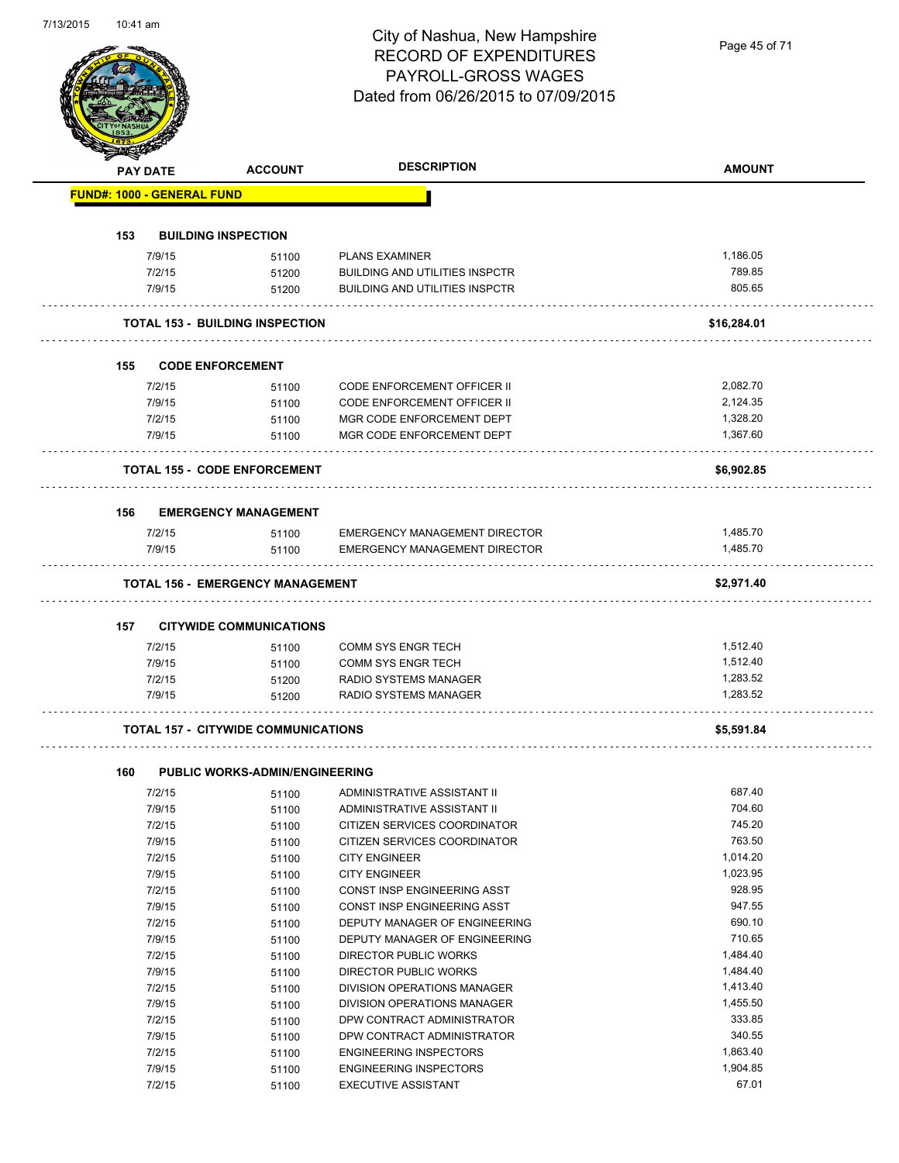# City of Nashua, New Hampshire RECORD OF EXPENDITURES PAYROLL-GROSS WAGES

|     |                                   |                                            | <b>RECORD OF EXPENDITURES</b><br>PAYROLL-GROSS WAGES<br>Dated from 06/26/2015 to 07/09/2015 | Page 45 of 71    |
|-----|-----------------------------------|--------------------------------------------|---------------------------------------------------------------------------------------------|------------------|
|     | <b>PAY DATE</b>                   | <b>ACCOUNT</b>                             | <b>DESCRIPTION</b>                                                                          | <b>AMOUNT</b>    |
|     | <b>FUND#: 1000 - GENERAL FUND</b> |                                            |                                                                                             |                  |
| 153 |                                   | <b>BUILDING INSPECTION</b>                 |                                                                                             |                  |
|     | 7/9/15                            | 51100                                      | <b>PLANS EXAMINER</b>                                                                       | 1,186.05         |
|     | 7/2/15                            | 51200                                      | <b>BUILDING AND UTILITIES INSPCTR</b>                                                       | 789.85           |
|     | 7/9/15                            | 51200                                      | <b>BUILDING AND UTILITIES INSPCTR</b>                                                       | 805.65           |
|     |                                   | <b>TOTAL 153 - BUILDING INSPECTION</b>     |                                                                                             | \$16,284.01      |
|     |                                   |                                            |                                                                                             |                  |
| 155 |                                   | <b>CODE ENFORCEMENT</b>                    |                                                                                             |                  |
|     | 7/2/15                            | 51100                                      | <b>CODE ENFORCEMENT OFFICER II</b>                                                          | 2,082.70         |
|     | 7/9/15                            | 51100                                      | CODE ENFORCEMENT OFFICER II                                                                 | 2,124.35         |
|     | 7/2/15                            | 51100                                      | MGR CODE ENFORCEMENT DEPT                                                                   | 1,328.20         |
|     | 7/9/15                            | 51100                                      | MGR CODE ENFORCEMENT DEPT                                                                   | 1,367.60         |
|     |                                   | <b>TOTAL 155 - CODE ENFORCEMENT</b>        |                                                                                             | \$6,902.85       |
| 156 |                                   | <b>EMERGENCY MANAGEMENT</b>                |                                                                                             |                  |
|     | 7/2/15                            | 51100                                      | <b>EMERGENCY MANAGEMENT DIRECTOR</b>                                                        | 1,485.70         |
|     | 7/9/15                            | 51100                                      | EMERGENCY MANAGEMENT DIRECTOR                                                               | 1,485.70         |
|     |                                   | <b>TOTAL 156 - EMERGENCY MANAGEMENT</b>    |                                                                                             | \$2,971.40       |
|     |                                   |                                            |                                                                                             |                  |
| 157 |                                   | <b>CITYWIDE COMMUNICATIONS</b>             |                                                                                             |                  |
|     | 7/2/15                            | 51100                                      | COMM SYS ENGR TECH                                                                          | 1,512.40         |
|     | 7/9/15                            | 51100                                      | <b>COMM SYS ENGR TECH</b>                                                                   | 1,512.40         |
|     | 7/2/15                            | 51200                                      | RADIO SYSTEMS MANAGER                                                                       | 1,283.52         |
|     | 7/9/15                            | 51200                                      | RADIO SYSTEMS MANAGER                                                                       | 1,283.52         |
|     |                                   | <b>TOTAL 157 - CITYWIDE COMMUNICATIONS</b> |                                                                                             | \$5,591.84       |
|     |                                   |                                            |                                                                                             |                  |
| 160 |                                   | <b>PUBLIC WORKS-ADMIN/ENGINEERING</b>      |                                                                                             |                  |
|     | 7/2/15                            | 51100                                      | ADMINISTRATIVE ASSISTANT II                                                                 | 687.40<br>704.60 |
|     | 7/9/15<br>7/2/15                  | 51100                                      | ADMINISTRATIVE ASSISTANT II<br>CITIZEN SERVICES COORDINATOR                                 | 745.20           |
|     | 7/9/15                            | 51100<br>51100                             | CITIZEN SERVICES COORDINATOR                                                                | 763.50           |
|     | 7/2/15                            | 51100                                      | <b>CITY ENGINEER</b>                                                                        | 1,014.20         |
|     | 7/9/15                            | 51100                                      | <b>CITY ENGINEER</b>                                                                        | 1,023.95         |
|     | 7/2/15                            | 51100                                      | CONST INSP ENGINEERING ASST                                                                 | 928.95           |
|     | 7/9/15                            | 51100                                      | CONST INSP ENGINEERING ASST                                                                 | 947.55           |
|     | 7/2/15                            | 51100                                      | DEPUTY MANAGER OF ENGINEERING                                                               | 690.10           |
|     | 7/9/15                            | 51100                                      | DEPUTY MANAGER OF ENGINEERING                                                               | 710.65           |
|     | 7/2/15                            | 51100                                      | DIRECTOR PUBLIC WORKS                                                                       | 1,484.40         |
|     | 7/9/15                            | 51100                                      | DIRECTOR PUBLIC WORKS                                                                       | 1,484.40         |
|     | 7/2/15                            | 51100                                      | DIVISION OPERATIONS MANAGER                                                                 | 1,413.40         |
|     | 7/9/15                            | 51100                                      | DIVISION OPERATIONS MANAGER                                                                 | 1,455.50         |
|     | 7/2/15                            | 51100                                      | DPW CONTRACT ADMINISTRATOR                                                                  | 333.85           |
|     | 7/9/15                            | 51100                                      | DPW CONTRACT ADMINISTRATOR                                                                  | 340.55           |
|     | 7/2/15                            | 51100                                      | <b>ENGINEERING INSPECTORS</b>                                                               | 1,863.40         |
|     | 7/9/15                            | 51100                                      | <b>ENGINEERING INSPECTORS</b>                                                               | 1,904.85         |
|     | 7/2/15                            | 51100                                      | <b>EXECUTIVE ASSISTANT</b>                                                                  | 67.01            |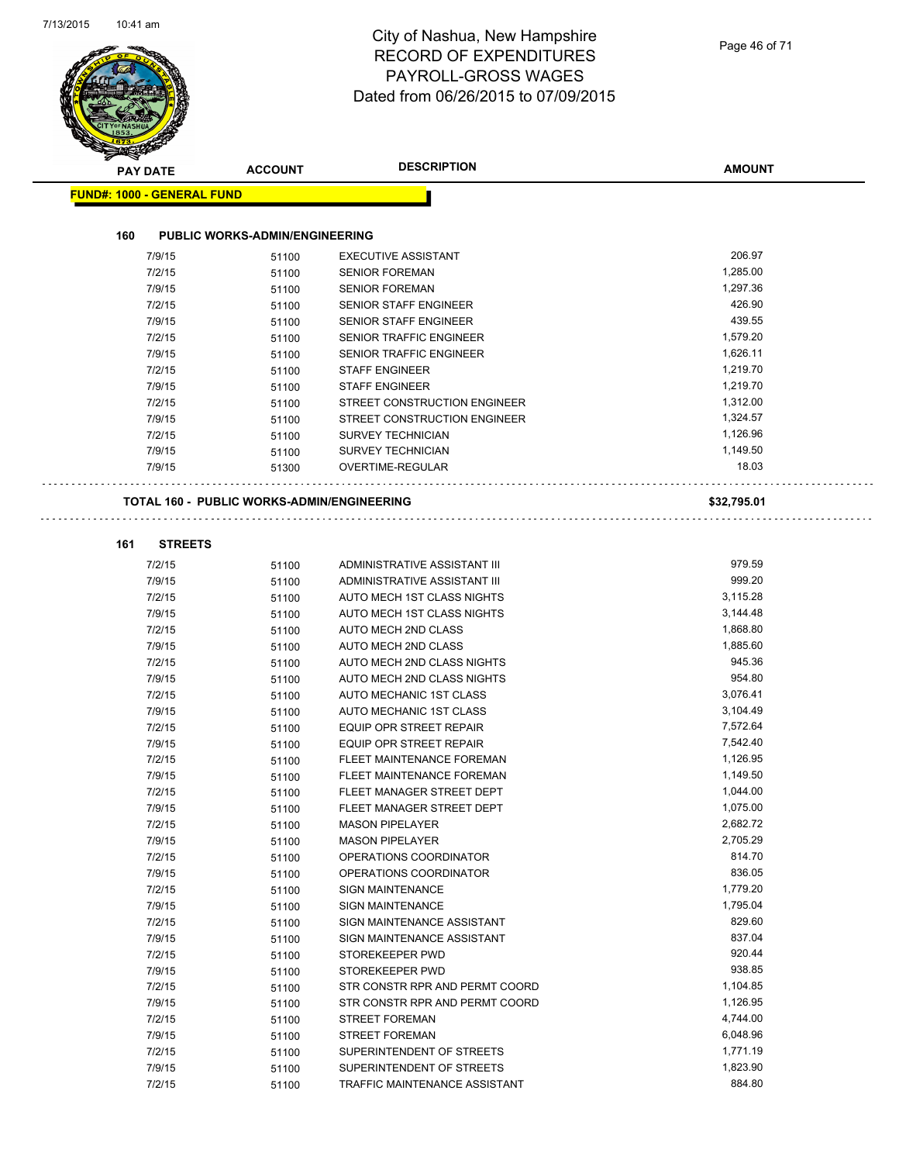|                                   |                                                   | Dated from 06/26/2015 to 07/09/2015                     |                      |
|-----------------------------------|---------------------------------------------------|---------------------------------------------------------|----------------------|
| <b>PAY DATE</b>                   | <b>ACCOUNT</b>                                    | <b>DESCRIPTION</b>                                      | <b>AMOUNT</b>        |
| <b>FUND#: 1000 - GENERAL FUND</b> |                                                   |                                                         |                      |
|                                   |                                                   |                                                         |                      |
| 160                               | <b>PUBLIC WORKS-ADMIN/ENGINEERING</b>             |                                                         |                      |
| 7/9/15                            | 51100                                             | <b>EXECUTIVE ASSISTANT</b>                              | 206.97               |
| 7/2/15                            | 51100                                             | <b>SENIOR FOREMAN</b>                                   | 1,285.00             |
| 7/9/15                            | 51100                                             | <b>SENIOR FOREMAN</b>                                   | 1,297.36             |
| 7/2/15                            | 51100                                             | <b>SENIOR STAFF ENGINEER</b>                            | 426.90               |
| 7/9/15                            | 51100                                             | <b>SENIOR STAFF ENGINEER</b>                            | 439.55               |
| 7/2/15                            | 51100                                             | <b>SENIOR TRAFFIC ENGINEER</b>                          | 1,579.20             |
| 7/9/15<br>7/2/15                  | 51100                                             | <b>SENIOR TRAFFIC ENGINEER</b><br><b>STAFF ENGINEER</b> | 1,626.11<br>1,219.70 |
|                                   | 51100                                             |                                                         | 1,219.70             |
| 7/9/15<br>7/2/15                  | 51100                                             | <b>STAFF ENGINEER</b><br>STREET CONSTRUCTION ENGINEER   | 1,312.00             |
| 7/9/15                            | 51100                                             | STREET CONSTRUCTION ENGINEER                            | 1,324.57             |
|                                   | 51100                                             |                                                         | 1,126.96             |
| 7/2/15<br>7/9/15                  | 51100                                             | <b>SURVEY TECHNICIAN</b><br><b>SURVEY TECHNICIAN</b>    | 1,149.50             |
|                                   | 51100                                             |                                                         | 18.03                |
| 7/9/15                            | 51300                                             | OVERTIME-REGULAR                                        |                      |
|                                   | <b>TOTAL 160 - PUBLIC WORKS-ADMIN/ENGINEERING</b> |                                                         | \$32,795.01          |
| 161<br><b>STREETS</b>             |                                                   |                                                         |                      |
| 7/2/15                            |                                                   | ADMINISTRATIVE ASSISTANT III                            | 979.59               |
| 7/9/15                            | 51100                                             | ADMINISTRATIVE ASSISTANT III                            | 999.20               |
| 7/2/15                            | 51100                                             | AUTO MECH 1ST CLASS NIGHTS                              | 3,115.28             |
| 7/9/15                            | 51100<br>51100                                    | AUTO MECH 1ST CLASS NIGHTS                              | 3,144.48             |
| 7/2/15                            | 51100                                             | AUTO MECH 2ND CLASS                                     | 1,868.80             |
| 7/9/15                            | 51100                                             | AUTO MECH 2ND CLASS                                     | 1,885.60             |
| 7/2/15                            | 51100                                             | AUTO MECH 2ND CLASS NIGHTS                              | 945.36               |
| 7/9/15                            | 51100                                             | AUTO MECH 2ND CLASS NIGHTS                              | 954.80               |
| 7/2/15                            | 51100                                             | AUTO MECHANIC 1ST CLASS                                 | 3,076.41             |
| 7/9/15                            | 51100                                             | AUTO MECHANIC 1ST CLASS                                 | 3,104.49             |
| 7/2/15                            | 51100                                             | EQUIP OPR STREET REPAIR                                 | 7,572.64             |
| 7/9/15                            | 51100                                             | <b>EQUIP OPR STREET REPAIR</b>                          | 7,542.40             |
| 7/2/15                            | 51100                                             | FLEET MAINTENANCE FOREMAN                               | 1,126.95             |
| 7/9/15                            | 51100                                             | FLEET MAINTENANCE FOREMAN                               | 1,149.50             |
| 7/2/15                            | 51100                                             | FLEET MANAGER STREET DEPT                               | 1,044.00             |
| 7/9/15                            | 51100                                             | FLEET MANAGER STREET DEPT                               | 1,075.00             |
| 7/2/15                            | 51100                                             | <b>MASON PIPELAYER</b>                                  | 2,682.72             |
| 7/9/15                            | 51100                                             | <b>MASON PIPELAYER</b>                                  | 2,705.29             |
| 7/2/15                            | 51100                                             | OPERATIONS COORDINATOR                                  | 814.70               |
| 7/9/15                            | 51100                                             | OPERATIONS COORDINATOR                                  | 836.05               |
| 7/2/15                            | 51100                                             | <b>SIGN MAINTENANCE</b>                                 | 1,779.20             |
| 7/9/15                            | 51100                                             | <b>SIGN MAINTENANCE</b>                                 | 1,795.04             |
| 7/2/15                            | 51100                                             | SIGN MAINTENANCE ASSISTANT                              | 829.60               |
| 7/9/15                            | 51100                                             | SIGN MAINTENANCE ASSISTANT                              | 837.04               |
| 7/2/15                            | 51100                                             | STOREKEEPER PWD                                         | 920.44               |
| 7/9/15                            | 51100                                             | STOREKEEPER PWD                                         | 938.85               |
| 7/2/15                            | 51100                                             | STR CONSTR RPR AND PERMT COORD                          | 1,104.85             |
| 7/9/15                            | 51100                                             | STR CONSTR RPR AND PERMT COORD                          | 1,126.95             |
| 7/2/15                            | 51100                                             | <b>STREET FOREMAN</b>                                   | 4,744.00             |
| 7/9/15                            | 51100                                             | <b>STREET FOREMAN</b>                                   | 6,048.96             |
| 7/2/15                            | 51100                                             | SUPERINTENDENT OF STREETS                               | 1,771.19             |
| 7/9/15                            | 51100                                             | SUPERINTENDENT OF STREETS                               | 1,823.90             |
|                                   |                                                   |                                                         | 884.80               |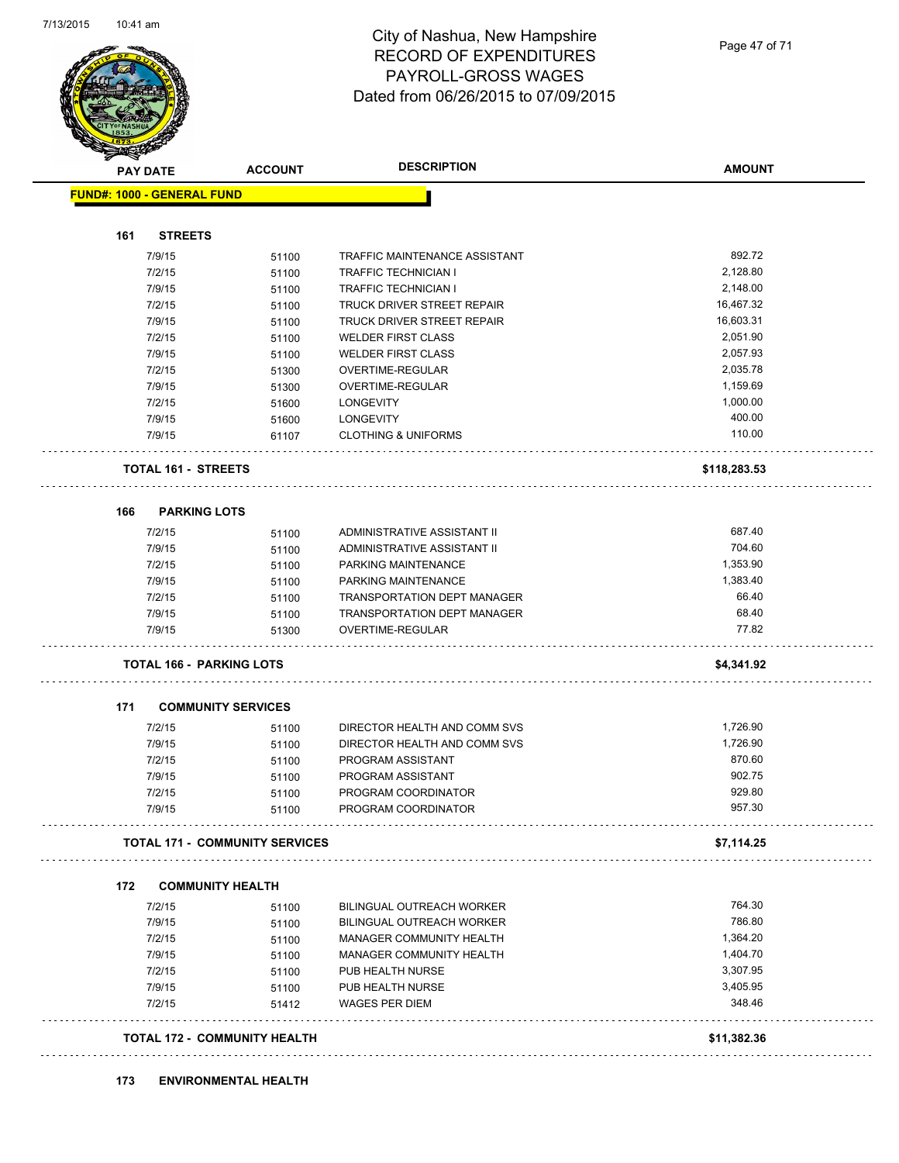

| <b>PAY DATE</b>                   | <b>ACCOUNT</b>                        |                           | <b>DESCRIPTION</b>                 | <b>AMOUNT</b> |
|-----------------------------------|---------------------------------------|---------------------------|------------------------------------|---------------|
| <b>FUND#: 1000 - GENERAL FUND</b> |                                       |                           |                                    |               |
| 161                               | <b>STREETS</b>                        |                           |                                    |               |
| 7/9/15                            |                                       | 51100                     | TRAFFIC MAINTENANCE ASSISTANT      | 892.72        |
| 7/2/15                            |                                       | 51100                     | <b>TRAFFIC TECHNICIAN I</b>        | 2,128.80      |
| 7/9/15                            |                                       | 51100                     | <b>TRAFFIC TECHNICIAN I</b>        | 2,148.00      |
| 7/2/15                            |                                       | 51100                     | TRUCK DRIVER STREET REPAIR         | 16,467.32     |
| 7/9/15                            |                                       | 51100                     | TRUCK DRIVER STREET REPAIR         | 16,603.31     |
| 7/2/15                            |                                       | 51100                     | <b>WELDER FIRST CLASS</b>          | 2,051.90      |
| 7/9/15                            |                                       | 51100                     | <b>WELDER FIRST CLASS</b>          | 2,057.93      |
| 7/2/15                            |                                       | 51300                     | OVERTIME-REGULAR                   | 2,035.78      |
| 7/9/15                            |                                       | 51300                     | OVERTIME-REGULAR                   | 1,159.69      |
| 7/2/15                            |                                       | <b>LONGEVITY</b><br>51600 |                                    | 1,000.00      |
| 7/9/15                            |                                       | LONGEVITY<br>51600        |                                    | 400.00        |
| 7/9/15                            |                                       | 61107                     | <b>CLOTHING &amp; UNIFORMS</b>     | 110.00        |
|                                   | <b>TOTAL 161 - STREETS</b>            |                           |                                    | \$118,283.53  |
| 166                               | <b>PARKING LOTS</b>                   |                           |                                    |               |
| 7/2/15                            |                                       | 51100                     | ADMINISTRATIVE ASSISTANT II        | 687.40        |
| 7/9/15                            |                                       | 51100                     | ADMINISTRATIVE ASSISTANT II        | 704.60        |
| 7/2/15                            |                                       | 51100                     | PARKING MAINTENANCE                | 1,353.90      |
| 7/9/15                            |                                       | 51100                     | PARKING MAINTENANCE                | 1,383.40      |
| 7/2/15                            |                                       | 51100                     | <b>TRANSPORTATION DEPT MANAGER</b> | 66.40         |
| 7/9/15                            |                                       | 51100                     | TRANSPORTATION DEPT MANAGER        | 68.40         |
| 7/9/15                            |                                       | 51300                     | OVERTIME-REGULAR                   | 77.82         |
|                                   | <b>TOTAL 166 - PARKING LOTS</b>       |                           |                                    | \$4,341.92    |
| 171                               | <b>COMMUNITY SERVICES</b>             |                           |                                    |               |
| 7/2/15                            |                                       | 51100                     | DIRECTOR HEALTH AND COMM SVS       | 1,726.90      |
| 7/9/15                            |                                       | 51100                     | DIRECTOR HEALTH AND COMM SVS       | 1,726.90      |
| 7/2/15                            |                                       | 51100                     | PROGRAM ASSISTANT                  | 870.60        |
| 7/9/15                            |                                       | 51100                     | PROGRAM ASSISTANT                  | 902.75        |
| 7/2/15                            |                                       | 51100                     | PROGRAM COORDINATOR                | 929.80        |
| 7/9/15                            |                                       | 51100                     | PROGRAM COORDINATOR                | 957.30        |
|                                   | <b>TOTAL 171 - COMMUNITY SERVICES</b> |                           |                                    | \$7,114.25    |
| 172                               | <b>COMMUNITY HEALTH</b>               |                           |                                    |               |
| 7/2/15                            |                                       | 51100                     | <b>BILINGUAL OUTREACH WORKER</b>   | 764.30        |
| 7/9/15                            |                                       | 51100                     | BILINGUAL OUTREACH WORKER          | 786.80        |
| 7/2/15                            |                                       | 51100                     | MANAGER COMMUNITY HEALTH           | 1,364.20      |
| 7/9/15                            |                                       | 51100                     | MANAGER COMMUNITY HEALTH           | 1,404.70      |
| 7/2/15                            |                                       | 51100                     | PUB HEALTH NURSE                   | 3,307.95      |
| 7/9/15                            |                                       | 51100                     | PUB HEALTH NURSE                   | 3,405.95      |
| 7/2/15                            |                                       | 51412                     | <b>WAGES PER DIEM</b>              | 348.46        |
|                                   | TOTAL 172 - COMMUNITY HEALTH          |                           |                                    | \$11,382.36   |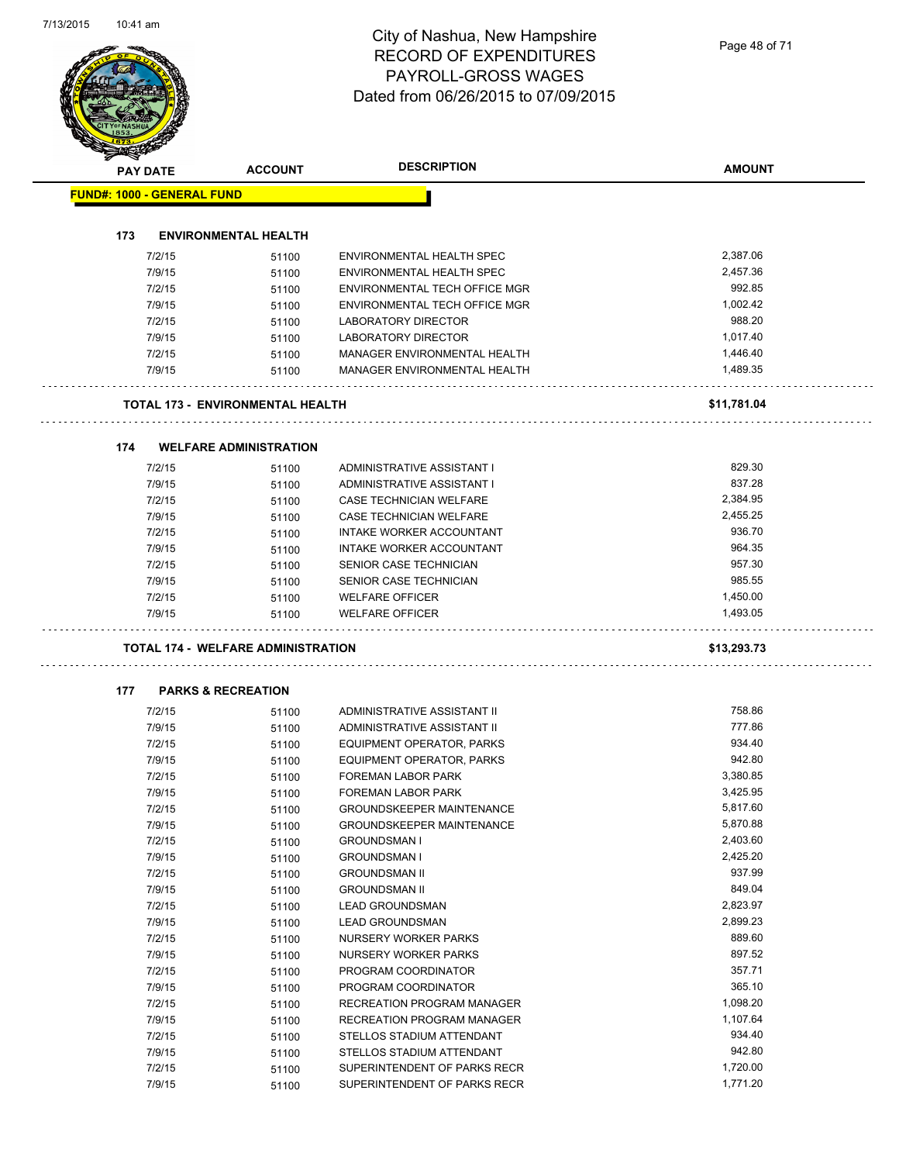| <b>PAY DATE</b>  | <b>ACCOUNT</b>                            | <b>DESCRIPTION</b>                                         | <b>AMOUNT</b> |
|------------------|-------------------------------------------|------------------------------------------------------------|---------------|
|                  | <b>FUND#: 1000 - GENERAL FUND</b>         |                                                            |               |
|                  |                                           |                                                            |               |
| 173              | <b>ENVIRONMENTAL HEALTH</b>               |                                                            |               |
| 7/2/15           | 51100                                     | ENVIRONMENTAL HEALTH SPEC                                  | 2,387.06      |
| 7/9/15           | 51100                                     | ENVIRONMENTAL HEALTH SPEC                                  | 2,457.36      |
| 7/2/15           | 51100                                     | ENVIRONMENTAL TECH OFFICE MGR                              | 992.85        |
| 7/9/15           | 51100                                     | ENVIRONMENTAL TECH OFFICE MGR                              | 1,002.42      |
| 7/2/15           | 51100                                     | <b>LABORATORY DIRECTOR</b>                                 | 988.20        |
| 7/9/15           | 51100                                     | LABORATORY DIRECTOR                                        | 1,017.40      |
| 7/2/15           | 51100                                     | MANAGER ENVIRONMENTAL HEALTH                               | 1,446.40      |
| 7/9/15           | 51100                                     | MANAGER ENVIRONMENTAL HEALTH                               | 1,489.35      |
|                  | TOTAL 173 - ENVIRONMENTAL HEALTH          |                                                            | \$11,781.04   |
| 174              | <b>WELFARE ADMINISTRATION</b>             |                                                            |               |
| 7/2/15           | 51100                                     | ADMINISTRATIVE ASSISTANT I                                 | 829.30        |
| 7/9/15           | 51100                                     | ADMINISTRATIVE ASSISTANT I                                 | 837.28        |
| 7/2/15           | 51100                                     | CASE TECHNICIAN WELFARE                                    | 2,384.95      |
| 7/9/15           | 51100                                     | CASE TECHNICIAN WELFARE                                    | 2,455.25      |
| 7/2/15           | 51100                                     | <b>INTAKE WORKER ACCOUNTANT</b>                            | 936.70        |
| 7/9/15           | 51100                                     | INTAKE WORKER ACCOUNTANT                                   | 964.35        |
| 7/2/15           | 51100                                     | SENIOR CASE TECHNICIAN                                     | 957.30        |
| 7/9/15           | 51100                                     | SENIOR CASE TECHNICIAN                                     | 985.55        |
| 7/2/15           | 51100                                     | <b>WELFARE OFFICER</b>                                     | 1,450.00      |
| 7/9/15           | 51100                                     | <b>WELFARE OFFICER</b>                                     | 1,493.05      |
|                  | <b>TOTAL 174 - WELFARE ADMINISTRATION</b> |                                                            | \$13,293.73   |
|                  |                                           |                                                            |               |
| 177              | <b>PARKS &amp; RECREATION</b>             |                                                            | 758.86        |
| 7/2/15<br>7/9/15 | 51100<br>51100                            | ADMINISTRATIVE ASSISTANT II<br>ADMINISTRATIVE ASSISTANT II | 777.86        |
| 7/2/15           | 51100                                     | EQUIPMENT OPERATOR, PARKS                                  | 934.40        |
| 7/9/15           | 51100                                     | EQUIPMENT OPERATOR, PARKS                                  | 942.80        |
| 7/2/15           | 51100                                     | FOREMAN LABOR PARK                                         | 3,380.85      |
| 7/9/15           | 51100                                     | FOREMAN LABOR PARK                                         | 3,425.95      |
| 7/2/15           | 51100                                     | <b>GROUNDSKEEPER MAINTENANCE</b>                           | 5,817.60      |
| 7/9/15           | 51100                                     | <b>GROUNDSKEEPER MAINTENANCE</b>                           | 5,870.88      |
| 7/2/15           | 51100                                     | <b>GROUNDSMAN I</b>                                        | 2,403.60      |
| 7/9/15           | 51100                                     | <b>GROUNDSMAN I</b>                                        | 2,425.20      |
| 7/2/15           | 51100                                     | <b>GROUNDSMAN II</b>                                       | 937.99        |
| 7/9/15           | 51100                                     | <b>GROUNDSMAN II</b>                                       | 849.04        |
| 7/2/15           | 51100                                     | <b>LEAD GROUNDSMAN</b>                                     | 2,823.97      |
| 7/9/15           | 51100                                     | <b>LEAD GROUNDSMAN</b>                                     | 2,899.23      |
| 7/2/15           | 51100                                     | NURSERY WORKER PARKS                                       | 889.60        |
| 7/9/15           | 51100                                     | NURSERY WORKER PARKS                                       | 897.52        |
| 7/2/15           | 51100                                     | PROGRAM COORDINATOR                                        | 357.71        |
| 7/9/15           | 51100                                     | PROGRAM COORDINATOR                                        | 365.10        |
| 7/2/15           | 51100                                     | RECREATION PROGRAM MANAGER                                 | 1,098.20      |
| 7/9/15           | 51100                                     | RECREATION PROGRAM MANAGER                                 | 1,107.64      |
| 7/2/15           | 51100                                     | STELLOS STADIUM ATTENDANT                                  | 934.40        |
| 7/9/15           | 51100                                     | STELLOS STADIUM ATTENDANT                                  | 942.80        |
| 7/2/15           | 51100                                     | SUPERINTENDENT OF PARKS RECR                               | 1,720.00      |
|                  |                                           |                                                            |               |
| 7/9/15           | 51100                                     | SUPERINTENDENT OF PARKS RECR                               | 1,771.20      |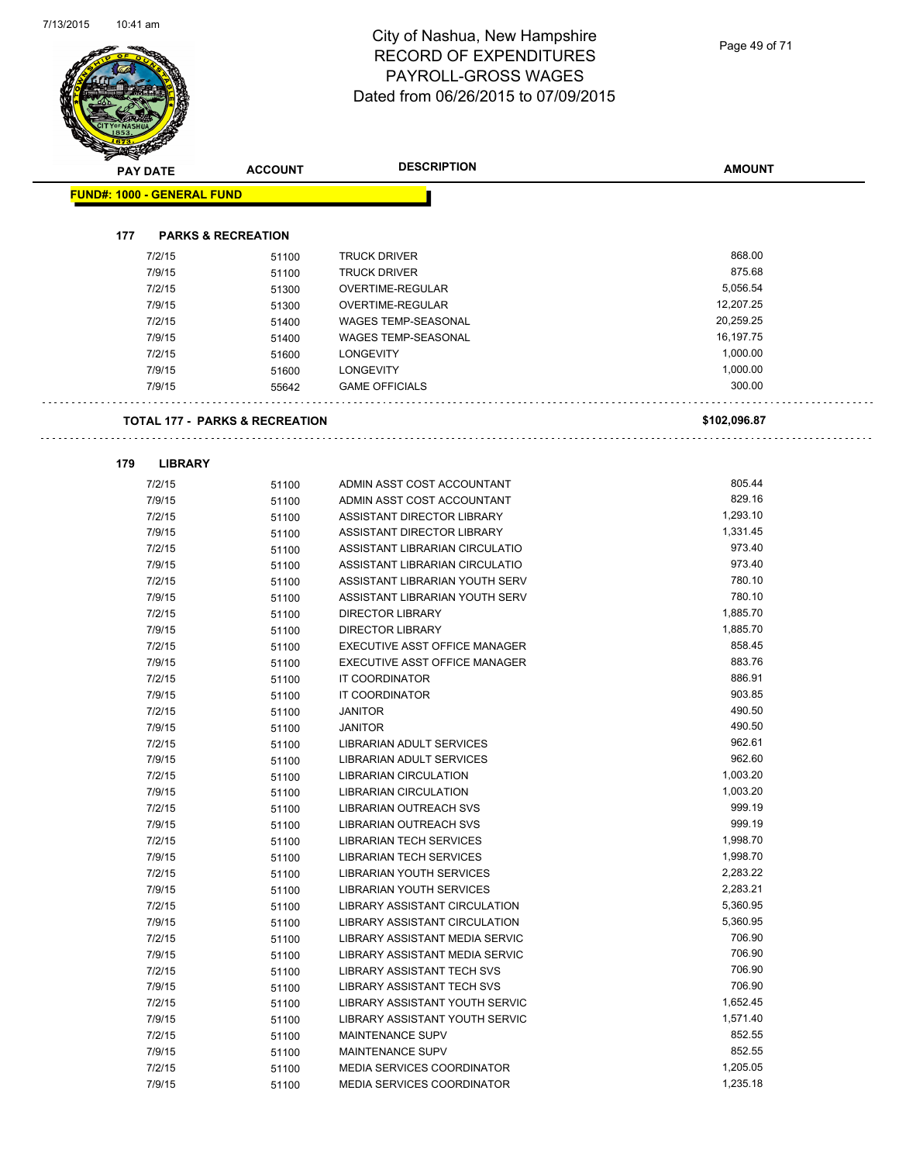Page 49 of 71

| <b>PAY DATE</b>                   | <b>ACCOUNT</b>                            | <b>DESCRIPTION</b>                | <b>AMOUNT</b> |
|-----------------------------------|-------------------------------------------|-----------------------------------|---------------|
| <b>FUND#: 1000 - GENERAL FUND</b> |                                           |                                   |               |
|                                   |                                           |                                   |               |
| 177                               | <b>PARKS &amp; RECREATION</b>             |                                   |               |
| 7/2/15                            | 51100                                     | <b>TRUCK DRIVER</b>               | 868.00        |
| 7/9/15                            | 51100                                     | <b>TRUCK DRIVER</b>               | 875.68        |
| 7/2/15                            | 51300                                     | OVERTIME-REGULAR                  | 5,056.54      |
| 7/9/15                            | 51300                                     | <b>OVERTIME-REGULAR</b>           | 12,207.25     |
| 7/2/15                            | 51400                                     | <b>WAGES TEMP-SEASONAL</b>        | 20,259.25     |
| 7/9/15                            | 51400                                     | <b>WAGES TEMP-SEASONAL</b>        | 16,197.75     |
| 7/2/15                            | 51600                                     | <b>LONGEVITY</b>                  | 1,000.00      |
| 7/9/15                            | 51600                                     | <b>LONGEVITY</b>                  | 1,000.00      |
| 7/9/15                            | 55642                                     | <b>GAME OFFICIALS</b>             | 300.00        |
|                                   | <b>TOTAL 177 - PARKS &amp; RECREATION</b> |                                   | \$102,096.87  |
| <b>LIBRARY</b><br>179             |                                           |                                   |               |
| 7/2/15                            | 51100                                     | ADMIN ASST COST ACCOUNTANT        | 805.44        |
| 7/9/15                            | 51100                                     | ADMIN ASST COST ACCOUNTANT        | 829.16        |
| 7/2/15                            | 51100                                     | ASSISTANT DIRECTOR LIBRARY        | 1,293.10      |
| 7/9/15                            | 51100                                     | ASSISTANT DIRECTOR LIBRARY        | 1,331.45      |
| 7/2/15                            | 51100                                     | ASSISTANT LIBRARIAN CIRCULATIO    | 973.40        |
| 7/9/15                            | 51100                                     | ASSISTANT LIBRARIAN CIRCULATIO    | 973.40        |
| 7/2/15                            | 51100                                     | ASSISTANT LIBRARIAN YOUTH SERV    | 780.10        |
| 7/9/15                            | 51100                                     | ASSISTANT LIBRARIAN YOUTH SERV    | 780.10        |
| 7/2/15                            | 51100                                     | <b>DIRECTOR LIBRARY</b>           | 1,885.70      |
| 7/9/15                            | 51100                                     | <b>DIRECTOR LIBRARY</b>           | 1,885.70      |
| 7/2/15                            | 51100                                     | EXECUTIVE ASST OFFICE MANAGER     | 858.45        |
| 7/9/15                            | 51100                                     | EXECUTIVE ASST OFFICE MANAGER     | 883.76        |
| 7/2/15                            | 51100                                     | <b>IT COORDINATOR</b>             | 886.91        |
| 7/9/15                            | 51100                                     | IT COORDINATOR                    | 903.85        |
| 7/2/15                            | 51100                                     | <b>JANITOR</b>                    | 490.50        |
| 7/9/15                            | 51100                                     | <b>JANITOR</b>                    | 490.50        |
| 7/2/15                            | 51100                                     | LIBRARIAN ADULT SERVICES          | 962.61        |
| 7/9/15                            | 51100                                     | LIBRARIAN ADULT SERVICES          | 962.60        |
| 7/2/15                            | 51100                                     | LIBRARIAN CIRCULATION             | 1,003.20      |
| 7/9/15                            | 51100                                     | LIBRARIAN CIRCULATION             | 1,003.20      |
| 7/2/15                            | 51100                                     | <b>LIBRARIAN OUTREACH SVS</b>     | 999.19        |
| 7/9/15                            | 51100                                     | LIBRARIAN OUTREACH SVS            | 999.19        |
| 7/2/15                            | 51100                                     | <b>LIBRARIAN TECH SERVICES</b>    | 1,998.70      |
| 7/9/15                            | 51100                                     | <b>LIBRARIAN TECH SERVICES</b>    | 1,998.70      |
| 7/2/15                            | 51100                                     | LIBRARIAN YOUTH SERVICES          | 2,283.22      |
| 7/9/15                            | 51100                                     | <b>LIBRARIAN YOUTH SERVICES</b>   | 2,283.21      |
| 7/2/15                            | 51100                                     | LIBRARY ASSISTANT CIRCULATION     | 5,360.95      |
| 7/9/15                            | 51100                                     | LIBRARY ASSISTANT CIRCULATION     | 5,360.95      |
| 7/2/15                            | 51100                                     | LIBRARY ASSISTANT MEDIA SERVIC    | 706.90        |
| 7/9/15                            | 51100                                     | LIBRARY ASSISTANT MEDIA SERVIC    | 706.90        |
| 7/2/15                            | 51100                                     | LIBRARY ASSISTANT TECH SVS        | 706.90        |
| 7/9/15                            | 51100                                     | LIBRARY ASSISTANT TECH SVS        | 706.90        |
| 7/2/15                            | 51100                                     | LIBRARY ASSISTANT YOUTH SERVIC    | 1,652.45      |
| 7/9/15                            | 51100                                     | LIBRARY ASSISTANT YOUTH SERVIC    | 1,571.40      |
| 7/2/15                            | 51100                                     | MAINTENANCE SUPV                  | 852.55        |
| 7/9/15                            | 51100                                     | MAINTENANCE SUPV                  | 852.55        |
| 7/2/15                            | 51100                                     | <b>MEDIA SERVICES COORDINATOR</b> | 1,205.05      |
| 7/9/15                            | 51100                                     | MEDIA SERVICES COORDINATOR        | 1,235.18      |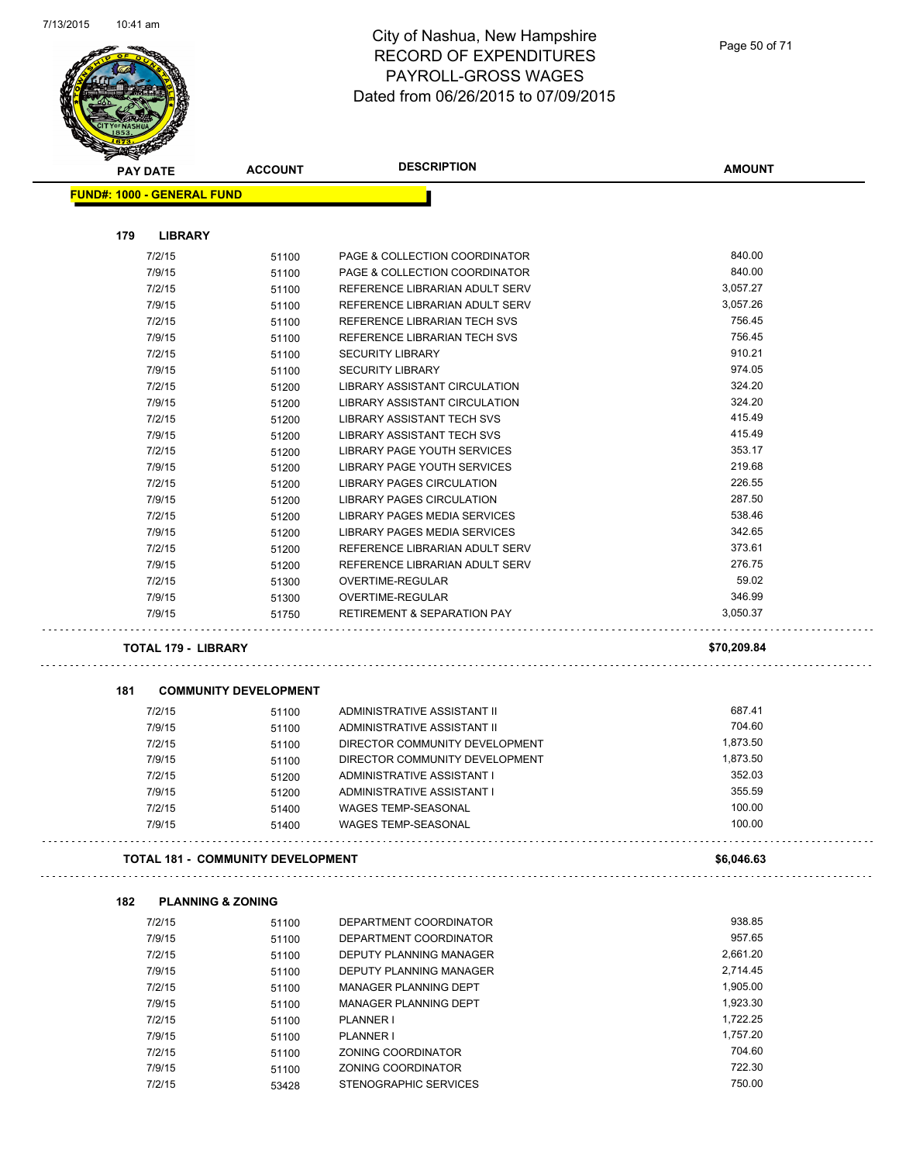

|     | <b>PAY DATE</b>                          | <b>ACCOUNT</b>               | <b>DESCRIPTION</b>                     | <b>AMOUNT</b> |
|-----|------------------------------------------|------------------------------|----------------------------------------|---------------|
|     | <b>FUND#: 1000 - GENERAL FUND</b>        |                              |                                        |               |
| 179 | <b>LIBRARY</b>                           |                              |                                        |               |
|     | 7/2/15                                   | 51100                        | PAGE & COLLECTION COORDINATOR          | 840.00        |
|     | 7/9/15                                   | 51100                        | PAGE & COLLECTION COORDINATOR          | 840.00        |
|     | 7/2/15                                   | 51100                        | REFERENCE LIBRARIAN ADULT SERV         | 3,057.27      |
|     | 7/9/15                                   | 51100                        | REFERENCE LIBRARIAN ADULT SERV         | 3,057.26      |
|     | 7/2/15                                   | 51100                        | REFERENCE LIBRARIAN TECH SVS           | 756.45        |
|     | 7/9/15                                   | 51100                        | REFERENCE LIBRARIAN TECH SVS           | 756.45        |
|     | 7/2/15                                   | 51100                        | <b>SECURITY LIBRARY</b>                | 910.21        |
|     | 7/9/15                                   | 51100                        | <b>SECURITY LIBRARY</b>                | 974.05        |
|     | 7/2/15                                   | 51200                        | LIBRARY ASSISTANT CIRCULATION          | 324.20        |
|     | 7/9/15                                   |                              | LIBRARY ASSISTANT CIRCULATION          | 324.20        |
|     | 7/2/15                                   | 51200                        | LIBRARY ASSISTANT TECH SVS             | 415.49        |
|     | 7/9/15                                   | 51200                        | <b>LIBRARY ASSISTANT TECH SVS</b>      | 415.49        |
|     |                                          | 51200                        |                                        | 353.17        |
|     | 7/2/15                                   | 51200                        | LIBRARY PAGE YOUTH SERVICES            |               |
|     | 7/9/15                                   | 51200                        | LIBRARY PAGE YOUTH SERVICES            | 219.68        |
|     | 7/2/15                                   | 51200                        | <b>LIBRARY PAGES CIRCULATION</b>       | 226.55        |
|     | 7/9/15                                   | 51200                        | <b>LIBRARY PAGES CIRCULATION</b>       | 287.50        |
|     | 7/2/15                                   | 51200                        | <b>LIBRARY PAGES MEDIA SERVICES</b>    | 538.46        |
|     | 7/9/15                                   | 51200                        | LIBRARY PAGES MEDIA SERVICES           | 342.65        |
|     | 7/2/15                                   | 51200                        | REFERENCE LIBRARIAN ADULT SERV         | 373.61        |
|     | 7/9/15                                   | 51200                        | REFERENCE LIBRARIAN ADULT SERV         | 276.75        |
|     | 7/2/15                                   | 51300                        | OVERTIME-REGULAR                       | 59.02         |
|     | 7/9/15                                   | 51300                        | OVERTIME-REGULAR                       | 346.99        |
|     | 7/9/15                                   | 51750                        | <b>RETIREMENT &amp; SEPARATION PAY</b> | 3,050.37      |
|     | <b>TOTAL 179 - LIBRARY</b>               |                              |                                        | \$70,209.84   |
| 181 |                                          | <b>COMMUNITY DEVELOPMENT</b> |                                        |               |
|     | 7/2/15                                   | 51100                        | ADMINISTRATIVE ASSISTANT II            | 687.41        |
|     | 7/9/15                                   | 51100                        | ADMINISTRATIVE ASSISTANT II            | 704.60        |
|     | 7/2/15                                   | 51100                        | DIRECTOR COMMUNITY DEVELOPMENT         | 1,873.50      |
|     | 7/9/15                                   | 51100                        | DIRECTOR COMMUNITY DEVELOPMENT         | 1,873.50      |
|     | 7/2/15                                   | 51200                        | ADMINISTRATIVE ASSISTANT I             | 352.03        |
|     | 7/9/15                                   | 51200                        | ADMINISTRATIVE ASSISTANT I             | 355.59        |
|     | 7/2/15                                   |                              | <b>WAGES TEMP-SEASONAL</b>             | 100.00        |
|     | 7/9/15                                   | 51400<br>51400               | <b>WAGES TEMP-SEASONAL</b>             | 100.00        |
|     | <b>TOTAL 181 - COMMUNITY DEVELOPMENT</b> |                              |                                        | \$6,046.63    |
|     |                                          |                              |                                        |               |
| 182 | <b>PLANNING &amp; ZONING</b>             |                              |                                        | 938.85        |
|     | 7/2/15                                   | 51100                        | DEPARTMENT COORDINATOR                 |               |
|     | 7/9/15                                   | 51100                        | DEPARTMENT COORDINATOR                 | 957.65        |
|     | 7/2/15                                   | 51100                        | DEPUTY PLANNING MANAGER                | 2,661.20      |
|     | 7/9/15                                   | 51100                        | DEPUTY PLANNING MANAGER                | 2,714.45      |
|     | 7/2/15                                   | 51100                        | <b>MANAGER PLANNING DEPT</b>           | 1,905.00      |
|     | 7/9/15                                   | 51100                        | MANAGER PLANNING DEPT                  | 1,923.30      |
|     | 7/2/15                                   | 51100                        | <b>PLANNER I</b>                       | 1,722.25      |
|     | 7/9/15                                   | 51100                        | <b>PLANNER I</b>                       | 1,757.20      |
|     | 7/2/15                                   | 51100                        | ZONING COORDINATOR                     | 704.60        |
|     | 7/9/15                                   | 51100                        | ZONING COORDINATOR                     | 722.30        |
|     | 7/2/15                                   | 53428                        | STENOGRAPHIC SERVICES                  | 750.00        |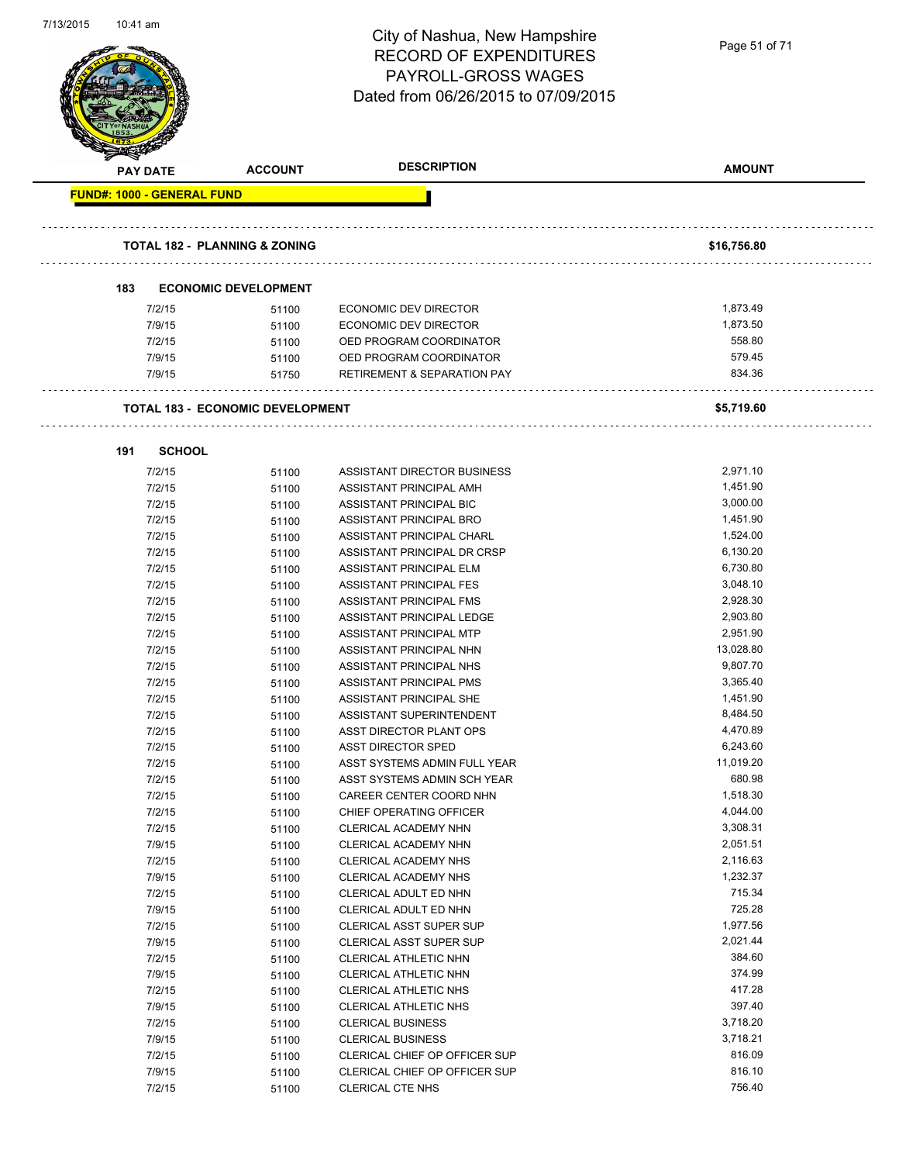| 1113/ZU15<br>10:41 am             |                                          | City of Nashua, New Hampshire<br><b>RECORD OF EXPENDITURES</b><br>PAYROLL-GROSS WAGES<br>Dated from 06/26/2015 to 07/09/2015 | Page 51 of 71        |
|-----------------------------------|------------------------------------------|------------------------------------------------------------------------------------------------------------------------------|----------------------|
| <b>PAY DATE</b>                   | <b>ACCOUNT</b>                           | <b>DESCRIPTION</b>                                                                                                           | <b>AMOUNT</b>        |
| <b>FUND#: 1000 - GENERAL FUND</b> |                                          |                                                                                                                              |                      |
|                                   |                                          |                                                                                                                              |                      |
|                                   | <b>TOTAL 182 - PLANNING &amp; ZONING</b> |                                                                                                                              | \$16,756.80          |
| 183                               | <b>ECONOMIC DEVELOPMENT</b>              |                                                                                                                              |                      |
| 7/2/15                            | 51100                                    | <b>ECONOMIC DEV DIRECTOR</b>                                                                                                 | 1,873.49             |
| 7/9/15                            | 51100                                    | <b>ECONOMIC DEV DIRECTOR</b>                                                                                                 | 1,873.50             |
| 7/2/15                            | 51100                                    | OED PROGRAM COORDINATOR                                                                                                      | 558.80               |
| 7/9/15                            | 51100                                    | OED PROGRAM COORDINATOR                                                                                                      | 579.45               |
| 7/9/15                            | 51750                                    | RETIREMENT & SEPARATION PAY                                                                                                  | 834.36               |
|                                   | <b>TOTAL 183 - ECONOMIC DEVELOPMENT</b>  |                                                                                                                              | \$5,719.60           |
|                                   |                                          |                                                                                                                              |                      |
| 191                               | <b>SCHOOL</b>                            |                                                                                                                              |                      |
| 7/2/15                            | 51100                                    | ASSISTANT DIRECTOR BUSINESS                                                                                                  | 2,971.10             |
| 7/2/15                            | 51100                                    | ASSISTANT PRINCIPAL AMH                                                                                                      | 1,451.90             |
| 7/2/15                            | 51100                                    | ASSISTANT PRINCIPAL BIC                                                                                                      | 3,000.00             |
| 7/2/15                            | 51100                                    | ASSISTANT PRINCIPAL BRO                                                                                                      | 1,451.90             |
| 7/2/15                            | 51100                                    | ASSISTANT PRINCIPAL CHARL                                                                                                    | 1,524.00             |
| 7/2/15                            | 51100                                    | ASSISTANT PRINCIPAL DR CRSP                                                                                                  | 6,130.20             |
| 7/2/15                            | 51100                                    | ASSISTANT PRINCIPAL ELM                                                                                                      | 6,730.80             |
| 7/2/15                            | 51100                                    | ASSISTANT PRINCIPAL FES                                                                                                      | 3,048.10             |
| 7/2/15                            | 51100                                    | ASSISTANT PRINCIPAL FMS                                                                                                      | 2,928.30             |
| 7/2/15                            | 51100                                    | ASSISTANT PRINCIPAL LEDGE                                                                                                    | 2,903.80             |
| 7/2/15                            | 51100                                    | ASSISTANT PRINCIPAL MTP                                                                                                      | 2,951.90             |
| 7/2/15                            | 51100                                    | ASSISTANT PRINCIPAL NHN                                                                                                      | 13,028.80            |
| 7/2/15                            | 51100                                    | ASSISTANT PRINCIPAL NHS                                                                                                      | 9,807.70             |
| 7/2/15                            | 51100                                    | ASSISTANT PRINCIPAL PMS                                                                                                      | 3,365.40             |
| 7/2/15                            | 51100                                    | ASSISTANT PRINCIPAL SHE                                                                                                      | 1,451.90             |
| 7/2/15                            | 51100                                    | ASSISTANT SUPERINTENDENT                                                                                                     | 8,484.50             |
| 7/2/15                            | 51100                                    | ASST DIRECTOR PLANT OPS                                                                                                      | 4,470.89             |
| 7/2/15                            | 51100                                    | <b>ASST DIRECTOR SPED</b>                                                                                                    | 6,243.60             |
| 7/2/15                            | 51100                                    | ASST SYSTEMS ADMIN FULL YEAR                                                                                                 | 11,019.20            |
| 7/2/15                            | 51100                                    | ASST SYSTEMS ADMIN SCH YEAR                                                                                                  | 680.98               |
| 7/2/15                            | 51100                                    | CAREER CENTER COORD NHN                                                                                                      | 1,518.30             |
| 7/2/15                            | 51100                                    | CHIEF OPERATING OFFICER                                                                                                      | 4,044.00<br>3,308.31 |
| 7/2/15<br>7/9/15                  | 51100                                    | CLERICAL ACADEMY NHN                                                                                                         | 2,051.51             |
| 7/2/15                            | 51100<br>51100                           | CLERICAL ACADEMY NHN<br>CLERICAL ACADEMY NHS                                                                                 | 2,116.63             |
| 7/9/15                            | 51100                                    | CLERICAL ACADEMY NHS                                                                                                         | 1,232.37             |
| 7/2/15                            | 51100                                    | CLERICAL ADULT ED NHN                                                                                                        | 715.34               |
| 7/9/15                            | 51100                                    | CLERICAL ADULT ED NHN                                                                                                        | 725.28               |
| 7/2/15                            | 51100                                    | CLERICAL ASST SUPER SUP                                                                                                      | 1,977.56             |
| 7/9/15                            | 51100                                    | CLERICAL ASST SUPER SUP                                                                                                      | 2,021.44             |
| 7/2/15                            | 51100                                    | CLERICAL ATHLETIC NHN                                                                                                        | 384.60               |
| 7/9/15                            | 51100                                    | CLERICAL ATHLETIC NHN                                                                                                        | 374.99               |
| 7/2/15                            | 51100                                    | CLERICAL ATHLETIC NHS                                                                                                        | 417.28               |
| 7/9/15                            | 51100                                    | CLERICAL ATHLETIC NHS                                                                                                        | 397.40               |
| 7/2/15                            | 51100                                    | <b>CLERICAL BUSINESS</b>                                                                                                     | 3,718.20             |
| 7/9/15                            | 51100                                    | <b>CLERICAL BUSINESS</b>                                                                                                     | 3,718.21             |
| 7/2/15                            | 51100                                    | CLERICAL CHIEF OP OFFICER SUP                                                                                                | 816.09               |
| 7/9/15                            | 51100                                    | CLERICAL CHIEF OP OFFICER SUP                                                                                                | 816.10               |

7/2/15 51100 CLERICAL CTE NHS 756.40

7/13/2015 10:41 am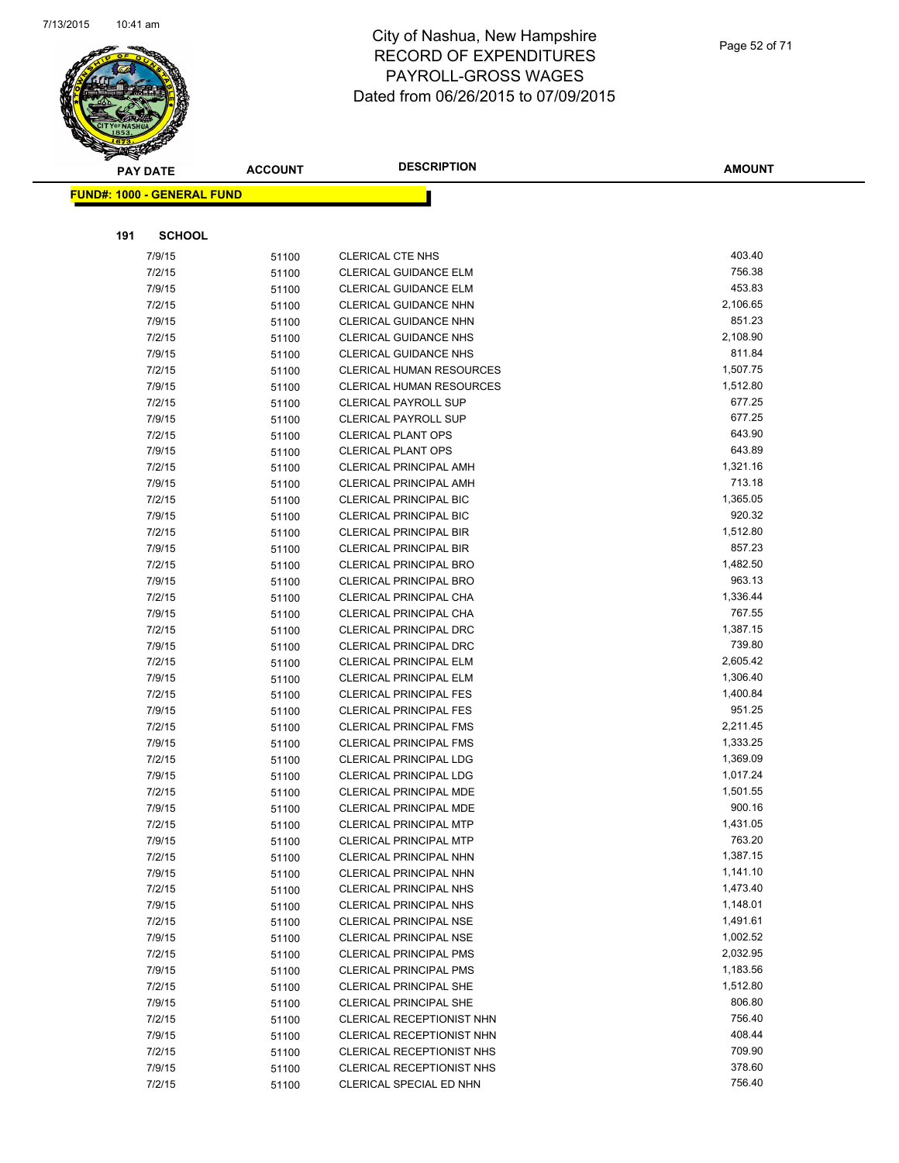

| <b>PAY DATE</b>                   | <b>ACCOUNT</b> | <b>DESCRIPTION</b>                                      | <b>AMOUNT</b>      |
|-----------------------------------|----------------|---------------------------------------------------------|--------------------|
| <b>FUND#: 1000 - GENERAL FUND</b> |                |                                                         |                    |
|                                   |                |                                                         |                    |
|                                   | <b>SCHOOL</b>  |                                                         |                    |
| 191                               |                |                                                         |                    |
| 7/9/15                            | 51100          | <b>CLERICAL CTE NHS</b>                                 | 403.40             |
| 7/2/15                            | 51100          | CLERICAL GUIDANCE ELM                                   | 756.38<br>453.83   |
| 7/9/15                            | 51100          | CLERICAL GUIDANCE ELM                                   |                    |
| 7/2/15                            | 51100          | <b>CLERICAL GUIDANCE NHN</b>                            | 2,106.65<br>851.23 |
| 7/9/15<br>7/2/15                  | 51100          | CLERICAL GUIDANCE NHN<br><b>CLERICAL GUIDANCE NHS</b>   | 2,108.90           |
| 7/9/15                            | 51100          | <b>CLERICAL GUIDANCE NHS</b>                            | 811.84             |
| 7/2/15                            | 51100<br>51100 | <b>CLERICAL HUMAN RESOURCES</b>                         | 1,507.75           |
| 7/9/15                            | 51100          | <b>CLERICAL HUMAN RESOURCES</b>                         | 1,512.80           |
| 7/2/15                            | 51100          | <b>CLERICAL PAYROLL SUP</b>                             | 677.25             |
| 7/9/15                            | 51100          | <b>CLERICAL PAYROLL SUP</b>                             | 677.25             |
| 7/2/15                            | 51100          | <b>CLERICAL PLANT OPS</b>                               | 643.90             |
| 7/9/15                            | 51100          | <b>CLERICAL PLANT OPS</b>                               | 643.89             |
| 7/2/15                            | 51100          | <b>CLERICAL PRINCIPAL AMH</b>                           | 1,321.16           |
| 7/9/15                            | 51100          | <b>CLERICAL PRINCIPAL AMH</b>                           | 713.18             |
| 7/2/15                            | 51100          | <b>CLERICAL PRINCIPAL BIC</b>                           | 1,365.05           |
| 7/9/15                            | 51100          | <b>CLERICAL PRINCIPAL BIC</b>                           | 920.32             |
| 7/2/15                            | 51100          | <b>CLERICAL PRINCIPAL BIR</b>                           | 1,512.80           |
| 7/9/15                            | 51100          | <b>CLERICAL PRINCIPAL BIR</b>                           | 857.23             |
| 7/2/15                            | 51100          | CLERICAL PRINCIPAL BRO                                  | 1,482.50           |
| 7/9/15                            | 51100          | <b>CLERICAL PRINCIPAL BRO</b>                           | 963.13             |
| 7/2/15                            | 51100          | CLERICAL PRINCIPAL CHA                                  | 1,336.44           |
| 7/9/15                            | 51100          | CLERICAL PRINCIPAL CHA                                  | 767.55             |
| 7/2/15                            | 51100          | <b>CLERICAL PRINCIPAL DRC</b>                           | 1,387.15           |
| 7/9/15                            | 51100          | <b>CLERICAL PRINCIPAL DRC</b>                           | 739.80             |
| 7/2/15                            | 51100          | CLERICAL PRINCIPAL ELM                                  | 2,605.42           |
| 7/9/15                            | 51100          | <b>CLERICAL PRINCIPAL ELM</b>                           | 1,306.40           |
| 7/2/15                            | 51100          | <b>CLERICAL PRINCIPAL FES</b>                           | 1,400.84           |
| 7/9/15                            | 51100          | <b>CLERICAL PRINCIPAL FES</b>                           | 951.25             |
| 7/2/15                            | 51100          | <b>CLERICAL PRINCIPAL FMS</b>                           | 2,211.45           |
| 7/9/15                            | 51100          | <b>CLERICAL PRINCIPAL FMS</b>                           | 1,333.25           |
| 7/2/15                            | 51100          | <b>CLERICAL PRINCIPAL LDG</b>                           | 1,369.09           |
| 7/9/15                            | 51100          | <b>CLERICAL PRINCIPAL LDG</b>                           | 1,017.24           |
| 7/2/15                            | 51100          | CLERICAL PRINCIPAL MDE                                  | 1,501.55<br>900.16 |
| 7/9/15<br>7/2/15                  | 51100          | CLERICAL PRINCIPAL MDE<br><b>CLERICAL PRINCIPAL MTP</b> | 1,431.05           |
| 7/9/15                            | 51100          | CLERICAL PRINCIPAL MTP                                  | 763.20             |
| 7/2/15                            | 51100<br>51100 | CLERICAL PRINCIPAL NHN                                  | 1,387.15           |
| 7/9/15                            | 51100          | CLERICAL PRINCIPAL NHN                                  | 1,141.10           |
| 7/2/15                            | 51100          | CLERICAL PRINCIPAL NHS                                  | 1,473.40           |
| 7/9/15                            | 51100          | <b>CLERICAL PRINCIPAL NHS</b>                           | 1,148.01           |
| 7/2/15                            | 51100          | <b>CLERICAL PRINCIPAL NSE</b>                           | 1,491.61           |
| 7/9/15                            | 51100          | <b>CLERICAL PRINCIPAL NSE</b>                           | 1,002.52           |
| 7/2/15                            | 51100          | <b>CLERICAL PRINCIPAL PMS</b>                           | 2,032.95           |
| 7/9/15                            | 51100          | <b>CLERICAL PRINCIPAL PMS</b>                           | 1,183.56           |
| 7/2/15                            | 51100          | <b>CLERICAL PRINCIPAL SHE</b>                           | 1,512.80           |
| 7/9/15                            | 51100          | <b>CLERICAL PRINCIPAL SHE</b>                           | 806.80             |
| 7/2/15                            | 51100          | CLERICAL RECEPTIONIST NHN                               | 756.40             |
| 7/9/15                            | 51100          | CLERICAL RECEPTIONIST NHN                               | 408.44             |
| 7/2/15                            | 51100          | CLERICAL RECEPTIONIST NHS                               | 709.90             |
| 7/9/15                            | 51100          | CLERICAL RECEPTIONIST NHS                               | 378.60             |
| 7/2/15                            | 51100          | CLERICAL SPECIAL ED NHN                                 | 756.40             |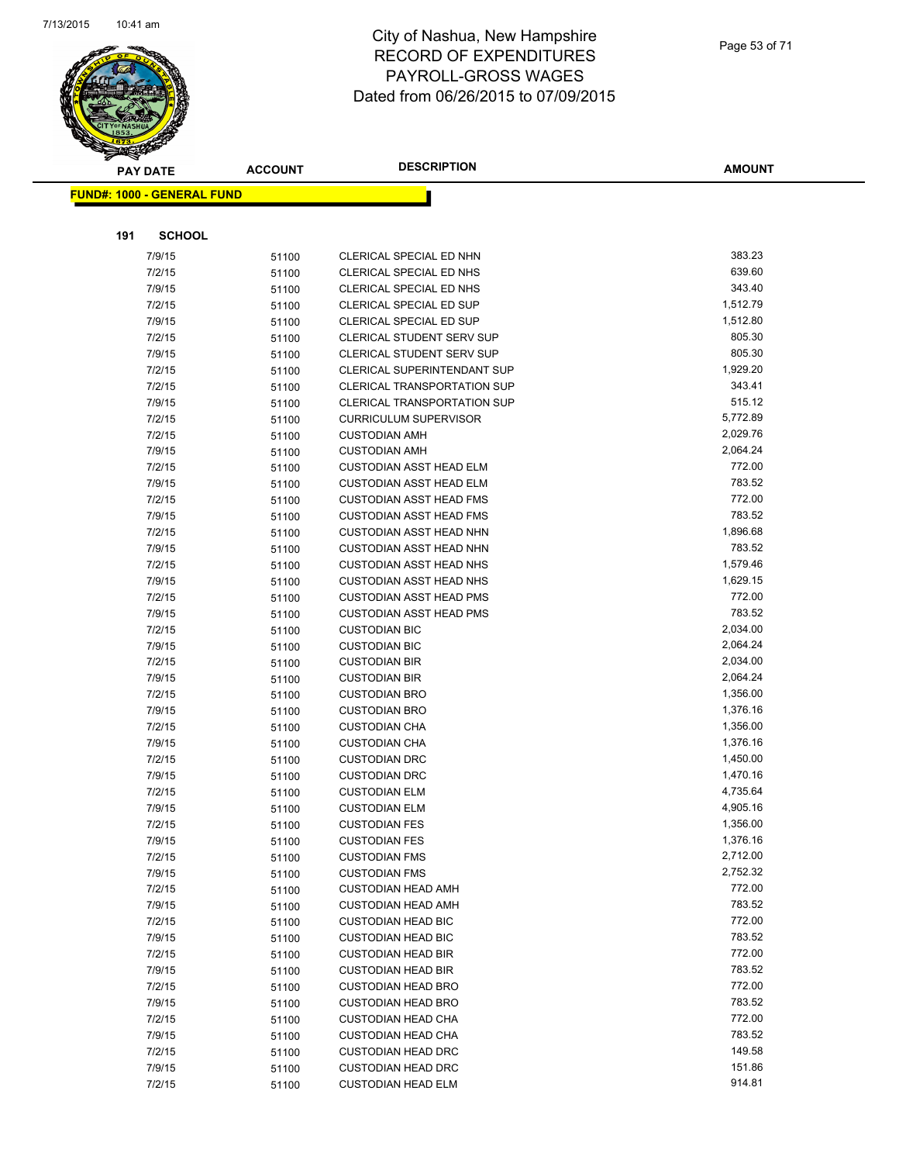

|     | <b>PAY DATE</b>                   | <b>ACCOUNT</b> | <b>DESCRIPTION</b>                 | <b>AMOUNT</b> |
|-----|-----------------------------------|----------------|------------------------------------|---------------|
|     | <b>FUND#: 1000 - GENERAL FUND</b> |                |                                    |               |
|     |                                   |                |                                    |               |
|     |                                   |                |                                    |               |
| 191 | <b>SCHOOL</b>                     |                |                                    |               |
|     | 7/9/15                            | 51100          | CLERICAL SPECIAL ED NHN            | 383.23        |
|     | 7/2/15                            | 51100          | CLERICAL SPECIAL ED NHS            | 639.60        |
|     | 7/9/15                            | 51100          | CLERICAL SPECIAL ED NHS            | 343.40        |
|     | 7/2/15                            | 51100          | CLERICAL SPECIAL ED SUP            | 1,512.79      |
|     | 7/9/15                            | 51100          | CLERICAL SPECIAL ED SUP            | 1,512.80      |
|     | 7/2/15                            | 51100          | <b>CLERICAL STUDENT SERV SUP</b>   | 805.30        |
|     | 7/9/15                            | 51100          | <b>CLERICAL STUDENT SERV SUP</b>   | 805.30        |
|     | 7/2/15                            | 51100          | CLERICAL SUPERINTENDANT SUP        | 1,929.20      |
|     | 7/2/15                            | 51100          | <b>CLERICAL TRANSPORTATION SUP</b> | 343.41        |
|     | 7/9/15                            | 51100          | <b>CLERICAL TRANSPORTATION SUP</b> | 515.12        |
|     | 7/2/15                            | 51100          | <b>CURRICULUM SUPERVISOR</b>       | 5,772.89      |
|     | 7/2/15                            | 51100          | <b>CUSTODIAN AMH</b>               | 2,029.76      |
|     | 7/9/15                            | 51100          | <b>CUSTODIAN AMH</b>               | 2,064.24      |
|     | 7/2/15                            | 51100          | <b>CUSTODIAN ASST HEAD ELM</b>     | 772.00        |
|     | 7/9/15                            | 51100          | <b>CUSTODIAN ASST HEAD ELM</b>     | 783.52        |
|     | 7/2/15                            | 51100          | <b>CUSTODIAN ASST HEAD FMS</b>     | 772.00        |
|     | 7/9/15                            | 51100          | <b>CUSTODIAN ASST HEAD FMS</b>     | 783.52        |
|     | 7/2/15                            | 51100          | <b>CUSTODIAN ASST HEAD NHN</b>     | 1,896.68      |
|     | 7/9/15                            | 51100          | <b>CUSTODIAN ASST HEAD NHN</b>     | 783.52        |
|     | 7/2/15                            | 51100          | <b>CUSTODIAN ASST HEAD NHS</b>     | 1,579.46      |
|     | 7/9/15                            | 51100          | <b>CUSTODIAN ASST HEAD NHS</b>     | 1,629.15      |
|     | 7/2/15                            | 51100          | <b>CUSTODIAN ASST HEAD PMS</b>     | 772.00        |
|     | 7/9/15                            | 51100          | <b>CUSTODIAN ASST HEAD PMS</b>     | 783.52        |
|     | 7/2/15                            | 51100          | <b>CUSTODIAN BIC</b>               | 2,034.00      |
|     | 7/9/15                            | 51100          | <b>CUSTODIAN BIC</b>               | 2,064.24      |
|     | 7/2/15                            | 51100          | <b>CUSTODIAN BIR</b>               | 2,034.00      |
|     | 7/9/15                            | 51100          | <b>CUSTODIAN BIR</b>               | 2,064.24      |
|     | 7/2/15                            | 51100          | <b>CUSTODIAN BRO</b>               | 1,356.00      |
|     | 7/9/15                            | 51100          | <b>CUSTODIAN BRO</b>               | 1,376.16      |
|     | 7/2/15                            | 51100          | <b>CUSTODIAN CHA</b>               | 1,356.00      |
|     | 7/9/15                            | 51100          | <b>CUSTODIAN CHA</b>               | 1,376.16      |
|     | 7/2/15                            | 51100          | <b>CUSTODIAN DRC</b>               | 1,450.00      |
|     | 7/9/15                            | 51100          | <b>CUSTODIAN DRC</b>               | 1,470.16      |
|     | 7/2/15                            | 51100          | <b>CUSTODIAN ELM</b>               | 4,735.64      |
|     | 7/9/15                            | 51100          | <b>CUSTODIAN ELM</b>               | 4,905.16      |
|     | 7/2/15                            | 51100          | <b>CUSTODIAN FES</b>               | 1,356.00      |
|     | 7/9/15                            | 51100          | <b>CUSTODIAN FES</b>               | 1,376.16      |
|     | 7/2/15                            | 51100          | <b>CUSTODIAN FMS</b>               | 2,712.00      |
|     | 7/9/15                            | 51100          | <b>CUSTODIAN FMS</b>               | 2,752.32      |
|     | 7/2/15                            | 51100          | <b>CUSTODIAN HEAD AMH</b>          | 772.00        |
|     | 7/9/15                            | 51100          | <b>CUSTODIAN HEAD AMH</b>          | 783.52        |
|     | 7/2/15                            | 51100          | <b>CUSTODIAN HEAD BIC</b>          | 772.00        |
|     | 7/9/15                            | 51100          | <b>CUSTODIAN HEAD BIC</b>          | 783.52        |
|     | 7/2/15                            | 51100          | <b>CUSTODIAN HEAD BIR</b>          | 772.00        |
|     | 7/9/15                            | 51100          | <b>CUSTODIAN HEAD BIR</b>          | 783.52        |
|     | 7/2/15                            | 51100          | <b>CUSTODIAN HEAD BRO</b>          | 772.00        |
|     | 7/9/15                            | 51100          | <b>CUSTODIAN HEAD BRO</b>          | 783.52        |
|     | 7/2/15                            | 51100          | <b>CUSTODIAN HEAD CHA</b>          | 772.00        |
|     | 7/9/15                            | 51100          | <b>CUSTODIAN HEAD CHA</b>          | 783.52        |
|     | 7/2/15                            | 51100          | <b>CUSTODIAN HEAD DRC</b>          | 149.58        |
|     | 7/9/15                            | 51100          | <b>CUSTODIAN HEAD DRC</b>          | 151.86        |
|     | 7/2/15                            | 51100          | <b>CUSTODIAN HEAD ELM</b>          | 914.81        |
|     |                                   |                |                                    |               |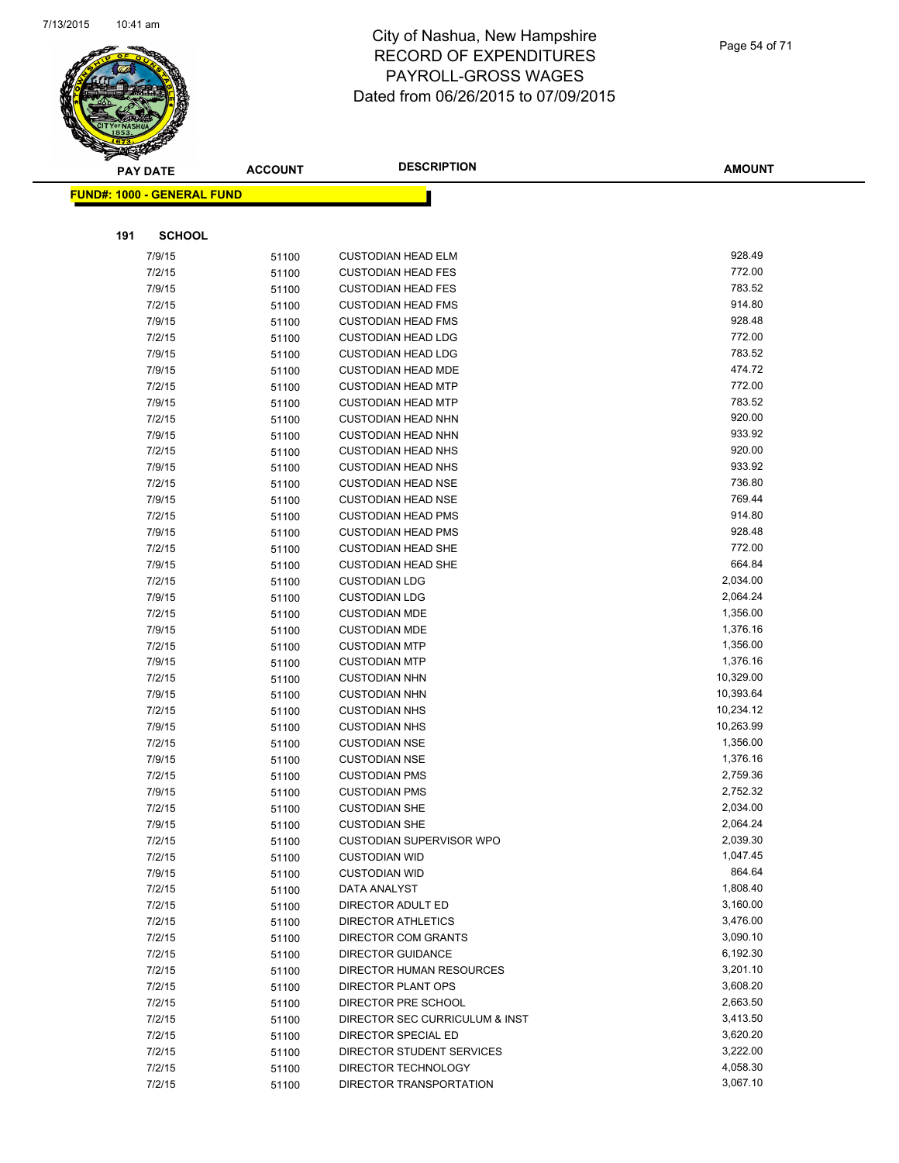

|     | <b>PAY DATE</b>                   | <b>ACCOUNT</b> | <b>DESCRIPTION</b>                                     | <b>AMOUNT</b>    |
|-----|-----------------------------------|----------------|--------------------------------------------------------|------------------|
|     | <b>FUND#: 1000 - GENERAL FUND</b> |                |                                                        |                  |
|     |                                   |                |                                                        |                  |
| 191 | <b>SCHOOL</b>                     |                |                                                        |                  |
|     |                                   |                |                                                        |                  |
|     | 7/9/15                            | 51100          | <b>CUSTODIAN HEAD ELM</b>                              | 928.49<br>772.00 |
|     | 7/2/15                            | 51100          | <b>CUSTODIAN HEAD FES</b>                              | 783.52           |
|     | 7/9/15                            | 51100          | <b>CUSTODIAN HEAD FES</b>                              | 914.80           |
|     | 7/2/15                            | 51100          | <b>CUSTODIAN HEAD FMS</b>                              | 928.48           |
|     | 7/9/15                            | 51100          | <b>CUSTODIAN HEAD FMS</b>                              |                  |
|     | 7/2/15                            | 51100          | <b>CUSTODIAN HEAD LDG</b>                              | 772.00<br>783.52 |
|     | 7/9/15                            | 51100          | <b>CUSTODIAN HEAD LDG</b>                              | 474.72           |
|     | 7/9/15                            | 51100          | <b>CUSTODIAN HEAD MDE</b>                              | 772.00           |
|     | 7/2/15<br>7/9/15                  | 51100          | <b>CUSTODIAN HEAD MTP</b>                              | 783.52           |
|     | 7/2/15                            | 51100          | <b>CUSTODIAN HEAD MTP</b><br><b>CUSTODIAN HEAD NHN</b> | 920.00           |
|     | 7/9/15                            | 51100          | <b>CUSTODIAN HEAD NHN</b>                              | 933.92           |
|     | 7/2/15                            | 51100          | <b>CUSTODIAN HEAD NHS</b>                              | 920.00           |
|     | 7/9/15                            | 51100<br>51100 | <b>CUSTODIAN HEAD NHS</b>                              | 933.92           |
|     | 7/2/15                            | 51100          | <b>CUSTODIAN HEAD NSE</b>                              | 736.80           |
|     | 7/9/15                            | 51100          | <b>CUSTODIAN HEAD NSE</b>                              | 769.44           |
|     | 7/2/15                            | 51100          | <b>CUSTODIAN HEAD PMS</b>                              | 914.80           |
|     | 7/9/15                            | 51100          | <b>CUSTODIAN HEAD PMS</b>                              | 928.48           |
|     | 7/2/15                            | 51100          | <b>CUSTODIAN HEAD SHE</b>                              | 772.00           |
|     | 7/9/15                            | 51100          | <b>CUSTODIAN HEAD SHE</b>                              | 664.84           |
|     | 7/2/15                            | 51100          | <b>CUSTODIAN LDG</b>                                   | 2,034.00         |
|     | 7/9/15                            | 51100          | <b>CUSTODIAN LDG</b>                                   | 2,064.24         |
|     | 7/2/15                            | 51100          | <b>CUSTODIAN MDE</b>                                   | 1,356.00         |
|     | 7/9/15                            | 51100          | <b>CUSTODIAN MDE</b>                                   | 1,376.16         |
|     | 7/2/15                            | 51100          | <b>CUSTODIAN MTP</b>                                   | 1,356.00         |
|     | 7/9/15                            | 51100          | <b>CUSTODIAN MTP</b>                                   | 1,376.16         |
|     | 7/2/15                            | 51100          | <b>CUSTODIAN NHN</b>                                   | 10,329.00        |
|     | 7/9/15                            | 51100          | <b>CUSTODIAN NHN</b>                                   | 10,393.64        |
|     | 7/2/15                            | 51100          | <b>CUSTODIAN NHS</b>                                   | 10,234.12        |
|     | 7/9/15                            | 51100          | <b>CUSTODIAN NHS</b>                                   | 10,263.99        |
|     | 7/2/15                            | 51100          | <b>CUSTODIAN NSE</b>                                   | 1,356.00         |
|     | 7/9/15                            | 51100          | <b>CUSTODIAN NSE</b>                                   | 1,376.16         |
|     | 7/2/15                            | 51100          | <b>CUSTODIAN PMS</b>                                   | 2,759.36         |
|     | 7/9/15                            | 51100          | <b>CUSTODIAN PMS</b>                                   | 2,752.32         |
|     | 7/2/15                            | 51100          | <b>CUSTODIAN SHE</b>                                   | 2,034.00         |
|     | 7/9/15                            | 51100          | <b>CUSTODIAN SHE</b>                                   | 2,064.24         |
|     | 7/2/15                            | 51100          | <b>CUSTODIAN SUPERVISOR WPO</b>                        | 2,039.30         |
|     | 7/2/15                            | 51100          | <b>CUSTODIAN WID</b>                                   | 1,047.45         |
|     | 7/9/15                            | 51100          | <b>CUSTODIAN WID</b>                                   | 864.64           |
|     | 7/2/15                            | 51100          | DATA ANALYST                                           | 1,808.40         |
|     | 7/2/15                            | 51100          | DIRECTOR ADULT ED                                      | 3,160.00         |
|     | 7/2/15                            | 51100          | <b>DIRECTOR ATHLETICS</b>                              | 3,476.00         |
|     | 7/2/15                            | 51100          | DIRECTOR COM GRANTS                                    | 3,090.10         |
|     | 7/2/15                            | 51100          | <b>DIRECTOR GUIDANCE</b>                               | 6,192.30         |
|     | 7/2/15                            | 51100          | DIRECTOR HUMAN RESOURCES                               | 3,201.10         |
|     | 7/2/15                            | 51100          | DIRECTOR PLANT OPS                                     | 3,608.20         |
|     | 7/2/15                            | 51100          | DIRECTOR PRE SCHOOL                                    | 2,663.50         |
|     | 7/2/15                            | 51100          | DIRECTOR SEC CURRICULUM & INST                         | 3,413.50         |
|     | 7/2/15                            | 51100          | DIRECTOR SPECIAL ED                                    | 3,620.20         |
|     | 7/2/15                            | 51100          | DIRECTOR STUDENT SERVICES                              | 3,222.00         |
|     | 7/2/15                            | 51100          | DIRECTOR TECHNOLOGY                                    | 4,058.30         |
|     | 7/2/15                            | 51100          | DIRECTOR TRANSPORTATION                                | 3,067.10         |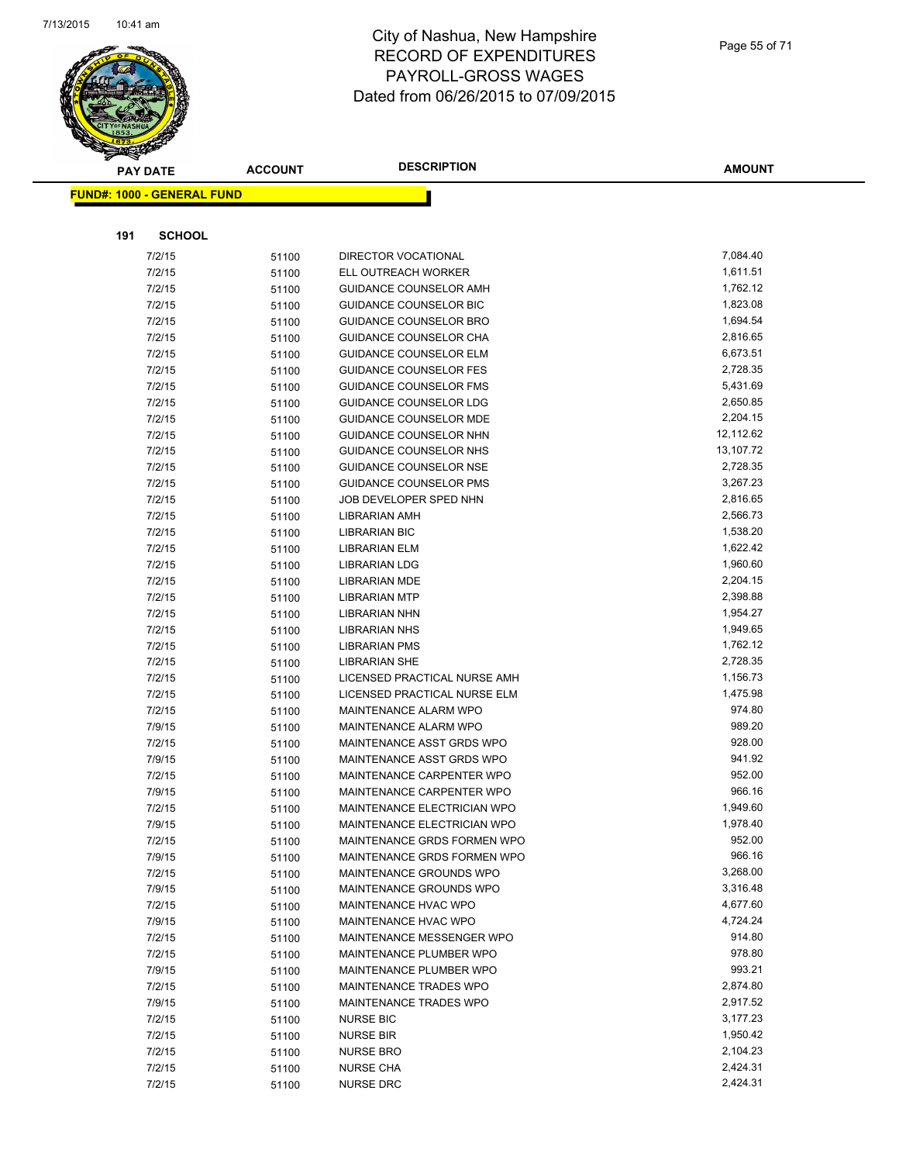

| <b>PAY DATE</b>                   | <b>ACCOUNT</b> | <b>DESCRIPTION</b>            | <b>AMOUNT</b> |
|-----------------------------------|----------------|-------------------------------|---------------|
| <b>FUND#: 1000 - GENERAL FUND</b> |                |                               |               |
|                                   |                |                               |               |
|                                   |                |                               |               |
| <b>SCHOOL</b><br>191              |                |                               |               |
| 7/2/15                            | 51100          | DIRECTOR VOCATIONAL           | 7,084.40      |
| 7/2/15                            | 51100          | ELL OUTREACH WORKER           | 1,611.51      |
| 7/2/15                            | 51100          | GUIDANCE COUNSELOR AMH        | 1,762.12      |
| 7/2/15                            | 51100          | GUIDANCE COUNSELOR BIC        | 1,823.08      |
| 7/2/15                            | 51100          | <b>GUIDANCE COUNSELOR BRO</b> | 1,694.54      |
| 7/2/15                            | 51100          | GUIDANCE COUNSELOR CHA        | 2,816.65      |
| 7/2/15                            | 51100          | <b>GUIDANCE COUNSELOR ELM</b> | 6,673.51      |
| 7/2/15                            | 51100          | <b>GUIDANCE COUNSELOR FES</b> | 2,728.35      |
| 7/2/15                            | 51100          | <b>GUIDANCE COUNSELOR FMS</b> | 5,431.69      |
| 7/2/15                            | 51100          | <b>GUIDANCE COUNSELOR LDG</b> | 2,650.85      |
| 7/2/15                            | 51100          | <b>GUIDANCE COUNSELOR MDE</b> | 2,204.15      |
| 7/2/15                            | 51100          | GUIDANCE COUNSELOR NHN        | 12,112.62     |
| 7/2/15                            | 51100          | GUIDANCE COUNSELOR NHS        | 13,107.72     |
| 7/2/15                            | 51100          | <b>GUIDANCE COUNSELOR NSE</b> | 2,728.35      |
| 7/2/15                            | 51100          | <b>GUIDANCE COUNSELOR PMS</b> | 3,267.23      |
| 7/2/15                            | 51100          | JOB DEVELOPER SPED NHN        | 2,816.65      |
| 7/2/15                            | 51100          | LIBRARIAN AMH                 | 2,566.73      |
| 7/2/15                            | 51100          | <b>LIBRARIAN BIC</b>          | 1,538.20      |
| 7/2/15                            | 51100          | <b>LIBRARIAN ELM</b>          | 1,622.42      |
| 7/2/15                            | 51100          | <b>LIBRARIAN LDG</b>          | 1,960.60      |
| 7/2/15                            | 51100          | <b>LIBRARIAN MDE</b>          | 2,204.15      |
| 7/2/15                            | 51100          | <b>LIBRARIAN MTP</b>          | 2,398.88      |
| 7/2/15                            | 51100          | LIBRARIAN NHN                 | 1,954.27      |
| 7/2/15                            | 51100          | LIBRARIAN NHS                 | 1,949.65      |
| 7/2/15                            | 51100          | <b>LIBRARIAN PMS</b>          | 1,762.12      |
| 7/2/15                            | 51100          | <b>LIBRARIAN SHE</b>          | 2,728.35      |
| 7/2/15                            | 51100          | LICENSED PRACTICAL NURSE AMH  | 1,156.73      |
| 7/2/15                            | 51100          | LICENSED PRACTICAL NURSE ELM  | 1,475.98      |
| 7/2/15                            | 51100          | MAINTENANCE ALARM WPO         | 974.80        |
| 7/9/15                            | 51100          | MAINTENANCE ALARM WPO         | 989.20        |
| 7/2/15                            | 51100          | MAINTENANCE ASST GRDS WPO     | 928.00        |
| 7/9/15                            | 51100          | MAINTENANCE ASST GRDS WPO     | 941.92        |
| 7/2/15                            | 51100          | MAINTENANCE CARPENTER WPO     | 952.00        |
| 7/9/15                            | 51100          | MAINTENANCE CARPENTER WPO     | 966.16        |
| 7/2/15                            | 51100          | MAINTENANCE ELECTRICIAN WPO   | 1,949.60      |
| 7/9/15                            | 51100          | MAINTENANCE ELECTRICIAN WPO   | 1,978.40      |
| 7/2/15                            | 51100          | MAINTENANCE GRDS FORMEN WPO   | 952.00        |
| 7/9/15                            | 51100          | MAINTENANCE GRDS FORMEN WPO   | 966.16        |
| 7/2/15                            | 51100          | MAINTENANCE GROUNDS WPO       | 3,268.00      |
| 7/9/15                            | 51100          | MAINTENANCE GROUNDS WPO       | 3,316.48      |
| 7/2/15                            | 51100          | MAINTENANCE HVAC WPO          | 4,677.60      |
| 7/9/15                            | 51100          | MAINTENANCE HVAC WPO          | 4,724.24      |
| 7/2/15                            | 51100          | MAINTENANCE MESSENGER WPO     | 914.80        |
| 7/2/15                            | 51100          | MAINTENANCE PLUMBER WPO       | 978.80        |
| 7/9/15                            | 51100          | MAINTENANCE PLUMBER WPO       | 993.21        |
| 7/2/15                            | 51100          | MAINTENANCE TRADES WPO        | 2,874.80      |
| 7/9/15                            | 51100          | MAINTENANCE TRADES WPO        | 2,917.52      |
| 7/2/15                            | 51100          | <b>NURSE BIC</b>              | 3,177.23      |
| 7/2/15                            | 51100          | <b>NURSE BIR</b>              | 1,950.42      |
| 7/2/15                            | 51100          | <b>NURSE BRO</b>              | 2,104.23      |
| 7/2/15                            | 51100          | <b>NURSE CHA</b>              | 2,424.31      |
| 7/2/15                            | 51100          | <b>NURSE DRC</b>              | 2,424.31      |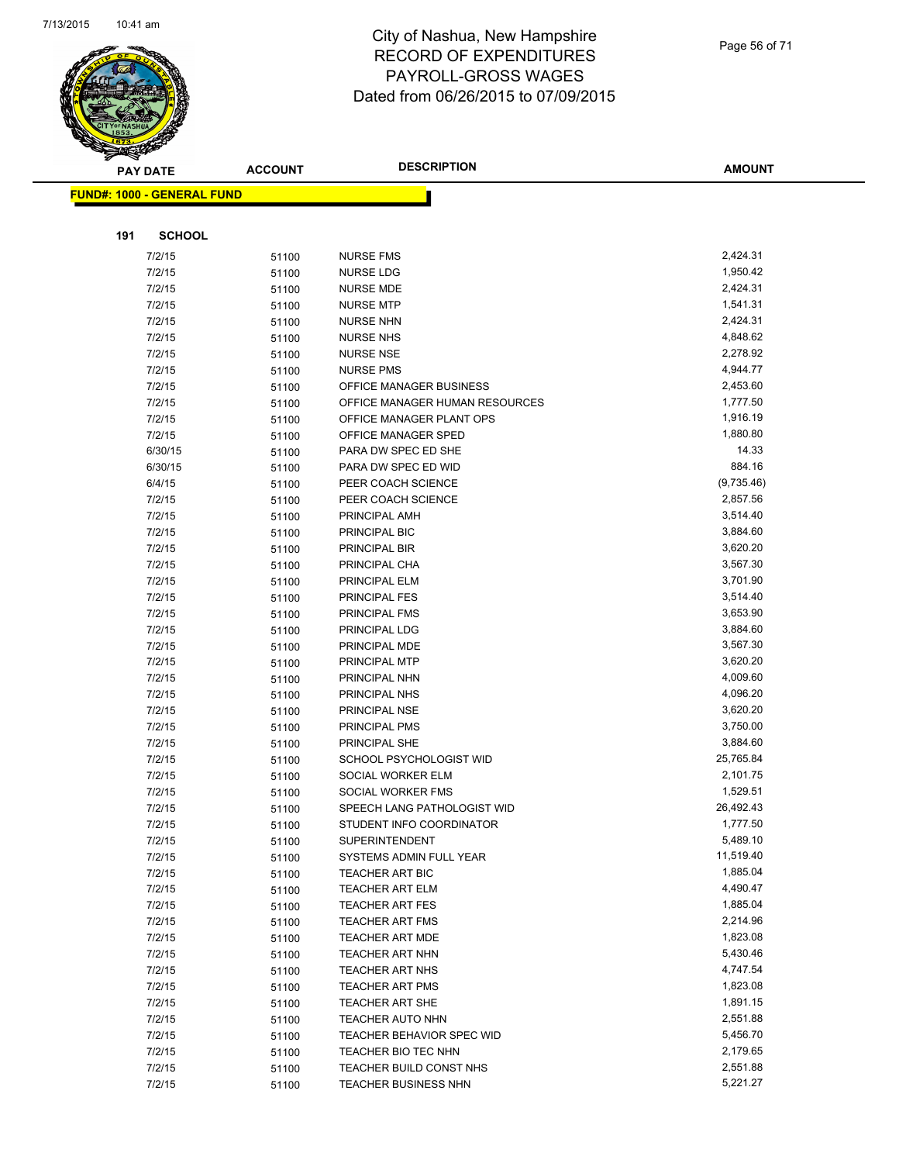

| <b>PAY DATE</b>                   | <b>ACCOUNT</b> | <b>DESCRIPTION</b>             | <b>AMOUNT</b> |
|-----------------------------------|----------------|--------------------------------|---------------|
| <b>FUND#: 1000 - GENERAL FUND</b> |                |                                |               |
|                                   |                |                                |               |
|                                   |                |                                |               |
| 191<br><b>SCHOOL</b>              |                |                                |               |
| 7/2/15                            | 51100          | <b>NURSE FMS</b>               | 2,424.31      |
| 7/2/15                            | 51100          | NURSE LDG                      | 1,950.42      |
| 7/2/15                            | 51100          | <b>NURSE MDE</b>               | 2,424.31      |
| 7/2/15                            | 51100          | <b>NURSE MTP</b>               | 1,541.31      |
| 7/2/15                            | 51100          | <b>NURSE NHN</b>               | 2,424.31      |
| 7/2/15                            | 51100          | <b>NURSE NHS</b>               | 4,848.62      |
| 7/2/15                            | 51100          | <b>NURSE NSE</b>               | 2,278.92      |
| 7/2/15                            | 51100          | <b>NURSE PMS</b>               | 4,944.77      |
| 7/2/15                            | 51100          | OFFICE MANAGER BUSINESS        | 2,453.60      |
| 7/2/15                            | 51100          | OFFICE MANAGER HUMAN RESOURCES | 1,777.50      |
| 7/2/15                            | 51100          | OFFICE MANAGER PLANT OPS       | 1,916.19      |
| 7/2/15                            | 51100          | OFFICE MANAGER SPED            | 1,880.80      |
| 6/30/15                           | 51100          | PARA DW SPEC ED SHE            | 14.33         |
| 6/30/15                           | 51100          | PARA DW SPEC ED WID            | 884.16        |
| 6/4/15                            | 51100          | PEER COACH SCIENCE             | (9,735.46)    |
| 7/2/15                            | 51100          | PEER COACH SCIENCE             | 2,857.56      |
| 7/2/15                            | 51100          | PRINCIPAL AMH                  | 3,514.40      |
| 7/2/15                            | 51100          | PRINCIPAL BIC                  | 3,884.60      |
| 7/2/15                            | 51100          | PRINCIPAL BIR                  | 3,620.20      |
| 7/2/15                            | 51100          | PRINCIPAL CHA                  | 3,567.30      |
| 7/2/15                            | 51100          | PRINCIPAL ELM                  | 3,701.90      |
| 7/2/15                            | 51100          | PRINCIPAL FES                  | 3,514.40      |
| 7/2/15                            | 51100          | PRINCIPAL FMS                  | 3,653.90      |
| 7/2/15                            | 51100          | PRINCIPAL LDG                  | 3,884.60      |
| 7/2/15                            | 51100          | PRINCIPAL MDE                  | 3,567.30      |
| 7/2/15                            | 51100          | PRINCIPAL MTP                  | 3,620.20      |
| 7/2/15                            | 51100          | PRINCIPAL NHN                  | 4,009.60      |
| 7/2/15                            | 51100          | PRINCIPAL NHS                  | 4,096.20      |
| 7/2/15                            | 51100          | PRINCIPAL NSE                  | 3,620.20      |
| 7/2/15                            | 51100          | PRINCIPAL PMS                  | 3,750.00      |
| 7/2/15                            | 51100          | PRINCIPAL SHE                  | 3,884.60      |
| 7/2/15                            | 51100          | SCHOOL PSYCHOLOGIST WID        | 25,765.84     |
| 7/2/15                            | 51100          | SOCIAL WORKER ELM              | 2,101.75      |
| 7/2/15                            | 51100          | SOCIAL WORKER FMS              | 1,529.51      |
| 7/2/15                            | 51100          | SPEECH LANG PATHOLOGIST WID    | 26,492.43     |
| 7/2/15                            | 51100          | STUDENT INFO COORDINATOR       | 1,777.50      |
| 7/2/15                            | 51100          | <b>SUPERINTENDENT</b>          | 5,489.10      |
| 7/2/15                            | 51100          | SYSTEMS ADMIN FULL YEAR        | 11,519.40     |
| 7/2/15                            | 51100          | TEACHER ART BIC                | 1,885.04      |
| 7/2/15                            | 51100          | <b>TEACHER ART ELM</b>         | 4,490.47      |
| 7/2/15                            | 51100          | <b>TEACHER ART FES</b>         | 1,885.04      |
| 7/2/15                            | 51100          | <b>TEACHER ART FMS</b>         | 2,214.96      |
| 7/2/15                            | 51100          | <b>TEACHER ART MDE</b>         | 1,823.08      |
| 7/2/15                            | 51100          | TEACHER ART NHN                | 5,430.46      |
| 7/2/15                            | 51100          | <b>TEACHER ART NHS</b>         | 4,747.54      |
| 7/2/15                            | 51100          | TEACHER ART PMS                | 1,823.08      |
| 7/2/15                            | 51100          | <b>TEACHER ART SHE</b>         | 1,891.15      |
| 7/2/15                            | 51100          | <b>TEACHER AUTO NHN</b>        | 2,551.88      |
| 7/2/15                            | 51100          | TEACHER BEHAVIOR SPEC WID      | 5,456.70      |
| 7/2/15                            | 51100          | TEACHER BIO TEC NHN            | 2,179.65      |
| 7/2/15                            | 51100          | TEACHER BUILD CONST NHS        | 2,551.88      |
| 7/2/15                            | 51100          | TEACHER BUSINESS NHN           | 5,221.27      |
|                                   |                |                                |               |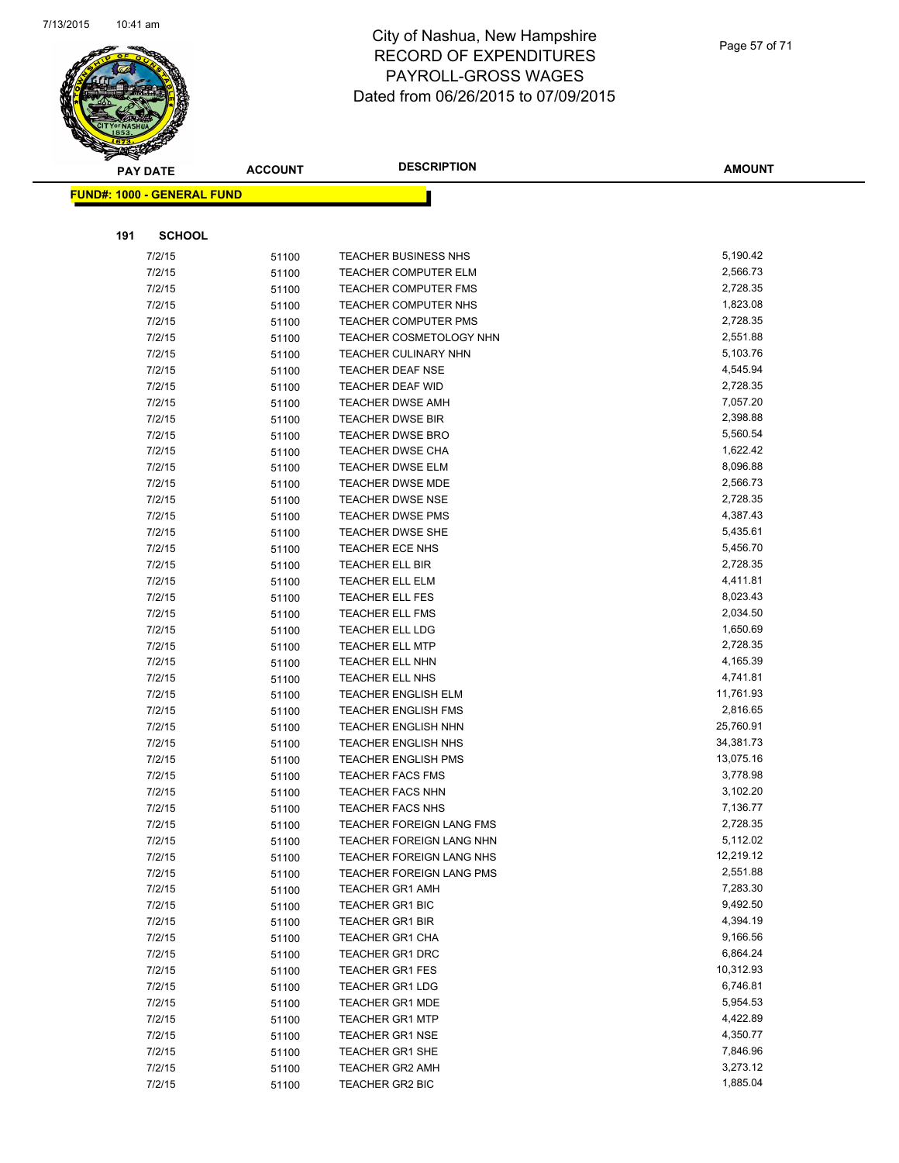

|     | <b>PAY DATE</b>                   | <b>ACCOUNT</b> | <b>DESCRIPTION</b>                        | <b>AMOUNT</b>        |
|-----|-----------------------------------|----------------|-------------------------------------------|----------------------|
|     | <b>FUND#: 1000 - GENERAL FUND</b> |                |                                           |                      |
|     |                                   |                |                                           |                      |
| 191 | <b>SCHOOL</b>                     |                |                                           |                      |
|     | 7/2/15                            | 51100          | <b>TEACHER BUSINESS NHS</b>               | 5,190.42             |
|     | 7/2/15                            | 51100          | <b>TEACHER COMPUTER ELM</b>               | 2,566.73             |
|     | 7/2/15                            | 51100          | <b>TEACHER COMPUTER FMS</b>               | 2,728.35             |
|     | 7/2/15                            | 51100          | <b>TEACHER COMPUTER NHS</b>               | 1,823.08             |
|     | 7/2/15                            | 51100          | <b>TEACHER COMPUTER PMS</b>               | 2,728.35             |
|     | 7/2/15                            | 51100          | TEACHER COSMETOLOGY NHN                   | 2,551.88             |
|     | 7/2/15                            | 51100          | TEACHER CULINARY NHN                      | 5,103.76             |
|     | 7/2/15                            | 51100          | <b>TEACHER DEAF NSE</b>                   | 4,545.94             |
|     | 7/2/15                            | 51100          | TEACHER DEAF WID                          | 2,728.35             |
|     | 7/2/15                            | 51100          | <b>TEACHER DWSE AMH</b>                   | 7,057.20             |
|     | 7/2/15                            | 51100          | <b>TEACHER DWSE BIR</b>                   | 2,398.88             |
|     | 7/2/15                            | 51100          | <b>TEACHER DWSE BRO</b>                   | 5,560.54             |
|     | 7/2/15                            | 51100          | TEACHER DWSE CHA                          | 1,622.42             |
|     | 7/2/15                            | 51100          | <b>TEACHER DWSE ELM</b>                   | 8,096.88             |
|     | 7/2/15                            | 51100          | <b>TEACHER DWSE MDE</b>                   | 2,566.73             |
|     | 7/2/15                            | 51100          | <b>TEACHER DWSE NSE</b>                   | 2,728.35             |
|     | 7/2/15                            | 51100          | <b>TEACHER DWSE PMS</b>                   | 4,387.43             |
|     | 7/2/15                            | 51100          | <b>TEACHER DWSE SHE</b>                   | 5,435.61             |
|     | 7/2/15                            | 51100          | TEACHER ECE NHS                           | 5,456.70             |
|     | 7/2/15                            | 51100          | TEACHER ELL BIR                           | 2,728.35             |
|     | 7/2/15                            | 51100          | TEACHER ELL ELM                           | 4,411.81             |
|     | 7/2/15                            | 51100          | TEACHER ELL FES                           | 8,023.43             |
|     | 7/2/15                            | 51100          | <b>TEACHER ELL FMS</b>                    | 2,034.50             |
|     | 7/2/15                            | 51100          | <b>TEACHER ELL LDG</b>                    | 1,650.69             |
|     | 7/2/15                            | 51100          | <b>TEACHER ELL MTP</b>                    | 2,728.35             |
|     | 7/2/15                            | 51100          | TEACHER ELL NHN                           | 4,165.39             |
|     | 7/2/15                            | 51100          | TEACHER ELL NHS                           | 4,741.81             |
|     | 7/2/15                            | 51100          | <b>TEACHER ENGLISH ELM</b>                | 11,761.93            |
|     | 7/2/15                            | 51100          | <b>TEACHER ENGLISH FMS</b>                | 2,816.65             |
|     | 7/2/15                            | 51100          | TEACHER ENGLISH NHN                       | 25,760.91            |
|     | 7/2/15                            | 51100          | <b>TEACHER ENGLISH NHS</b>                | 34,381.73            |
|     | 7/2/15                            | 51100          | <b>TEACHER ENGLISH PMS</b>                | 13,075.16            |
|     | 7/2/15                            | 51100          | <b>TEACHER FACS FMS</b>                   | 3,778.98             |
|     | 7/2/15                            | 51100          | <b>TEACHER FACS NHN</b>                   | 3,102.20             |
|     | 7/2/15                            | 51100          | <b>TEACHER FACS NHS</b>                   | 7,136.77             |
|     | 7/2/15                            | 51100          | TEACHER FOREIGN LANG FMS                  | 2,728.35             |
|     | 7/2/15                            | 51100          | TEACHER FOREIGN LANG NHN                  | 5,112.02             |
|     | 7/2/15                            | 51100          | TEACHER FOREIGN LANG NHS                  | 12,219.12            |
|     | 7/2/15<br>7/2/15                  | 51100          | <b>TEACHER FOREIGN LANG PMS</b>           | 2,551.88<br>7,283.30 |
|     | 7/2/15                            | 51100          | <b>TEACHER GR1 AMH</b><br>TEACHER GR1 BIC | 9,492.50             |
|     | 7/2/15                            | 51100          | <b>TEACHER GR1 BIR</b>                    | 4,394.19             |
|     | 7/2/15                            | 51100          | <b>TEACHER GR1 CHA</b>                    | 9,166.56             |
|     | 7/2/15                            | 51100<br>51100 | TEACHER GR1 DRC                           | 6,864.24             |
|     | 7/2/15                            | 51100          | <b>TEACHER GR1 FES</b>                    | 10,312.93            |
|     | 7/2/15                            | 51100          | <b>TEACHER GR1 LDG</b>                    | 6,746.81             |
|     | 7/2/15                            | 51100          | <b>TEACHER GR1 MDE</b>                    | 5,954.53             |
|     | 7/2/15                            | 51100          | <b>TEACHER GR1 MTP</b>                    | 4,422.89             |
|     | 7/2/15                            | 51100          | <b>TEACHER GR1 NSE</b>                    | 4,350.77             |
|     | 7/2/15                            | 51100          | <b>TEACHER GR1 SHE</b>                    | 7,846.96             |
|     | 7/2/15                            | 51100          | <b>TEACHER GR2 AMH</b>                    | 3,273.12             |
|     | 7/2/15                            | 51100          | TEACHER GR2 BIC                           | 1,885.04             |
|     |                                   |                |                                           |                      |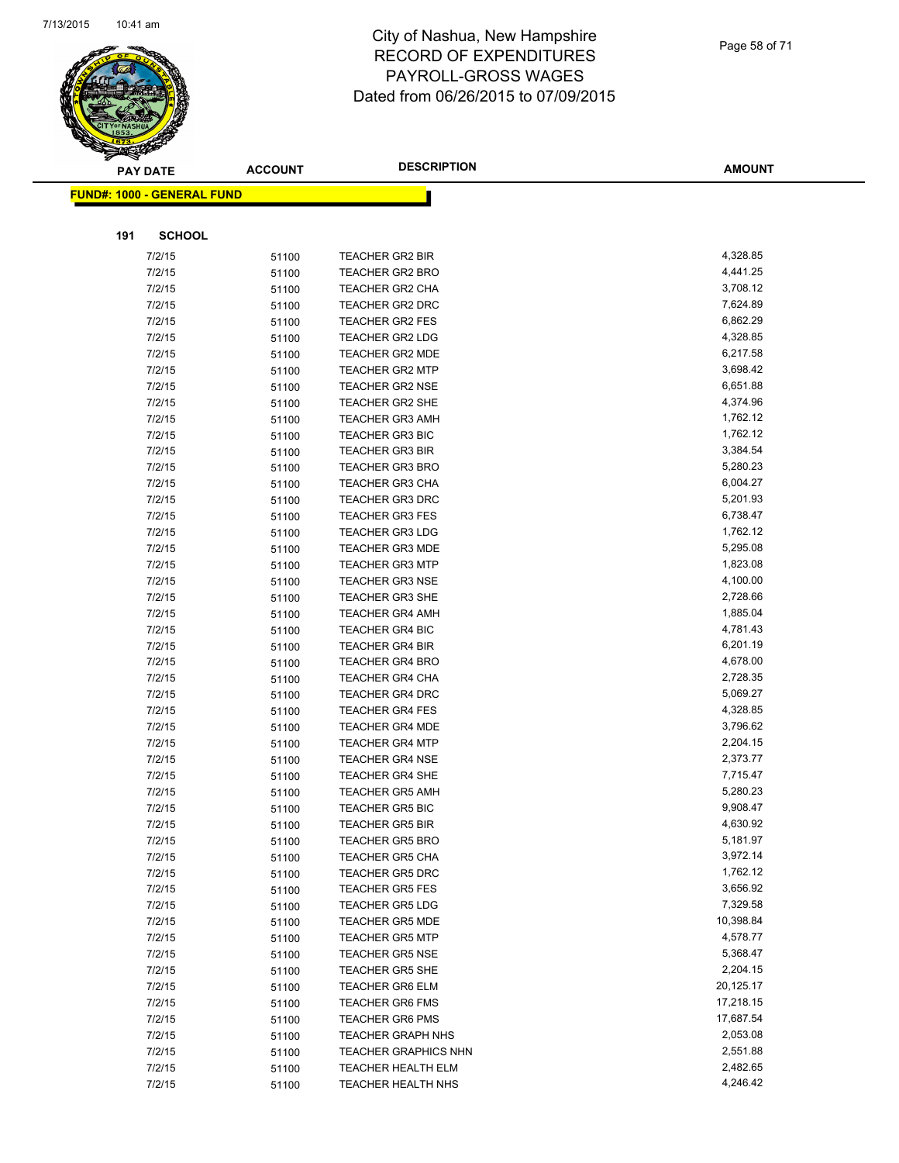

|     | <b>PAY DATE</b>                   | <b>ACCOUNT</b> | <b>DESCRIPTION</b>                               | <b>AMOUNT</b>        |
|-----|-----------------------------------|----------------|--------------------------------------------------|----------------------|
|     | <b>FUND#: 1000 - GENERAL FUND</b> |                |                                                  |                      |
|     |                                   |                |                                                  |                      |
| 191 | <b>SCHOOL</b>                     |                |                                                  |                      |
|     | 7/2/15                            |                | <b>TEACHER GR2 BIR</b>                           | 4,328.85             |
|     | 7/2/15                            | 51100          | <b>TEACHER GR2 BRO</b>                           | 4,441.25             |
|     | 7/2/15                            | 51100          | <b>TEACHER GR2 CHA</b>                           | 3,708.12             |
|     | 7/2/15                            | 51100          | <b>TEACHER GR2 DRC</b>                           | 7,624.89             |
|     | 7/2/15                            | 51100          |                                                  | 6,862.29             |
|     | 7/2/15                            | 51100          | <b>TEACHER GR2 FES</b><br><b>TEACHER GR2 LDG</b> | 4,328.85             |
|     | 7/2/15                            | 51100          | <b>TEACHER GR2 MDE</b>                           | 6,217.58             |
|     | 7/2/15                            | 51100          | <b>TEACHER GR2 MTP</b>                           | 3,698.42             |
|     | 7/2/15                            | 51100<br>51100 | <b>TEACHER GR2 NSE</b>                           | 6,651.88             |
|     | 7/2/15                            |                | <b>TEACHER GR2 SHE</b>                           | 4,374.96             |
|     | 7/2/15                            | 51100<br>51100 | <b>TEACHER GR3 AMH</b>                           | 1,762.12             |
|     | 7/2/15                            | 51100          | <b>TEACHER GR3 BIC</b>                           | 1,762.12             |
|     | 7/2/15                            | 51100          | <b>TEACHER GR3 BIR</b>                           | 3,384.54             |
|     | 7/2/15                            | 51100          | <b>TEACHER GR3 BRO</b>                           | 5,280.23             |
|     | 7/2/15                            | 51100          | <b>TEACHER GR3 CHA</b>                           | 6,004.27             |
|     | 7/2/15                            | 51100          | <b>TEACHER GR3 DRC</b>                           | 5,201.93             |
|     | 7/2/15                            | 51100          | <b>TEACHER GR3 FES</b>                           | 6,738.47             |
|     | 7/2/15                            | 51100          | <b>TEACHER GR3 LDG</b>                           | 1,762.12             |
|     | 7/2/15                            | 51100          | <b>TEACHER GR3 MDE</b>                           | 5,295.08             |
|     | 7/2/15                            | 51100          | <b>TEACHER GR3 MTP</b>                           | 1,823.08             |
|     | 7/2/15                            | 51100          | <b>TEACHER GR3 NSE</b>                           | 4,100.00             |
|     | 7/2/15                            | 51100          | <b>TEACHER GR3 SHE</b>                           | 2,728.66             |
|     | 7/2/15                            | 51100          | <b>TEACHER GR4 AMH</b>                           | 1,885.04             |
|     | 7/2/15                            | 51100          | <b>TEACHER GR4 BIC</b>                           | 4,781.43             |
|     | 7/2/15                            | 51100          | <b>TEACHER GR4 BIR</b>                           | 6,201.19             |
|     | 7/2/15                            | 51100          | <b>TEACHER GR4 BRO</b>                           | 4,678.00             |
|     | 7/2/15                            | 51100          | <b>TEACHER GR4 CHA</b>                           | 2,728.35             |
|     | 7/2/15                            | 51100          | <b>TEACHER GR4 DRC</b>                           | 5,069.27             |
|     | 7/2/15                            | 51100          | <b>TEACHER GR4 FES</b>                           | 4,328.85             |
|     | 7/2/15                            | 51100          | <b>TEACHER GR4 MDE</b>                           | 3,796.62             |
|     | 7/2/15                            | 51100          | <b>TEACHER GR4 MTP</b>                           | 2,204.15             |
|     | 7/2/15                            | 51100          | <b>TEACHER GR4 NSE</b>                           | 2,373.77             |
|     | 7/2/15                            | 51100          | <b>TEACHER GR4 SHE</b>                           | 7,715.47             |
|     | 7/2/15                            | 51100          | <b>TEACHER GR5 AMH</b>                           | 5,280.23             |
|     | 7/2/15                            | 51100          | <b>TEACHER GR5 BIC</b>                           | 9,908.47             |
|     | 7/2/15                            | 51100          | <b>TEACHER GR5 BIR</b>                           | 4,630.92             |
|     | 7/2/15                            | 51100          | <b>TEACHER GR5 BRO</b>                           | 5,181.97             |
|     | 7/2/15                            | 51100          | <b>TEACHER GR5 CHA</b>                           | 3,972.14             |
|     | 7/2/15                            | 51100          | <b>TEACHER GR5 DRC</b>                           | 1,762.12             |
|     | 7/2/15                            | 51100          | <b>TEACHER GR5 FES</b>                           | 3,656.92             |
|     | 7/2/15                            | 51100          | <b>TEACHER GR5 LDG</b>                           | 7,329.58             |
|     | 7/2/15                            | 51100          | <b>TEACHER GR5 MDE</b>                           | 10,398.84            |
|     | 7/2/15                            | 51100          | <b>TEACHER GR5 MTP</b>                           | 4,578.77             |
|     | 7/2/15                            | 51100          | <b>TEACHER GR5 NSE</b>                           | 5,368.47             |
|     | 7/2/15                            | 51100          | <b>TEACHER GR5 SHE</b>                           | 2,204.15             |
|     | 7/2/15                            | 51100          | <b>TEACHER GR6 ELM</b>                           | 20,125.17            |
|     | 7/2/15                            | 51100          | <b>TEACHER GR6 FMS</b>                           | 17,218.15            |
|     | 7/2/15                            | 51100          | <b>TEACHER GR6 PMS</b>                           | 17,687.54            |
|     | 7/2/15                            | 51100          | <b>TEACHER GRAPH NHS</b>                         | 2,053.08             |
|     | 7/2/15                            | 51100          | <b>TEACHER GRAPHICS NHN</b>                      | 2,551.88             |
|     | 7/2/15                            | 51100          | TEACHER HEALTH ELM                               | 2,482.65<br>4,246.42 |
|     | 7/2/15                            | 51100          | <b>TEACHER HEALTH NHS</b>                        |                      |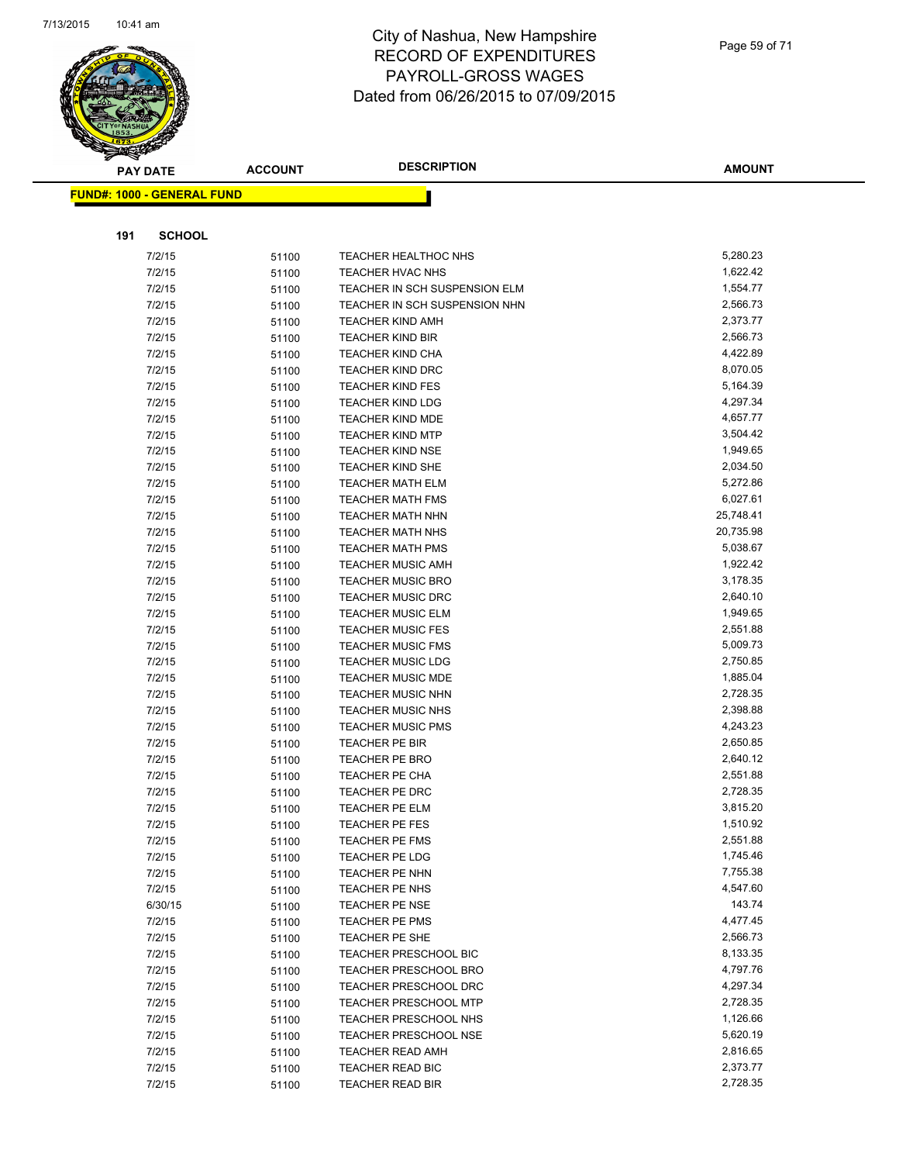

|     | <b>PAY DATE</b>                   | <b>ACCOUNT</b> | <b>DESCRIPTION</b>                                   | <b>AMOUNT</b>        |
|-----|-----------------------------------|----------------|------------------------------------------------------|----------------------|
|     | <b>FUND#: 1000 - GENERAL FUND</b> |                |                                                      |                      |
|     |                                   |                |                                                      |                      |
|     |                                   |                |                                                      |                      |
| 191 | <b>SCHOOL</b>                     |                |                                                      |                      |
|     | 7/2/15                            | 51100          | TEACHER HEALTHOC NHS                                 | 5,280.23             |
|     | 7/2/15                            | 51100          | <b>TEACHER HVAC NHS</b>                              | 1,622.42             |
|     | 7/2/15                            | 51100          | TEACHER IN SCH SUSPENSION ELM                        | 1,554.77             |
|     | 7/2/15                            | 51100          | TEACHER IN SCH SUSPENSION NHN                        | 2,566.73             |
|     | 7/2/15                            | 51100          | <b>TEACHER KIND AMH</b>                              | 2,373.77             |
|     | 7/2/15                            | 51100          | <b>TEACHER KIND BIR</b>                              | 2,566.73             |
|     | 7/2/15                            | 51100          | <b>TEACHER KIND CHA</b>                              | 4,422.89             |
|     | 7/2/15                            | 51100          | <b>TEACHER KIND DRC</b>                              | 8,070.05             |
|     | 7/2/15                            | 51100          | <b>TEACHER KIND FES</b>                              | 5,164.39             |
|     | 7/2/15                            | 51100          | <b>TEACHER KIND LDG</b>                              | 4,297.34             |
|     | 7/2/15                            | 51100          | <b>TEACHER KIND MDE</b>                              | 4,657.77             |
|     | 7/2/15                            | 51100          | <b>TEACHER KIND MTP</b>                              | 3,504.42             |
|     | 7/2/15                            | 51100          | <b>TEACHER KIND NSE</b>                              | 1,949.65             |
|     | 7/2/15                            | 51100          | <b>TEACHER KIND SHE</b>                              | 2,034.50             |
|     | 7/2/15                            | 51100          | <b>TEACHER MATH ELM</b>                              | 5,272.86             |
|     | 7/2/15                            | 51100          | <b>TEACHER MATH FMS</b>                              | 6,027.61             |
|     | 7/2/15                            | 51100          | <b>TEACHER MATH NHN</b>                              | 25,748.41            |
|     | 7/2/15                            | 51100          | <b>TEACHER MATH NHS</b>                              | 20,735.98            |
|     | 7/2/15                            | 51100          | <b>TEACHER MATH PMS</b>                              | 5,038.67             |
|     | 7/2/15                            | 51100          | <b>TEACHER MUSIC AMH</b>                             | 1,922.42             |
|     | 7/2/15                            | 51100          | <b>TEACHER MUSIC BRO</b>                             | 3,178.35             |
|     | 7/2/15                            | 51100          | <b>TEACHER MUSIC DRC</b>                             | 2,640.10             |
|     | 7/2/15                            | 51100          | <b>TEACHER MUSIC ELM</b>                             | 1,949.65<br>2,551.88 |
|     | 7/2/15                            | 51100          | <b>TEACHER MUSIC FES</b>                             | 5,009.73             |
|     | 7/2/15                            | 51100          | <b>TEACHER MUSIC FMS</b>                             | 2,750.85             |
|     | 7/2/15                            | 51100          | <b>TEACHER MUSIC LDG</b><br><b>TEACHER MUSIC MDE</b> | 1,885.04             |
|     | 7/2/15<br>7/2/15                  | 51100          | TEACHER MUSIC NHN                                    | 2,728.35             |
|     | 7/2/15                            | 51100          |                                                      | 2,398.88             |
|     | 7/2/15                            | 51100          | <b>TEACHER MUSIC NHS</b><br><b>TEACHER MUSIC PMS</b> | 4,243.23             |
|     | 7/2/15                            | 51100          | TEACHER PE BIR                                       | 2,650.85             |
|     | 7/2/15                            | 51100          | <b>TEACHER PE BRO</b>                                | 2,640.12             |
|     | 7/2/15                            | 51100          | TEACHER PE CHA                                       | 2,551.88             |
|     | 7/2/15                            | 51100          | TEACHER PE DRC                                       | 2,728.35             |
|     | 7/2/15                            | 51100          | <b>TEACHER PE ELM</b>                                | 3,815.20             |
|     | 7/2/15                            | 51100          | TEACHER PE FES                                       | 1,510.92             |
|     | 7/2/15                            | 51100<br>51100 | <b>TEACHER PE FMS</b>                                | 2,551.88             |
|     | 7/2/15                            | 51100          | TEACHER PE LDG                                       | 1,745.46             |
|     | 7/2/15                            | 51100          | TEACHER PE NHN                                       | 7,755.38             |
|     | 7/2/15                            | 51100          | TEACHER PE NHS                                       | 4,547.60             |
|     | 6/30/15                           | 51100          | <b>TEACHER PE NSE</b>                                | 143.74               |
|     | 7/2/15                            | 51100          | <b>TEACHER PE PMS</b>                                | 4,477.45             |
|     | 7/2/15                            | 51100          | TEACHER PE SHE                                       | 2,566.73             |
|     | 7/2/15                            | 51100          | TEACHER PRESCHOOL BIC                                | 8,133.35             |
|     | 7/2/15                            | 51100          | <b>TEACHER PRESCHOOL BRO</b>                         | 4,797.76             |
|     | 7/2/15                            | 51100          | TEACHER PRESCHOOL DRC                                | 4,297.34             |
|     | 7/2/15                            | 51100          | <b>TEACHER PRESCHOOL MTP</b>                         | 2,728.35             |
|     | 7/2/15                            | 51100          | <b>TEACHER PRESCHOOL NHS</b>                         | 1,126.66             |
|     | 7/2/15                            | 51100          | <b>TEACHER PRESCHOOL NSE</b>                         | 5,620.19             |
|     | 7/2/15                            | 51100          | TEACHER READ AMH                                     | 2,816.65             |
|     | 7/2/15                            | 51100          | TEACHER READ BIC                                     | 2,373.77             |
|     | 7/2/15                            | 51100          | TEACHER READ BIR                                     | 2,728.35             |
|     |                                   |                |                                                      |                      |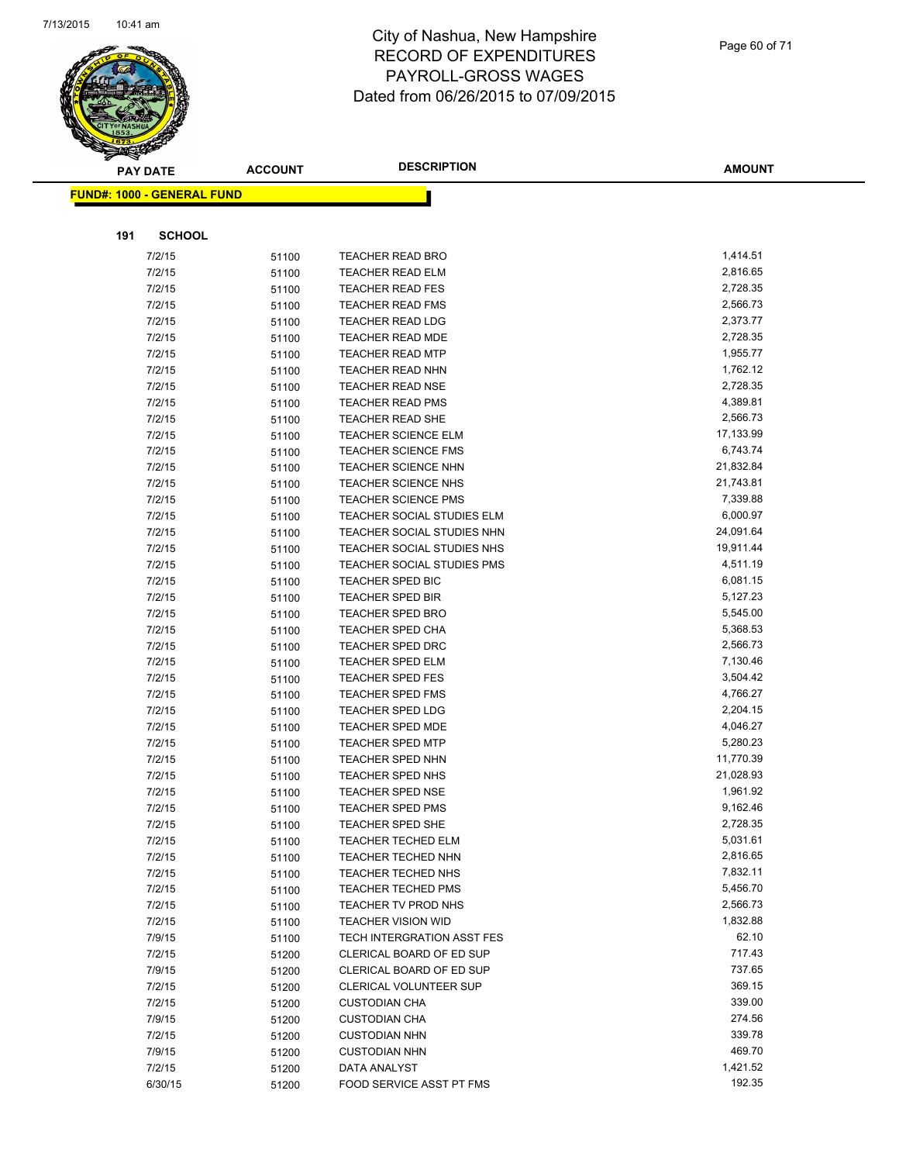

|     | <b>PAY DATE</b>                   | <b>ACCOUNT</b> | <b>DESCRIPTION</b>         | <b>AMOUNT</b>        |
|-----|-----------------------------------|----------------|----------------------------|----------------------|
|     | <b>FUND#: 1000 - GENERAL FUND</b> |                |                            |                      |
|     |                                   |                |                            |                      |
|     | <b>SCHOOL</b>                     |                |                            |                      |
| 191 |                                   |                |                            |                      |
|     | 7/2/15                            | 51100          | <b>TEACHER READ BRO</b>    | 1,414.51             |
|     | 7/2/15                            | 51100          | <b>TEACHER READ ELM</b>    | 2,816.65             |
|     | 7/2/15                            | 51100          | <b>TEACHER READ FES</b>    | 2,728.35             |
|     | 7/2/15                            | 51100          | <b>TEACHER READ FMS</b>    | 2,566.73             |
|     | 7/2/15                            | 51100          | <b>TEACHER READ LDG</b>    | 2,373.77             |
|     | 7/2/15                            | 51100          | TEACHER READ MDE           | 2,728.35             |
|     | 7/2/15                            | 51100          | <b>TEACHER READ MTP</b>    | 1,955.77             |
|     | 7/2/15                            | 51100          | <b>TEACHER READ NHN</b>    | 1,762.12             |
|     | 7/2/15                            | 51100          | <b>TEACHER READ NSE</b>    | 2,728.35             |
|     | 7/2/15                            | 51100          | <b>TEACHER READ PMS</b>    | 4,389.81             |
|     | 7/2/15                            | 51100          | TEACHER READ SHE           | 2,566.73             |
|     | 7/2/15                            | 51100          | <b>TEACHER SCIENCE ELM</b> | 17,133.99            |
|     | 7/2/15                            | 51100          | TEACHER SCIENCE FMS        | 6,743.74             |
|     | 7/2/15                            | 51100          | <b>TEACHER SCIENCE NHN</b> | 21,832.84            |
|     | 7/2/15                            | 51100          | <b>TEACHER SCIENCE NHS</b> | 21,743.81            |
|     | 7/2/15                            | 51100          | <b>TEACHER SCIENCE PMS</b> | 7,339.88             |
|     | 7/2/15                            | 51100          | TEACHER SOCIAL STUDIES ELM | 6,000.97             |
|     | 7/2/15                            | 51100          | TEACHER SOCIAL STUDIES NHN | 24,091.64            |
|     | 7/2/15                            | 51100          | TEACHER SOCIAL STUDIES NHS | 19,911.44            |
|     | 7/2/15                            | 51100          | TEACHER SOCIAL STUDIES PMS | 4,511.19             |
|     | 7/2/15                            | 51100          | <b>TEACHER SPED BIC</b>    | 6,081.15             |
|     | 7/2/15                            | 51100          | <b>TEACHER SPED BIR</b>    | 5,127.23             |
|     | 7/2/15                            | 51100          | <b>TEACHER SPED BRO</b>    | 5,545.00             |
|     | 7/2/15                            | 51100          | TEACHER SPED CHA           | 5,368.53             |
|     | 7/2/15                            | 51100          | TEACHER SPED DRC           | 2,566.73             |
|     | 7/2/15                            | 51100          | <b>TEACHER SPED ELM</b>    | 7,130.46             |
|     | 7/2/15                            | 51100          | <b>TEACHER SPED FES</b>    | 3,504.42             |
|     | 7/2/15                            | 51100          | <b>TEACHER SPED FMS</b>    | 4,766.27             |
|     | 7/2/15                            | 51100          | <b>TEACHER SPED LDG</b>    | 2,204.15             |
|     | 7/2/15                            | 51100          | <b>TEACHER SPED MDE</b>    | 4,046.27             |
|     | 7/2/15                            | 51100          | <b>TEACHER SPED MTP</b>    | 5,280.23             |
|     | 7/2/15                            | 51100          | <b>TEACHER SPED NHN</b>    | 11,770.39            |
|     | 7/2/15                            | 51100          | TEACHER SPED NHS           | 21,028.93            |
|     | 7/2/15                            | 51100          | <b>TEACHER SPED NSE</b>    | 1,961.92             |
|     | 7/2/15                            | 51100          | <b>TEACHER SPED PMS</b>    | 9,162.46             |
|     | 7/2/15                            | 51100          | <b>TEACHER SPED SHE</b>    | 2,728.35             |
|     | 7/2/15                            | 51100          | <b>TEACHER TECHED ELM</b>  | 5,031.61<br>2,816.65 |
|     | 7/2/15                            | 51100          | <b>TEACHER TECHED NHN</b>  |                      |
|     | 7/2/15                            | 51100          | TEACHER TECHED NHS         | 7,832.11             |
|     | 7/2/15                            | 51100          | <b>TEACHER TECHED PMS</b>  | 5,456.70             |
|     | 7/2/15                            | 51100          | TEACHER TV PROD NHS        | 2,566.73             |
|     | 7/2/15                            | 51100          | <b>TEACHER VISION WID</b>  | 1,832.88             |
|     | 7/9/15                            | 51100          | TECH INTERGRATION ASST FES | 62.10<br>717.43      |
|     | 7/2/15                            | 51200          | CLERICAL BOARD OF ED SUP   | 737.65               |
|     | 7/9/15                            | 51200          | CLERICAL BOARD OF ED SUP   |                      |
|     | 7/2/15                            | 51200          | CLERICAL VOLUNTEER SUP     | 369.15<br>339.00     |
|     | 7/2/15                            | 51200          | <b>CUSTODIAN CHA</b>       | 274.56               |
|     | 7/9/15                            | 51200          | <b>CUSTODIAN CHA</b>       | 339.78               |
|     | 7/2/15                            | 51200          | <b>CUSTODIAN NHN</b>       | 469.70               |
|     | 7/9/15<br>7/2/15                  | 51200          | <b>CUSTODIAN NHN</b>       | 1,421.52             |
|     |                                   | 51200          | DATA ANALYST               | 192.35               |
|     | 6/30/15                           | 51200          | FOOD SERVICE ASST PT FMS   |                      |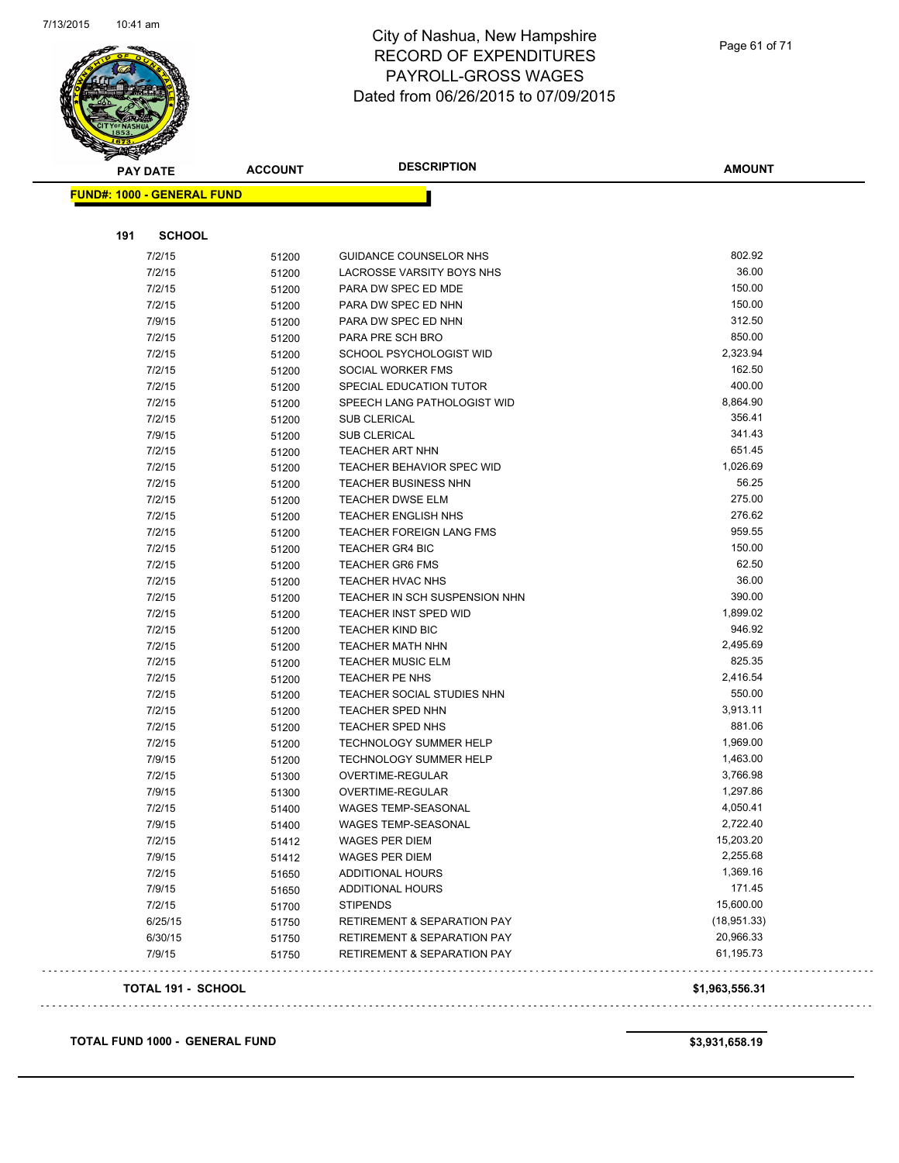

|                                   | <b>ACCOUNT</b> | <b>DESCRIPTION</b>                     | <b>AMOUNT</b> |
|-----------------------------------|----------------|----------------------------------------|---------------|
| <b>FUND#: 1000 - GENERAL FUND</b> |                |                                        |               |
|                                   |                |                                        |               |
| 191<br><b>SCHOOL</b>              |                |                                        |               |
| 7/2/15                            | 51200          | <b>GUIDANCE COUNSELOR NHS</b>          | 802.92        |
| 7/2/15                            | 51200          | LACROSSE VARSITY BOYS NHS              | 36.00         |
| 7/2/15                            | 51200          | PARA DW SPEC ED MDE                    | 150.00        |
| 7/2/15                            | 51200          | PARA DW SPEC ED NHN                    | 150.00        |
| 7/9/15                            | 51200          | PARA DW SPEC ED NHN                    | 312.50        |
| 7/2/15                            | 51200          | PARA PRE SCH BRO                       | 850.00        |
| 7/2/15                            | 51200          | SCHOOL PSYCHOLOGIST WID                | 2,323.94      |
| 7/2/15                            | 51200          | SOCIAL WORKER FMS                      | 162.50        |
| 7/2/15                            | 51200          | SPECIAL EDUCATION TUTOR                | 400.00        |
| 7/2/15                            | 51200          | SPEECH LANG PATHOLOGIST WID            | 8,864.90      |
| 7/2/15                            | 51200          | <b>SUB CLERICAL</b>                    | 356.41        |
| 7/9/15                            | 51200          | <b>SUB CLERICAL</b>                    | 341.43        |
| 7/2/15                            | 51200          | <b>TEACHER ART NHN</b>                 | 651.45        |
| 7/2/15                            | 51200          | TEACHER BEHAVIOR SPEC WID              | 1,026.69      |
| 7/2/15                            | 51200          | <b>TEACHER BUSINESS NHN</b>            | 56.25         |
| 7/2/15                            | 51200          | TEACHER DWSE ELM                       | 275.00        |
| 7/2/15                            | 51200          | <b>TEACHER ENGLISH NHS</b>             | 276.62        |
| 7/2/15                            | 51200          | <b>TEACHER FOREIGN LANG FMS</b>        | 959.55        |
| 7/2/15                            | 51200          | TEACHER GR4 BIC                        | 150.00        |
| 7/2/15                            | 51200          | <b>TEACHER GR6 FMS</b>                 | 62.50         |
| 7/2/15                            | 51200          | <b>TEACHER HVAC NHS</b>                | 36.00         |
| 7/2/15                            | 51200          | TEACHER IN SCH SUSPENSION NHN          | 390.00        |
| 7/2/15                            | 51200          | <b>TEACHER INST SPED WID</b>           | 1,899.02      |
| 7/2/15                            | 51200          | <b>TEACHER KIND BIC</b>                | 946.92        |
| 7/2/15                            | 51200          | <b>TEACHER MATH NHN</b>                | 2,495.69      |
| 7/2/15                            | 51200          | <b>TEACHER MUSIC ELM</b>               | 825.35        |
| 7/2/15                            | 51200          | TEACHER PE NHS                         | 2,416.54      |
| 7/2/15                            | 51200          | TEACHER SOCIAL STUDIES NHN             | 550.00        |
| 7/2/15                            | 51200          | <b>TEACHER SPED NHN</b>                | 3,913.11      |
| 7/2/15                            | 51200          | TEACHER SPED NHS                       | 881.06        |
| 7/2/15                            | 51200          | <b>TECHNOLOGY SUMMER HELP</b>          | 1,969.00      |
| 7/9/15                            | 51200          | <b>TECHNOLOGY SUMMER HELP</b>          | 1,463.00      |
| 7/2/15                            | 51300          | OVERTIME-REGULAR                       | 3,766.98      |
| 7/9/15                            | 51300          | OVERTIME-REGULAR                       | 1,297.86      |
| 7/2/15                            | 51400          | <b>WAGES TEMP-SEASONAL</b>             | 4,050.41      |
| 7/9/15                            | 51400          | WAGES TEMP-SEASONAL                    | 2,722.40      |
| 7/2/15                            | 51412          | <b>WAGES PER DIEM</b>                  | 15,203.20     |
| 7/9/15                            | 51412          | <b>WAGES PER DIEM</b>                  | 2,255.68      |
| 7/2/15                            | 51650          | <b>ADDITIONAL HOURS</b>                | 1,369.16      |
| 7/9/15                            | 51650          | <b>ADDITIONAL HOURS</b>                | 171.45        |
| 7/2/15                            | 51700          | <b>STIPENDS</b>                        | 15,600.00     |
| 6/25/15                           | 51750          | RETIREMENT & SEPARATION PAY            | (18, 951.33)  |
|                                   | 51750          | <b>RETIREMENT &amp; SEPARATION PAY</b> | 20,966.33     |
| 6/30/15                           |                |                                        |               |

**TOTAL FUND 1000 - GENERAL FUND \$3,931,658.19**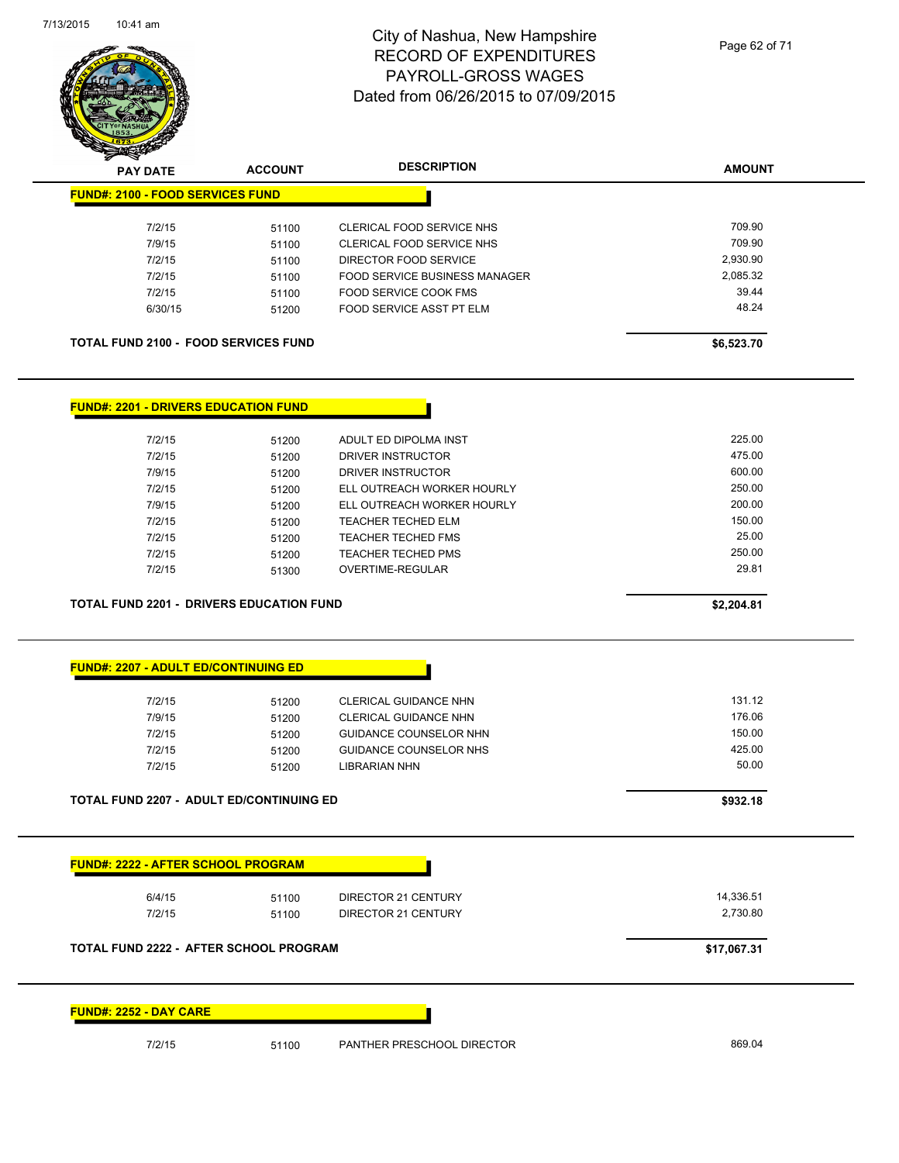

| <b>Andre</b>                                    |                |                                                               |               |
|-------------------------------------------------|----------------|---------------------------------------------------------------|---------------|
| <b>PAY DATE</b>                                 | <b>ACCOUNT</b> | <b>DESCRIPTION</b>                                            | <b>AMOUNT</b> |
| <b>FUND#: 2100 - FOOD SERVICES FUND</b>         |                |                                                               |               |
| 7/2/15                                          |                |                                                               | 709.90        |
| 7/9/15                                          | 51100          | CLERICAL FOOD SERVICE NHS<br><b>CLERICAL FOOD SERVICE NHS</b> | 709.90        |
| 7/2/15                                          | 51100          | DIRECTOR FOOD SERVICE                                         | 2,930.90      |
|                                                 | 51100          |                                                               | 2,085.32      |
| 7/2/15                                          | 51100          | <b>FOOD SERVICE BUSINESS MANAGER</b>                          |               |
| 7/2/15                                          | 51100          | FOOD SERVICE COOK FMS                                         | 39.44         |
| 6/30/15                                         | 51200          | FOOD SERVICE ASST PT ELM                                      | 48.24         |
| <b>TOTAL FUND 2100 - FOOD SERVICES FUND</b>     |                |                                                               | \$6,523.70    |
| <b>FUND#: 2201 - DRIVERS EDUCATION FUND</b>     |                |                                                               |               |
|                                                 |                |                                                               |               |
| 7/2/15                                          | 51200          | ADULT ED DIPOLMA INST                                         | 225.00        |
| 7/2/15                                          | 51200          | DRIVER INSTRUCTOR                                             | 475.00        |
| 7/9/15                                          | 51200          | DRIVER INSTRUCTOR                                             | 600.00        |
| 7/2/15                                          | 51200          | ELL OUTREACH WORKER HOURLY                                    | 250.00        |
| 7/9/15                                          | 51200          | ELL OUTREACH WORKER HOURLY                                    | 200.00        |
| 7/2/15                                          | 51200          | TEACHER TECHED ELM                                            | 150.00        |
| 7/2/15                                          | 51200          | <b>TEACHER TECHED FMS</b>                                     | 25.00         |
| 7/2/15                                          | 51200          | <b>TEACHER TECHED PMS</b>                                     | 250.00        |
| 7/2/15                                          | 51300          | <b>OVERTIME-REGULAR</b>                                       | 29.81         |
| <b>TOTAL FUND 2201 - DRIVERS EDUCATION FUND</b> |                |                                                               | \$2,204.81    |
|                                                 |                |                                                               |               |
|                                                 |                |                                                               |               |
| <b>FUND#: 2207 - ADULT ED/CONTINUING ED</b>     |                |                                                               |               |
| 7/2/15                                          | 51200          | <b>CLERICAL GUIDANCE NHN</b>                                  | 131.12        |
| 7/9/15                                          | 51200          | CLERICAL GUIDANCE NHN                                         | 176.06        |
| 7/2/15                                          | 51200          | <b>GUIDANCE COUNSELOR NHN</b>                                 | 150.00        |



**FUND#: 2222 - AFTER SCHOOL PROGRAM** 6/4/15 51100 DIRECTOR 21 CENTURY 14,336.51 7/2/15 51100 DIRECTOR 21 CENTURY **TOTAL FUND 2222 - AFTER SCHOOL PROGRAM \$17,067.31 FUND#: 2252 - DAY CARE**

7/2/15 51200 GUIDANCE COUNSELOR NHS 425.00 7/2/15 51200 LIBRARIAN NHN 50.00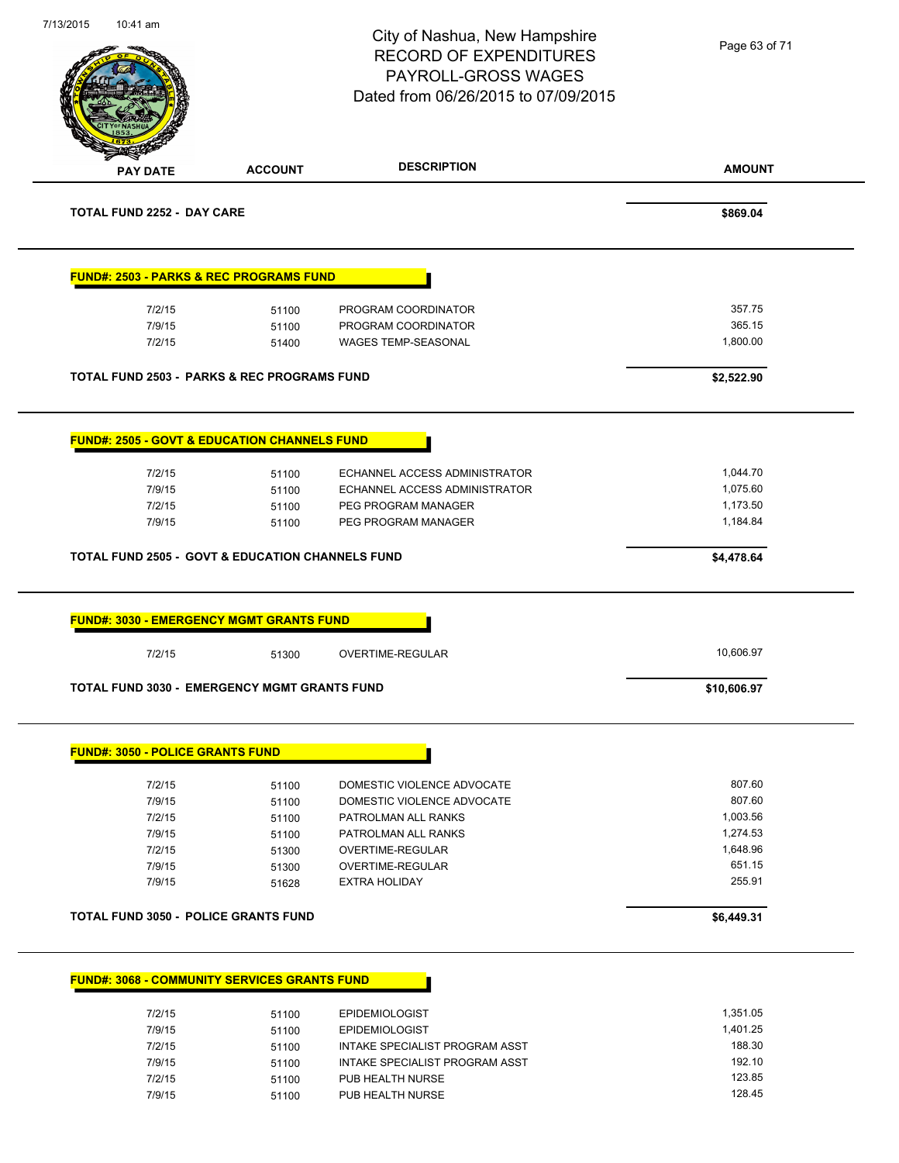| 7/13/2015 | 10:41 am                                                    |                | City of Nashua, New Hampshire<br><b>RECORD OF EXPENDITURES</b><br><b>PAYROLL-GROSS WAGES</b><br>Dated from 06/26/2015 to 07/09/2015 | Page 63 of 71        |
|-----------|-------------------------------------------------------------|----------------|-------------------------------------------------------------------------------------------------------------------------------------|----------------------|
|           | <b>PAY DATE</b>                                             | <b>ACCOUNT</b> | <b>DESCRIPTION</b>                                                                                                                  | <b>AMOUNT</b>        |
|           | <b>TOTAL FUND 2252 - DAY CARE</b>                           |                |                                                                                                                                     | \$869.04             |
|           | <b>FUND#: 2503 - PARKS &amp; REC PROGRAMS FUND</b>          |                |                                                                                                                                     |                      |
|           | 7/2/15                                                      | 51100          | PROGRAM COORDINATOR                                                                                                                 | 357.75               |
|           | 7/9/15                                                      | 51100          | PROGRAM COORDINATOR                                                                                                                 | 365.15               |
|           | 7/2/15                                                      | 51400          | <b>WAGES TEMP-SEASONAL</b>                                                                                                          | 1,800.00             |
|           | <b>TOTAL FUND 2503 - PARKS &amp; REC PROGRAMS FUND</b>      |                |                                                                                                                                     | \$2,522.90           |
|           | <b>FUND#: 2505 - GOVT &amp; EDUCATION CHANNELS FUND</b>     |                |                                                                                                                                     |                      |
|           |                                                             |                |                                                                                                                                     |                      |
|           | 7/2/15<br>7/9/15                                            | 51100<br>51100 | ECHANNEL ACCESS ADMINISTRATOR<br>ECHANNEL ACCESS ADMINISTRATOR                                                                      | 1,044.70<br>1,075.60 |
|           | 7/2/15                                                      | 51100          | PEG PROGRAM MANAGER                                                                                                                 | 1,173.50             |
|           |                                                             |                |                                                                                                                                     |                      |
|           | 7/9/15                                                      | 51100          | PEG PROGRAM MANAGER                                                                                                                 | 1,184.84             |
|           | <b>TOTAL FUND 2505 - GOVT &amp; EDUCATION CHANNELS FUND</b> |                |                                                                                                                                     | \$4,478.64           |
|           | <b>FUND#: 3030 - EMERGENCY MGMT GRANTS FUND</b>             |                |                                                                                                                                     |                      |
|           | 7/2/15                                                      | 51300          | OVERTIME-REGULAR                                                                                                                    | 10,606.97            |
|           | <b>TOTAL FUND 3030 - EMERGENCY MGMT GRANTS FUND</b>         |                |                                                                                                                                     | \$10,606.97          |
|           | <b>FUND#: 3050 - POLICE GRANTS FUND</b>                     |                |                                                                                                                                     |                      |
|           |                                                             |                |                                                                                                                                     | 807.60               |
|           | 7/2/15<br>7/9/15                                            | 51100          | DOMESTIC VIOLENCE ADVOCATE<br>DOMESTIC VIOLENCE ADVOCATE                                                                            | 807.60               |
|           | 7/2/15                                                      | 51100<br>51100 | PATROLMAN ALL RANKS                                                                                                                 | 1,003.56             |
|           | 7/9/15                                                      | 51100          | PATROLMAN ALL RANKS                                                                                                                 | 1,274.53             |
|           | 7/2/15                                                      | 51300          | OVERTIME-REGULAR                                                                                                                    | 1,648.96             |
|           | 7/9/15                                                      | 51300          | OVERTIME-REGULAR                                                                                                                    | 651.15               |
|           | 7/9/15                                                      | 51628          | <b>EXTRA HOLIDAY</b>                                                                                                                | 255.91               |
|           | <b>TOTAL FUND 3050 - POLICE GRANTS FUND</b>                 |                |                                                                                                                                     | \$6,449.31           |
|           | <b>FUND#: 3068 - COMMUNITY SERVICES GRANTS FUND</b>         |                |                                                                                                                                     |                      |
|           |                                                             |                |                                                                                                                                     |                      |
|           | 7/2/15                                                      | 51100          | <b>EPIDEMIOLOGIST</b>                                                                                                               | 1,351.05<br>1,401.25 |
|           | 7/9/15<br>7/2/15                                            | 51100<br>51100 | <b>EPIDEMIOLOGIST</b><br>INTAKE SPECIALIST PROGRAM ASST                                                                             | 188.30               |
|           | 7/9/15                                                      | 51100          | INTAKE SPECIALIST PROGRAM ASST                                                                                                      | 192.10               |
|           | 7/2/15                                                      | 51100          | PUB HEALTH NURSE                                                                                                                    | 123.85               |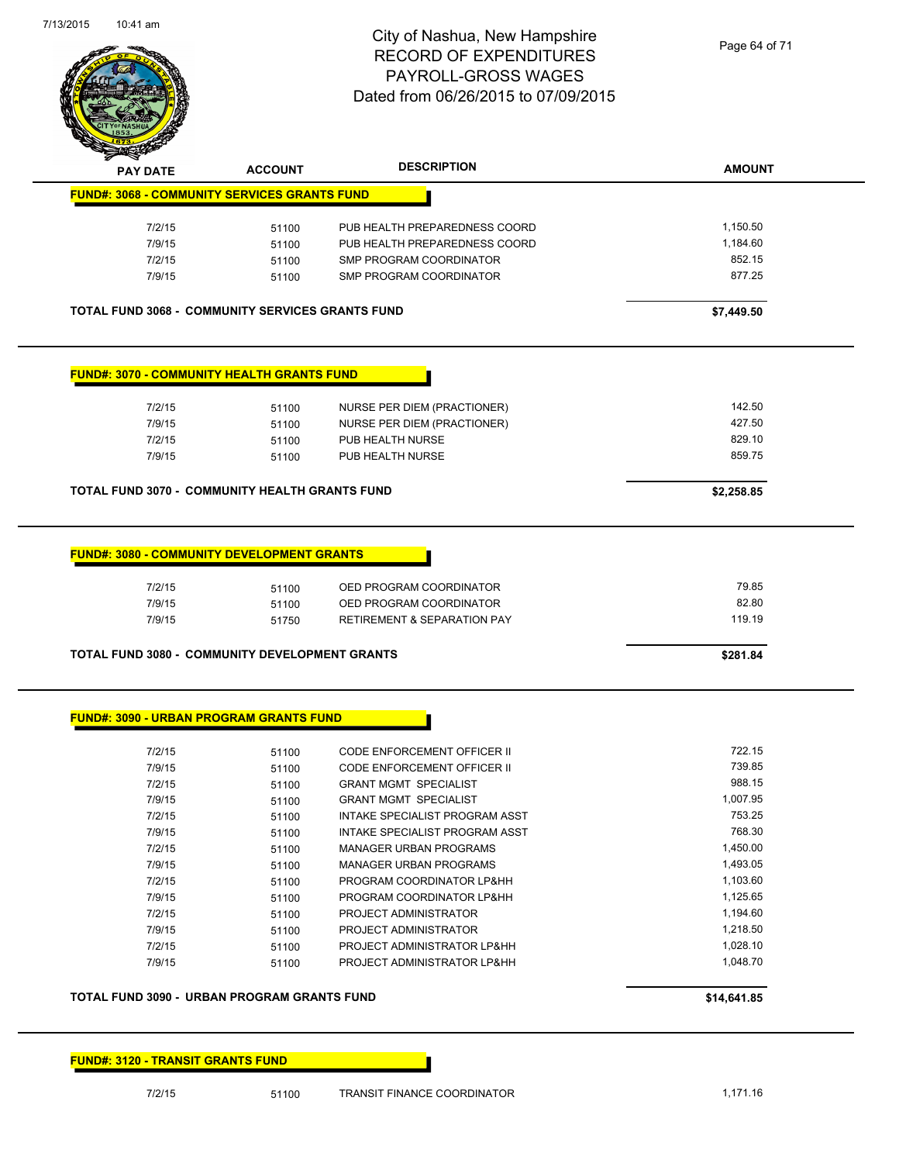

| <b>PAY DATE</b>                                                                 | <b>ACCOUNT</b>          | <b>DESCRIPTION</b>                                                                           | <b>AMOUNT</b>            |  |  |  |  |
|---------------------------------------------------------------------------------|-------------------------|----------------------------------------------------------------------------------------------|--------------------------|--|--|--|--|
| <b>FUND#: 3068 - COMMUNITY SERVICES GRANTS FUND</b>                             |                         |                                                                                              |                          |  |  |  |  |
|                                                                                 |                         |                                                                                              |                          |  |  |  |  |
| 7/2/15                                                                          | 51100                   | PUB HEALTH PREPAREDNESS COORD                                                                | 1,150.50                 |  |  |  |  |
| 7/9/15                                                                          | 51100                   | PUB HEALTH PREPAREDNESS COORD                                                                | 1,184.60                 |  |  |  |  |
| 7/2/15                                                                          | 51100                   | SMP PROGRAM COORDINATOR                                                                      | 852.15                   |  |  |  |  |
| 7/9/15                                                                          | 51100                   | SMP PROGRAM COORDINATOR                                                                      | 877.25                   |  |  |  |  |
| <b>TOTAL FUND 3068 - COMMUNITY SERVICES GRANTS FUND</b>                         |                         |                                                                                              | \$7,449.50               |  |  |  |  |
| <b>FUND#: 3070 - COMMUNITY HEALTH GRANTS FUND</b>                               |                         |                                                                                              |                          |  |  |  |  |
|                                                                                 |                         |                                                                                              |                          |  |  |  |  |
| 7/2/15                                                                          | 51100                   | NURSE PER DIEM (PRACTIONER)                                                                  | 142.50                   |  |  |  |  |
| 7/9/15                                                                          | 51100                   | <b>NURSE PER DIEM (PRACTIONER)</b>                                                           | 427.50                   |  |  |  |  |
| 7/2/15                                                                          | 51100                   | PUB HEALTH NURSE                                                                             | 829.10                   |  |  |  |  |
| 7/9/15                                                                          | 51100                   | PUB HEALTH NURSE                                                                             | 859.75                   |  |  |  |  |
| <b>TOTAL FUND 3070 - COMMUNITY HEALTH GRANTS FUND</b>                           |                         |                                                                                              | \$2,258.85               |  |  |  |  |
|                                                                                 |                         |                                                                                              |                          |  |  |  |  |
| <b>FUND#: 3080 - COMMUNITY DEVELOPMENT GRANTS</b><br>7/2/15<br>7/9/15<br>7/9/15 | 51100<br>51100<br>51750 | OED PROGRAM COORDINATOR<br>OED PROGRAM COORDINATOR<br><b>RETIREMENT &amp; SEPARATION PAY</b> | 79.85<br>82.80<br>119.19 |  |  |  |  |
| <b>TOTAL FUND 3080 - COMMUNITY DEVELOPMENT GRANTS</b>                           |                         |                                                                                              | \$281.84                 |  |  |  |  |
| <b>FUND#: 3090 - URBAN PROGRAM GRANTS FUND</b>                                  |                         |                                                                                              |                          |  |  |  |  |
| 7/2/15                                                                          | 51100                   | CODE ENFORCEMENT OFFICER II                                                                  | 722.15                   |  |  |  |  |
| 7/9/15                                                                          | 51100                   | CODE ENFORCEMENT OFFICER II                                                                  | 739.85                   |  |  |  |  |
| 7/2/15                                                                          | 51100                   | <b>GRANT MGMT SPECIALIST</b>                                                                 | 988.15                   |  |  |  |  |
| 7/9/15                                                                          | 51100                   | <b>GRANT MGMT SPECIALIST</b>                                                                 | 1,007.95                 |  |  |  |  |
| 7/2/15                                                                          | 51100                   | INTAKE SPECIALIST PROGRAM ASST                                                               | 753.25                   |  |  |  |  |
| 7/9/15                                                                          | 51100                   | INTAKE SPECIALIST PROGRAM ASST                                                               | 768.30                   |  |  |  |  |
| 7/2/15                                                                          | 51100                   | <b>MANAGER URBAN PROGRAMS</b>                                                                | 1,450.00                 |  |  |  |  |
| 7/9/15                                                                          | 51100                   | MANAGER URBAN PROGRAMS                                                                       | 1,493.05                 |  |  |  |  |
| 7/2/15                                                                          | 51100                   | PROGRAM COORDINATOR LP&HH                                                                    | 1,103.60                 |  |  |  |  |
|                                                                                 |                         |                                                                                              |                          |  |  |  |  |

#### **TOTAL FUND 3090 - URBAN PROGRAM GRANTS FUND \$14,641.85**

#### **FUND#: 3120 - TRANSIT GRANTS FUND**

7/2/15 51100 PROJECT ADMINISTRATOR

7/9/15 51100 PROGRAM COORDINATOR LP&HH 1,125.65

7/9/15 51100 PROJECT ADMINISTRATOR 1,218.50 T/2/15 51100 PROJECT ADMINISTRATOR LP&HH 1,028.10 7/9/15 51100 PROJECT ADMINISTRATOR LP&HH 1,048.70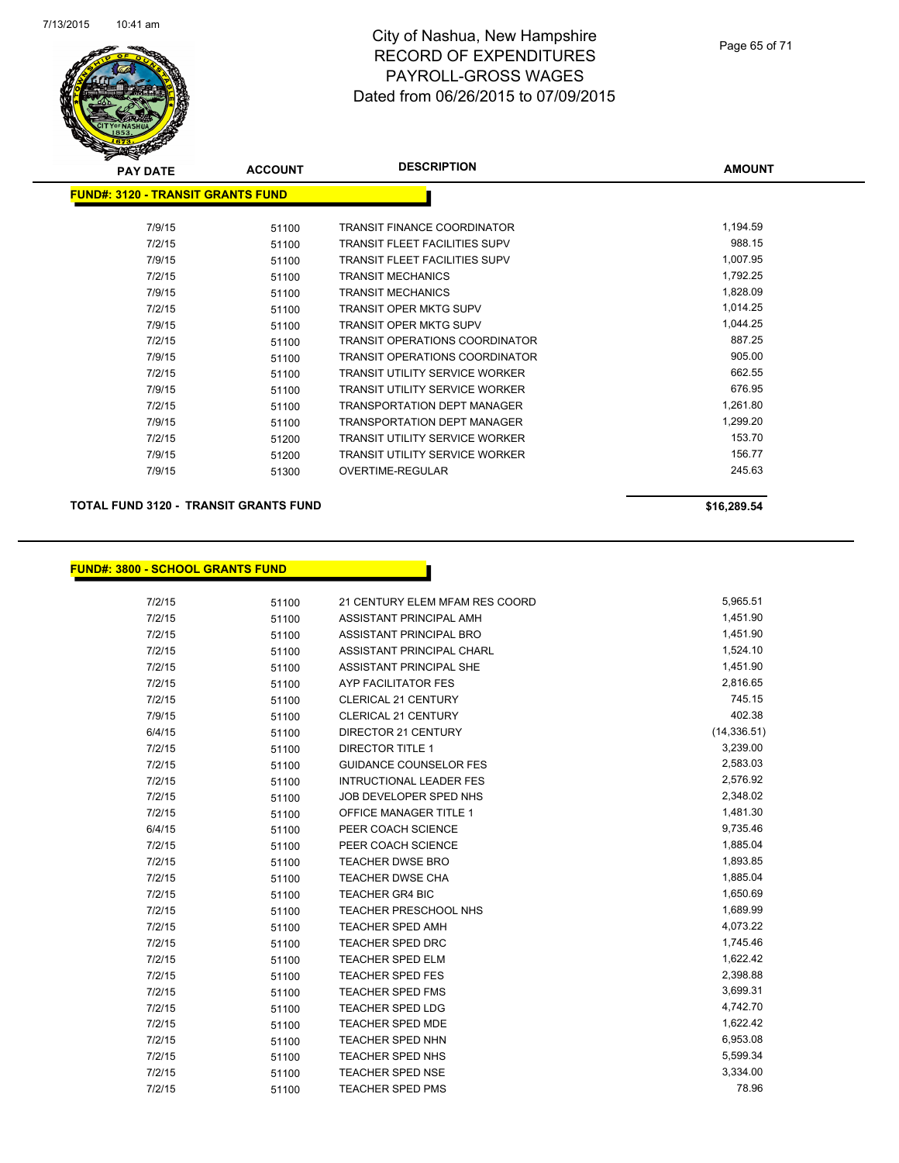

| <b>PAY DATE</b>                          | <b>ACCOUNT</b> | <b>DESCRIPTION</b>                    | <b>AMOUNT</b> |
|------------------------------------------|----------------|---------------------------------------|---------------|
| <b>FUND#: 3120 - TRANSIT GRANTS FUND</b> |                |                                       |               |
| 7/9/15                                   | 51100          | <b>TRANSIT FINANCE COORDINATOR</b>    | 1,194.59      |
| 7/2/15                                   | 51100          | <b>TRANSIT FLEET FACILITIES SUPV</b>  | 988.15        |
| 7/9/15                                   | 51100          | <b>TRANSIT FLEET FACILITIES SUPV</b>  | 1,007.95      |
| 7/2/15                                   | 51100          | <b>TRANSIT MECHANICS</b>              | 1,792.25      |
| 7/9/15                                   | 51100          | <b>TRANSIT MECHANICS</b>              | 1,828.09      |
| 7/2/15                                   | 51100          | <b>TRANSIT OPER MKTG SUPV</b>         | 1,014.25      |
| 7/9/15                                   | 51100          | <b>TRANSIT OPER MKTG SUPV</b>         | 1,044.25      |
| 7/2/15                                   | 51100          | <b>TRANSIT OPERATIONS COORDINATOR</b> | 887.25        |
| 7/9/15                                   | 51100          | TRANSIT OPERATIONS COORDINATOR        | 905.00        |
| 7/2/15                                   | 51100          | TRANSIT UTILITY SERVICE WORKER        | 662.55        |
| 7/9/15                                   | 51100          | <b>TRANSIT UTILITY SERVICE WORKER</b> | 676.95        |
| 7/2/15                                   | 51100          | <b>TRANSPORTATION DEPT MANAGER</b>    | 1,261.80      |
| 7/9/15                                   | 51100          | <b>TRANSPORTATION DEPT MANAGER</b>    | 1,299.20      |
| 7/2/15                                   | 51200          | TRANSIT UTILITY SERVICE WORKER        | 153.70        |
| 7/9/15                                   | 51200          | <b>TRANSIT UTILITY SERVICE WORKER</b> | 156.77        |
| 7/9/15                                   | 51300          | OVERTIME-REGULAR                      | 245.63        |
|                                          |                |                                       |               |

**TOTAL FUND 3120 - TRANSIT GRANTS FUND \$16,289.54** 

#### **FUND#: 3800 - SCHOOL GRANTS FUND**

|        |       |                                | 5,965.51     |
|--------|-------|--------------------------------|--------------|
| 7/2/15 | 51100 | 21 CENTURY ELEM MFAM RES COORD |              |
| 7/2/15 | 51100 | ASSISTANT PRINCIPAL AMH        | 1,451.90     |
| 7/2/15 | 51100 | ASSISTANT PRINCIPAL BRO        | 1,451.90     |
| 7/2/15 | 51100 | ASSISTANT PRINCIPAL CHARL      | 1,524.10     |
| 7/2/15 | 51100 | ASSISTANT PRINCIPAL SHE        | 1,451.90     |
| 7/2/15 | 51100 | AYP FACILITATOR FES            | 2,816.65     |
| 7/2/15 | 51100 | <b>CLERICAL 21 CENTURY</b>     | 745.15       |
| 7/9/15 | 51100 | <b>CLERICAL 21 CENTURY</b>     | 402.38       |
| 6/4/15 | 51100 | DIRECTOR 21 CENTURY            | (14, 336.51) |
| 7/2/15 | 51100 | <b>DIRECTOR TITLE 1</b>        | 3,239.00     |
| 7/2/15 | 51100 | <b>GUIDANCE COUNSELOR FES</b>  | 2,583.03     |
| 7/2/15 | 51100 | <b>INTRUCTIONAL LEADER FES</b> | 2,576.92     |
| 7/2/15 | 51100 | JOB DEVELOPER SPED NHS         | 2,348.02     |
| 7/2/15 | 51100 | OFFICE MANAGER TITLE 1         | 1,481.30     |
| 6/4/15 | 51100 | PEER COACH SCIENCE             | 9,735.46     |
| 7/2/15 | 51100 | PEER COACH SCIENCE             | 1,885.04     |
| 7/2/15 | 51100 | <b>TEACHER DWSE BRO</b>        | 1,893.85     |
| 7/2/15 | 51100 | TEACHER DWSE CHA               | 1,885.04     |
| 7/2/15 | 51100 | <b>TEACHER GR4 BIC</b>         | 1,650.69     |
| 7/2/15 | 51100 | TEACHER PRESCHOOL NHS          | 1,689.99     |
| 7/2/15 | 51100 | <b>TEACHER SPED AMH</b>        | 4,073.22     |
| 7/2/15 | 51100 | <b>TEACHER SPED DRC</b>        | 1,745.46     |
| 7/2/15 | 51100 | TEACHER SPED ELM               | 1,622.42     |
| 7/2/15 | 51100 | <b>TEACHER SPED FES</b>        | 2,398.88     |
| 7/2/15 | 51100 | <b>TEACHER SPED FMS</b>        | 3,699.31     |
| 7/2/15 | 51100 | <b>TEACHER SPED LDG</b>        | 4,742.70     |
| 7/2/15 | 51100 | <b>TEACHER SPED MDE</b>        | 1,622.42     |
| 7/2/15 | 51100 | <b>TEACHER SPED NHN</b>        | 6,953.08     |
| 7/2/15 | 51100 | TEACHER SPED NHS               | 5,599.34     |
| 7/2/15 | 51100 | <b>TEACHER SPED NSE</b>        | 3,334.00     |
| 7/2/15 | 51100 | <b>TEACHER SPED PMS</b>        | 78.96        |
|        |       |                                |              |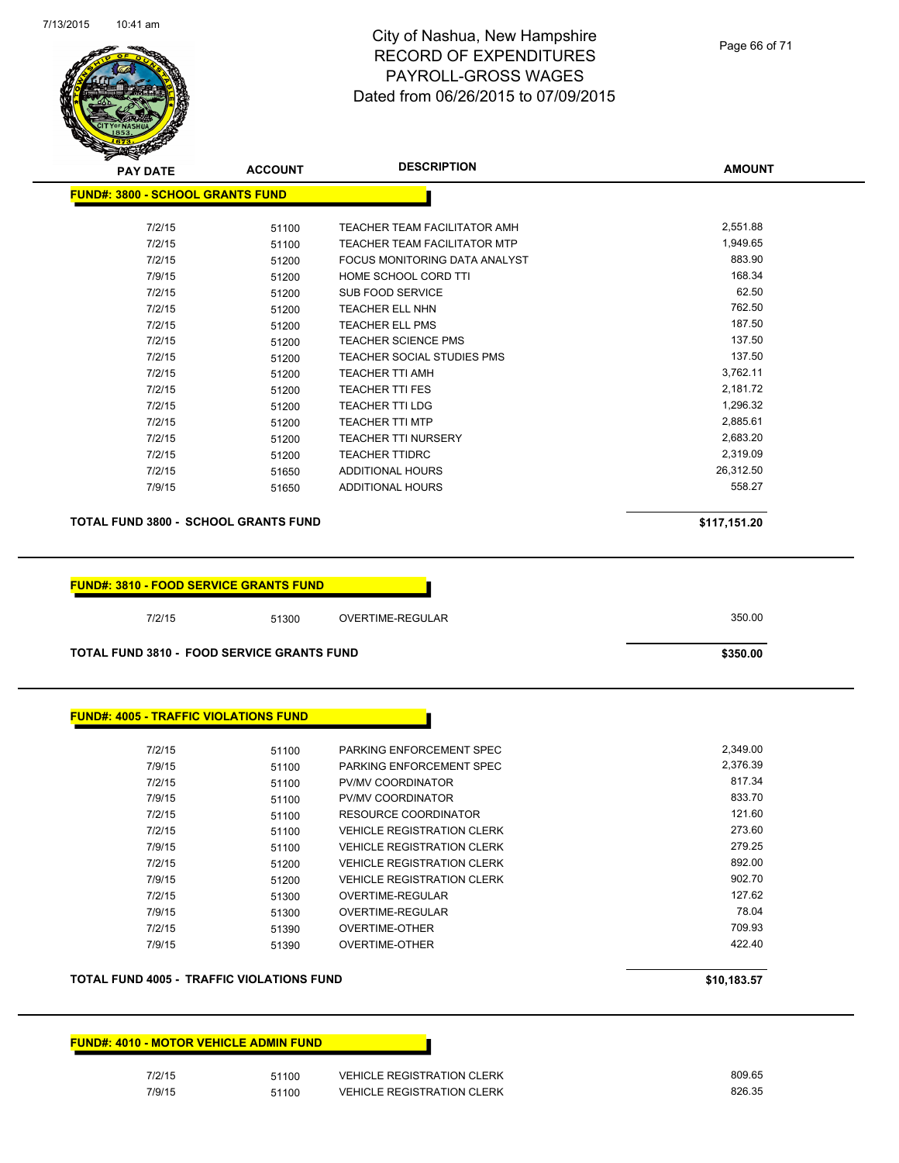

| <b>PAY DATE</b>                         | <b>ACCOUNT</b>                                    | <b>DESCRIPTION</b>                  | <b>AMOUNT</b> |
|-----------------------------------------|---------------------------------------------------|-------------------------------------|---------------|
| <b>FUND#: 3800 - SCHOOL GRANTS FUND</b> |                                                   |                                     |               |
| 7/2/15                                  | 51100                                             | <b>TEACHER TEAM FACILITATOR AMH</b> | 2,551.88      |
| 7/2/15                                  | 51100                                             | <b>TEACHER TEAM FACILITATOR MTP</b> | 1,949.65      |
| 7/2/15                                  | 51200                                             | FOCUS MONITORING DATA ANALYST       | 883.90        |
| 7/9/15                                  | 51200                                             | HOME SCHOOL CORD TTI                | 168.34        |
| 7/2/15                                  | 51200                                             | <b>SUB FOOD SERVICE</b>             | 62.50         |
| 7/2/15                                  | 51200                                             | <b>TEACHER ELL NHN</b>              | 762.50        |
| 7/2/15                                  | 51200                                             | <b>TEACHER ELL PMS</b>              | 187.50        |
| 7/2/15                                  | 51200                                             | <b>TEACHER SCIENCE PMS</b>          | 137.50        |
| 7/2/15                                  | 51200                                             | <b>TEACHER SOCIAL STUDIES PMS</b>   | 137.50        |
| 7/2/15                                  | 51200                                             | <b>TEACHER TTI AMH</b>              | 3,762.11      |
| 7/2/15                                  | 51200                                             | <b>TEACHER TTI FES</b>              | 2,181.72      |
| 7/2/15                                  | 51200                                             | <b>TEACHER TTI LDG</b>              | 1,296.32      |
| 7/2/15                                  | 51200                                             | <b>TEACHER TTI MTP</b>              | 2,885.61      |
| 7/2/15                                  | 51200                                             | <b>TEACHER TTI NURSERY</b>          | 2,683.20      |
| 7/2/15                                  | 51200                                             | <b>TEACHER TTIDRC</b>               | 2,319.09      |
| 7/2/15                                  | 51650                                             | ADDITIONAL HOURS                    | 26,312.50     |
| 7/9/15                                  | 51650                                             | ADDITIONAL HOURS                    | 558.27        |
|                                         |                                                   |                                     |               |
|                                         | <b>TOTAL FUND 3800 - SCHOOL GRANTS FUND</b>       |                                     | \$117,151.20  |
|                                         | <b>FUND#: 3810 - FOOD SERVICE GRANTS FUND</b>     |                                     |               |
| 7/2/15                                  | 51300                                             | OVERTIME-REGULAR                    | 350.00        |
|                                         | <b>TOTAL FUND 3810 - FOOD SERVICE GRANTS FUND</b> |                                     | \$350.00      |
|                                         | <b>FUND#: 4005 - TRAFFIC VIOLATIONS FUND</b>      |                                     |               |
| 7/2/15                                  | 51100                                             | PARKING ENFORCEMENT SPEC            | 2,349.00      |
| 7/9/15                                  | 51100                                             | PARKING ENFORCEMENT SPEC            | 2,376.39      |
| 7/2/15                                  | 51100                                             | PV/MV COORDINATOR                   | 817.34        |
| 7/9/15                                  | 51100                                             | PV/MV COORDINATOR                   | 833.70        |
| 7/2/15                                  | 51100                                             | <b>RESOURCE COORDINATOR</b>         | 121.60        |
| 7/2/15                                  | 51100                                             | <b>VEHICLE REGISTRATION CLERK</b>   | 273.60        |
| 7/9/15                                  | 51100                                             | <b>VEHICLE REGISTRATION CLERK</b>   | 279.25        |
| 7/2/15                                  | 51200                                             | <b>VEHICLE REGISTRATION CLERK</b>   | 892.00        |
| 7/9/15                                  | 51200                                             | <b>VEHICLE REGISTRATION CLERK</b>   | 902.70        |
| 7/2/15                                  | 51300                                             | OVERTIME-REGULAR                    | 127.62        |
| 7/9/15                                  | 51300                                             | OVERTIME-REGULAR                    | 78.04         |
| 7/2/15                                  | 51390                                             | <b>OVERTIME-OTHER</b>               | 709.93        |
| 7/9/15                                  | 51390                                             | <b>OVERTIME-OTHER</b>               | 422.40        |
|                                         |                                                   |                                     |               |
|                                         | <b>TOTAL FUND 4005 - TRAFFIC VIOLATIONS FUND</b>  |                                     | \$10,183.57   |

**FUND#: 4010 - MOTOR VEHICLE ADMIN FUND**

Terration of the South of the South of the South 17/2/15<br>The South South of the South South South 17/9/15<br>The South South South South South South South South South South South South South South South South South South 7/9/15 51100 VEHICLE REGISTRATION CLERK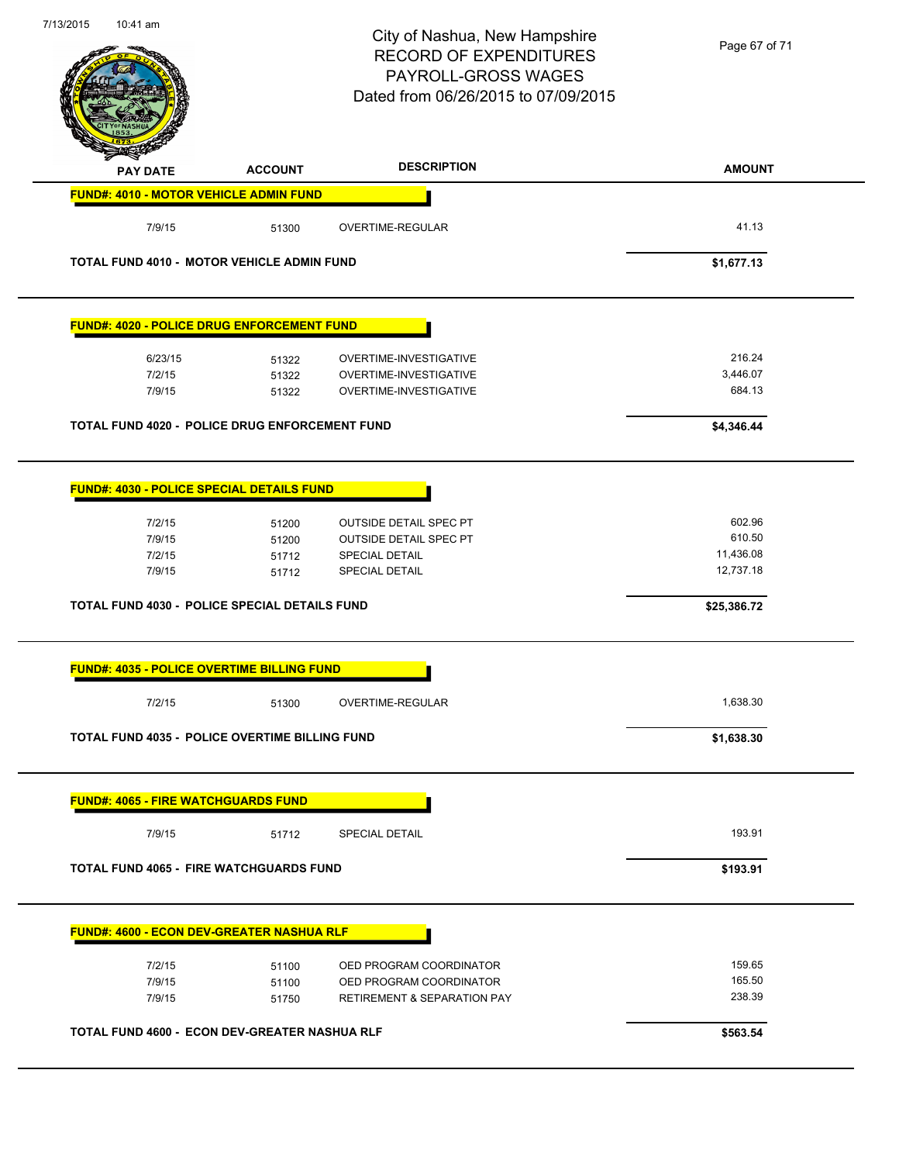|                                                                                                               |                                  | City of Nashua, New Hampshire<br><b>RECORD OF EXPENDITURES</b><br>PAYROLL-GROSS WAGES<br>Dated from 06/26/2015 to 07/09/2015 | Page 67 of 71                              |
|---------------------------------------------------------------------------------------------------------------|----------------------------------|------------------------------------------------------------------------------------------------------------------------------|--------------------------------------------|
| <b>PAY DATE</b>                                                                                               | <b>ACCOUNT</b>                   | <b>DESCRIPTION</b>                                                                                                           | <b>AMOUNT</b>                              |
| <b>FUND#: 4010 - MOTOR VEHICLE ADMIN FUND</b>                                                                 |                                  |                                                                                                                              |                                            |
| 7/9/15                                                                                                        | 51300                            | OVERTIME-REGULAR                                                                                                             | 41.13                                      |
| TOTAL FUND 4010 - MOTOR VEHICLE ADMIN FUND                                                                    |                                  |                                                                                                                              | \$1,677.13                                 |
| <b>FUND#: 4020 - POLICE DRUG ENFORCEMENT FUND</b>                                                             |                                  |                                                                                                                              |                                            |
| 6/23/15                                                                                                       | 51322                            | OVERTIME-INVESTIGATIVE                                                                                                       | 216.24                                     |
| 7/2/15                                                                                                        | 51322                            | OVERTIME-INVESTIGATIVE                                                                                                       | 3,446.07                                   |
| 7/9/15                                                                                                        | 51322                            | OVERTIME-INVESTIGATIVE                                                                                                       | 684.13                                     |
| <b>TOTAL FUND 4020 - POLICE DRUG ENFORCEMENT FUND</b>                                                         |                                  |                                                                                                                              | \$4,346.44                                 |
| FUND#: 4030 - POLICE SPECIAL DETAILS FUND<br>7/2/15<br>7/9/15<br>7/2/15<br>7/9/15                             | 51200<br>51200<br>51712<br>51712 | <b>OUTSIDE DETAIL SPEC PT</b><br><b>OUTSIDE DETAIL SPEC PT</b><br>SPECIAL DETAIL<br>SPECIAL DETAIL                           | 602.96<br>610.50<br>11,436.08<br>12,737.18 |
| TOTAL FUND 4030 - POLICE SPECIAL DETAILS FUND                                                                 |                                  |                                                                                                                              | \$25,386.72                                |
| <b>FUND#: 4035 - POLICE OVERTIME BILLING FUND</b>                                                             |                                  |                                                                                                                              |                                            |
| 7/2/15                                                                                                        | 51300                            | <b>OVERTIME-REGULAR</b>                                                                                                      | 1,638.30                                   |
|                                                                                                               |                                  |                                                                                                                              |                                            |
|                                                                                                               |                                  |                                                                                                                              | \$1,638.30                                 |
|                                                                                                               |                                  |                                                                                                                              |                                            |
| <b>TOTAL FUND 4035 - POLICE OVERTIME BILLING FUND</b><br><b>FUND#: 4065 - FIRE WATCHGUARDS FUND</b><br>7/9/15 | 51712                            | <b>SPECIAL DETAIL</b>                                                                                                        | 193.91                                     |
|                                                                                                               |                                  |                                                                                                                              | \$193.91                                   |
| <b>TOTAL FUND 4065 - FIRE WATCHGUARDS FUND</b><br><b>FUND#: 4600 - ECON DEV-GREATER NASHUA RLF</b>            |                                  |                                                                                                                              |                                            |
| 7/2/15                                                                                                        | 51100                            | OED PROGRAM COORDINATOR                                                                                                      | 159.65                                     |
| 7/9/15                                                                                                        | 51100                            | OED PROGRAM COORDINATOR                                                                                                      | 165.50                                     |
| 7/9/15                                                                                                        | 51750                            | <b>RETIREMENT &amp; SEPARATION PAY</b>                                                                                       | 238.39                                     |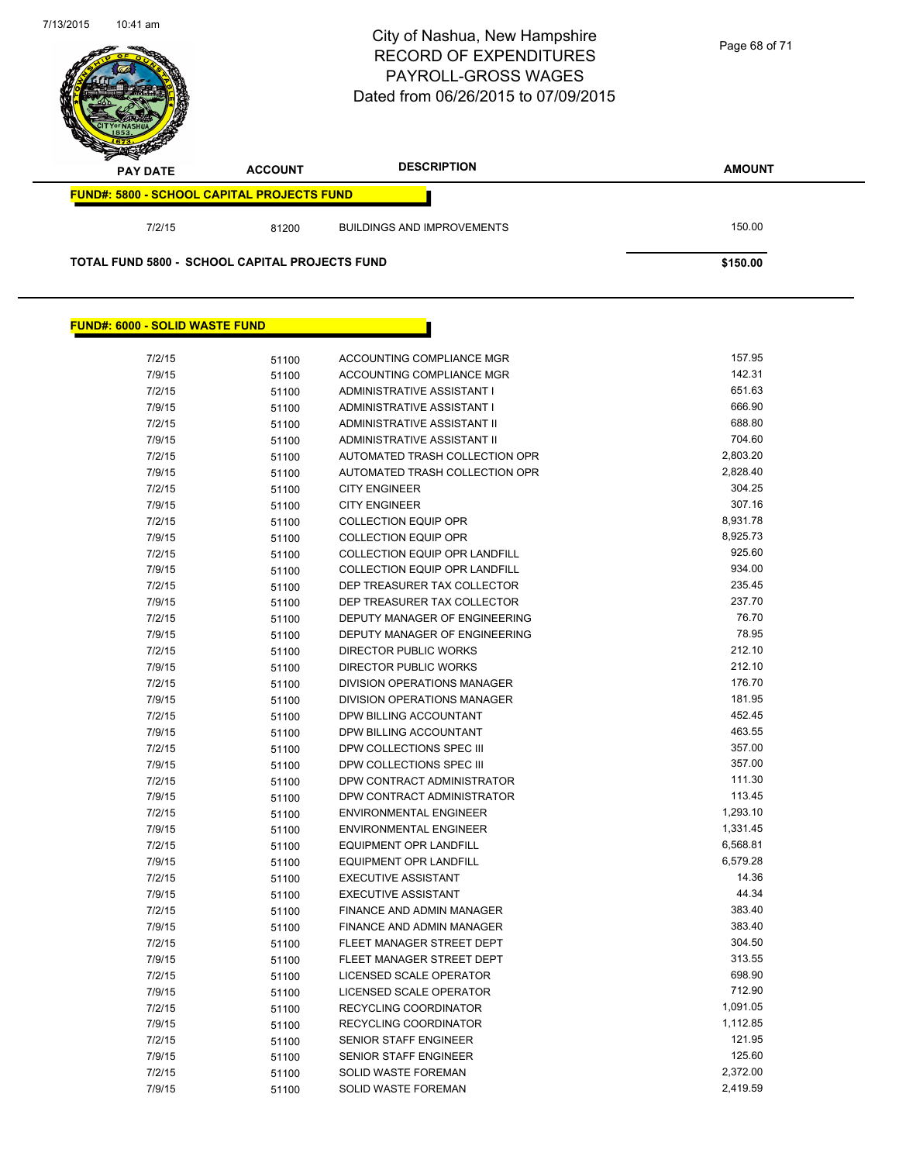

#### **FUND#: 6000 - SOLID WASTE FUND**

| 7/2/15 | 51100 | ACCOUNTING COMPLIANCE MGR            | 157.95   |
|--------|-------|--------------------------------------|----------|
| 7/9/15 | 51100 | ACCOUNTING COMPLIANCE MGR            | 142.31   |
| 7/2/15 | 51100 | ADMINISTRATIVE ASSISTANT I           | 651.63   |
| 7/9/15 | 51100 | ADMINISTRATIVE ASSISTANT I           | 666.90   |
| 7/2/15 | 51100 | ADMINISTRATIVE ASSISTANT II          | 688.80   |
| 7/9/15 | 51100 | ADMINISTRATIVE ASSISTANT II          | 704.60   |
| 7/2/15 | 51100 | AUTOMATED TRASH COLLECTION OPR       | 2,803.20 |
| 7/9/15 | 51100 | AUTOMATED TRASH COLLECTION OPR       | 2,828.40 |
| 7/2/15 | 51100 | <b>CITY ENGINEER</b>                 | 304.25   |
| 7/9/15 | 51100 | <b>CITY ENGINEER</b>                 | 307.16   |
| 7/2/15 | 51100 | <b>COLLECTION EQUIP OPR</b>          | 8,931.78 |
| 7/9/15 | 51100 | <b>COLLECTION EQUIP OPR</b>          | 8,925.73 |
| 7/2/15 | 51100 | COLLECTION EQUIP OPR LANDFILL        | 925.60   |
| 7/9/15 | 51100 | COLLECTION EQUIP OPR LANDFILL        | 934.00   |
| 7/2/15 | 51100 | DEP TREASURER TAX COLLECTOR          | 235.45   |
| 7/9/15 | 51100 | DEP TREASURER TAX COLLECTOR          | 237.70   |
| 7/2/15 | 51100 | DEPUTY MANAGER OF ENGINEERING        | 76.70    |
| 7/9/15 | 51100 | <b>DEPUTY MANAGER OF ENGINEERING</b> | 78.95    |
| 7/2/15 | 51100 | <b>DIRECTOR PUBLIC WORKS</b>         | 212.10   |
| 7/9/15 | 51100 | <b>DIRECTOR PUBLIC WORKS</b>         | 212.10   |
| 7/2/15 | 51100 | <b>DIVISION OPERATIONS MANAGER</b>   | 176.70   |
| 7/9/15 | 51100 | <b>DIVISION OPERATIONS MANAGER</b>   | 181.95   |
| 7/2/15 | 51100 | DPW BILLING ACCOUNTANT               | 452.45   |
| 7/9/15 | 51100 | DPW BILLING ACCOUNTANT               | 463.55   |
| 7/2/15 | 51100 | DPW COLLECTIONS SPEC III             | 357.00   |
| 7/9/15 | 51100 | DPW COLLECTIONS SPEC III             | 357.00   |
| 7/2/15 | 51100 | DPW CONTRACT ADMINISTRATOR           | 111.30   |
| 7/9/15 | 51100 | DPW CONTRACT ADMINISTRATOR           | 113.45   |
| 7/2/15 | 51100 | <b>ENVIRONMENTAL ENGINEER</b>        | 1,293.10 |
| 7/9/15 | 51100 | <b>ENVIRONMENTAL ENGINEER</b>        | 1,331.45 |
| 7/2/15 | 51100 | <b>EQUIPMENT OPR LANDFILL</b>        | 6,568.81 |
| 7/9/15 | 51100 | <b>EQUIPMENT OPR LANDFILL</b>        | 6,579.28 |
| 7/2/15 | 51100 | <b>EXECUTIVE ASSISTANT</b>           | 14.36    |
| 7/9/15 | 51100 | <b>EXECUTIVE ASSISTANT</b>           | 44.34    |
| 7/2/15 | 51100 | FINANCE AND ADMIN MANAGER            | 383.40   |
| 7/9/15 | 51100 | FINANCE AND ADMIN MANAGER            | 383.40   |
| 7/2/15 | 51100 | FLEET MANAGER STREET DEPT            | 304.50   |
| 7/9/15 | 51100 | FLEET MANAGER STREET DEPT            | 313.55   |
| 7/2/15 | 51100 | <b>LICENSED SCALE OPERATOR</b>       | 698.90   |
| 7/9/15 | 51100 | LICENSED SCALE OPERATOR              | 712.90   |
| 7/2/15 | 51100 | RECYCLING COORDINATOR                | 1,091.05 |
| 7/9/15 | 51100 | <b>RECYCLING COORDINATOR</b>         | 1,112.85 |
| 7/2/15 | 51100 | SENIOR STAFF ENGINEER                | 121.95   |
| 7/9/15 | 51100 | <b>SENIOR STAFF ENGINEER</b>         | 125.60   |
| 7/2/15 | 51100 | <b>SOLID WASTE FOREMAN</b>           | 2,372.00 |
| 7/9/15 | 51100 | <b>SOLID WASTE FOREMAN</b>           | 2,419.59 |
|        |       |                                      |          |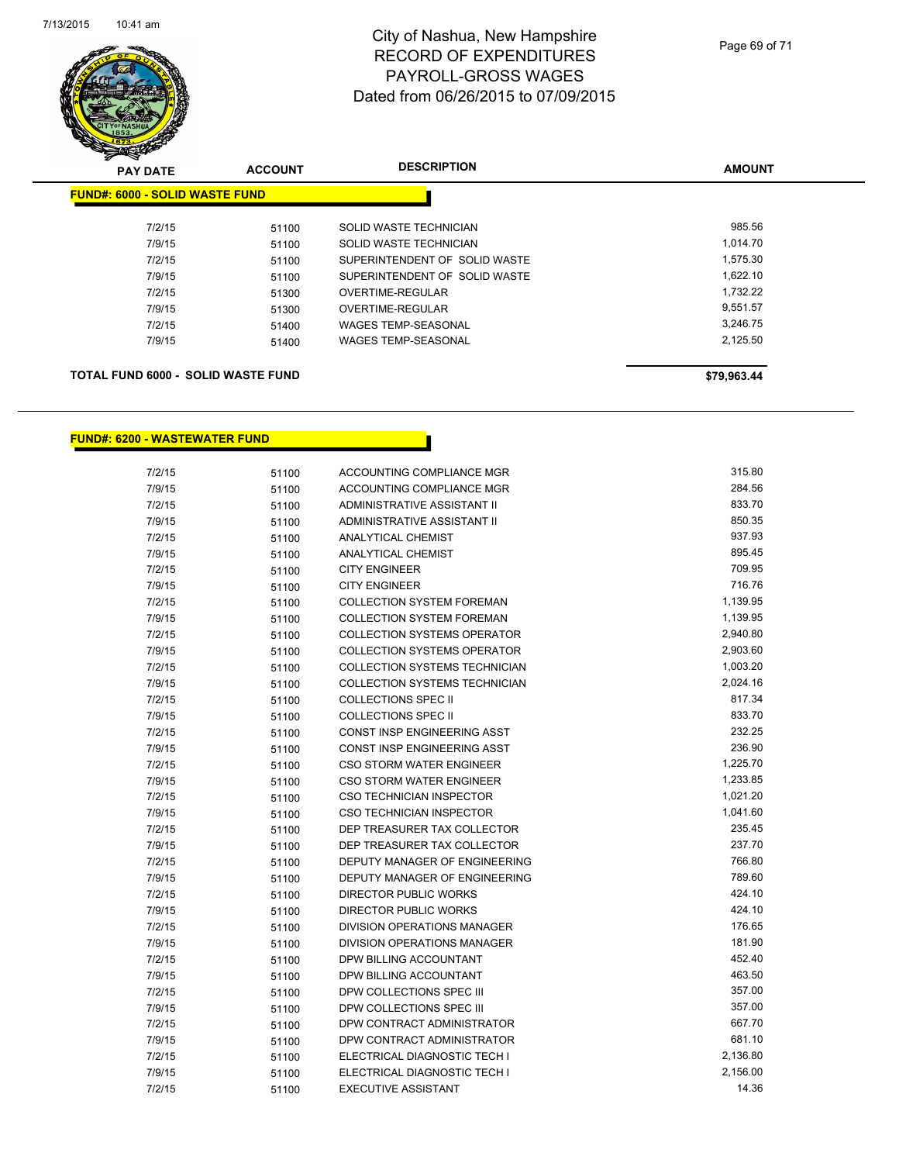

| <b>FUND#: 6000 - SOLID WASTE FUND</b>                        |  |
|--------------------------------------------------------------|--|
|                                                              |  |
| 985.56<br>7/2/15<br>SOLID WASTE TECHNICIAN<br>51100          |  |
| 1,014.70<br>7/9/15<br>SOLID WASTE TECHNICIAN<br>51100        |  |
| 1,575.30<br>7/2/15<br>SUPERINTENDENT OF SOLID WASTE<br>51100 |  |
| 1,622.10<br>7/9/15<br>SUPERINTENDENT OF SOLID WASTE<br>51100 |  |
| 1.732.22<br>7/2/15<br>OVERTIME-REGULAR<br>51300              |  |
| 9.551.57<br>7/9/15<br>OVERTIME-REGULAR<br>51300              |  |
| 3,246.75<br>7/2/15<br><b>WAGES TEMP-SEASONAL</b><br>51400    |  |
| 2,125.50<br>7/9/15<br><b>WAGES TEMP-SEASONAL</b><br>51400    |  |
|                                                              |  |

#### **TOTAL FUND 6000 - SOLID WASTE FUND \$79,963.44**

#### **FUND#: 6200 - WASTEWATER FUND**

| 7/2/15 | 51100 | ACCOUNTING COMPLIANCE MGR          | 315.80   |
|--------|-------|------------------------------------|----------|
| 7/9/15 | 51100 | ACCOUNTING COMPLIANCE MGR          | 284.56   |
| 7/2/15 | 51100 | ADMINISTRATIVE ASSISTANT II        | 833.70   |
| 7/9/15 | 51100 | ADMINISTRATIVE ASSISTANT II        | 850.35   |
| 7/2/15 | 51100 | <b>ANALYTICAL CHEMIST</b>          | 937.93   |
| 7/9/15 | 51100 | <b>ANALYTICAL CHEMIST</b>          | 895.45   |
| 7/2/15 | 51100 | <b>CITY ENGINEER</b>               | 709.95   |
| 7/9/15 | 51100 | <b>CITY ENGINEER</b>               | 716.76   |
| 7/2/15 | 51100 | <b>COLLECTION SYSTEM FOREMAN</b>   | 1,139.95 |
| 7/9/15 | 51100 | <b>COLLECTION SYSTEM FOREMAN</b>   | 1,139.95 |
| 7/2/15 | 51100 | <b>COLLECTION SYSTEMS OPERATOR</b> | 2,940.80 |
| 7/9/15 | 51100 | <b>COLLECTION SYSTEMS OPERATOR</b> | 2,903.60 |
| 7/2/15 | 51100 | COLLECTION SYSTEMS TECHNICIAN      | 1,003.20 |
| 7/9/15 | 51100 | COLLECTION SYSTEMS TECHNICIAN      | 2,024.16 |
| 7/2/15 | 51100 | <b>COLLECTIONS SPEC II</b>         | 817.34   |
| 7/9/15 | 51100 | <b>COLLECTIONS SPEC II</b>         | 833.70   |
| 7/2/15 | 51100 | <b>CONST INSP ENGINEERING ASST</b> | 232.25   |
| 7/9/15 | 51100 | CONST INSP ENGINEERING ASST        | 236.90   |
| 7/2/15 | 51100 | CSO STORM WATER ENGINEER           | 1,225.70 |
| 7/9/15 | 51100 | CSO STORM WATER ENGINEER           | 1,233.85 |
| 7/2/15 | 51100 | CSO TECHNICIAN INSPECTOR           | 1,021.20 |
| 7/9/15 | 51100 | CSO TECHNICIAN INSPECTOR           | 1,041.60 |
| 7/2/15 | 51100 | DEP TREASURER TAX COLLECTOR        | 235.45   |
| 7/9/15 | 51100 | DEP TREASURER TAX COLLECTOR        | 237.70   |
| 7/2/15 | 51100 | DEPUTY MANAGER OF ENGINEERING      | 766.80   |
| 7/9/15 | 51100 | DEPUTY MANAGER OF ENGINEERING      | 789.60   |
| 7/2/15 | 51100 | <b>DIRECTOR PUBLIC WORKS</b>       | 424.10   |
| 7/9/15 | 51100 | <b>DIRECTOR PUBLIC WORKS</b>       | 424.10   |
| 7/2/15 | 51100 | DIVISION OPERATIONS MANAGER        | 176.65   |
| 7/9/15 | 51100 | DIVISION OPERATIONS MANAGER        | 181.90   |
| 7/2/15 | 51100 | DPW BILLING ACCOUNTANT             | 452.40   |
| 7/9/15 | 51100 | DPW BILLING ACCOUNTANT             | 463.50   |
| 7/2/15 | 51100 | DPW COLLECTIONS SPEC III           | 357.00   |
| 7/9/15 | 51100 | DPW COLLECTIONS SPEC III           | 357.00   |
| 7/2/15 | 51100 | DPW CONTRACT ADMINISTRATOR         | 667.70   |
| 7/9/15 | 51100 | DPW CONTRACT ADMINISTRATOR         | 681.10   |
| 7/2/15 | 51100 | ELECTRICAL DIAGNOSTIC TECH I       | 2,136.80 |
| 7/9/15 | 51100 | ELECTRICAL DIAGNOSTIC TECH I       | 2,156.00 |
| 7/2/15 | 51100 | <b>EXECUTIVE ASSISTANT</b>         | 14.36    |
|        |       |                                    |          |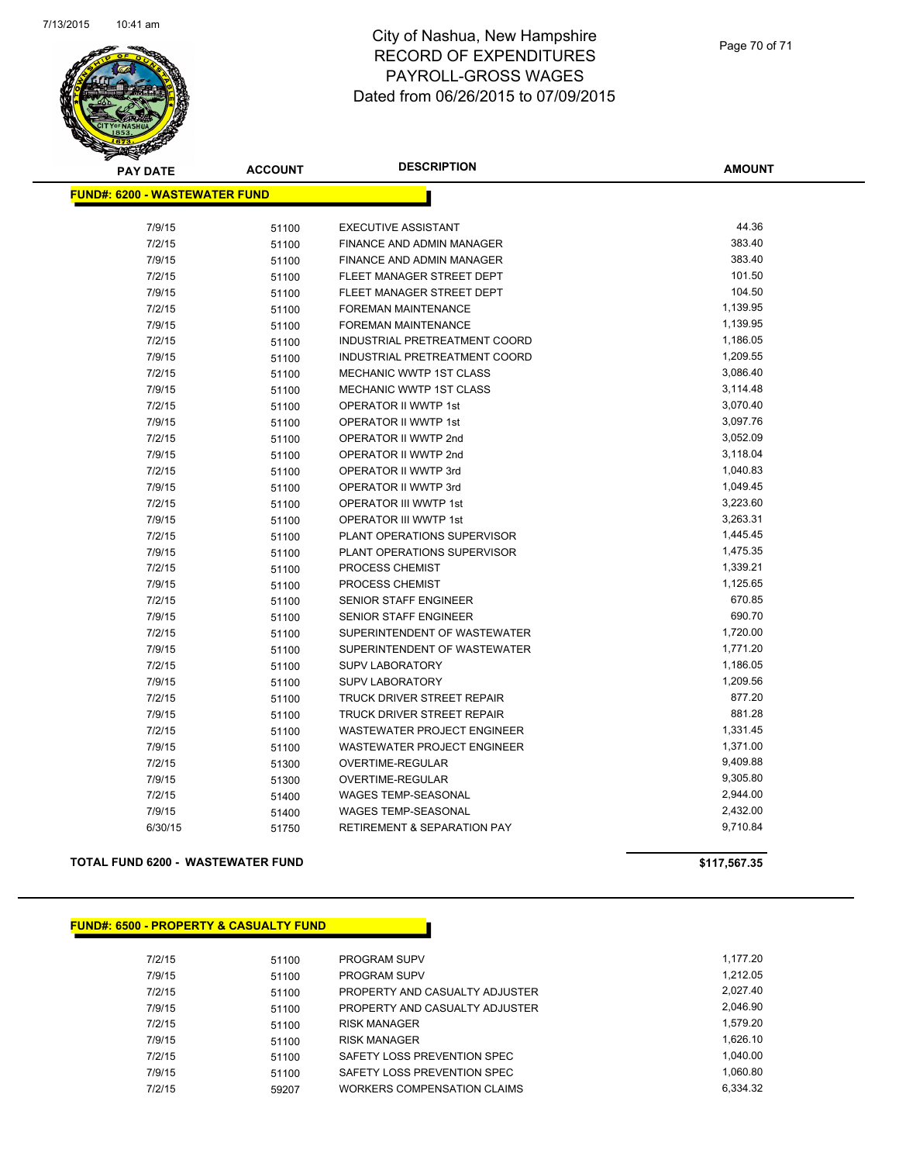

| <b>PAY DATE</b>                      | <b>ACCOUNT</b> | <b>DESCRIPTION</b>                     | <b>AMOUNT</b> |
|--------------------------------------|----------------|----------------------------------------|---------------|
| <b>FUND#: 6200 - WASTEWATER FUND</b> |                |                                        |               |
|                                      |                |                                        |               |
| 7/9/15                               | 51100          | <b>EXECUTIVE ASSISTANT</b>             | 44.36         |
| 7/2/15                               | 51100          | <b>FINANCE AND ADMIN MANAGER</b>       | 383.40        |
| 7/9/15                               | 51100          | FINANCE AND ADMIN MANAGER              | 383.40        |
| 7/2/15                               | 51100          | FLEET MANAGER STREET DEPT              | 101.50        |
| 7/9/15                               | 51100          | FLEET MANAGER STREET DEPT              | 104.50        |
| 7/2/15                               | 51100          | <b>FOREMAN MAINTENANCE</b>             | 1,139.95      |
| 7/9/15                               | 51100          | <b>FOREMAN MAINTENANCE</b>             | 1,139.95      |
| 7/2/15                               | 51100          | INDUSTRIAL PRETREATMENT COORD          | 1,186.05      |
| 7/9/15                               | 51100          | INDUSTRIAL PRETREATMENT COORD          | 1,209.55      |
| 7/2/15                               | 51100          | MECHANIC WWTP 1ST CLASS                | 3,086.40      |
| 7/9/15                               | 51100          | MECHANIC WWTP 1ST CLASS                | 3,114.48      |
| 7/2/15                               | 51100          | OPERATOR II WWTP 1st                   | 3,070.40      |
| 7/9/15                               | 51100          | <b>OPERATOR II WWTP 1st</b>            | 3,097.76      |
| 7/2/15                               | 51100          | OPERATOR II WWTP 2nd                   | 3,052.09      |
| 7/9/15                               | 51100          | OPERATOR II WWTP 2nd                   | 3,118.04      |
| 7/2/15                               | 51100          | OPERATOR II WWTP 3rd                   | 1,040.83      |
| 7/9/15                               | 51100          | OPERATOR II WWTP 3rd                   | 1,049.45      |
| 7/2/15                               | 51100          | OPERATOR III WWTP 1st                  | 3,223.60      |
| 7/9/15                               | 51100          | OPERATOR III WWTP 1st                  | 3,263.31      |
| 7/2/15                               | 51100          | PLANT OPERATIONS SUPERVISOR            | 1,445.45      |
| 7/9/15                               | 51100          | PLANT OPERATIONS SUPERVISOR            | 1,475.35      |
| 7/2/15                               | 51100          | PROCESS CHEMIST                        | 1,339.21      |
| 7/9/15                               | 51100          | PROCESS CHEMIST                        | 1,125.65      |
| 7/2/15                               | 51100          | SENIOR STAFF ENGINEER                  | 670.85        |
| 7/9/15                               | 51100          | SENIOR STAFF ENGINEER                  | 690.70        |
| 7/2/15                               | 51100          | SUPERINTENDENT OF WASTEWATER           | 1,720.00      |
| 7/9/15                               | 51100          | SUPERINTENDENT OF WASTEWATER           | 1,771.20      |
| 7/2/15                               | 51100          | <b>SUPV LABORATORY</b>                 | 1,186.05      |
| 7/9/15                               | 51100          | <b>SUPV LABORATORY</b>                 | 1,209.56      |
| 7/2/15                               | 51100          | TRUCK DRIVER STREET REPAIR             | 877.20        |
| 7/9/15                               | 51100          | TRUCK DRIVER STREET REPAIR             | 881.28        |
| 7/2/15                               | 51100          | <b>WASTEWATER PROJECT ENGINEER</b>     | 1,331.45      |
| 7/9/15                               | 51100          | WASTEWATER PROJECT ENGINEER            | 1,371.00      |
| 7/2/15                               | 51300          | <b>OVERTIME-REGULAR</b>                | 9,409.88      |
| 7/9/15                               | 51300          | OVERTIME-REGULAR                       | 9,305.80      |
| 7/2/15                               | 51400          | <b>WAGES TEMP-SEASONAL</b>             | 2,944.00      |
| 7/9/15                               | 51400          | <b>WAGES TEMP-SEASONAL</b>             | 2,432.00      |
| 6/30/15                              | 51750          | <b>RETIREMENT &amp; SEPARATION PAY</b> | 9,710.84      |

#### **TOTAL FUND 6200 - WASTEWATER FUND \$117,567.35**

#### **FUND#: 6500 - PROPERTY & CASUALTY FUND**

7/2/15 51100 PROGRAM SUPV 1,177.20 7/9/15 51100 PROGRAM SUPV 1,212.05 7/2/15 51100 PROPERTY AND CASUALTY ADJUSTER 2,027.40 7/9/15 51100 PROPERTY AND CASUALTY ADJUSTER 2,046.90 7/2/15 51100 RISK MANAGER 1,579.20 7/9/15 51100 RISK MANAGER 1,626.10 7/2/15 51100 SAFETY LOSS PREVENTION SPEC 7/9/15 51100 SAFETY LOSS PREVENTION SPEC 1,060.80 7/2/15 59207 WORKERS COMPENSATION CLAIMS 6,334.32